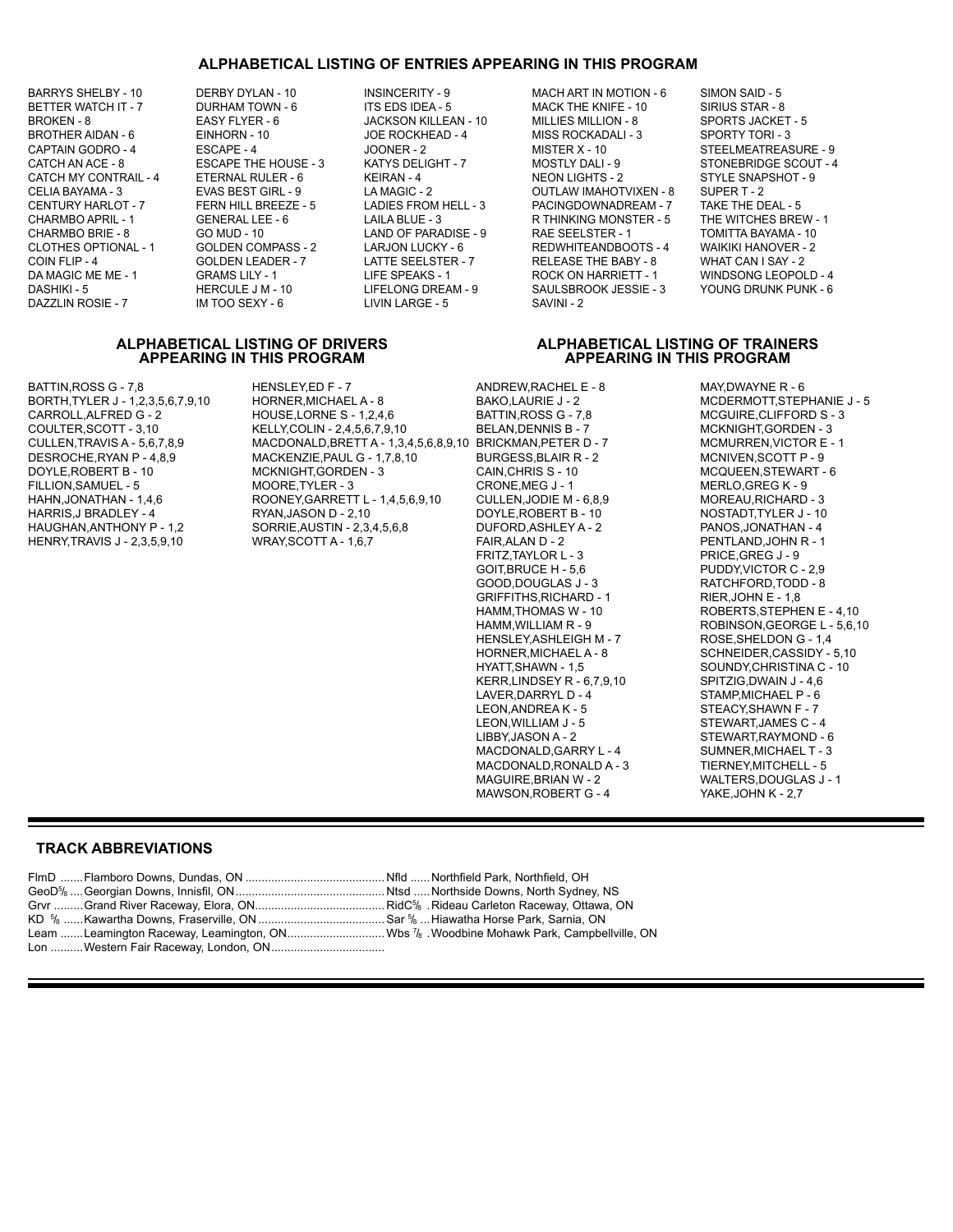## **ALPHABETICAL LISTING OF ENTRIES APPEARING IN THIS PROGRAM**

BARRYS SHELBY - 10 DERBY DYLAN - 10 INSINCERITY - 9 MACH ART IN MOTION - 6 SIMON SAID - 5 CATCH MY CONTRAIL - 4

DAZZLIN ROSIE - 7 IM TOO SEXY - 6 LIVIN LARGE - 5 SAVINI - 2

BETTER WATCH IT - 7 DURHAM TOWN - 6 ITS EDS IDEA - 5 MACK THE KNIFE - 10 SIRIUS STAR - 8 BROKEN - 8 EASY FLYER - 6 JACKSON KILLEAN - 10 MILLIES MILLION - 8 SPORTS JACKET - 5<br>BROTHER AIDAN - 6 EINHORN - 10 JOE ROCKHEAD - 4 MISS ROCKADALI - 3 SPORTY TORI - 3 BROTHER AIDAN - 6 EINHORN - 10 JOE ROCKHEAD - 4 MISS ROCKADALI - 3 SPORTY TORI - 3 MISTER X - 10 STEELMEATREASURE - 9 CATCH AN ACE - 8 ESCAPE THE HOUSE - 3 KATYS DELIGHT - 7 MOSTLY DALI - 9 STONEBRIDGE SCOUT - 4<br>CATCH MY CONTRAIL - 4 ETERNAL RULER - 6 KEIRAN - 4 NEON LIGHTS - 2 STYLE SNAPSHOT - 9 CELIA BAYAMA - 3 EVAS BEST GIRL - 9 LA MAGIC - 2 OUTLAW IMAHOTVIXEN - 8 SUPER T - 2<br>CENTURY HARLOT - 7 FERN HILL BREEZE - 5 LADIES FROM HELL - 3 PACINGDOWNADREAM - 7 TAKE THE DEAL - 5 PACINGDOWNADREAM - 7 CHARMBO APRIL - 1 GENERAL LEE - 6 LAILA BLUE - 3 R THINKING MONSTER - 5 THE WITCHES BREW - 1 CHARMBO BRIE - 8 GO MUD - 10 LAND OF PARADISE - 9 RAE SEELSTER - 1 TOMITTA BAYAMA - 10 REDWHITEANDBOOTS - 4 COIN FLIP - 4 GOLDEN LEADER - 7 LATTE SEELSTER - 7 RELEASE THE BABY - 8 WHAT CAN I SAY - 2 GRAMS LILY - 1 LIFE SPEAKS - 1 ROCK ON HARRIETT - 1 WINDSONG LEOPOLD - 4<br>HERCULE J M - 10 LIFELONG DREAM - 9 SAULSBROOK JESSIE - 3 YOUNG DRUNK PUNK - 6 DASHIKI - 5 HERCULE J M - 10 LIFELONG DREAM - 9 SAULSBROOK JESSIE - 3

### **ALPHABETICAL LISTING OF DRIVERS ALPHABETICAL LISTING OF TRAINERS APPEARING IN THIS PROGRAM APPEARING IN THIS PROGRAM**

BATTIN,ROSS G - 7,8 HENSLEY,ED F - 7 ANDREW,RACHEL E - 8 MAY,DWAYNE R - 6<br>BORTH,TYLER J - 1,2,3,5,6,7,9,10 HORNER,MICHAEL A - 8 BAKO,LAURIE J - 2 MCDERMOTT,STEPHANIE J - 5 FILLION, SAMUEL - 5<br>HAHN, JONATHAN - 1,4,6

BORTH,TYLER J - 1,2,3,5,6,7,9,10 HORNER,MICHAEL A - 8 BAKO,LAURIE J - 2<br>CARROLL,ALFRED G - 2 HOUSE,LORNE S - 1,2,4,6 BATTIN,ROSS G - 7,8 CARROLL,ALFRED G - 2 HOUSE,LORNE S - 1,2,4,6 BATTIN,ROSS G - 7,8 MCGUIRE,CLIFFORD S - 3 COULTER,SCOTT - 3,10 KELLY,COLIN - 2,4,5,6,7,9,10 BELAN,DENNIS B - 7 MCKNIGHT,GORDEN - 3<br>CULLEN,TRAVIS A - 5,6,7,8,9 MACDONALD,BRETT A - 1,3,4,5,6,8,9,10 BRICKMAN,PETER D - 7 MCMURREN,VICTOR CULLEN,TRAVIS A - 5,6,7,8,9 MACDONALD,BRETT A - 1,3,4,5,6,8,9,10 BRICKMAN,PETER D - 7 MCMURREN,VICTOR E - 1 DESROCHE,RYAN P - 4,8,9 MACKENZIE,PAUL G - 1,7,8,10 BURGESS,BLAIR R<br>DOYLE,ROBERT B - 10 MCMIGHT,GORDEN - 3 CAIN,CHRIS S - 10 MCKNIGHT,GORDEN - 3 CAIN,CHRIS S - 10 MCQUEEN,STEWART - 6<br>MOORE,TYLER - 3 CRONE,MEG J - 1 MERLO,GREG K - 9 ROONEY,GARRETT L - 1,4,5,6,9,10 CULLEN,JODIE M - 6,8,9 MOREAU,RICHARD - 3<br>RYAN,JASON D - 2,10 DOYLE,ROBERT B - 10 MOSTADT,TYLER J - 10 HARRIS,J BRADLEY - 4 RYAN,JASON D - 2,10 DOYLE,ROBERT B - 10 NOSTADT,TYLER J - 10 SORRIE,AUSTIN - 2,3,4,5,6,8 DUFORD,ASHLEY A - 2 PANOS,JONATHAN - 4<br>WRAY,SCOTT A - 1,6,7 FAIR,ALAN D - 2 PENTLAND,JOHN R - 1

HENRY,TRAVIS J - 2,3,5,9,10 WRAY,SCOTT A - 1,6,7 FAIR,ALAN D - 2 PENTLAND,JOHN |<br>FRITZ,TAYLOR L - 3 PRICE.GREG J - 9 FRITZ, TAYLOR L - 3 GOIT,BRUCE H - 5,6 PUDDY,VICTOR C - 2,9 GRIFFITHS,RICHARD - 1<br>HAMM,THOMAS W - 10 HENSLEY, ASHLEIGH M - 7<br>HORNER, MICHAEL A - 8 KERR,LINDSEY R - 6,7,9,10<br>LAVER,DARRYL D - 4 LAVER, DARRYL D - 4 STAMP, MICHAEL P - 6<br>LEON, ANDREA K - 5 STEACY, SHAWN F - 7 LEON,ANDREA K - 5 STEACY, SHAWN F - 7<br>LEON, WILLIAM J - 5 STEWART,JAMES C -LIBBY,JASON A - 2 STEWART,RAYMOND - 6<br>MACDONALD,GARRY L - 4 SUMNER,MICHAEL T - 3 MACDONALD,GARRY L - 4 SUMNER,MICHAEL T - 3<br>MACDONALD,RONALD A - 3 TIERNEY,MITCHELL - 5 MACDONALD,RONALD A - 3<br>MAGUIRE,BRIAN W - 2 MAWSON, ROBERT G - 4

RATCHFORD,TODD - 8<br>RIER,JOHN E - 1,8 HAMM,THOMAS W - 10 ROBERTS,STEPHEN E - 4,10<br>HAMM,WILLIAM R - 9 ROBINSON,GEORGE L - 5.6.1 ROBINSON, GEORGE L - 5,6,10<br>ROSE, SHELDONG - 1,4 HORNER,MICHAEL A - 8 SCHNEIDER,CASSIDY - 5,10 SOUNDY,CHRISTINA C - 10<br>SPITZIG,DWAIN J - 4,6 STEWART, JAMES C - 4 WALTERS,DOUGLAS J - 1<br>YAKE,JOHN K - 2,7

## **TRACK ABBREVIATIONS**

Lon .........Western Fair Raceway, London, ON...................................

FlmD .......Flamboro Downs, Dundas, ON ........................................... Nfld ......Northfield Park, Northfield, OH GeoD5/<sub>8</sub> ....Georgian Downs, Innisfil, ON…………………………………………Ntsd …..Northside Downs, North Sydney, NS Grvr .........Grand River Raceway, Elora, ON........................................ RidC<sup>5</sup> /8 .Rideau Carleton Raceway, Ottawa, ON KD 5 /8 ......Kawartha Downs, Fraserville, ON .......................................Sar 5 /8 ...Hiawatha Horse Park, Sarnia, ON Leam .......Leamington Raceway, Leamington, ON..............................Wbs 7 /8 .Woodbine Mohawk Park, Campbellville, ON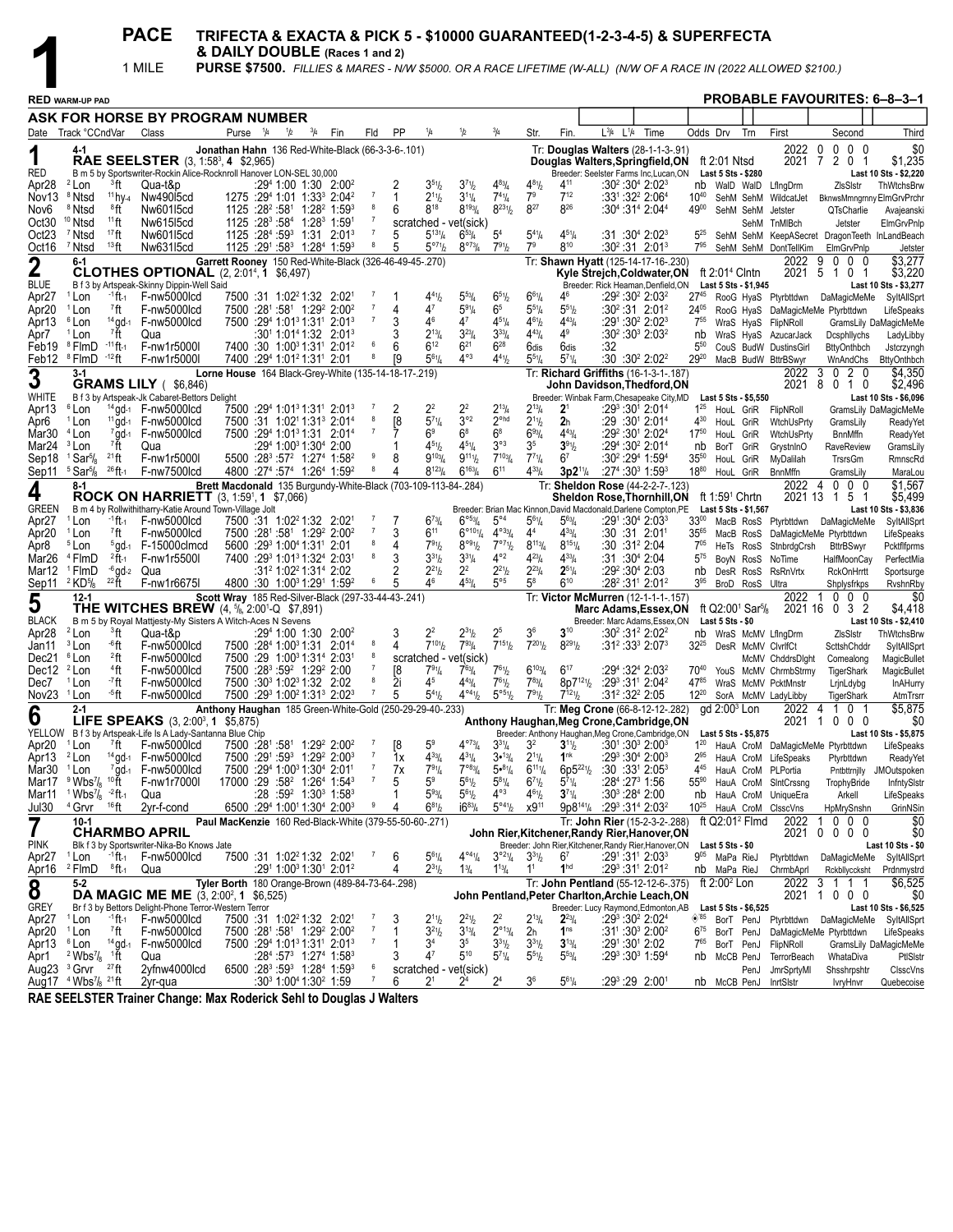| & DAILY DOUBLE (Races 1 and 2)<br>1 MILE<br>PURSE \$7500. FILLIES & MARES - N/W \$5000. OR A RACE LIFETIME (W-ALL) (N/W OF A RACE IN (2022 ALLOWED \$2100.)<br><b>PROBABLE FAVOURITES: 6-8-3-1</b><br><b>RED WARM-UP PAD</b><br>ASK FOR HORSE BY PROGRAM NUMBER<br>$L^{3}/4$ $L^{1}/4$<br>Purse <sup>1</sup> /4<br>1/2<br>Fin<br>PP<br>Time<br>Odds Drv<br>Trn<br>First<br>Third<br>Date Track °CCndVar<br>Class<br>$^{3}/_{4}$<br>Fld<br>Str.<br>Fin.<br>Second<br>2022<br>$0\quad 0\quad 0$<br>Tr: Douglas Walters (28-1-1-3-.91)<br>0<br>\$0<br>$4 - 1$<br>Jonathan Hahn 136 Red-White-Black (66-3-3-6-.101)<br><b>RAE SEELSTER</b> (3, 1:58 <sup>3</sup> , 4 \$2,965)<br>2 <sub>0</sub><br>\$1,235<br>2021<br>7<br>ft 2:01 Ntsd<br>Douglas Walters, Springfield, ON<br>RED<br>B m 5 by Sportswriter-Rockin Alice-Rocknroll Hanover LON-SEL 30,000<br>Breeder: Seelster Farms Inc,Lucan,ON<br>Last 10 Sts - \$2,220<br>Last 5 Sts - \$280<br>$4^{83}$ /4<br><sup>2</sup> Lon<br><sup>3</sup> ft<br>Qua-t&p<br>$:2941:001:302:002$<br>$3^{51}$ / <sub>2</sub><br>$3^{7^{1}}h$<br>$4^{81}/_{2}$<br>411<br>:30 <sup>2</sup> :30 <sup>4</sup> 2:02 <sup>3</sup><br>Apr28<br>ZIsSIstr<br>ThWtchsBrw<br>nb WalD WalD<br>LfIngDrm<br>$7^{12}$<br>$11$ hv-4<br>1275 :294 1:01 1:33 <sup>3</sup> 2:04 <sup>2</sup><br>$7^{41}/4$<br>7 <sup>9</sup><br>:33 <sup>1</sup> :32 <sup>2</sup> 2:06 <sup>4</sup><br><sup>8</sup> Ntsd<br>Nw49015cd<br>$2^{11}h$<br>$3^{11}/4$<br>Nov <sub>13</sub><br>$10^{40}$<br>WildcatJet<br>SehM SehM<br>BknwsMmngrnny ElmGrvPrchr<br>$8^{231}/2$<br>$8^{27}$<br>826<br>1125 : 28 <sup>2</sup> : 58 <sup>1</sup> 1: 28 <sup>2</sup> 1: 59 <sup>3</sup><br>$8^{18}$<br>$8^{193}/4$<br><sup>8</sup> Ntsd<br>®ft<br>Nw601l5cd<br>8<br>6<br>:304 :314 2:044<br>4900<br>Nov6<br>SehM SehM<br>Jetster<br>QTsCharlie<br>Avajeanski<br>Oct30<br><sup>10</sup> Ntsd<br>$11$ ft<br>Nw61515cd<br>1125 :28 <sup>3</sup> :58 <sup>4</sup> 1:28 <sup>3</sup> 1:59 <sup>1</sup><br>$\overline{7}$<br>scratched - vet(sick)<br>SehM TnMIBch<br>Jetster<br>ElmGrvPnlp<br>5 <sup>4</sup><br>$17$ ft<br>1125 :284 :593 1:31 2:013<br>$5^{13}\frac{1}{4}$<br>$6^{53}/4$<br>$5^{4}$ <sup>1</sup> / <sub>4</sub><br>$4^{51}/4$<br>Oct <sub>23</sub><br><sup>7</sup> Ntsd<br>Nw601l5cd<br>$\overline{7}$<br>$:31:30^{4}$ 2:02 <sup>3</sup><br>$5^{25}$<br>5<br>SehM SehM KeepASecret DragonTeeth InLandBeach<br>$8^{10}$<br>13 <sub>ft</sub><br>$5^{\circ 7}$ <sup>1</sup> / <sub>2</sub><br>$8^{\circ 73} / 4$<br>7 <sup>9</sup><br>Oct16<br><sup>7</sup> Ntsd<br>Nw63115cd<br>$1125 : 29^1 : 58^3$ 1:28 <sup>4</sup> 1:59 <sup>3</sup><br>8<br>$7^{91}$<br>$:30^2:31$ 2:01 <sup>3</sup><br>$7^{95}$<br>5<br>SehM SehM DontTellKim<br>ElmGrvPnlp<br>Jetster<br>\$3,277<br>2022<br>9<br>$0\quad 0\quad 0$<br>$\overline{2}$<br>$6 - 1$<br>Garrett Rooney 150 Red-White-Black (326-46-49-45-.270)<br>Tr: Shawn Hyatt (125-14-17-16-.230)<br><b>CLOTHES OPTIONAL</b> (2, 2:01 <sup>4</sup> , 1 \$6,497)<br>\$3,220<br>2021<br>-5<br>Kyle Strejch, Coldwater, ON<br>ft $2:014$ Clntn<br>101<br>B f 3 by Artspeak-Skinny Dippin-Well Said<br>Breeder: Rick Heaman, Denfield, ON<br>Last 5 Sts - \$1,945<br>Last 10 Sts - \$3,277<br>$5^{53}$ /4<br>$6^{51}/2$<br>$6^{61}/4$<br><sup>1</sup> Lon<br><sup>-1</sup> ft-1<br>F-nw5000lcd<br>7500 :31 1:02 <sup>2</sup> 1:32 2:02 <sup>1</sup><br>-7<br>46<br>$:29^2:30^2$ 2:03 <sup>2</sup><br>$27^{45}$<br>Apr <sub>27</sub><br>$4^{41}h$<br>RooG HyaS Ptyrbttdwn DaMagicMeMe<br>SyltAllSprt<br>$5^{91}/4$<br>6 <sup>5</sup><br>$5^{51}h$<br><sup>1</sup> Lon<br><sup>7</sup> ft<br>F-nw5000lcd<br>7500 :281 :581 1:29 <sup>2</sup> 2:00 <sup>2</sup><br>47<br>$5^{51}/4$<br>$:30^2:31$ 2:01 <sup>2</sup><br>Apr20<br>4<br>$24^{05}$<br>RooG HyaS DaMagicMeMe Ptyrbttdwn<br>LifeSpeaks<br>14 gd-1 F-nw5000lcd<br>7<br>3<br>46<br>$4^{51}/4$<br><sup>6</sup> Lon<br>7500 :294 1:01 <sup>3</sup> 1:31 <sup>1</sup> 2:01 <sup>3</sup><br>$4^7$<br>$4^{61}/2$<br>$4^{43}/4$<br>$:29^1:30^2$ 2:02 <sup>3</sup><br>$7^{55}$<br>Apr13<br>WraS HyaS FlipNRoll<br>GramsLily DaMagicMeMe<br>$3^{33}/4$<br><sup>7</sup> ft<br>$3^{23}/4$<br>$4^9$<br><sup>1</sup> Lon<br>$:30^1$ 1:01 <sup>4</sup> 1:32 2:01 <sup>3</sup><br>$2^{13}$ /4<br>$4^{43}$ /4<br>$:30^2:30^3$ 2:03 <sup>2</sup><br>Apr7<br>Qua<br>nb<br>WraS HyaS AzucarJack<br>Dcsphllychs<br>LadyLibby<br><sup>8</sup> FlmD<br>$-11$ ft-1<br>7400 :30 1:00 <sup>3</sup> 1:31 <sup>1</sup> 2:01 <sup>2</sup><br>6<br>$6^{12}$<br>$6^{21}$<br>$6^{28}$<br>Feb19<br>F-nw1r5000l<br>6<br>:32<br>6dis<br>6dis<br>$5^{50}$<br>CouS BudW DustinsGirl<br><b>BttyOnthbch</b><br>Jstcrzyngh<br>$4^{\circ 3}$<br>$-12$ ft<br>$5^{61}$<br>$4^{41}$<br>:30 :30 <sup>2</sup> 2:02 <sup>2</sup><br>Feb12 <sup>8</sup> FlmD<br>F-nw1r5000l<br>7400 :294 1:01 <sup>2</sup> 1:31 <sup>1</sup> 2:01<br>$5^{71}/4$<br>$29^{20}$<br>ſ9<br>$55\%$<br>MacB BudW BttrBSwyr<br>WnAndChs<br><b>BttyOnthbch</b><br>\$4,350<br>3<br>Tr: Richard Griffiths (16-1-3-1-.187)<br>2022<br>3<br>020<br>$3-1$<br>Lorne House 164 Black-Grey-White (135-14-18-17-.219)<br><b>GRAMS LILY</b> (\$6,846)<br>2021<br>8<br>010<br>\$2,496<br>John Davidson, Thedford, ON<br>WHITE<br>B f 3 by Artspeak-Jk Cabaret-Bettors Delight<br>Breeder: Winbak Farm, Chesapeake City, MD<br>Last 10 Sts - \$6,096<br>Last 5 Sts - \$5,550<br>2 <sup>2</sup><br>$2^{13}/4$<br><sup>6</sup> Lon<br>$14$ gd- $1$ F-nw5000lcd<br>7500 :294 1:01 <sup>3</sup> 1:31 <sup>1</sup> 2:01 <sup>3</sup><br>2<br>22<br>2 <sup>1</sup><br>$:29^3:30^1$ 2:01 <sup>4</sup><br>$1^{25}$<br>Apr13<br>$2^{13}$ /4<br>HouL GriR FlipNRoll<br>GramsLily DaMagicMeMe<br>3°2<br>$5^{71}/4$<br>2 <sup>ohd</sup><br>$2^{11}/2$<br>$11$ ad- $1$ F-nw5000lcd<br>7500 :31 1:02 <sup>1</sup> 1:31 <sup>3</sup> 2:01 <sup>4</sup><br>ſ8<br>2 <sub>h</sub><br>$:29:30^{1}$ 2:01 <sup>4</sup><br><sup>1</sup> Lon<br>430<br>Apr6<br>HouL GriR<br>WtchUsPrty<br>GramsLily<br>ReadyYet<br>7gd-1 F-nw5000lcd<br>$\overline{7}$<br>$6^8$<br><sup>4</sup> Lon<br>7500 :294 1:01 <sup>3</sup> 1:31 2:01 <sup>4</sup><br>6 <sup>9</sup><br>$6^8$<br>693/4<br>$4^{43}l_4$<br>:29 <sup>2</sup> :30 <sup>1</sup> 2:02 <sup>4</sup><br>$17^{50}$<br>Mar30<br>WtchUsPrty<br>HouL GriR<br><b>BnnMffn</b><br><b>ReadyYet</b><br><sup>7</sup> ft<br>$4^{51}/4$<br>$3^{\circ 3}$<br>3 <sup>5</sup><br>$3^{91}$<br>Mar24 <sup>3</sup> Lon<br>$:2941:0031:3042:00$<br>$4^{51}$<br>:294 :30 <sup>2</sup> 2:01 <sup>4</sup><br>Qua<br>GrystnInO<br>nb<br>BorT GriR<br>RaveReview<br>GramsLily<br>$7^{103}$ / <sub>4</sub><br>$^{21}$ ft<br>5500 :28 <sup>3</sup> :57 <sup>2</sup> 1:27 <sup>4</sup> 1:58 <sup>2</sup><br>9<br>$9^{103}$ /4<br>$9^{11}$<br>$7^{71}/4$<br>$:30^2:29^4$ 1:59 <sup>4</sup><br>$1$ Sar $\frac{5}{8}$<br>F-nw1r5000l<br>8<br>6 <sup>7</sup><br>$35^{50}$<br>Sep18<br>HouL GriR<br>MyDalilah<br>TrsrsGm<br>RmnscRd<br>$6^{11}$<br>$^{26}$ ft-1<br>4800 :27 <sup>4</sup> :57 <sup>4</sup> 1:26 <sup>4</sup> 1:59 <sup>2</sup><br>8<br>$8^{123}/4$<br>$6^{163}/4$<br>$4^{33}$ / <sub>4</sub><br>Sep11 5 Sar <sup>5</sup> /8<br>F-nw7500lcd<br>$3p2^{11}/4$<br>$:27^4:30^3$ 1:59 <sup>3</sup><br>1880<br>4<br>HouL GriR<br>BnnMffn<br>MaraLou<br>GramsLily<br>\$1,567<br>Tr: Sheldon Rose (44-2-2-7-.123)<br>2022 4<br>$0\quad 0\quad 0$<br>8-1<br>Brett Macdonald 135 Burgundy-White-Black (703-109-113-84-.284)<br>4<br><b>ROCK ON HARRIETT</b> (3, 1:59', 1 \$7,066)<br>\$5,499<br>2021 13<br><b>Sheldon Rose, Thornhill, ON</b><br>ft 1:59 <sup>1</sup> Chrtn<br>151<br>GREEN<br>B m 4 by Rollwithitharry-Katie Around Town-Village Jolt<br>Breeder: Brian Mac Kinnon, David Macdonald, Darlene Compton, PE<br>Last 10 Sts - \$3,836<br>Last 5 Sts - \$1,567<br>$-1$ ft $-1$<br>F-nw5000lcd<br>7500 :31 1:02 <sup>2</sup> 1:32 2:02 <sup>1</sup><br>$\overline{7}$<br>$6^{73}$<br>$6^{953}$ /4<br>$5^{\circ 4}$<br>$5^{63}$ /4<br>$:29^1:30^4$ 2:03 $^3$<br>$33^{00}$<br>Apr <sub>27</sub><br><sup>1</sup> Lon<br>$5^{61}/4$<br>MacB RosS Ptyrbttdwn DaMagicMeMe<br>SyltAllSprt<br>$4^{033}/4$<br>$\overline{7}$<br>3<br>$6^{11}$<br>$6^{\circ 101}$ /4<br>$4^{33}/4$<br><sup>7</sup> ft<br>F-nw5000lcd<br>7500 :281 :581 1:29 <sup>2</sup> 2:00 <sup>2</sup><br>4 <sup>4</sup><br>:30 :31 2:011<br>$35^{65}$<br>Apr20<br><sup>1</sup> Lon<br>DaMagicMeMe Ptyrbttdwn<br>LifeSpeaks<br>MacB RosS<br>$8^{\circ 9_{1}}\!/\!2$<br>5600 :293 1:004 1:311 2:01<br>7°7%<br>$8^{113}/4$<br>$8^{151}/4$<br><sup>5</sup> Lon<br>$5$ gd- $1$ F-15000clmcd<br>$7^{91}h$<br>$:30:31^22:04$<br>4<br>$7^{05}$<br>Apr8<br>HeTs RosS StnbrdgCrsh<br><b>BttrBSwyr</b><br>Pcktflfprms<br>8<br>3<br>$3^{31}/4$<br>$4^{\circ 2}$<br>$4^{23}$ /4<br>$4^{33}$ / <sub>4</sub><br><sup>4</sup> FlmD<br>$^{2}$ ft-1<br>F-nw1r5500l<br>7400 :293 1:013 1:324 2:031<br>$3^{31}$<br>$:31:30^{4}$ 2:04<br>Mar26<br>$5^{75}$<br>HalfMoonCay<br>BoyN RosS<br>NoTime<br>PerfectMia<br>$-6$ ad-2 Qua<br>2 <sup>2</sup><br>$2^{21}$<br>$2^{23}$ /4<br>$2^{51}/4$<br><sup>1</sup> FlmD<br>:31 <sup>2</sup> 1:02 <sup>2</sup> 1:31 <sup>4</sup> 2:02<br>2<br>$2^{21}h$<br>$:29^2:30^4$ 2:03<br>Mar12<br>RsRnVrtx<br><b>RckOnHrrtt</b><br>DesR RosS<br>Sportsurge<br>nb<br>$^{22}$ ft<br>4800 :30 1:00 <sup>3</sup> 1:29 <sup>1</sup> 1:59 <sup>2</sup><br>46<br>$4^{53}$ / <sub>4</sub><br>$5^{\circ 5}$<br>$6^{10}$<br>Sep11 <sup>2</sup> KD <sup>5</sup> / <sub>8</sub><br>F-nw1r6675I<br>6<br>58<br>:28 <sup>2</sup> :31 <sup>1</sup> 2:01 <sup>2</sup><br>$3^{95}$<br>BroD RosS Ultra<br>Shplysfrkps<br>RvshnRby<br>$0\quad 0\quad 0$<br>\$0<br>$12 - 1$<br>Scott Wray 185 Red-Silver-Black (297-33-44-43-.241)<br>2022<br>Tr: Victor McMurren (12-1-1-1-157)<br>-1<br>5<br><b>THE WITCHES BREW</b> (4, 5/6, 2:001-Q \$7,891)<br>\$4,418<br>ft Q2:00 <sup>1</sup> Sar <sup>5</sup> / <sub>8</sub><br>2021 16 0 3 2<br><b>Marc Adams, Essex, ON</b><br><b>BLACK</b><br>B m 5 by Royal Mattjesty-My Sisters A Witch-Aces N Sevens<br>Breeder: Marc Adams, Essex, ON<br>Last 5 Sts - \$0<br>Last 10 Sts - \$2,410<br>$2^2$<br>$2^{31}h$<br>2 <sup>5</sup><br>$3^{10}$<br><sup>2</sup> Lon<br><sup>3</sup> ft<br>$:294$ 1:00 1:30 2:00 <sup>2</sup><br>36<br>$:30^2:31^2:2:02^2$<br>Apr28<br>Qua-t&p<br>nb WraS McMV LfIngDrm<br>ZIsSIstr<br>ThWtchsBrw<br>$7^{10}$ <sup>1</sup> / <sub>2</sub><br>$7^{151}/2$<br>$7^{201}h$<br>$8^{29}$ <sup>1</sup> / <sub>2</sub><br>$7^{93}$ /4<br><sup>3</sup> Lon<br>.6ft<br>7500 :284 1:00 <sup>3</sup> 1:31 2:01 <sup>4</sup><br>-8<br>4<br>$:31^2:33^3:2:07^3$<br>3225<br>F-nw5000lcd<br>DesR McMV ClvrlfCt<br>Jan11<br>ScttshChddr<br>SyltAllSprt<br>2 <sub>ft</sub><br>8<br>Dec21 <sup>6</sup> Lon<br>F-nw5000lcd<br>7500 :29 1:00 <sup>3</sup> 1:31 <sup>4</sup> 2:03 <sup>1</sup><br>scratched - vet(sick)<br>McMV ChddrsDlght<br>Comealong<br>MagicBullet<br>$6^{103}/4$<br>$6^{17}$<br>$44$ ft<br>$\overline{7}$<br>$7^{61}/2$<br>Dec12 <sup>2</sup> Lon<br>F-nw5000lcd<br>7500 :28 <sup>3</sup> :59 <sup>2</sup> 1:29 <sup>2</sup> 2:00<br>[8<br>$7^{91}/4$<br>$7^{63}$ /4<br>:294 :324 2:032<br>7040<br>YouS McMV ChrmbStrmy<br>TigerShark<br>MagicBullet<br>8<br>- <sup>7</sup> ft<br>7500 :30 <sup>3</sup> 1:02 <sup>3</sup> 1:32 2:02<br>2i<br>4 <sup>5</sup><br>$8p7^{12}$ <sup>12</sup><br>$:29^3:31^1$ 2:04 <sup>2</sup><br><sup>1</sup> Lon<br>F-nw5000lcd<br>$4^{43}$ /4<br>$7^{61}/2$<br>$7^{83}$ /4<br>4785<br>Dec7<br>WraS McMV PcktMnstr<br>LrinLdybg<br>InAHurry<br>$\overline{7}$<br>$4^{\circ_4}$ 1/2<br>$5^{\circ 5\frac{1}{2}}$<br>$12^{20}$<br>Nov23 <sup>1</sup> Lon<br>⊸5ft<br>F-nw5000lcd<br>7500 :29 <sup>3</sup> 1:00 <sup>2</sup> 1:31 <sup>3</sup> 2:02 <sup>3</sup><br>$5^{41}$<br>$7^{91}/2$<br>$7^{121}$<br>:31º :32º 2:05<br>5<br>SorA McMV LadyLibby<br>TigerShark<br>AtmTrsrr<br>gd 2:00 <sup>3</sup> Lon<br>2022<br>\$5,875<br>Anthony Haughan 185 Green-White-Gold (250-29-29-40-.233)<br>Tr: Meg Crone (66-8-12-12-.282)<br>1 0 1<br>-4<br>6<br>$2 - 1$<br>LIFE SPEAKS (3, 2:003 1 \$5,875)<br>Anthony Haughan, Meg Crone, Cambridge, ON<br>2021<br>$0\,0\,0$<br>\$0<br>-1<br>YELLOW B f 3 by Artspeak-Life Is A Lady-Santanna Blue Chip<br>Last 10 Sts - \$5,875<br>Breeder: Anthony Haughan, Meg Crone, Cambridge, ON<br>Last 5 Sts - \$5,875<br>$4^{073}$ /4<br><sup>1</sup> Lon<br>$7$ ft<br>F-nw5000lcd<br>7500 :281 :581 1:29 <sup>2</sup> 2:00 <sup>2</sup><br>-7<br>[8<br>5 <sup>9</sup><br>$3^{31}/4$<br>3 <sup>2</sup><br>$3^{11}/2$<br>$:30^{1}:30^{3}$ 2:00 <sup>3</sup><br>$1^{20}$<br>Apr20<br>HauA CroM DaMagicMeMe Ptyrbttdwn<br>LifeSpeaks<br>7500 :291 :593 1:292 2:003<br>$4^{33}$ / <sub>4</sub><br>$4^{31}/4$<br>$2^{11}/4$<br>1 <sup>nk</sup><br><sup>2</sup> Lon<br>$14$ gd- $1$ F-nw5000lcd<br>$\overline{7}$<br>$3 \cdot 13/4$<br>$:29^3:30^4$ 2:00 <sup>3</sup><br>$2^{95}$<br>Apr13<br>1х<br>ReadyYet<br>HauA CroM LifeSpeaks<br>Ptyrbttdwn<br>7qd-1 F-nw5000lcd<br>791/4<br>7°83/4<br>5.81/4<br>Mar30<br>7500 :294 1:00 <sup>3</sup> 1:304 2:01 <sup>1</sup><br>$\overline{7}$<br>$6^{111}/4$<br>$6p5^{22}\%$<br><sup>1</sup> Lon<br>7х<br>$:30:33^{1}$ 2:05 <sup>3</sup><br>$4^{45}$<br>HauA CroM PLPortia<br>Pntbttrnjlly JMOutspoken<br>59<br>$5^{61}h$<br>$5^{81}/4$<br>°Wbs∛ <sup>10</sup> ft<br>F-nw1r7000l<br>17000 :29 :58 <sup>2</sup> 1:26 <sup>4</sup> 1:54 <sup>3</sup><br>5<br>$6^{7}$ <sup>1</sup> / <sub>2</sub><br>$5^{71}/4$<br>:28 <sup>4</sup> :27 <sup>3</sup> 1:56<br>Mar17<br>$55\%$<br>HauA CroM SIntCrssng<br>InfntySIstr<br>TrophyBride<br>$1$ Wbs <sup>7</sup> / <sub>8</sub> $-2$ ft-1<br>:28 :59 <sup>2</sup> 1:30 <sup>3</sup> 1:58 <sup>3</sup><br>$5^{93}/4$<br>$4^{\circ 3}$<br>$5^{61}h$<br>$4^{6}$ <sup>1</sup> / <sub>2</sub><br>$3^{71}/4$<br>$:30^3:28^4$ 2:00<br>Mar11<br>HauA CroM UniqueEra<br>Arkell<br>Qua<br>LifeSpeaks<br>nb<br><sup>16</sup> ft<br>$i6^{83}/4$<br>$5^{\circ 4}$ <sup>1</sup> / <sub>2</sub><br>x9 <sup>11</sup><br>Jul30<br>6500 :294 1:001 1:304 2:003<br>9<br>$6^{81}/2$<br>9p8 <sup>141</sup> / <sub>4</sub> : 29 <sup>3</sup> : 31 <sup>4</sup> 2:03 <sup>2</sup><br>$10^{25}$<br><sup>4</sup> Grvr<br>2yr-f-cond<br>4<br>HauA CroM ClsscVns<br>HpMrySnshn<br>GrinNSin<br>ft Q2:01 $2$ Flmd<br>$0\quad 0\quad 0$<br>\$0<br>7<br>Paul MacKenzie 160 Red-Black-White (379-55-50-60-.271)<br>Tr: John Rier (15-2-3-2-.288)<br>2022<br>$10-1$<br><b>CHARMBO APRIL</b><br>\$0<br>$0\ 0\ 0\ 0$<br>John Rier,Kitchener,Randy Rier,Hanover,ON<br>2021<br><b>PINK</b><br>Blk f 3 by Sportswriter-Nika-Bo Knows Jate<br>Breeder: John Rier, Kitchener, Randy Rier, Hanover, ON<br>Last 5 Sts - \$0<br>Last 10 Sts - \$0<br>$4^{\circ 4}$ <sup>1</sup> / <sub>4</sub><br>$-1$ ft- $1$ F-nw5000lcd<br>7500 :31 1:02 <sup>2</sup> 1:32 2:02 <sup>1</sup><br>$5^{61}/4$<br>$3^{\circ 2\frac{1}{4}}$ $3^{\circ 3\frac{1}{2}}$<br>6 <sup>7</sup><br>$:29^1:31^1$ 2:03 <sup>3</sup><br>Apr <sub>27</sub><br><sup>1</sup> Lon<br>$\mathcal{I}$<br>6<br>9 <sup>05</sup> MaPa RieJ<br>SyltAllSprt<br>Ptyrbttdwn<br>DaMagicMeMe<br>1 <sup>hd</sup><br><sup>2</sup> FlmD $8$ ft-1<br>$:291 1:003 1:301 2:012$<br>$2^{31}h$<br>$1\frac{3}{4}$<br>$1^{13} / 4$<br>:293 :311 2:012<br>Apr16<br>$1^1$<br>Qua<br>4<br>nb MaPa RieJ<br>ChrmbAprl<br>Rckbllyccksht<br>Prdnmystrd<br>$5 - 2$<br>Tyler Borth 180 Orange-Brown (489-84-73-64-.298)<br>Tr: John Pentland (55-12-12-6-.375)<br>ft $2:002$ Lon<br>2022<br>3<br>1 1 1<br>\$6,525<br>8<br><b>DA MAGIC ME ME</b> (3, 2:00 <sup>2</sup> , 1 \$6,525)<br>2021<br>$0\quad0\quad0$<br>\$0<br>John Pentland,Peter Charlton,Archie Leach,ON<br>1<br><b>GREY</b><br>Br f 3 by Bettors Delight-Phone Terror-Western Terror<br>Breeder: Lucy Raymond, Edmonton, AB<br>Last 10 Sts - \$6,525<br>Last 5 Sts - \$6,525<br>$2^2$<br>$2^{13}/4$<br>:293:302 2:024<br>$-1$ ft-1 F-nw5000lcd<br>7500 :31 1:02 <sup>2</sup> 1:32 2:02 <sup>1</sup><br>$2^{21}h$<br>$2^{23}/4$<br><sup>385</sup> BorT PenJ Ptyrbttdwn<br><sup>1</sup> Lon<br>$2^{11}h$<br>SyltAllSprt<br>Apr27<br>DaMagicMeMe<br>$2^{\circ_{13}}/4$<br><sup>1</sup> Lon<br><sup>7</sup> ft<br>F-nw5000lcd<br>7500 :281 :581 1:29 <sup>2</sup> 2:00 <sup>2</sup><br>$\overline{7}$<br>$3^{21}h$<br>$3^{13}/4$<br>2 <sub>h</sub><br>1 <sup>ns</sup><br>$:31^{\circ}$ :30 <sup>3</sup> 2:00 <sup>2</sup><br>$6^{75}$<br>Apr20<br>1<br>BorT PenJ<br>DaMagicMeMe Ptyrbttdwn<br>LifeSpeaks<br>14 gd-1 F-nw5000lcd<br>3 <sup>4</sup><br>3 <sup>5</sup><br>$3^{31}/2$<br>7500 :294 1:01 <sup>3</sup> 1:31 <sup>1</sup> 2:01 <sup>3</sup><br>$3^{31}/2$<br>$3^{13}/4$<br>:291:301 2:02<br><sup>6</sup> Lon<br>$\overline{1}$<br>$7^{65}$<br>BorT PenJ<br>FlipNRoll<br>GramsLily DaMagicMeMe<br>Apr13<br>$2$ Wbs <sup>7</sup> / <sub>8</sub> $1$ <sup>1</sup> ft<br>:284 :573 1:274 1:583<br>4 <sup>7</sup><br>$5^{10}$<br>$5^{7}$ <sup>1</sup> / <sub>4</sub><br>$5^{51}/2$<br>$5^{53}/4$<br>:293 :303 1:594<br>3<br>Apr1<br>Qua<br>nb McCB PenJ<br>TerrorBeach<br>WhataDiva<br>PtISIstr<br>$3$ Grvr $27$ ft<br>2yfnw4000lcd<br>$6500$ :28 <sup>3</sup> :59 <sup>3</sup> 1:28 <sup>4</sup> 1:59 <sup>3</sup><br>6<br>scratched - vet(sick)<br>Aug23<br>JmrSprtyMI<br>ClsscVns<br>Shsshrpshtr<br>PenJ<br>Aug17 <sup>4</sup> Wbs <sup>7</sup> / <sub>8</sub> <sup>21</sup> ft<br>$\overline{7}$<br>:293 :29 2:001<br>:30 <sup>3</sup> 1:00 <sup>4</sup> 1:30 <sup>2</sup> 1:59<br>nb McCB PenJ InrtSistr |             |  | <b>PACE</b> | TRIFECTA & EXACTA & PICK 5 - \$10000 GUARANTEED(1-2-3-4-5) & SUPERFECTA |  |  |   |         |                |    |            |  |  |  |          |            |
|---------------------------------------------------------------------------------------------------------------------------------------------------------------------------------------------------------------------------------------------------------------------------------------------------------------------------------------------------------------------------------------------------------------------------------------------------------------------------------------------------------------------------------------------------------------------------------------------------------------------------------------------------------------------------------------------------------------------------------------------------------------------------------------------------------------------------------------------------------------------------------------------------------------------------------------------------------------------------------------------------------------------------------------------------------------------------------------------------------------------------------------------------------------------------------------------------------------------------------------------------------------------------------------------------------------------------------------------------------------------------------------------------------------------------------------------------------------------------------------------------------------------------------------------------------------------------------------------------------------------------------------------------------------------------------------------------------------------------------------------------------------------------------------------------------------------------------------------------------------------------------------------------------------------------------------------------------------------------------------------------------------------------------------------------------------------------------------------------------------------------------------------------------------------------------------------------------------------------------------------------------------------------------------------------------------------------------------------------------------------------------------------------------------------------------------------------------------------------------------------------------------------------------------------------------------------------------------------------------------------------------------------------------------------------------------------------------------------------------------------------------------------------------------------------------------------------------------------------------------------------------------------------------------------------------------------------------------------------------------------------------------------------------------------------------------------------------------------------------------------------------------------------------------------------------------------------------------------------------------------------------------------------------------------------------------------------------------------------------------------------------------------------------------------------------------------------------------------------------------------------------------------------------------------------------------------------------------------------------------------------------------------------------------------------------------------------------------------------------------------------------------------------------------------------------------------------------------------------------------------------------------------------------------------------------------------------------------------------------------------------------------------------------------------------------------------------------------------------------------------------------------------------------------------------------------------------------------------------------------------------------------------------------------------------------------------------------------------------------------------------------------------------------------------------------------------------------------------------------------------------------------------------------------------------------------------------------------------------------------------------------------------------------------------------------------------------------------------------------------------------------------------------------------------------------------------------------------------------------------------------------------------------------------------------------------------------------------------------------------------------------------------------------------------------------------------------------------------------------------------------------------------------------------------------------------------------------------------------------------------------------------------------------------------------------------------------------------------------------------------------------------------------------------------------------------------------------------------------------------------------------------------------------------------------------------------------------------------------------------------------------------------------------------------------------------------------------------------------------------------------------------------------------------------------------------------------------------------------------------------------------------------------------------------------------------------------------------------------------------------------------------------------------------------------------------------------------------------------------------------------------------------------------------------------------------------------------------------------------------------------------------------------------------------------------------------------------------------------------------------------------------------------------------------------------------------------------------------------------------------------------------------------------------------------------------------------------------------------------------------------------------------------------------------------------------------------------------------------------------------------------------------------------------------------------------------------------------------------------------------------------------------------------------------------------------------------------------------------------------------------------------------------------------------------------------------------------------------------------------------------------------------------------------------------------------------------------------------------------------------------------------------------------------------------------------------------------------------------------------------------------------------------------------------------------------------------------------------------------------------------------------------------------------------------------------------------------------------------------------------------------------------------------------------------------------------------------------------------------------------------------------------------------------------------------------------------------------------------------------------------------------------------------------------------------------------------------------------------------------------------------------------------------------------------------------------------------------------------------------------------------------------------------------------------------------------------------------------------------------------------------------------------------------------------------------------------------------------------------------------------------------------------------------------------------------------------------------------------------------------------------------------------------------------------------------------------------------------------------------------------------------------------------------------------------------------------------------------------------------------------------------------------------------------------------------------------------------------------------------------------------------------------------------------------------------------------------------------------------------------------------------------------------------------------------------------------------------------------------------------------------------------------------------------------------------------------------------------------------------------------------------------------------------------------------------------------------------------------------------------------------------------------------------------------------------------------------------------------------------------------------------------------------------------------------------------------------------------------------------------------------------------------------------------------------------------------------------------------------------------------------------------------------------------------------------------------------------------------------------------------------------------------------------------------------------------------------------------------------------------------------------------------------------------------------------------------------------------------------------------------------------------------------------------------------------------------------------------------------------------------------------------------------------------------------------------------------------------------------------------------------------------------------------------------------------------------------------------------------------------------------------------------------------------------------------------------------------------------------------------------------------------------------------------------------------------------------------------------------------------------------------------------------------------------------------------------------------------------------------------------------------------------------------------------------------------------------------------------------------------------------------------------------------------------------------------------------------------------------------------------------------------------------------------------------------------------------------------------------------------------------------------------------------------------------------------------------------------------------------------------------------------------------------------------------------------------------------------------------------------------------------------------------------------------------------------------------------------------------------------------------------------------------------------------------------------------------------------------------------------------------------------------------------------------------------------------------------------------------------------------------------------------------------------------------------------------------------------------------------------------------------------------------------------------------------------------------------------------------------------------------------------------------------------------------------------------------------------------------------------------------------------------------------------------------------------------------------------------------------------------------------------------------------------------------------------------------------------------------------------------------------------------------------------------------------------------------------------------------------------------------------------------------------------------------------------------------------------------------------------------------------------------------------------------------------------------------------------------------------------------------------------------------------------------------------------------------------------------------------------------------------------------------------------------------------------------------------------------------------------------------------------------------------------------------------------------------------------------------------------------------------------------------------------------------------------------------------------------------------------------------------------------------------------------------------------------------------------------------------------------------------------------------------------------------------------------------------------------------------------------------------------------------------------------------------------------------------------------------------------------------------------------------------------------------------------------------------------------------------------------------------------------------------------------------------------------------------------------------------------------------------------------------------------------------------------------------------------------------------------------------------------------------------------------------------------------------------------------------------------------------------------------------------------------------------------------------------------------------------------------------------------------------------------------------------------------------------------------------------------------------------------------------------------------------------------------------------------------------------------------------------------------------------------------------------------------------------------------------------------------------------------------------------------------------------------------------------------------------------------------------------------------------------------------------------------------------------------------------------------------------------------------------------------------------------------------------------------------------------------------------------------------------------------------------------------------------------------------------------------------------------------------------------------------------------------------------------------------------------------------------------------------------------------------------------------------------------------------------------------------------------------------------------------------------------------------------------------------------------------------------------------------------------------------------------------------------------------------------------------------------------------------------------------------------------------------------------------------------------------------------------------------------------------------------------------------------------------------------------------------------------------------------------------------------------------------------------------------------------------------------------------------------------------------------------------------------------------------------------------------------------------------------------------------------------------------------------------------------------------------------------------------------------------------------------------------------------------------------------------------------------------------------------------------------------------------------------------------------------------------------------------------------------------------------------------------------------------------------------------------------------------------------------------------------------------------------------------------------------------------------------------------------------------------------------------------------------------------------------------------------------------------------------------------------------------------------------------------------------------------------------------------------------------------------------------------------------------------------------------------------------------------------------------------------------------------------------------------------------------------------------------------------------------------------|-------------|--|-------------|-------------------------------------------------------------------------|--|--|---|---------|----------------|----|------------|--|--|--|----------|------------|
|                                                                                                                                                                                                                                                                                                                                                                                                                                                                                                                                                                                                                                                                                                                                                                                                                                                                                                                                                                                                                                                                                                                                                                                                                                                                                                                                                                                                                                                                                                                                                                                                                                                                                                                                                                                                                                                                                                                                                                                                                                                                                                                                                                                                                                                                                                                                                                                                                                                                                                                                                                                                                                                                                                                                                                                                                                                                                                                                                                                                                                                                                                                                                                                                                                                                                                                                                                                                                                                                                                                                                                                                                                                                                                                                                                                                                                                                                                                                                                                                                                                                                                                                                                                                                                                                                                                                                                                                                                                                                                                                                                                                                                                                                                                                                                                                                                                                                                                                                                                                                                                                                                                                                                                                                                                                                                                                                                                                                                                                                                                                                                                                                                                                                                                                                                                                                                                                                                                                                                                                                                                                                                                                                                                                                                                                                                                                                                                                                                                                                                                                                                                                                                                                                                                                                                                                                                                                                                                                                                                                                                                                                                                                                                                                                                                                                                                                                                                                                                                                                                                                                                                                                                                                                                                                                                                                                                                                                                                                                                                                                                                                                                                                                                                                                                                                                                                                                                                                                                                                                                                                                                                                                                                                                                                                                                                                                                                                                                                                                                                                                                                                                                                                                                                                                                                                                                                                                                                                                                                                                                                                                                                                                                                                                                                                                                                                                                                                                                                                                                                                                                                                                                                                                                                                                                                                                                                                                                                                                                                                                                                                                                                                                                                                                                                                                                                                                                                                                                                                                                                                                                                                                                                                                                                                                                                                                                                                                                                                                                                                                                                                                                                                                                                                                                                                                                                                                                                                                                                                                                                                                                                                                                                                                                                                                                                                                                                                                                                                                                                                                                                                                                                                                                                                                                                                                                                                                                                                                                                                                                                                                                                                                                                                                                                                                                                                                                                                                                                                                                                                                                                                                                                                                                                                                                                                                                                                                                                                                                                                                                                                                                                                                                                                                                                                                                                                                                                                                                                                                                                                                                                                                                                                                                                                                                                                                                                                                                                                                                                                                                                                                                                                                                                                                                                                                                                                                                                                                                                                                                                                                                                                                                                                                                                                                                                                                                                                                                                                                                                                                                                                                                                                                                                                                                                                                                                                                                                                                                                                                                                                                                                                                                                                                                                                                                                                                                                                                                                                                                                                                                                                                                                                                                                                                                                                                                                                                                                                                                                                                                 |             |  |             |                                                                         |  |  |   |         |                |    |            |  |  |  |          |            |
|                                                                                                                                                                                                                                                                                                                                                                                                                                                                                                                                                                                                                                                                                                                                                                                                                                                                                                                                                                                                                                                                                                                                                                                                                                                                                                                                                                                                                                                                                                                                                                                                                                                                                                                                                                                                                                                                                                                                                                                                                                                                                                                                                                                                                                                                                                                                                                                                                                                                                                                                                                                                                                                                                                                                                                                                                                                                                                                                                                                                                                                                                                                                                                                                                                                                                                                                                                                                                                                                                                                                                                                                                                                                                                                                                                                                                                                                                                                                                                                                                                                                                                                                                                                                                                                                                                                                                                                                                                                                                                                                                                                                                                                                                                                                                                                                                                                                                                                                                                                                                                                                                                                                                                                                                                                                                                                                                                                                                                                                                                                                                                                                                                                                                                                                                                                                                                                                                                                                                                                                                                                                                                                                                                                                                                                                                                                                                                                                                                                                                                                                                                                                                                                                                                                                                                                                                                                                                                                                                                                                                                                                                                                                                                                                                                                                                                                                                                                                                                                                                                                                                                                                                                                                                                                                                                                                                                                                                                                                                                                                                                                                                                                                                                                                                                                                                                                                                                                                                                                                                                                                                                                                                                                                                                                                                                                                                                                                                                                                                                                                                                                                                                                                                                                                                                                                                                                                                                                                                                                                                                                                                                                                                                                                                                                                                                                                                                                                                                                                                                                                                                                                                                                                                                                                                                                                                                                                                                                                                                                                                                                                                                                                                                                                                                                                                                                                                                                                                                                                                                                                                                                                                                                                                                                                                                                                                                                                                                                                                                                                                                                                                                                                                                                                                                                                                                                                                                                                                                                                                                                                                                                                                                                                                                                                                                                                                                                                                                                                                                                                                                                                                                                                                                                                                                                                                                                                                                                                                                                                                                                                                                                                                                                                                                                                                                                                                                                                                                                                                                                                                                                                                                                                                                                                                                                                                                                                                                                                                                                                                                                                                                                                                                                                                                                                                                                                                                                                                                                                                                                                                                                                                                                                                                                                                                                                                                                                                                                                                                                                                                                                                                                                                                                                                                                                                                                                                                                                                                                                                                                                                                                                                                                                                                                                                                                                                                                                                                                                                                                                                                                                                                                                                                                                                                                                                                                                                                                                                                                                                                                                                                                                                                                                                                                                                                                                                                                                                                                                                                                                                                                                                                                                                                                                                                                                                                                                                                                                                                                                                                 |             |  |             |                                                                         |  |  |   |         |                |    |            |  |  |  |          |            |
|                                                                                                                                                                                                                                                                                                                                                                                                                                                                                                                                                                                                                                                                                                                                                                                                                                                                                                                                                                                                                                                                                                                                                                                                                                                                                                                                                                                                                                                                                                                                                                                                                                                                                                                                                                                                                                                                                                                                                                                                                                                                                                                                                                                                                                                                                                                                                                                                                                                                                                                                                                                                                                                                                                                                                                                                                                                                                                                                                                                                                                                                                                                                                                                                                                                                                                                                                                                                                                                                                                                                                                                                                                                                                                                                                                                                                                                                                                                                                                                                                                                                                                                                                                                                                                                                                                                                                                                                                                                                                                                                                                                                                                                                                                                                                                                                                                                                                                                                                                                                                                                                                                                                                                                                                                                                                                                                                                                                                                                                                                                                                                                                                                                                                                                                                                                                                                                                                                                                                                                                                                                                                                                                                                                                                                                                                                                                                                                                                                                                                                                                                                                                                                                                                                                                                                                                                                                                                                                                                                                                                                                                                                                                                                                                                                                                                                                                                                                                                                                                                                                                                                                                                                                                                                                                                                                                                                                                                                                                                                                                                                                                                                                                                                                                                                                                                                                                                                                                                                                                                                                                                                                                                                                                                                                                                                                                                                                                                                                                                                                                                                                                                                                                                                                                                                                                                                                                                                                                                                                                                                                                                                                                                                                                                                                                                                                                                                                                                                                                                                                                                                                                                                                                                                                                                                                                                                                                                                                                                                                                                                                                                                                                                                                                                                                                                                                                                                                                                                                                                                                                                                                                                                                                                                                                                                                                                                                                                                                                                                                                                                                                                                                                                                                                                                                                                                                                                                                                                                                                                                                                                                                                                                                                                                                                                                                                                                                                                                                                                                                                                                                                                                                                                                                                                                                                                                                                                                                                                                                                                                                                                                                                                                                                                                                                                                                                                                                                                                                                                                                                                                                                                                                                                                                                                                                                                                                                                                                                                                                                                                                                                                                                                                                                                                                                                                                                                                                                                                                                                                                                                                                                                                                                                                                                                                                                                                                                                                                                                                                                                                                                                                                                                                                                                                                                                                                                                                                                                                                                                                                                                                                                                                                                                                                                                                                                                                                                                                                                                                                                                                                                                                                                                                                                                                                                                                                                                                                                                                                                                                                                                                                                                                                                                                                                                                                                                                                                                                                                                                                                                                                                                                                                                                                                                                                                                                                                                                                                                                                                                                 |             |  |             |                                                                         |  |  |   |         |                |    |            |  |  |  |          |            |
|                                                                                                                                                                                                                                                                                                                                                                                                                                                                                                                                                                                                                                                                                                                                                                                                                                                                                                                                                                                                                                                                                                                                                                                                                                                                                                                                                                                                                                                                                                                                                                                                                                                                                                                                                                                                                                                                                                                                                                                                                                                                                                                                                                                                                                                                                                                                                                                                                                                                                                                                                                                                                                                                                                                                                                                                                                                                                                                                                                                                                                                                                                                                                                                                                                                                                                                                                                                                                                                                                                                                                                                                                                                                                                                                                                                                                                                                                                                                                                                                                                                                                                                                                                                                                                                                                                                                                                                                                                                                                                                                                                                                                                                                                                                                                                                                                                                                                                                                                                                                                                                                                                                                                                                                                                                                                                                                                                                                                                                                                                                                                                                                                                                                                                                                                                                                                                                                                                                                                                                                                                                                                                                                                                                                                                                                                                                                                                                                                                                                                                                                                                                                                                                                                                                                                                                                                                                                                                                                                                                                                                                                                                                                                                                                                                                                                                                                                                                                                                                                                                                                                                                                                                                                                                                                                                                                                                                                                                                                                                                                                                                                                                                                                                                                                                                                                                                                                                                                                                                                                                                                                                                                                                                                                                                                                                                                                                                                                                                                                                                                                                                                                                                                                                                                                                                                                                                                                                                                                                                                                                                                                                                                                                                                                                                                                                                                                                                                                                                                                                                                                                                                                                                                                                                                                                                                                                                                                                                                                                                                                                                                                                                                                                                                                                                                                                                                                                                                                                                                                                                                                                                                                                                                                                                                                                                                                                                                                                                                                                                                                                                                                                                                                                                                                                                                                                                                                                                                                                                                                                                                                                                                                                                                                                                                                                                                                                                                                                                                                                                                                                                                                                                                                                                                                                                                                                                                                                                                                                                                                                                                                                                                                                                                                                                                                                                                                                                                                                                                                                                                                                                                                                                                                                                                                                                                                                                                                                                                                                                                                                                                                                                                                                                                                                                                                                                                                                                                                                                                                                                                                                                                                                                                                                                                                                                                                                                                                                                                                                                                                                                                                                                                                                                                                                                                                                                                                                                                                                                                                                                                                                                                                                                                                                                                                                                                                                                                                                                                                                                                                                                                                                                                                                                                                                                                                                                                                                                                                                                                                                                                                                                                                                                                                                                                                                                                                                                                                                                                                                                                                                                                                                                                                                                                                                                                                                                                                                                                                                                                                                 |             |  |             |                                                                         |  |  |   |         |                |    |            |  |  |  |          |            |
|                                                                                                                                                                                                                                                                                                                                                                                                                                                                                                                                                                                                                                                                                                                                                                                                                                                                                                                                                                                                                                                                                                                                                                                                                                                                                                                                                                                                                                                                                                                                                                                                                                                                                                                                                                                                                                                                                                                                                                                                                                                                                                                                                                                                                                                                                                                                                                                                                                                                                                                                                                                                                                                                                                                                                                                                                                                                                                                                                                                                                                                                                                                                                                                                                                                                                                                                                                                                                                                                                                                                                                                                                                                                                                                                                                                                                                                                                                                                                                                                                                                                                                                                                                                                                                                                                                                                                                                                                                                                                                                                                                                                                                                                                                                                                                                                                                                                                                                                                                                                                                                                                                                                                                                                                                                                                                                                                                                                                                                                                                                                                                                                                                                                                                                                                                                                                                                                                                                                                                                                                                                                                                                                                                                                                                                                                                                                                                                                                                                                                                                                                                                                                                                                                                                                                                                                                                                                                                                                                                                                                                                                                                                                                                                                                                                                                                                                                                                                                                                                                                                                                                                                                                                                                                                                                                                                                                                                                                                                                                                                                                                                                                                                                                                                                                                                                                                                                                                                                                                                                                                                                                                                                                                                                                                                                                                                                                                                                                                                                                                                                                                                                                                                                                                                                                                                                                                                                                                                                                                                                                                                                                                                                                                                                                                                                                                                                                                                                                                                                                                                                                                                                                                                                                                                                                                                                                                                                                                                                                                                                                                                                                                                                                                                                                                                                                                                                                                                                                                                                                                                                                                                                                                                                                                                                                                                                                                                                                                                                                                                                                                                                                                                                                                                                                                                                                                                                                                                                                                                                                                                                                                                                                                                                                                                                                                                                                                                                                                                                                                                                                                                                                                                                                                                                                                                                                                                                                                                                                                                                                                                                                                                                                                                                                                                                                                                                                                                                                                                                                                                                                                                                                                                                                                                                                                                                                                                                                                                                                                                                                                                                                                                                                                                                                                                                                                                                                                                                                                                                                                                                                                                                                                                                                                                                                                                                                                                                                                                                                                                                                                                                                                                                                                                                                                                                                                                                                                                                                                                                                                                                                                                                                                                                                                                                                                                                                                                                                                                                                                                                                                                                                                                                                                                                                                                                                                                                                                                                                                                                                                                                                                                                                                                                                                                                                                                                                                                                                                                                                                                                                                                                                                                                                                                                                                                                                                                                                                                                                                                                                 |             |  |             |                                                                         |  |  |   |         |                |    |            |  |  |  |          |            |
|                                                                                                                                                                                                                                                                                                                                                                                                                                                                                                                                                                                                                                                                                                                                                                                                                                                                                                                                                                                                                                                                                                                                                                                                                                                                                                                                                                                                                                                                                                                                                                                                                                                                                                                                                                                                                                                                                                                                                                                                                                                                                                                                                                                                                                                                                                                                                                                                                                                                                                                                                                                                                                                                                                                                                                                                                                                                                                                                                                                                                                                                                                                                                                                                                                                                                                                                                                                                                                                                                                                                                                                                                                                                                                                                                                                                                                                                                                                                                                                                                                                                                                                                                                                                                                                                                                                                                                                                                                                                                                                                                                                                                                                                                                                                                                                                                                                                                                                                                                                                                                                                                                                                                                                                                                                                                                                                                                                                                                                                                                                                                                                                                                                                                                                                                                                                                                                                                                                                                                                                                                                                                                                                                                                                                                                                                                                                                                                                                                                                                                                                                                                                                                                                                                                                                                                                                                                                                                                                                                                                                                                                                                                                                                                                                                                                                                                                                                                                                                                                                                                                                                                                                                                                                                                                                                                                                                                                                                                                                                                                                                                                                                                                                                                                                                                                                                                                                                                                                                                                                                                                                                                                                                                                                                                                                                                                                                                                                                                                                                                                                                                                                                                                                                                                                                                                                                                                                                                                                                                                                                                                                                                                                                                                                                                                                                                                                                                                                                                                                                                                                                                                                                                                                                                                                                                                                                                                                                                                                                                                                                                                                                                                                                                                                                                                                                                                                                                                                                                                                                                                                                                                                                                                                                                                                                                                                                                                                                                                                                                                                                                                                                                                                                                                                                                                                                                                                                                                                                                                                                                                                                                                                                                                                                                                                                                                                                                                                                                                                                                                                                                                                                                                                                                                                                                                                                                                                                                                                                                                                                                                                                                                                                                                                                                                                                                                                                                                                                                                                                                                                                                                                                                                                                                                                                                                                                                                                                                                                                                                                                                                                                                                                                                                                                                                                                                                                                                                                                                                                                                                                                                                                                                                                                                                                                                                                                                                                                                                                                                                                                                                                                                                                                                                                                                                                                                                                                                                                                                                                                                                                                                                                                                                                                                                                                                                                                                                                                                                                                                                                                                                                                                                                                                                                                                                                                                                                                                                                                                                                                                                                                                                                                                                                                                                                                                                                                                                                                                                                                                                                                                                                                                                                                                                                                                                                                                                                                                                                                                                                                 |             |  |             |                                                                         |  |  |   |         |                |    |            |  |  |  |          |            |
|                                                                                                                                                                                                                                                                                                                                                                                                                                                                                                                                                                                                                                                                                                                                                                                                                                                                                                                                                                                                                                                                                                                                                                                                                                                                                                                                                                                                                                                                                                                                                                                                                                                                                                                                                                                                                                                                                                                                                                                                                                                                                                                                                                                                                                                                                                                                                                                                                                                                                                                                                                                                                                                                                                                                                                                                                                                                                                                                                                                                                                                                                                                                                                                                                                                                                                                                                                                                                                                                                                                                                                                                                                                                                                                                                                                                                                                                                                                                                                                                                                                                                                                                                                                                                                                                                                                                                                                                                                                                                                                                                                                                                                                                                                                                                                                                                                                                                                                                                                                                                                                                                                                                                                                                                                                                                                                                                                                                                                                                                                                                                                                                                                                                                                                                                                                                                                                                                                                                                                                                                                                                                                                                                                                                                                                                                                                                                                                                                                                                                                                                                                                                                                                                                                                                                                                                                                                                                                                                                                                                                                                                                                                                                                                                                                                                                                                                                                                                                                                                                                                                                                                                                                                                                                                                                                                                                                                                                                                                                                                                                                                                                                                                                                                                                                                                                                                                                                                                                                                                                                                                                                                                                                                                                                                                                                                                                                                                                                                                                                                                                                                                                                                                                                                                                                                                                                                                                                                                                                                                                                                                                                                                                                                                                                                                                                                                                                                                                                                                                                                                                                                                                                                                                                                                                                                                                                                                                                                                                                                                                                                                                                                                                                                                                                                                                                                                                                                                                                                                                                                                                                                                                                                                                                                                                                                                                                                                                                                                                                                                                                                                                                                                                                                                                                                                                                                                                                                                                                                                                                                                                                                                                                                                                                                                                                                                                                                                                                                                                                                                                                                                                                                                                                                                                                                                                                                                                                                                                                                                                                                                                                                                                                                                                                                                                                                                                                                                                                                                                                                                                                                                                                                                                                                                                                                                                                                                                                                                                                                                                                                                                                                                                                                                                                                                                                                                                                                                                                                                                                                                                                                                                                                                                                                                                                                                                                                                                                                                                                                                                                                                                                                                                                                                                                                                                                                                                                                                                                                                                                                                                                                                                                                                                                                                                                                                                                                                                                                                                                                                                                                                                                                                                                                                                                                                                                                                                                                                                                                                                                                                                                                                                                                                                                                                                                                                                                                                                                                                                                                                                                                                                                                                                                                                                                                                                                                                                                                                                                                                                                 |             |  |             |                                                                         |  |  |   |         |                |    |            |  |  |  |          |            |
|                                                                                                                                                                                                                                                                                                                                                                                                                                                                                                                                                                                                                                                                                                                                                                                                                                                                                                                                                                                                                                                                                                                                                                                                                                                                                                                                                                                                                                                                                                                                                                                                                                                                                                                                                                                                                                                                                                                                                                                                                                                                                                                                                                                                                                                                                                                                                                                                                                                                                                                                                                                                                                                                                                                                                                                                                                                                                                                                                                                                                                                                                                                                                                                                                                                                                                                                                                                                                                                                                                                                                                                                                                                                                                                                                                                                                                                                                                                                                                                                                                                                                                                                                                                                                                                                                                                                                                                                                                                                                                                                                                                                                                                                                                                                                                                                                                                                                                                                                                                                                                                                                                                                                                                                                                                                                                                                                                                                                                                                                                                                                                                                                                                                                                                                                                                                                                                                                                                                                                                                                                                                                                                                                                                                                                                                                                                                                                                                                                                                                                                                                                                                                                                                                                                                                                                                                                                                                                                                                                                                                                                                                                                                                                                                                                                                                                                                                                                                                                                                                                                                                                                                                                                                                                                                                                                                                                                                                                                                                                                                                                                                                                                                                                                                                                                                                                                                                                                                                                                                                                                                                                                                                                                                                                                                                                                                                                                                                                                                                                                                                                                                                                                                                                                                                                                                                                                                                                                                                                                                                                                                                                                                                                                                                                                                                                                                                                                                                                                                                                                                                                                                                                                                                                                                                                                                                                                                                                                                                                                                                                                                                                                                                                                                                                                                                                                                                                                                                                                                                                                                                                                                                                                                                                                                                                                                                                                                                                                                                                                                                                                                                                                                                                                                                                                                                                                                                                                                                                                                                                                                                                                                                                                                                                                                                                                                                                                                                                                                                                                                                                                                                                                                                                                                                                                                                                                                                                                                                                                                                                                                                                                                                                                                                                                                                                                                                                                                                                                                                                                                                                                                                                                                                                                                                                                                                                                                                                                                                                                                                                                                                                                                                                                                                                                                                                                                                                                                                                                                                                                                                                                                                                                                                                                                                                                                                                                                                                                                                                                                                                                                                                                                                                                                                                                                                                                                                                                                                                                                                                                                                                                                                                                                                                                                                                                                                                                                                                                                                                                                                                                                                                                                                                                                                                                                                                                                                                                                                                                                                                                                                                                                                                                                                                                                                                                                                                                                                                                                                                                                                                                                                                                                                                                                                                                                                                                                                                                                                                                                                                 |             |  |             |                                                                         |  |  |   |         |                |    |            |  |  |  |          |            |
|                                                                                                                                                                                                                                                                                                                                                                                                                                                                                                                                                                                                                                                                                                                                                                                                                                                                                                                                                                                                                                                                                                                                                                                                                                                                                                                                                                                                                                                                                                                                                                                                                                                                                                                                                                                                                                                                                                                                                                                                                                                                                                                                                                                                                                                                                                                                                                                                                                                                                                                                                                                                                                                                                                                                                                                                                                                                                                                                                                                                                                                                                                                                                                                                                                                                                                                                                                                                                                                                                                                                                                                                                                                                                                                                                                                                                                                                                                                                                                                                                                                                                                                                                                                                                                                                                                                                                                                                                                                                                                                                                                                                                                                                                                                                                                                                                                                                                                                                                                                                                                                                                                                                                                                                                                                                                                                                                                                                                                                                                                                                                                                                                                                                                                                                                                                                                                                                                                                                                                                                                                                                                                                                                                                                                                                                                                                                                                                                                                                                                                                                                                                                                                                                                                                                                                                                                                                                                                                                                                                                                                                                                                                                                                                                                                                                                                                                                                                                                                                                                                                                                                                                                                                                                                                                                                                                                                                                                                                                                                                                                                                                                                                                                                                                                                                                                                                                                                                                                                                                                                                                                                                                                                                                                                                                                                                                                                                                                                                                                                                                                                                                                                                                                                                                                                                                                                                                                                                                                                                                                                                                                                                                                                                                                                                                                                                                                                                                                                                                                                                                                                                                                                                                                                                                                                                                                                                                                                                                                                                                                                                                                                                                                                                                                                                                                                                                                                                                                                                                                                                                                                                                                                                                                                                                                                                                                                                                                                                                                                                                                                                                                                                                                                                                                                                                                                                                                                                                                                                                                                                                                                                                                                                                                                                                                                                                                                                                                                                                                                                                                                                                                                                                                                                                                                                                                                                                                                                                                                                                                                                                                                                                                                                                                                                                                                                                                                                                                                                                                                                                                                                                                                                                                                                                                                                                                                                                                                                                                                                                                                                                                                                                                                                                                                                                                                                                                                                                                                                                                                                                                                                                                                                                                                                                                                                                                                                                                                                                                                                                                                                                                                                                                                                                                                                                                                                                                                                                                                                                                                                                                                                                                                                                                                                                                                                                                                                                                                                                                                                                                                                                                                                                                                                                                                                                                                                                                                                                                                                                                                                                                                                                                                                                                                                                                                                                                                                                                                                                                                                                                                                                                                                                                                                                                                                                                                                                                                                                                                                                                                 |             |  |             |                                                                         |  |  |   |         |                |    |            |  |  |  |          |            |
|                                                                                                                                                                                                                                                                                                                                                                                                                                                                                                                                                                                                                                                                                                                                                                                                                                                                                                                                                                                                                                                                                                                                                                                                                                                                                                                                                                                                                                                                                                                                                                                                                                                                                                                                                                                                                                                                                                                                                                                                                                                                                                                                                                                                                                                                                                                                                                                                                                                                                                                                                                                                                                                                                                                                                                                                                                                                                                                                                                                                                                                                                                                                                                                                                                                                                                                                                                                                                                                                                                                                                                                                                                                                                                                                                                                                                                                                                                                                                                                                                                                                                                                                                                                                                                                                                                                                                                                                                                                                                                                                                                                                                                                                                                                                                                                                                                                                                                                                                                                                                                                                                                                                                                                                                                                                                                                                                                                                                                                                                                                                                                                                                                                                                                                                                                                                                                                                                                                                                                                                                                                                                                                                                                                                                                                                                                                                                                                                                                                                                                                                                                                                                                                                                                                                                                                                                                                                                                                                                                                                                                                                                                                                                                                                                                                                                                                                                                                                                                                                                                                                                                                                                                                                                                                                                                                                                                                                                                                                                                                                                                                                                                                                                                                                                                                                                                                                                                                                                                                                                                                                                                                                                                                                                                                                                                                                                                                                                                                                                                                                                                                                                                                                                                                                                                                                                                                                                                                                                                                                                                                                                                                                                                                                                                                                                                                                                                                                                                                                                                                                                                                                                                                                                                                                                                                                                                                                                                                                                                                                                                                                                                                                                                                                                                                                                                                                                                                                                                                                                                                                                                                                                                                                                                                                                                                                                                                                                                                                                                                                                                                                                                                                                                                                                                                                                                                                                                                                                                                                                                                                                                                                                                                                                                                                                                                                                                                                                                                                                                                                                                                                                                                                                                                                                                                                                                                                                                                                                                                                                                                                                                                                                                                                                                                                                                                                                                                                                                                                                                                                                                                                                                                                                                                                                                                                                                                                                                                                                                                                                                                                                                                                                                                                                                                                                                                                                                                                                                                                                                                                                                                                                                                                                                                                                                                                                                                                                                                                                                                                                                                                                                                                                                                                                                                                                                                                                                                                                                                                                                                                                                                                                                                                                                                                                                                                                                                                                                                                                                                                                                                                                                                                                                                                                                                                                                                                                                                                                                                                                                                                                                                                                                                                                                                                                                                                                                                                                                                                                                                                                                                                                                                                                                                                                                                                                                                                                                                                                                                                                                 |             |  |             |                                                                         |  |  |   |         |                |    |            |  |  |  |          |            |
|                                                                                                                                                                                                                                                                                                                                                                                                                                                                                                                                                                                                                                                                                                                                                                                                                                                                                                                                                                                                                                                                                                                                                                                                                                                                                                                                                                                                                                                                                                                                                                                                                                                                                                                                                                                                                                                                                                                                                                                                                                                                                                                                                                                                                                                                                                                                                                                                                                                                                                                                                                                                                                                                                                                                                                                                                                                                                                                                                                                                                                                                                                                                                                                                                                                                                                                                                                                                                                                                                                                                                                                                                                                                                                                                                                                                                                                                                                                                                                                                                                                                                                                                                                                                                                                                                                                                                                                                                                                                                                                                                                                                                                                                                                                                                                                                                                                                                                                                                                                                                                                                                                                                                                                                                                                                                                                                                                                                                                                                                                                                                                                                                                                                                                                                                                                                                                                                                                                                                                                                                                                                                                                                                                                                                                                                                                                                                                                                                                                                                                                                                                                                                                                                                                                                                                                                                                                                                                                                                                                                                                                                                                                                                                                                                                                                                                                                                                                                                                                                                                                                                                                                                                                                                                                                                                                                                                                                                                                                                                                                                                                                                                                                                                                                                                                                                                                                                                                                                                                                                                                                                                                                                                                                                                                                                                                                                                                                                                                                                                                                                                                                                                                                                                                                                                                                                                                                                                                                                                                                                                                                                                                                                                                                                                                                                                                                                                                                                                                                                                                                                                                                                                                                                                                                                                                                                                                                                                                                                                                                                                                                                                                                                                                                                                                                                                                                                                                                                                                                                                                                                                                                                                                                                                                                                                                                                                                                                                                                                                                                                                                                                                                                                                                                                                                                                                                                                                                                                                                                                                                                                                                                                                                                                                                                                                                                                                                                                                                                                                                                                                                                                                                                                                                                                                                                                                                                                                                                                                                                                                                                                                                                                                                                                                                                                                                                                                                                                                                                                                                                                                                                                                                                                                                                                                                                                                                                                                                                                                                                                                                                                                                                                                                                                                                                                                                                                                                                                                                                                                                                                                                                                                                                                                                                                                                                                                                                                                                                                                                                                                                                                                                                                                                                                                                                                                                                                                                                                                                                                                                                                                                                                                                                                                                                                                                                                                                                                                                                                                                                                                                                                                                                                                                                                                                                                                                                                                                                                                                                                                                                                                                                                                                                                                                                                                                                                                                                                                                                                                                                                                                                                                                                                                                                                                                                                                                                                                                                                                                                                                 |             |  |             |                                                                         |  |  |   |         |                |    |            |  |  |  |          |            |
|                                                                                                                                                                                                                                                                                                                                                                                                                                                                                                                                                                                                                                                                                                                                                                                                                                                                                                                                                                                                                                                                                                                                                                                                                                                                                                                                                                                                                                                                                                                                                                                                                                                                                                                                                                                                                                                                                                                                                                                                                                                                                                                                                                                                                                                                                                                                                                                                                                                                                                                                                                                                                                                                                                                                                                                                                                                                                                                                                                                                                                                                                                                                                                                                                                                                                                                                                                                                                                                                                                                                                                                                                                                                                                                                                                                                                                                                                                                                                                                                                                                                                                                                                                                                                                                                                                                                                                                                                                                                                                                                                                                                                                                                                                                                                                                                                                                                                                                                                                                                                                                                                                                                                                                                                                                                                                                                                                                                                                                                                                                                                                                                                                                                                                                                                                                                                                                                                                                                                                                                                                                                                                                                                                                                                                                                                                                                                                                                                                                                                                                                                                                                                                                                                                                                                                                                                                                                                                                                                                                                                                                                                                                                                                                                                                                                                                                                                                                                                                                                                                                                                                                                                                                                                                                                                                                                                                                                                                                                                                                                                                                                                                                                                                                                                                                                                                                                                                                                                                                                                                                                                                                                                                                                                                                                                                                                                                                                                                                                                                                                                                                                                                                                                                                                                                                                                                                                                                                                                                                                                                                                                                                                                                                                                                                                                                                                                                                                                                                                                                                                                                                                                                                                                                                                                                                                                                                                                                                                                                                                                                                                                                                                                                                                                                                                                                                                                                                                                                                                                                                                                                                                                                                                                                                                                                                                                                                                                                                                                                                                                                                                                                                                                                                                                                                                                                                                                                                                                                                                                                                                                                                                                                                                                                                                                                                                                                                                                                                                                                                                                                                                                                                                                                                                                                                                                                                                                                                                                                                                                                                                                                                                                                                                                                                                                                                                                                                                                                                                                                                                                                                                                                                                                                                                                                                                                                                                                                                                                                                                                                                                                                                                                                                                                                                                                                                                                                                                                                                                                                                                                                                                                                                                                                                                                                                                                                                                                                                                                                                                                                                                                                                                                                                                                                                                                                                                                                                                                                                                                                                                                                                                                                                                                                                                                                                                                                                                                                                                                                                                                                                                                                                                                                                                                                                                                                                                                                                                                                                                                                                                                                                                                                                                                                                                                                                                                                                                                                                                                                                                                                                                                                                                                                                                                                                                                                                                                                                                                                                                                                 | <b>BLUE</b> |  |             |                                                                         |  |  |   |         |                |    |            |  |  |  |          |            |
|                                                                                                                                                                                                                                                                                                                                                                                                                                                                                                                                                                                                                                                                                                                                                                                                                                                                                                                                                                                                                                                                                                                                                                                                                                                                                                                                                                                                                                                                                                                                                                                                                                                                                                                                                                                                                                                                                                                                                                                                                                                                                                                                                                                                                                                                                                                                                                                                                                                                                                                                                                                                                                                                                                                                                                                                                                                                                                                                                                                                                                                                                                                                                                                                                                                                                                                                                                                                                                                                                                                                                                                                                                                                                                                                                                                                                                                                                                                                                                                                                                                                                                                                                                                                                                                                                                                                                                                                                                                                                                                                                                                                                                                                                                                                                                                                                                                                                                                                                                                                                                                                                                                                                                                                                                                                                                                                                                                                                                                                                                                                                                                                                                                                                                                                                                                                                                                                                                                                                                                                                                                                                                                                                                                                                                                                                                                                                                                                                                                                                                                                                                                                                                                                                                                                                                                                                                                                                                                                                                                                                                                                                                                                                                                                                                                                                                                                                                                                                                                                                                                                                                                                                                                                                                                                                                                                                                                                                                                                                                                                                                                                                                                                                                                                                                                                                                                                                                                                                                                                                                                                                                                                                                                                                                                                                                                                                                                                                                                                                                                                                                                                                                                                                                                                                                                                                                                                                                                                                                                                                                                                                                                                                                                                                                                                                                                                                                                                                                                                                                                                                                                                                                                                                                                                                                                                                                                                                                                                                                                                                                                                                                                                                                                                                                                                                                                                                                                                                                                                                                                                                                                                                                                                                                                                                                                                                                                                                                                                                                                                                                                                                                                                                                                                                                                                                                                                                                                                                                                                                                                                                                                                                                                                                                                                                                                                                                                                                                                                                                                                                                                                                                                                                                                                                                                                                                                                                                                                                                                                                                                                                                                                                                                                                                                                                                                                                                                                                                                                                                                                                                                                                                                                                                                                                                                                                                                                                                                                                                                                                                                                                                                                                                                                                                                                                                                                                                                                                                                                                                                                                                                                                                                                                                                                                                                                                                                                                                                                                                                                                                                                                                                                                                                                                                                                                                                                                                                                                                                                                                                                                                                                                                                                                                                                                                                                                                                                                                                                                                                                                                                                                                                                                                                                                                                                                                                                                                                                                                                                                                                                                                                                                                                                                                                                                                                                                                                                                                                                                                                                                                                                                                                                                                                                                                                                                                                                                                                                                                                                                                 |             |  |             |                                                                         |  |  |   |         |                |    |            |  |  |  |          |            |
|                                                                                                                                                                                                                                                                                                                                                                                                                                                                                                                                                                                                                                                                                                                                                                                                                                                                                                                                                                                                                                                                                                                                                                                                                                                                                                                                                                                                                                                                                                                                                                                                                                                                                                                                                                                                                                                                                                                                                                                                                                                                                                                                                                                                                                                                                                                                                                                                                                                                                                                                                                                                                                                                                                                                                                                                                                                                                                                                                                                                                                                                                                                                                                                                                                                                                                                                                                                                                                                                                                                                                                                                                                                                                                                                                                                                                                                                                                                                                                                                                                                                                                                                                                                                                                                                                                                                                                                                                                                                                                                                                                                                                                                                                                                                                                                                                                                                                                                                                                                                                                                                                                                                                                                                                                                                                                                                                                                                                                                                                                                                                                                                                                                                                                                                                                                                                                                                                                                                                                                                                                                                                                                                                                                                                                                                                                                                                                                                                                                                                                                                                                                                                                                                                                                                                                                                                                                                                                                                                                                                                                                                                                                                                                                                                                                                                                                                                                                                                                                                                                                                                                                                                                                                                                                                                                                                                                                                                                                                                                                                                                                                                                                                                                                                                                                                                                                                                                                                                                                                                                                                                                                                                                                                                                                                                                                                                                                                                                                                                                                                                                                                                                                                                                                                                                                                                                                                                                                                                                                                                                                                                                                                                                                                                                                                                                                                                                                                                                                                                                                                                                                                                                                                                                                                                                                                                                                                                                                                                                                                                                                                                                                                                                                                                                                                                                                                                                                                                                                                                                                                                                                                                                                                                                                                                                                                                                                                                                                                                                                                                                                                                                                                                                                                                                                                                                                                                                                                                                                                                                                                                                                                                                                                                                                                                                                                                                                                                                                                                                                                                                                                                                                                                                                                                                                                                                                                                                                                                                                                                                                                                                                                                                                                                                                                                                                                                                                                                                                                                                                                                                                                                                                                                                                                                                                                                                                                                                                                                                                                                                                                                                                                                                                                                                                                                                                                                                                                                                                                                                                                                                                                                                                                                                                                                                                                                                                                                                                                                                                                                                                                                                                                                                                                                                                                                                                                                                                                                                                                                                                                                                                                                                                                                                                                                                                                                                                                                                                                                                                                                                                                                                                                                                                                                                                                                                                                                                                                                                                                                                                                                                                                                                                                                                                                                                                                                                                                                                                                                                                                                                                                                                                                                                                                                                                                                                                                                                                                                                                                                                 |             |  |             |                                                                         |  |  |   |         |                |    |            |  |  |  |          |            |
|                                                                                                                                                                                                                                                                                                                                                                                                                                                                                                                                                                                                                                                                                                                                                                                                                                                                                                                                                                                                                                                                                                                                                                                                                                                                                                                                                                                                                                                                                                                                                                                                                                                                                                                                                                                                                                                                                                                                                                                                                                                                                                                                                                                                                                                                                                                                                                                                                                                                                                                                                                                                                                                                                                                                                                                                                                                                                                                                                                                                                                                                                                                                                                                                                                                                                                                                                                                                                                                                                                                                                                                                                                                                                                                                                                                                                                                                                                                                                                                                                                                                                                                                                                                                                                                                                                                                                                                                                                                                                                                                                                                                                                                                                                                                                                                                                                                                                                                                                                                                                                                                                                                                                                                                                                                                                                                                                                                                                                                                                                                                                                                                                                                                                                                                                                                                                                                                                                                                                                                                                                                                                                                                                                                                                                                                                                                                                                                                                                                                                                                                                                                                                                                                                                                                                                                                                                                                                                                                                                                                                                                                                                                                                                                                                                                                                                                                                                                                                                                                                                                                                                                                                                                                                                                                                                                                                                                                                                                                                                                                                                                                                                                                                                                                                                                                                                                                                                                                                                                                                                                                                                                                                                                                                                                                                                                                                                                                                                                                                                                                                                                                                                                                                                                                                                                                                                                                                                                                                                                                                                                                                                                                                                                                                                                                                                                                                                                                                                                                                                                                                                                                                                                                                                                                                                                                                                                                                                                                                                                                                                                                                                                                                                                                                                                                                                                                                                                                                                                                                                                                                                                                                                                                                                                                                                                                                                                                                                                                                                                                                                                                                                                                                                                                                                                                                                                                                                                                                                                                                                                                                                                                                                                                                                                                                                                                                                                                                                                                                                                                                                                                                                                                                                                                                                                                                                                                                                                                                                                                                                                                                                                                                                                                                                                                                                                                                                                                                                                                                                                                                                                                                                                                                                                                                                                                                                                                                                                                                                                                                                                                                                                                                                                                                                                                                                                                                                                                                                                                                                                                                                                                                                                                                                                                                                                                                                                                                                                                                                                                                                                                                                                                                                                                                                                                                                                                                                                                                                                                                                                                                                                                                                                                                                                                                                                                                                                                                                                                                                                                                                                                                                                                                                                                                                                                                                                                                                                                                                                                                                                                                                                                                                                                                                                                                                                                                                                                                                                                                                                                                                                                                                                                                                                                                                                                                                                                                                                                                                                                                                 |             |  |             |                                                                         |  |  |   |         |                |    |            |  |  |  |          |            |
|                                                                                                                                                                                                                                                                                                                                                                                                                                                                                                                                                                                                                                                                                                                                                                                                                                                                                                                                                                                                                                                                                                                                                                                                                                                                                                                                                                                                                                                                                                                                                                                                                                                                                                                                                                                                                                                                                                                                                                                                                                                                                                                                                                                                                                                                                                                                                                                                                                                                                                                                                                                                                                                                                                                                                                                                                                                                                                                                                                                                                                                                                                                                                                                                                                                                                                                                                                                                                                                                                                                                                                                                                                                                                                                                                                                                                                                                                                                                                                                                                                                                                                                                                                                                                                                                                                                                                                                                                                                                                                                                                                                                                                                                                                                                                                                                                                                                                                                                                                                                                                                                                                                                                                                                                                                                                                                                                                                                                                                                                                                                                                                                                                                                                                                                                                                                                                                                                                                                                                                                                                                                                                                                                                                                                                                                                                                                                                                                                                                                                                                                                                                                                                                                                                                                                                                                                                                                                                                                                                                                                                                                                                                                                                                                                                                                                                                                                                                                                                                                                                                                                                                                                                                                                                                                                                                                                                                                                                                                                                                                                                                                                                                                                                                                                                                                                                                                                                                                                                                                                                                                                                                                                                                                                                                                                                                                                                                                                                                                                                                                                                                                                                                                                                                                                                                                                                                                                                                                                                                                                                                                                                                                                                                                                                                                                                                                                                                                                                                                                                                                                                                                                                                                                                                                                                                                                                                                                                                                                                                                                                                                                                                                                                                                                                                                                                                                                                                                                                                                                                                                                                                                                                                                                                                                                                                                                                                                                                                                                                                                                                                                                                                                                                                                                                                                                                                                                                                                                                                                                                                                                                                                                                                                                                                                                                                                                                                                                                                                                                                                                                                                                                                                                                                                                                                                                                                                                                                                                                                                                                                                                                                                                                                                                                                                                                                                                                                                                                                                                                                                                                                                                                                                                                                                                                                                                                                                                                                                                                                                                                                                                                                                                                                                                                                                                                                                                                                                                                                                                                                                                                                                                                                                                                                                                                                                                                                                                                                                                                                                                                                                                                                                                                                                                                                                                                                                                                                                                                                                                                                                                                                                                                                                                                                                                                                                                                                                                                                                                                                                                                                                                                                                                                                                                                                                                                                                                                                                                                                                                                                                                                                                                                                                                                                                                                                                                                                                                                                                                                                                                                                                                                                                                                                                                                                                                                                                                                                                                                                                                                 |             |  |             |                                                                         |  |  |   |         |                |    |            |  |  |  |          |            |
|                                                                                                                                                                                                                                                                                                                                                                                                                                                                                                                                                                                                                                                                                                                                                                                                                                                                                                                                                                                                                                                                                                                                                                                                                                                                                                                                                                                                                                                                                                                                                                                                                                                                                                                                                                                                                                                                                                                                                                                                                                                                                                                                                                                                                                                                                                                                                                                                                                                                                                                                                                                                                                                                                                                                                                                                                                                                                                                                                                                                                                                                                                                                                                                                                                                                                                                                                                                                                                                                                                                                                                                                                                                                                                                                                                                                                                                                                                                                                                                                                                                                                                                                                                                                                                                                                                                                                                                                                                                                                                                                                                                                                                                                                                                                                                                                                                                                                                                                                                                                                                                                                                                                                                                                                                                                                                                                                                                                                                                                                                                                                                                                                                                                                                                                                                                                                                                                                                                                                                                                                                                                                                                                                                                                                                                                                                                                                                                                                                                                                                                                                                                                                                                                                                                                                                                                                                                                                                                                                                                                                                                                                                                                                                                                                                                                                                                                                                                                                                                                                                                                                                                                                                                                                                                                                                                                                                                                                                                                                                                                                                                                                                                                                                                                                                                                                                                                                                                                                                                                                                                                                                                                                                                                                                                                                                                                                                                                                                                                                                                                                                                                                                                                                                                                                                                                                                                                                                                                                                                                                                                                                                                                                                                                                                                                                                                                                                                                                                                                                                                                                                                                                                                                                                                                                                                                                                                                                                                                                                                                                                                                                                                                                                                                                                                                                                                                                                                                                                                                                                                                                                                                                                                                                                                                                                                                                                                                                                                                                                                                                                                                                                                                                                                                                                                                                                                                                                                                                                                                                                                                                                                                                                                                                                                                                                                                                                                                                                                                                                                                                                                                                                                                                                                                                                                                                                                                                                                                                                                                                                                                                                                                                                                                                                                                                                                                                                                                                                                                                                                                                                                                                                                                                                                                                                                                                                                                                                                                                                                                                                                                                                                                                                                                                                                                                                                                                                                                                                                                                                                                                                                                                                                                                                                                                                                                                                                                                                                                                                                                                                                                                                                                                                                                                                                                                                                                                                                                                                                                                                                                                                                                                                                                                                                                                                                                                                                                                                                                                                                                                                                                                                                                                                                                                                                                                                                                                                                                                                                                                                                                                                                                                                                                                                                                                                                                                                                                                                                                                                                                                                                                                                                                                                                                                                                                                                                                                                                                                                                                                                 |             |  |             |                                                                         |  |  |   |         |                |    |            |  |  |  |          |            |
|                                                                                                                                                                                                                                                                                                                                                                                                                                                                                                                                                                                                                                                                                                                                                                                                                                                                                                                                                                                                                                                                                                                                                                                                                                                                                                                                                                                                                                                                                                                                                                                                                                                                                                                                                                                                                                                                                                                                                                                                                                                                                                                                                                                                                                                                                                                                                                                                                                                                                                                                                                                                                                                                                                                                                                                                                                                                                                                                                                                                                                                                                                                                                                                                                                                                                                                                                                                                                                                                                                                                                                                                                                                                                                                                                                                                                                                                                                                                                                                                                                                                                                                                                                                                                                                                                                                                                                                                                                                                                                                                                                                                                                                                                                                                                                                                                                                                                                                                                                                                                                                                                                                                                                                                                                                                                                                                                                                                                                                                                                                                                                                                                                                                                                                                                                                                                                                                                                                                                                                                                                                                                                                                                                                                                                                                                                                                                                                                                                                                                                                                                                                                                                                                                                                                                                                                                                                                                                                                                                                                                                                                                                                                                                                                                                                                                                                                                                                                                                                                                                                                                                                                                                                                                                                                                                                                                                                                                                                                                                                                                                                                                                                                                                                                                                                                                                                                                                                                                                                                                                                                                                                                                                                                                                                                                                                                                                                                                                                                                                                                                                                                                                                                                                                                                                                                                                                                                                                                                                                                                                                                                                                                                                                                                                                                                                                                                                                                                                                                                                                                                                                                                                                                                                                                                                                                                                                                                                                                                                                                                                                                                                                                                                                                                                                                                                                                                                                                                                                                                                                                                                                                                                                                                                                                                                                                                                                                                                                                                                                                                                                                                                                                                                                                                                                                                                                                                                                                                                                                                                                                                                                                                                                                                                                                                                                                                                                                                                                                                                                                                                                                                                                                                                                                                                                                                                                                                                                                                                                                                                                                                                                                                                                                                                                                                                                                                                                                                                                                                                                                                                                                                                                                                                                                                                                                                                                                                                                                                                                                                                                                                                                                                                                                                                                                                                                                                                                                                                                                                                                                                                                                                                                                                                                                                                                                                                                                                                                                                                                                                                                                                                                                                                                                                                                                                                                                                                                                                                                                                                                                                                                                                                                                                                                                                                                                                                                                                                                                                                                                                                                                                                                                                                                                                                                                                                                                                                                                                                                                                                                                                                                                                                                                                                                                                                                                                                                                                                                                                                                                                                                                                                                                                                                                                                                                                                                                                                                                                                                                                                 |             |  |             |                                                                         |  |  |   |         |                |    |            |  |  |  |          |            |
|                                                                                                                                                                                                                                                                                                                                                                                                                                                                                                                                                                                                                                                                                                                                                                                                                                                                                                                                                                                                                                                                                                                                                                                                                                                                                                                                                                                                                                                                                                                                                                                                                                                                                                                                                                                                                                                                                                                                                                                                                                                                                                                                                                                                                                                                                                                                                                                                                                                                                                                                                                                                                                                                                                                                                                                                                                                                                                                                                                                                                                                                                                                                                                                                                                                                                                                                                                                                                                                                                                                                                                                                                                                                                                                                                                                                                                                                                                                                                                                                                                                                                                                                                                                                                                                                                                                                                                                                                                                                                                                                                                                                                                                                                                                                                                                                                                                                                                                                                                                                                                                                                                                                                                                                                                                                                                                                                                                                                                                                                                                                                                                                                                                                                                                                                                                                                                                                                                                                                                                                                                                                                                                                                                                                                                                                                                                                                                                                                                                                                                                                                                                                                                                                                                                                                                                                                                                                                                                                                                                                                                                                                                                                                                                                                                                                                                                                                                                                                                                                                                                                                                                                                                                                                                                                                                                                                                                                                                                                                                                                                                                                                                                                                                                                                                                                                                                                                                                                                                                                                                                                                                                                                                                                                                                                                                                                                                                                                                                                                                                                                                                                                                                                                                                                                                                                                                                                                                                                                                                                                                                                                                                                                                                                                                                                                                                                                                                                                                                                                                                                                                                                                                                                                                                                                                                                                                                                                                                                                                                                                                                                                                                                                                                                                                                                                                                                                                                                                                                                                                                                                                                                                                                                                                                                                                                                                                                                                                                                                                                                                                                                                                                                                                                                                                                                                                                                                                                                                                                                                                                                                                                                                                                                                                                                                                                                                                                                                                                                                                                                                                                                                                                                                                                                                                                                                                                                                                                                                                                                                                                                                                                                                                                                                                                                                                                                                                                                                                                                                                                                                                                                                                                                                                                                                                                                                                                                                                                                                                                                                                                                                                                                                                                                                                                                                                                                                                                                                                                                                                                                                                                                                                                                                                                                                                                                                                                                                                                                                                                                                                                                                                                                                                                                                                                                                                                                                                                                                                                                                                                                                                                                                                                                                                                                                                                                                                                                                                                                                                                                                                                                                                                                                                                                                                                                                                                                                                                                                                                                                                                                                                                                                                                                                                                                                                                                                                                                                                                                                                                                                                                                                                                                                                                                                                                                                                                                                                                                                                                                                                 |             |  |             |                                                                         |  |  |   |         |                |    |            |  |  |  |          |            |
|                                                                                                                                                                                                                                                                                                                                                                                                                                                                                                                                                                                                                                                                                                                                                                                                                                                                                                                                                                                                                                                                                                                                                                                                                                                                                                                                                                                                                                                                                                                                                                                                                                                                                                                                                                                                                                                                                                                                                                                                                                                                                                                                                                                                                                                                                                                                                                                                                                                                                                                                                                                                                                                                                                                                                                                                                                                                                                                                                                                                                                                                                                                                                                                                                                                                                                                                                                                                                                                                                                                                                                                                                                                                                                                                                                                                                                                                                                                                                                                                                                                                                                                                                                                                                                                                                                                                                                                                                                                                                                                                                                                                                                                                                                                                                                                                                                                                                                                                                                                                                                                                                                                                                                                                                                                                                                                                                                                                                                                                                                                                                                                                                                                                                                                                                                                                                                                                                                                                                                                                                                                                                                                                                                                                                                                                                                                                                                                                                                                                                                                                                                                                                                                                                                                                                                                                                                                                                                                                                                                                                                                                                                                                                                                                                                                                                                                                                                                                                                                                                                                                                                                                                                                                                                                                                                                                                                                                                                                                                                                                                                                                                                                                                                                                                                                                                                                                                                                                                                                                                                                                                                                                                                                                                                                                                                                                                                                                                                                                                                                                                                                                                                                                                                                                                                                                                                                                                                                                                                                                                                                                                                                                                                                                                                                                                                                                                                                                                                                                                                                                                                                                                                                                                                                                                                                                                                                                                                                                                                                                                                                                                                                                                                                                                                                                                                                                                                                                                                                                                                                                                                                                                                                                                                                                                                                                                                                                                                                                                                                                                                                                                                                                                                                                                                                                                                                                                                                                                                                                                                                                                                                                                                                                                                                                                                                                                                                                                                                                                                                                                                                                                                                                                                                                                                                                                                                                                                                                                                                                                                                                                                                                                                                                                                                                                                                                                                                                                                                                                                                                                                                                                                                                                                                                                                                                                                                                                                                                                                                                                                                                                                                                                                                                                                                                                                                                                                                                                                                                                                                                                                                                                                                                                                                                                                                                                                                                                                                                                                                                                                                                                                                                                                                                                                                                                                                                                                                                                                                                                                                                                                                                                                                                                                                                                                                                                                                                                                                                                                                                                                                                                                                                                                                                                                                                                                                                                                                                                                                                                                                                                                                                                                                                                                                                                                                                                                                                                                                                                                                                                                                                                                                                                                                                                                                                                                                                                                                                                                                                                                 |             |  |             |                                                                         |  |  |   |         |                |    |            |  |  |  |          |            |
|                                                                                                                                                                                                                                                                                                                                                                                                                                                                                                                                                                                                                                                                                                                                                                                                                                                                                                                                                                                                                                                                                                                                                                                                                                                                                                                                                                                                                                                                                                                                                                                                                                                                                                                                                                                                                                                                                                                                                                                                                                                                                                                                                                                                                                                                                                                                                                                                                                                                                                                                                                                                                                                                                                                                                                                                                                                                                                                                                                                                                                                                                                                                                                                                                                                                                                                                                                                                                                                                                                                                                                                                                                                                                                                                                                                                                                                                                                                                                                                                                                                                                                                                                                                                                                                                                                                                                                                                                                                                                                                                                                                                                                                                                                                                                                                                                                                                                                                                                                                                                                                                                                                                                                                                                                                                                                                                                                                                                                                                                                                                                                                                                                                                                                                                                                                                                                                                                                                                                                                                                                                                                                                                                                                                                                                                                                                                                                                                                                                                                                                                                                                                                                                                                                                                                                                                                                                                                                                                                                                                                                                                                                                                                                                                                                                                                                                                                                                                                                                                                                                                                                                                                                                                                                                                                                                                                                                                                                                                                                                                                                                                                                                                                                                                                                                                                                                                                                                                                                                                                                                                                                                                                                                                                                                                                                                                                                                                                                                                                                                                                                                                                                                                                                                                                                                                                                                                                                                                                                                                                                                                                                                                                                                                                                                                                                                                                                                                                                                                                                                                                                                                                                                                                                                                                                                                                                                                                                                                                                                                                                                                                                                                                                                                                                                                                                                                                                                                                                                                                                                                                                                                                                                                                                                                                                                                                                                                                                                                                                                                                                                                                                                                                                                                                                                                                                                                                                                                                                                                                                                                                                                                                                                                                                                                                                                                                                                                                                                                                                                                                                                                                                                                                                                                                                                                                                                                                                                                                                                                                                                                                                                                                                                                                                                                                                                                                                                                                                                                                                                                                                                                                                                                                                                                                                                                                                                                                                                                                                                                                                                                                                                                                                                                                                                                                                                                                                                                                                                                                                                                                                                                                                                                                                                                                                                                                                                                                                                                                                                                                                                                                                                                                                                                                                                                                                                                                                                                                                                                                                                                                                                                                                                                                                                                                                                                                                                                                                                                                                                                                                                                                                                                                                                                                                                                                                                                                                                                                                                                                                                                                                                                                                                                                                                                                                                                                                                                                                                                                                                                                                                                                                                                                                                                                                                                                                                                                                                                                                                                                                 |             |  |             |                                                                         |  |  |   |         |                |    |            |  |  |  |          |            |
|                                                                                                                                                                                                                                                                                                                                                                                                                                                                                                                                                                                                                                                                                                                                                                                                                                                                                                                                                                                                                                                                                                                                                                                                                                                                                                                                                                                                                                                                                                                                                                                                                                                                                                                                                                                                                                                                                                                                                                                                                                                                                                                                                                                                                                                                                                                                                                                                                                                                                                                                                                                                                                                                                                                                                                                                                                                                                                                                                                                                                                                                                                                                                                                                                                                                                                                                                                                                                                                                                                                                                                                                                                                                                                                                                                                                                                                                                                                                                                                                                                                                                                                                                                                                                                                                                                                                                                                                                                                                                                                                                                                                                                                                                                                                                                                                                                                                                                                                                                                                                                                                                                                                                                                                                                                                                                                                                                                                                                                                                                                                                                                                                                                                                                                                                                                                                                                                                                                                                                                                                                                                                                                                                                                                                                                                                                                                                                                                                                                                                                                                                                                                                                                                                                                                                                                                                                                                                                                                                                                                                                                                                                                                                                                                                                                                                                                                                                                                                                                                                                                                                                                                                                                                                                                                                                                                                                                                                                                                                                                                                                                                                                                                                                                                                                                                                                                                                                                                                                                                                                                                                                                                                                                                                                                                                                                                                                                                                                                                                                                                                                                                                                                                                                                                                                                                                                                                                                                                                                                                                                                                                                                                                                                                                                                                                                                                                                                                                                                                                                                                                                                                                                                                                                                                                                                                                                                                                                                                                                                                                                                                                                                                                                                                                                                                                                                                                                                                                                                                                                                                                                                                                                                                                                                                                                                                                                                                                                                                                                                                                                                                                                                                                                                                                                                                                                                                                                                                                                                                                                                                                                                                                                                                                                                                                                                                                                                                                                                                                                                                                                                                                                                                                                                                                                                                                                                                                                                                                                                                                                                                                                                                                                                                                                                                                                                                                                                                                                                                                                                                                                                                                                                                                                                                                                                                                                                                                                                                                                                                                                                                                                                                                                                                                                                                                                                                                                                                                                                                                                                                                                                                                                                                                                                                                                                                                                                                                                                                                                                                                                                                                                                                                                                                                                                                                                                                                                                                                                                                                                                                                                                                                                                                                                                                                                                                                                                                                                                                                                                                                                                                                                                                                                                                                                                                                                                                                                                                                                                                                                                                                                                                                                                                                                                                                                                                                                                                                                                                                                                                                                                                                                                                                                                                                                                                                                                                                                                                                                                                                                 |             |  |             |                                                                         |  |  |   |         |                |    |            |  |  |  |          |            |
|                                                                                                                                                                                                                                                                                                                                                                                                                                                                                                                                                                                                                                                                                                                                                                                                                                                                                                                                                                                                                                                                                                                                                                                                                                                                                                                                                                                                                                                                                                                                                                                                                                                                                                                                                                                                                                                                                                                                                                                                                                                                                                                                                                                                                                                                                                                                                                                                                                                                                                                                                                                                                                                                                                                                                                                                                                                                                                                                                                                                                                                                                                                                                                                                                                                                                                                                                                                                                                                                                                                                                                                                                                                                                                                                                                                                                                                                                                                                                                                                                                                                                                                                                                                                                                                                                                                                                                                                                                                                                                                                                                                                                                                                                                                                                                                                                                                                                                                                                                                                                                                                                                                                                                                                                                                                                                                                                                                                                                                                                                                                                                                                                                                                                                                                                                                                                                                                                                                                                                                                                                                                                                                                                                                                                                                                                                                                                                                                                                                                                                                                                                                                                                                                                                                                                                                                                                                                                                                                                                                                                                                                                                                                                                                                                                                                                                                                                                                                                                                                                                                                                                                                                                                                                                                                                                                                                                                                                                                                                                                                                                                                                                                                                                                                                                                                                                                                                                                                                                                                                                                                                                                                                                                                                                                                                                                                                                                                                                                                                                                                                                                                                                                                                                                                                                                                                                                                                                                                                                                                                                                                                                                                                                                                                                                                                                                                                                                                                                                                                                                                                                                                                                                                                                                                                                                                                                                                                                                                                                                                                                                                                                                                                                                                                                                                                                                                                                                                                                                                                                                                                                                                                                                                                                                                                                                                                                                                                                                                                                                                                                                                                                                                                                                                                                                                                                                                                                                                                                                                                                                                                                                                                                                                                                                                                                                                                                                                                                                                                                                                                                                                                                                                                                                                                                                                                                                                                                                                                                                                                                                                                                                                                                                                                                                                                                                                                                                                                                                                                                                                                                                                                                                                                                                                                                                                                                                                                                                                                                                                                                                                                                                                                                                                                                                                                                                                                                                                                                                                                                                                                                                                                                                                                                                                                                                                                                                                                                                                                                                                                                                                                                                                                                                                                                                                                                                                                                                                                                                                                                                                                                                                                                                                                                                                                                                                                                                                                                                                                                                                                                                                                                                                                                                                                                                                                                                                                                                                                                                                                                                                                                                                                                                                                                                                                                                                                                                                                                                                                                                                                                                                                                                                                                                                                                                                                                                                                                                                                                                                                                 |             |  |             |                                                                         |  |  |   |         |                |    |            |  |  |  |          |            |
|                                                                                                                                                                                                                                                                                                                                                                                                                                                                                                                                                                                                                                                                                                                                                                                                                                                                                                                                                                                                                                                                                                                                                                                                                                                                                                                                                                                                                                                                                                                                                                                                                                                                                                                                                                                                                                                                                                                                                                                                                                                                                                                                                                                                                                                                                                                                                                                                                                                                                                                                                                                                                                                                                                                                                                                                                                                                                                                                                                                                                                                                                                                                                                                                                                                                                                                                                                                                                                                                                                                                                                                                                                                                                                                                                                                                                                                                                                                                                                                                                                                                                                                                                                                                                                                                                                                                                                                                                                                                                                                                                                                                                                                                                                                                                                                                                                                                                                                                                                                                                                                                                                                                                                                                                                                                                                                                                                                                                                                                                                                                                                                                                                                                                                                                                                                                                                                                                                                                                                                                                                                                                                                                                                                                                                                                                                                                                                                                                                                                                                                                                                                                                                                                                                                                                                                                                                                                                                                                                                                                                                                                                                                                                                                                                                                                                                                                                                                                                                                                                                                                                                                                                                                                                                                                                                                                                                                                                                                                                                                                                                                                                                                                                                                                                                                                                                                                                                                                                                                                                                                                                                                                                                                                                                                                                                                                                                                                                                                                                                                                                                                                                                                                                                                                                                                                                                                                                                                                                                                                                                                                                                                                                                                                                                                                                                                                                                                                                                                                                                                                                                                                                                                                                                                                                                                                                                                                                                                                                                                                                                                                                                                                                                                                                                                                                                                                                                                                                                                                                                                                                                                                                                                                                                                                                                                                                                                                                                                                                                                                                                                                                                                                                                                                                                                                                                                                                                                                                                                                                                                                                                                                                                                                                                                                                                                                                                                                                                                                                                                                                                                                                                                                                                                                                                                                                                                                                                                                                                                                                                                                                                                                                                                                                                                                                                                                                                                                                                                                                                                                                                                                                                                                                                                                                                                                                                                                                                                                                                                                                                                                                                                                                                                                                                                                                                                                                                                                                                                                                                                                                                                                                                                                                                                                                                                                                                                                                                                                                                                                                                                                                                                                                                                                                                                                                                                                                                                                                                                                                                                                                                                                                                                                                                                                                                                                                                                                                                                                                                                                                                                                                                                                                                                                                                                                                                                                                                                                                                                                                                                                                                                                                                                                                                                                                                                                                                                                                                                                                                                                                                                                                                                                                                                                                                                                                                                                                                                                                                                                                                 |             |  |             |                                                                         |  |  |   |         |                |    |            |  |  |  |          |            |
|                                                                                                                                                                                                                                                                                                                                                                                                                                                                                                                                                                                                                                                                                                                                                                                                                                                                                                                                                                                                                                                                                                                                                                                                                                                                                                                                                                                                                                                                                                                                                                                                                                                                                                                                                                                                                                                                                                                                                                                                                                                                                                                                                                                                                                                                                                                                                                                                                                                                                                                                                                                                                                                                                                                                                                                                                                                                                                                                                                                                                                                                                                                                                                                                                                                                                                                                                                                                                                                                                                                                                                                                                                                                                                                                                                                                                                                                                                                                                                                                                                                                                                                                                                                                                                                                                                                                                                                                                                                                                                                                                                                                                                                                                                                                                                                                                                                                                                                                                                                                                                                                                                                                                                                                                                                                                                                                                                                                                                                                                                                                                                                                                                                                                                                                                                                                                                                                                                                                                                                                                                                                                                                                                                                                                                                                                                                                                                                                                                                                                                                                                                                                                                                                                                                                                                                                                                                                                                                                                                                                                                                                                                                                                                                                                                                                                                                                                                                                                                                                                                                                                                                                                                                                                                                                                                                                                                                                                                                                                                                                                                                                                                                                                                                                                                                                                                                                                                                                                                                                                                                                                                                                                                                                                                                                                                                                                                                                                                                                                                                                                                                                                                                                                                                                                                                                                                                                                                                                                                                                                                                                                                                                                                                                                                                                                                                                                                                                                                                                                                                                                                                                                                                                                                                                                                                                                                                                                                                                                                                                                                                                                                                                                                                                                                                                                                                                                                                                                                                                                                                                                                                                                                                                                                                                                                                                                                                                                                                                                                                                                                                                                                                                                                                                                                                                                                                                                                                                                                                                                                                                                                                                                                                                                                                                                                                                                                                                                                                                                                                                                                                                                                                                                                                                                                                                                                                                                                                                                                                                                                                                                                                                                                                                                                                                                                                                                                                                                                                                                                                                                                                                                                                                                                                                                                                                                                                                                                                                                                                                                                                                                                                                                                                                                                                                                                                                                                                                                                                                                                                                                                                                                                                                                                                                                                                                                                                                                                                                                                                                                                                                                                                                                                                                                                                                                                                                                                                                                                                                                                                                                                                                                                                                                                                                                                                                                                                                                                                                                                                                                                                                                                                                                                                                                                                                                                                                                                                                                                                                                                                                                                                                                                                                                                                                                                                                                                                                                                                                                                                                                                                                                                                                                                                                                                                                                                                                                                                                                                                                                                 |             |  |             |                                                                         |  |  |   |         |                |    |            |  |  |  |          |            |
|                                                                                                                                                                                                                                                                                                                                                                                                                                                                                                                                                                                                                                                                                                                                                                                                                                                                                                                                                                                                                                                                                                                                                                                                                                                                                                                                                                                                                                                                                                                                                                                                                                                                                                                                                                                                                                                                                                                                                                                                                                                                                                                                                                                                                                                                                                                                                                                                                                                                                                                                                                                                                                                                                                                                                                                                                                                                                                                                                                                                                                                                                                                                                                                                                                                                                                                                                                                                                                                                                                                                                                                                                                                                                                                                                                                                                                                                                                                                                                                                                                                                                                                                                                                                                                                                                                                                                                                                                                                                                                                                                                                                                                                                                                                                                                                                                                                                                                                                                                                                                                                                                                                                                                                                                                                                                                                                                                                                                                                                                                                                                                                                                                                                                                                                                                                                                                                                                                                                                                                                                                                                                                                                                                                                                                                                                                                                                                                                                                                                                                                                                                                                                                                                                                                                                                                                                                                                                                                                                                                                                                                                                                                                                                                                                                                                                                                                                                                                                                                                                                                                                                                                                                                                                                                                                                                                                                                                                                                                                                                                                                                                                                                                                                                                                                                                                                                                                                                                                                                                                                                                                                                                                                                                                                                                                                                                                                                                                                                                                                                                                                                                                                                                                                                                                                                                                                                                                                                                                                                                                                                                                                                                                                                                                                                                                                                                                                                                                                                                                                                                                                                                                                                                                                                                                                                                                                                                                                                                                                                                                                                                                                                                                                                                                                                                                                                                                                                                                                                                                                                                                                                                                                                                                                                                                                                                                                                                                                                                                                                                                                                                                                                                                                                                                                                                                                                                                                                                                                                                                                                                                                                                                                                                                                                                                                                                                                                                                                                                                                                                                                                                                                                                                                                                                                                                                                                                                                                                                                                                                                                                                                                                                                                                                                                                                                                                                                                                                                                                                                                                                                                                                                                                                                                                                                                                                                                                                                                                                                                                                                                                                                                                                                                                                                                                                                                                                                                                                                                                                                                                                                                                                                                                                                                                                                                                                                                                                                                                                                                                                                                                                                                                                                                                                                                                                                                                                                                                                                                                                                                                                                                                                                                                                                                                                                                                                                                                                                                                                                                                                                                                                                                                                                                                                                                                                                                                                                                                                                                                                                                                                                                                                                                                                                                                                                                                                                                                                                                                                                                                                                                                                                                                                                                                                                                                                                                                                                                                                                                                                                 |             |  |             |                                                                         |  |  |   |         |                |    |            |  |  |  |          |            |
|                                                                                                                                                                                                                                                                                                                                                                                                                                                                                                                                                                                                                                                                                                                                                                                                                                                                                                                                                                                                                                                                                                                                                                                                                                                                                                                                                                                                                                                                                                                                                                                                                                                                                                                                                                                                                                                                                                                                                                                                                                                                                                                                                                                                                                                                                                                                                                                                                                                                                                                                                                                                                                                                                                                                                                                                                                                                                                                                                                                                                                                                                                                                                                                                                                                                                                                                                                                                                                                                                                                                                                                                                                                                                                                                                                                                                                                                                                                                                                                                                                                                                                                                                                                                                                                                                                                                                                                                                                                                                                                                                                                                                                                                                                                                                                                                                                                                                                                                                                                                                                                                                                                                                                                                                                                                                                                                                                                                                                                                                                                                                                                                                                                                                                                                                                                                                                                                                                                                                                                                                                                                                                                                                                                                                                                                                                                                                                                                                                                                                                                                                                                                                                                                                                                                                                                                                                                                                                                                                                                                                                                                                                                                                                                                                                                                                                                                                                                                                                                                                                                                                                                                                                                                                                                                                                                                                                                                                                                                                                                                                                                                                                                                                                                                                                                                                                                                                                                                                                                                                                                                                                                                                                                                                                                                                                                                                                                                                                                                                                                                                                                                                                                                                                                                                                                                                                                                                                                                                                                                                                                                                                                                                                                                                                                                                                                                                                                                                                                                                                                                                                                                                                                                                                                                                                                                                                                                                                                                                                                                                                                                                                                                                                                                                                                                                                                                                                                                                                                                                                                                                                                                                                                                                                                                                                                                                                                                                                                                                                                                                                                                                                                                                                                                                                                                                                                                                                                                                                                                                                                                                                                                                                                                                                                                                                                                                                                                                                                                                                                                                                                                                                                                                                                                                                                                                                                                                                                                                                                                                                                                                                                                                                                                                                                                                                                                                                                                                                                                                                                                                                                                                                                                                                                                                                                                                                                                                                                                                                                                                                                                                                                                                                                                                                                                                                                                                                                                                                                                                                                                                                                                                                                                                                                                                                                                                                                                                                                                                                                                                                                                                                                                                                                                                                                                                                                                                                                                                                                                                                                                                                                                                                                                                                                                                                                                                                                                                                                                                                                                                                                                                                                                                                                                                                                                                                                                                                                                                                                                                                                                                                                                                                                                                                                                                                                                                                                                                                                                                                                                                                                                                                                                                                                                                                                                                                                                                                                                                                                                                                 |             |  |             |                                                                         |  |  |   |         |                |    |            |  |  |  |          |            |
|                                                                                                                                                                                                                                                                                                                                                                                                                                                                                                                                                                                                                                                                                                                                                                                                                                                                                                                                                                                                                                                                                                                                                                                                                                                                                                                                                                                                                                                                                                                                                                                                                                                                                                                                                                                                                                                                                                                                                                                                                                                                                                                                                                                                                                                                                                                                                                                                                                                                                                                                                                                                                                                                                                                                                                                                                                                                                                                                                                                                                                                                                                                                                                                                                                                                                                                                                                                                                                                                                                                                                                                                                                                                                                                                                                                                                                                                                                                                                                                                                                                                                                                                                                                                                                                                                                                                                                                                                                                                                                                                                                                                                                                                                                                                                                                                                                                                                                                                                                                                                                                                                                                                                                                                                                                                                                                                                                                                                                                                                                                                                                                                                                                                                                                                                                                                                                                                                                                                                                                                                                                                                                                                                                                                                                                                                                                                                                                                                                                                                                                                                                                                                                                                                                                                                                                                                                                                                                                                                                                                                                                                                                                                                                                                                                                                                                                                                                                                                                                                                                                                                                                                                                                                                                                                                                                                                                                                                                                                                                                                                                                                                                                                                                                                                                                                                                                                                                                                                                                                                                                                                                                                                                                                                                                                                                                                                                                                                                                                                                                                                                                                                                                                                                                                                                                                                                                                                                                                                                                                                                                                                                                                                                                                                                                                                                                                                                                                                                                                                                                                                                                                                                                                                                                                                                                                                                                                                                                                                                                                                                                                                                                                                                                                                                                                                                                                                                                                                                                                                                                                                                                                                                                                                                                                                                                                                                                                                                                                                                                                                                                                                                                                                                                                                                                                                                                                                                                                                                                                                                                                                                                                                                                                                                                                                                                                                                                                                                                                                                                                                                                                                                                                                                                                                                                                                                                                                                                                                                                                                                                                                                                                                                                                                                                                                                                                                                                                                                                                                                                                                                                                                                                                                                                                                                                                                                                                                                                                                                                                                                                                                                                                                                                                                                                                                                                                                                                                                                                                                                                                                                                                                                                                                                                                                                                                                                                                                                                                                                                                                                                                                                                                                                                                                                                                                                                                                                                                                                                                                                                                                                                                                                                                                                                                                                                                                                                                                                                                                                                                                                                                                                                                                                                                                                                                                                                                                                                                                                                                                                                                                                                                                                                                                                                                                                                                                                                                                                                                                                                                                                                                                                                                                                                                                                                                                                                                                                                                                                                                                                 |             |  |             |                                                                         |  |  |   |         |                |    |            |  |  |  |          |            |
|                                                                                                                                                                                                                                                                                                                                                                                                                                                                                                                                                                                                                                                                                                                                                                                                                                                                                                                                                                                                                                                                                                                                                                                                                                                                                                                                                                                                                                                                                                                                                                                                                                                                                                                                                                                                                                                                                                                                                                                                                                                                                                                                                                                                                                                                                                                                                                                                                                                                                                                                                                                                                                                                                                                                                                                                                                                                                                                                                                                                                                                                                                                                                                                                                                                                                                                                                                                                                                                                                                                                                                                                                                                                                                                                                                                                                                                                                                                                                                                                                                                                                                                                                                                                                                                                                                                                                                                                                                                                                                                                                                                                                                                                                                                                                                                                                                                                                                                                                                                                                                                                                                                                                                                                                                                                                                                                                                                                                                                                                                                                                                                                                                                                                                                                                                                                                                                                                                                                                                                                                                                                                                                                                                                                                                                                                                                                                                                                                                                                                                                                                                                                                                                                                                                                                                                                                                                                                                                                                                                                                                                                                                                                                                                                                                                                                                                                                                                                                                                                                                                                                                                                                                                                                                                                                                                                                                                                                                                                                                                                                                                                                                                                                                                                                                                                                                                                                                                                                                                                                                                                                                                                                                                                                                                                                                                                                                                                                                                                                                                                                                                                                                                                                                                                                                                                                                                                                                                                                                                                                                                                                                                                                                                                                                                                                                                                                                                                                                                                                                                                                                                                                                                                                                                                                                                                                                                                                                                                                                                                                                                                                                                                                                                                                                                                                                                                                                                                                                                                                                                                                                                                                                                                                                                                                                                                                                                                                                                                                                                                                                                                                                                                                                                                                                                                                                                                                                                                                                                                                                                                                                                                                                                                                                                                                                                                                                                                                                                                                                                                                                                                                                                                                                                                                                                                                                                                                                                                                                                                                                                                                                                                                                                                                                                                                                                                                                                                                                                                                                                                                                                                                                                                                                                                                                                                                                                                                                                                                                                                                                                                                                                                                                                                                                                                                                                                                                                                                                                                                                                                                                                                                                                                                                                                                                                                                                                                                                                                                                                                                                                                                                                                                                                                                                                                                                                                                                                                                                                                                                                                                                                                                                                                                                                                                                                                                                                                                                                                                                                                                                                                                                                                                                                                                                                                                                                                                                                                                                                                                                                                                                                                                                                                                                                                                                                                                                                                                                                                                                                                                                                                                                                                                                                                                                                                                                                                                                                                                                                                                                 |             |  |             |                                                                         |  |  |   |         |                |    |            |  |  |  |          |            |
|                                                                                                                                                                                                                                                                                                                                                                                                                                                                                                                                                                                                                                                                                                                                                                                                                                                                                                                                                                                                                                                                                                                                                                                                                                                                                                                                                                                                                                                                                                                                                                                                                                                                                                                                                                                                                                                                                                                                                                                                                                                                                                                                                                                                                                                                                                                                                                                                                                                                                                                                                                                                                                                                                                                                                                                                                                                                                                                                                                                                                                                                                                                                                                                                                                                                                                                                                                                                                                                                                                                                                                                                                                                                                                                                                                                                                                                                                                                                                                                                                                                                                                                                                                                                                                                                                                                                                                                                                                                                                                                                                                                                                                                                                                                                                                                                                                                                                                                                                                                                                                                                                                                                                                                                                                                                                                                                                                                                                                                                                                                                                                                                                                                                                                                                                                                                                                                                                                                                                                                                                                                                                                                                                                                                                                                                                                                                                                                                                                                                                                                                                                                                                                                                                                                                                                                                                                                                                                                                                                                                                                                                                                                                                                                                                                                                                                                                                                                                                                                                                                                                                                                                                                                                                                                                                                                                                                                                                                                                                                                                                                                                                                                                                                                                                                                                                                                                                                                                                                                                                                                                                                                                                                                                                                                                                                                                                                                                                                                                                                                                                                                                                                                                                                                                                                                                                                                                                                                                                                                                                                                                                                                                                                                                                                                                                                                                                                                                                                                                                                                                                                                                                                                                                                                                                                                                                                                                                                                                                                                                                                                                                                                                                                                                                                                                                                                                                                                                                                                                                                                                                                                                                                                                                                                                                                                                                                                                                                                                                                                                                                                                                                                                                                                                                                                                                                                                                                                                                                                                                                                                                                                                                                                                                                                                                                                                                                                                                                                                                                                                                                                                                                                                                                                                                                                                                                                                                                                                                                                                                                                                                                                                                                                                                                                                                                                                                                                                                                                                                                                                                                                                                                                                                                                                                                                                                                                                                                                                                                                                                                                                                                                                                                                                                                                                                                                                                                                                                                                                                                                                                                                                                                                                                                                                                                                                                                                                                                                                                                                                                                                                                                                                                                                                                                                                                                                                                                                                                                                                                                                                                                                                                                                                                                                                                                                                                                                                                                                                                                                                                                                                                                                                                                                                                                                                                                                                                                                                                                                                                                                                                                                                                                                                                                                                                                                                                                                                                                                                                                                                                                                                                                                                                                                                                                                                                                                                                                                                                                                                                                 |             |  |             |                                                                         |  |  |   |         |                |    |            |  |  |  |          |            |
|                                                                                                                                                                                                                                                                                                                                                                                                                                                                                                                                                                                                                                                                                                                                                                                                                                                                                                                                                                                                                                                                                                                                                                                                                                                                                                                                                                                                                                                                                                                                                                                                                                                                                                                                                                                                                                                                                                                                                                                                                                                                                                                                                                                                                                                                                                                                                                                                                                                                                                                                                                                                                                                                                                                                                                                                                                                                                                                                                                                                                                                                                                                                                                                                                                                                                                                                                                                                                                                                                                                                                                                                                                                                                                                                                                                                                                                                                                                                                                                                                                                                                                                                                                                                                                                                                                                                                                                                                                                                                                                                                                                                                                                                                                                                                                                                                                                                                                                                                                                                                                                                                                                                                                                                                                                                                                                                                                                                                                                                                                                                                                                                                                                                                                                                                                                                                                                                                                                                                                                                                                                                                                                                                                                                                                                                                                                                                                                                                                                                                                                                                                                                                                                                                                                                                                                                                                                                                                                                                                                                                                                                                                                                                                                                                                                                                                                                                                                                                                                                                                                                                                                                                                                                                                                                                                                                                                                                                                                                                                                                                                                                                                                                                                                                                                                                                                                                                                                                                                                                                                                                                                                                                                                                                                                                                                                                                                                                                                                                                                                                                                                                                                                                                                                                                                                                                                                                                                                                                                                                                                                                                                                                                                                                                                                                                                                                                                                                                                                                                                                                                                                                                                                                                                                                                                                                                                                                                                                                                                                                                                                                                                                                                                                                                                                                                                                                                                                                                                                                                                                                                                                                                                                                                                                                                                                                                                                                                                                                                                                                                                                                                                                                                                                                                                                                                                                                                                                                                                                                                                                                                                                                                                                                                                                                                                                                                                                                                                                                                                                                                                                                                                                                                                                                                                                                                                                                                                                                                                                                                                                                                                                                                                                                                                                                                                                                                                                                                                                                                                                                                                                                                                                                                                                                                                                                                                                                                                                                                                                                                                                                                                                                                                                                                                                                                                                                                                                                                                                                                                                                                                                                                                                                                                                                                                                                                                                                                                                                                                                                                                                                                                                                                                                                                                                                                                                                                                                                                                                                                                                                                                                                                                                                                                                                                                                                                                                                                                                                                                                                                                                                                                                                                                                                                                                                                                                                                                                                                                                                                                                                                                                                                                                                                                                                                                                                                                                                                                                                                                                                                                                                                                                                                                                                                                                                                                                                                                                                                                                                                                 |             |  |             |                                                                         |  |  |   |         |                |    |            |  |  |  |          |            |
|                                                                                                                                                                                                                                                                                                                                                                                                                                                                                                                                                                                                                                                                                                                                                                                                                                                                                                                                                                                                                                                                                                                                                                                                                                                                                                                                                                                                                                                                                                                                                                                                                                                                                                                                                                                                                                                                                                                                                                                                                                                                                                                                                                                                                                                                                                                                                                                                                                                                                                                                                                                                                                                                                                                                                                                                                                                                                                                                                                                                                                                                                                                                                                                                                                                                                                                                                                                                                                                                                                                                                                                                                                                                                                                                                                                                                                                                                                                                                                                                                                                                                                                                                                                                                                                                                                                                                                                                                                                                                                                                                                                                                                                                                                                                                                                                                                                                                                                                                                                                                                                                                                                                                                                                                                                                                                                                                                                                                                                                                                                                                                                                                                                                                                                                                                                                                                                                                                                                                                                                                                                                                                                                                                                                                                                                                                                                                                                                                                                                                                                                                                                                                                                                                                                                                                                                                                                                                                                                                                                                                                                                                                                                                                                                                                                                                                                                                                                                                                                                                                                                                                                                                                                                                                                                                                                                                                                                                                                                                                                                                                                                                                                                                                                                                                                                                                                                                                                                                                                                                                                                                                                                                                                                                                                                                                                                                                                                                                                                                                                                                                                                                                                                                                                                                                                                                                                                                                                                                                                                                                                                                                                                                                                                                                                                                                                                                                                                                                                                                                                                                                                                                                                                                                                                                                                                                                                                                                                                                                                                                                                                                                                                                                                                                                                                                                                                                                                                                                                                                                                                                                                                                                                                                                                                                                                                                                                                                                                                                                                                                                                                                                                                                                                                                                                                                                                                                                                                                                                                                                                                                                                                                                                                                                                                                                                                                                                                                                                                                                                                                                                                                                                                                                                                                                                                                                                                                                                                                                                                                                                                                                                                                                                                                                                                                                                                                                                                                                                                                                                                                                                                                                                                                                                                                                                                                                                                                                                                                                                                                                                                                                                                                                                                                                                                                                                                                                                                                                                                                                                                                                                                                                                                                                                                                                                                                                                                                                                                                                                                                                                                                                                                                                                                                                                                                                                                                                                                                                                                                                                                                                                                                                                                                                                                                                                                                                                                                                                                                                                                                                                                                                                                                                                                                                                                                                                                                                                                                                                                                                                                                                                                                                                                                                                                                                                                                                                                                                                                                                                                                                                                                                                                                                                                                                                                                                                                                                                                                                                                                                 |             |  |             |                                                                         |  |  |   |         |                |    |            |  |  |  |          |            |
|                                                                                                                                                                                                                                                                                                                                                                                                                                                                                                                                                                                                                                                                                                                                                                                                                                                                                                                                                                                                                                                                                                                                                                                                                                                                                                                                                                                                                                                                                                                                                                                                                                                                                                                                                                                                                                                                                                                                                                                                                                                                                                                                                                                                                                                                                                                                                                                                                                                                                                                                                                                                                                                                                                                                                                                                                                                                                                                                                                                                                                                                                                                                                                                                                                                                                                                                                                                                                                                                                                                                                                                                                                                                                                                                                                                                                                                                                                                                                                                                                                                                                                                                                                                                                                                                                                                                                                                                                                                                                                                                                                                                                                                                                                                                                                                                                                                                                                                                                                                                                                                                                                                                                                                                                                                                                                                                                                                                                                                                                                                                                                                                                                                                                                                                                                                                                                                                                                                                                                                                                                                                                                                                                                                                                                                                                                                                                                                                                                                                                                                                                                                                                                                                                                                                                                                                                                                                                                                                                                                                                                                                                                                                                                                                                                                                                                                                                                                                                                                                                                                                                                                                                                                                                                                                                                                                                                                                                                                                                                                                                                                                                                                                                                                                                                                                                                                                                                                                                                                                                                                                                                                                                                                                                                                                                                                                                                                                                                                                                                                                                                                                                                                                                                                                                                                                                                                                                                                                                                                                                                                                                                                                                                                                                                                                                                                                                                                                                                                                                                                                                                                                                                                                                                                                                                                                                                                                                                                                                                                                                                                                                                                                                                                                                                                                                                                                                                                                                                                                                                                                                                                                                                                                                                                                                                                                                                                                                                                                                                                                                                                                                                                                                                                                                                                                                                                                                                                                                                                                                                                                                                                                                                                                                                                                                                                                                                                                                                                                                                                                                                                                                                                                                                                                                                                                                                                                                                                                                                                                                                                                                                                                                                                                                                                                                                                                                                                                                                                                                                                                                                                                                                                                                                                                                                                                                                                                                                                                                                                                                                                                                                                                                                                                                                                                                                                                                                                                                                                                                                                                                                                                                                                                                                                                                                                                                                                                                                                                                                                                                                                                                                                                                                                                                                                                                                                                                                                                                                                                                                                                                                                                                                                                                                                                                                                                                                                                                                                                                                                                                                                                                                                                                                                                                                                                                                                                                                                                                                                                                                                                                                                                                                                                                                                                                                                                                                                                                                                                                                                                                                                                                                                                                                                                                                                                                                                                                                                                                                                                                                 |             |  |             |                                                                         |  |  |   |         |                |    |            |  |  |  |          |            |
|                                                                                                                                                                                                                                                                                                                                                                                                                                                                                                                                                                                                                                                                                                                                                                                                                                                                                                                                                                                                                                                                                                                                                                                                                                                                                                                                                                                                                                                                                                                                                                                                                                                                                                                                                                                                                                                                                                                                                                                                                                                                                                                                                                                                                                                                                                                                                                                                                                                                                                                                                                                                                                                                                                                                                                                                                                                                                                                                                                                                                                                                                                                                                                                                                                                                                                                                                                                                                                                                                                                                                                                                                                                                                                                                                                                                                                                                                                                                                                                                                                                                                                                                                                                                                                                                                                                                                                                                                                                                                                                                                                                                                                                                                                                                                                                                                                                                                                                                                                                                                                                                                                                                                                                                                                                                                                                                                                                                                                                                                                                                                                                                                                                                                                                                                                                                                                                                                                                                                                                                                                                                                                                                                                                                                                                                                                                                                                                                                                                                                                                                                                                                                                                                                                                                                                                                                                                                                                                                                                                                                                                                                                                                                                                                                                                                                                                                                                                                                                                                                                                                                                                                                                                                                                                                                                                                                                                                                                                                                                                                                                                                                                                                                                                                                                                                                                                                                                                                                                                                                                                                                                                                                                                                                                                                                                                                                                                                                                                                                                                                                                                                                                                                                                                                                                                                                                                                                                                                                                                                                                                                                                                                                                                                                                                                                                                                                                                                                                                                                                                                                                                                                                                                                                                                                                                                                                                                                                                                                                                                                                                                                                                                                                                                                                                                                                                                                                                                                                                                                                                                                                                                                                                                                                                                                                                                                                                                                                                                                                                                                                                                                                                                                                                                                                                                                                                                                                                                                                                                                                                                                                                                                                                                                                                                                                                                                                                                                                                                                                                                                                                                                                                                                                                                                                                                                                                                                                                                                                                                                                                                                                                                                                                                                                                                                                                                                                                                                                                                                                                                                                                                                                                                                                                                                                                                                                                                                                                                                                                                                                                                                                                                                                                                                                                                                                                                                                                                                                                                                                                                                                                                                                                                                                                                                                                                                                                                                                                                                                                                                                                                                                                                                                                                                                                                                                                                                                                                                                                                                                                                                                                                                                                                                                                                                                                                                                                                                                                                                                                                                                                                                                                                                                                                                                                                                                                                                                                                                                                                                                                                                                                                                                                                                                                                                                                                                                                                                                                                                                                                                                                                                                                                                                                                                                                                                                                                                                                                                                                                                                 |             |  |             |                                                                         |  |  |   |         |                |    |            |  |  |  |          |            |
|                                                                                                                                                                                                                                                                                                                                                                                                                                                                                                                                                                                                                                                                                                                                                                                                                                                                                                                                                                                                                                                                                                                                                                                                                                                                                                                                                                                                                                                                                                                                                                                                                                                                                                                                                                                                                                                                                                                                                                                                                                                                                                                                                                                                                                                                                                                                                                                                                                                                                                                                                                                                                                                                                                                                                                                                                                                                                                                                                                                                                                                                                                                                                                                                                                                                                                                                                                                                                                                                                                                                                                                                                                                                                                                                                                                                                                                                                                                                                                                                                                                                                                                                                                                                                                                                                                                                                                                                                                                                                                                                                                                                                                                                                                                                                                                                                                                                                                                                                                                                                                                                                                                                                                                                                                                                                                                                                                                                                                                                                                                                                                                                                                                                                                                                                                                                                                                                                                                                                                                                                                                                                                                                                                                                                                                                                                                                                                                                                                                                                                                                                                                                                                                                                                                                                                                                                                                                                                                                                                                                                                                                                                                                                                                                                                                                                                                                                                                                                                                                                                                                                                                                                                                                                                                                                                                                                                                                                                                                                                                                                                                                                                                                                                                                                                                                                                                                                                                                                                                                                                                                                                                                                                                                                                                                                                                                                                                                                                                                                                                                                                                                                                                                                                                                                                                                                                                                                                                                                                                                                                                                                                                                                                                                                                                                                                                                                                                                                                                                                                                                                                                                                                                                                                                                                                                                                                                                                                                                                                                                                                                                                                                                                                                                                                                                                                                                                                                                                                                                                                                                                                                                                                                                                                                                                                                                                                                                                                                                                                                                                                                                                                                                                                                                                                                                                                                                                                                                                                                                                                                                                                                                                                                                                                                                                                                                                                                                                                                                                                                                                                                                                                                                                                                                                                                                                                                                                                                                                                                                                                                                                                                                                                                                                                                                                                                                                                                                                                                                                                                                                                                                                                                                                                                                                                                                                                                                                                                                                                                                                                                                                                                                                                                                                                                                                                                                                                                                                                                                                                                                                                                                                                                                                                                                                                                                                                                                                                                                                                                                                                                                                                                                                                                                                                                                                                                                                                                                                                                                                                                                                                                                                                                                                                                                                                                                                                                                                                                                                                                                                                                                                                                                                                                                                                                                                                                                                                                                                                                                                                                                                                                                                                                                                                                                                                                                                                                                                                                                                                                                                                                                                                                                                                                                                                                                                                                                                                                                                                                                                                 |             |  |             |                                                                         |  |  |   |         |                |    |            |  |  |  |          |            |
|                                                                                                                                                                                                                                                                                                                                                                                                                                                                                                                                                                                                                                                                                                                                                                                                                                                                                                                                                                                                                                                                                                                                                                                                                                                                                                                                                                                                                                                                                                                                                                                                                                                                                                                                                                                                                                                                                                                                                                                                                                                                                                                                                                                                                                                                                                                                                                                                                                                                                                                                                                                                                                                                                                                                                                                                                                                                                                                                                                                                                                                                                                                                                                                                                                                                                                                                                                                                                                                                                                                                                                                                                                                                                                                                                                                                                                                                                                                                                                                                                                                                                                                                                                                                                                                                                                                                                                                                                                                                                                                                                                                                                                                                                                                                                                                                                                                                                                                                                                                                                                                                                                                                                                                                                                                                                                                                                                                                                                                                                                                                                                                                                                                                                                                                                                                                                                                                                                                                                                                                                                                                                                                                                                                                                                                                                                                                                                                                                                                                                                                                                                                                                                                                                                                                                                                                                                                                                                                                                                                                                                                                                                                                                                                                                                                                                                                                                                                                                                                                                                                                                                                                                                                                                                                                                                                                                                                                                                                                                                                                                                                                                                                                                                                                                                                                                                                                                                                                                                                                                                                                                                                                                                                                                                                                                                                                                                                                                                                                                                                                                                                                                                                                                                                                                                                                                                                                                                                                                                                                                                                                                                                                                                                                                                                                                                                                                                                                                                                                                                                                                                                                                                                                                                                                                                                                                                                                                                                                                                                                                                                                                                                                                                                                                                                                                                                                                                                                                                                                                                                                                                                                                                                                                                                                                                                                                                                                                                                                                                                                                                                                                                                                                                                                                                                                                                                                                                                                                                                                                                                                                                                                                                                                                                                                                                                                                                                                                                                                                                                                                                                                                                                                                                                                                                                                                                                                                                                                                                                                                                                                                                                                                                                                                                                                                                                                                                                                                                                                                                                                                                                                                                                                                                                                                                                                                                                                                                                                                                                                                                                                                                                                                                                                                                                                                                                                                                                                                                                                                                                                                                                                                                                                                                                                                                                                                                                                                                                                                                                                                                                                                                                                                                                                                                                                                                                                                                                                                                                                                                                                                                                                                                                                                                                                                                                                                                                                                                                                                                                                                                                                                                                                                                                                                                                                                                                                                                                                                                                                                                                                                                                                                                                                                                                                                                                                                                                                                                                                                                                                                                                                                                                                                                                                                                                                                                                                                                                                                                                                                                 |             |  |             |                                                                         |  |  |   |         |                |    |            |  |  |  |          |            |
|                                                                                                                                                                                                                                                                                                                                                                                                                                                                                                                                                                                                                                                                                                                                                                                                                                                                                                                                                                                                                                                                                                                                                                                                                                                                                                                                                                                                                                                                                                                                                                                                                                                                                                                                                                                                                                                                                                                                                                                                                                                                                                                                                                                                                                                                                                                                                                                                                                                                                                                                                                                                                                                                                                                                                                                                                                                                                                                                                                                                                                                                                                                                                                                                                                                                                                                                                                                                                                                                                                                                                                                                                                                                                                                                                                                                                                                                                                                                                                                                                                                                                                                                                                                                                                                                                                                                                                                                                                                                                                                                                                                                                                                                                                                                                                                                                                                                                                                                                                                                                                                                                                                                                                                                                                                                                                                                                                                                                                                                                                                                                                                                                                                                                                                                                                                                                                                                                                                                                                                                                                                                                                                                                                                                                                                                                                                                                                                                                                                                                                                                                                                                                                                                                                                                                                                                                                                                                                                                                                                                                                                                                                                                                                                                                                                                                                                                                                                                                                                                                                                                                                                                                                                                                                                                                                                                                                                                                                                                                                                                                                                                                                                                                                                                                                                                                                                                                                                                                                                                                                                                                                                                                                                                                                                                                                                                                                                                                                                                                                                                                                                                                                                                                                                                                                                                                                                                                                                                                                                                                                                                                                                                                                                                                                                                                                                                                                                                                                                                                                                                                                                                                                                                                                                                                                                                                                                                                                                                                                                                                                                                                                                                                                                                                                                                                                                                                                                                                                                                                                                                                                                                                                                                                                                                                                                                                                                                                                                                                                                                                                                                                                                                                                                                                                                                                                                                                                                                                                                                                                                                                                                                                                                                                                                                                                                                                                                                                                                                                                                                                                                                                                                                                                                                                                                                                                                                                                                                                                                                                                                                                                                                                                                                                                                                                                                                                                                                                                                                                                                                                                                                                                                                                                                                                                                                                                                                                                                                                                                                                                                                                                                                                                                                                                                                                                                                                                                                                                                                                                                                                                                                                                                                                                                                                                                                                                                                                                                                                                                                                                                                                                                                                                                                                                                                                                                                                                                                                                                                                                                                                                                                                                                                                                                                                                                                                                                                                                                                                                                                                                                                                                                                                                                                                                                                                                                                                                                                                                                                                                                                                                                                                                                                                                                                                                                                                                                                                                                                                                                                                                                                                                                                                                                                                                                                                                                                                                                                                                                                                                 |             |  |             |                                                                         |  |  |   |         |                |    |            |  |  |  |          |            |
|                                                                                                                                                                                                                                                                                                                                                                                                                                                                                                                                                                                                                                                                                                                                                                                                                                                                                                                                                                                                                                                                                                                                                                                                                                                                                                                                                                                                                                                                                                                                                                                                                                                                                                                                                                                                                                                                                                                                                                                                                                                                                                                                                                                                                                                                                                                                                                                                                                                                                                                                                                                                                                                                                                                                                                                                                                                                                                                                                                                                                                                                                                                                                                                                                                                                                                                                                                                                                                                                                                                                                                                                                                                                                                                                                                                                                                                                                                                                                                                                                                                                                                                                                                                                                                                                                                                                                                                                                                                                                                                                                                                                                                                                                                                                                                                                                                                                                                                                                                                                                                                                                                                                                                                                                                                                                                                                                                                                                                                                                                                                                                                                                                                                                                                                                                                                                                                                                                                                                                                                                                                                                                                                                                                                                                                                                                                                                                                                                                                                                                                                                                                                                                                                                                                                                                                                                                                                                                                                                                                                                                                                                                                                                                                                                                                                                                                                                                                                                                                                                                                                                                                                                                                                                                                                                                                                                                                                                                                                                                                                                                                                                                                                                                                                                                                                                                                                                                                                                                                                                                                                                                                                                                                                                                                                                                                                                                                                                                                                                                                                                                                                                                                                                                                                                                                                                                                                                                                                                                                                                                                                                                                                                                                                                                                                                                                                                                                                                                                                                                                                                                                                                                                                                                                                                                                                                                                                                                                                                                                                                                                                                                                                                                                                                                                                                                                                                                                                                                                                                                                                                                                                                                                                                                                                                                                                                                                                                                                                                                                                                                                                                                                                                                                                                                                                                                                                                                                                                                                                                                                                                                                                                                                                                                                                                                                                                                                                                                                                                                                                                                                                                                                                                                                                                                                                                                                                                                                                                                                                                                                                                                                                                                                                                                                                                                                                                                                                                                                                                                                                                                                                                                                                                                                                                                                                                                                                                                                                                                                                                                                                                                                                                                                                                                                                                                                                                                                                                                                                                                                                                                                                                                                                                                                                                                                                                                                                                                                                                                                                                                                                                                                                                                                                                                                                                                                                                                                                                                                                                                                                                                                                                                                                                                                                                                                                                                                                                                                                                                                                                                                                                                                                                                                                                                                                                                                                                                                                                                                                                                                                                                                                                                                                                                                                                                                                                                                                                                                                                                                                                                                                                                                                                                                                                                                                                                                                                                                                                                                                                                 |             |  |             |                                                                         |  |  |   |         |                |    |            |  |  |  |          |            |
|                                                                                                                                                                                                                                                                                                                                                                                                                                                                                                                                                                                                                                                                                                                                                                                                                                                                                                                                                                                                                                                                                                                                                                                                                                                                                                                                                                                                                                                                                                                                                                                                                                                                                                                                                                                                                                                                                                                                                                                                                                                                                                                                                                                                                                                                                                                                                                                                                                                                                                                                                                                                                                                                                                                                                                                                                                                                                                                                                                                                                                                                                                                                                                                                                                                                                                                                                                                                                                                                                                                                                                                                                                                                                                                                                                                                                                                                                                                                                                                                                                                                                                                                                                                                                                                                                                                                                                                                                                                                                                                                                                                                                                                                                                                                                                                                                                                                                                                                                                                                                                                                                                                                                                                                                                                                                                                                                                                                                                                                                                                                                                                                                                                                                                                                                                                                                                                                                                                                                                                                                                                                                                                                                                                                                                                                                                                                                                                                                                                                                                                                                                                                                                                                                                                                                                                                                                                                                                                                                                                                                                                                                                                                                                                                                                                                                                                                                                                                                                                                                                                                                                                                                                                                                                                                                                                                                                                                                                                                                                                                                                                                                                                                                                                                                                                                                                                                                                                                                                                                                                                                                                                                                                                                                                                                                                                                                                                                                                                                                                                                                                                                                                                                                                                                                                                                                                                                                                                                                                                                                                                                                                                                                                                                                                                                                                                                                                                                                                                                                                                                                                                                                                                                                                                                                                                                                                                                                                                                                                                                                                                                                                                                                                                                                                                                                                                                                                                                                                                                                                                                                                                                                                                                                                                                                                                                                                                                                                                                                                                                                                                                                                                                                                                                                                                                                                                                                                                                                                                                                                                                                                                                                                                                                                                                                                                                                                                                                                                                                                                                                                                                                                                                                                                                                                                                                                                                                                                                                                                                                                                                                                                                                                                                                                                                                                                                                                                                                                                                                                                                                                                                                                                                                                                                                                                                                                                                                                                                                                                                                                                                                                                                                                                                                                                                                                                                                                                                                                                                                                                                                                                                                                                                                                                                                                                                                                                                                                                                                                                                                                                                                                                                                                                                                                                                                                                                                                                                                                                                                                                                                                                                                                                                                                                                                                                                                                                                                                                                                                                                                                                                                                                                                                                                                                                                                                                                                                                                                                                                                                                                                                                                                                                                                                                                                                                                                                                                                                                                                                                                                                                                                                                                                                                                                                                                                                                                                                                                                                                                                                 |             |  |             |                                                                         |  |  |   |         |                |    |            |  |  |  |          |            |
|                                                                                                                                                                                                                                                                                                                                                                                                                                                                                                                                                                                                                                                                                                                                                                                                                                                                                                                                                                                                                                                                                                                                                                                                                                                                                                                                                                                                                                                                                                                                                                                                                                                                                                                                                                                                                                                                                                                                                                                                                                                                                                                                                                                                                                                                                                                                                                                                                                                                                                                                                                                                                                                                                                                                                                                                                                                                                                                                                                                                                                                                                                                                                                                                                                                                                                                                                                                                                                                                                                                                                                                                                                                                                                                                                                                                                                                                                                                                                                                                                                                                                                                                                                                                                                                                                                                                                                                                                                                                                                                                                                                                                                                                                                                                                                                                                                                                                                                                                                                                                                                                                                                                                                                                                                                                                                                                                                                                                                                                                                                                                                                                                                                                                                                                                                                                                                                                                                                                                                                                                                                                                                                                                                                                                                                                                                                                                                                                                                                                                                                                                                                                                                                                                                                                                                                                                                                                                                                                                                                                                                                                                                                                                                                                                                                                                                                                                                                                                                                                                                                                                                                                                                                                                                                                                                                                                                                                                                                                                                                                                                                                                                                                                                                                                                                                                                                                                                                                                                                                                                                                                                                                                                                                                                                                                                                                                                                                                                                                                                                                                                                                                                                                                                                                                                                                                                                                                                                                                                                                                                                                                                                                                                                                                                                                                                                                                                                                                                                                                                                                                                                                                                                                                                                                                                                                                                                                                                                                                                                                                                                                                                                                                                                                                                                                                                                                                                                                                                                                                                                                                                                                                                                                                                                                                                                                                                                                                                                                                                                                                                                                                                                                                                                                                                                                                                                                                                                                                                                                                                                                                                                                                                                                                                                                                                                                                                                                                                                                                                                                                                                                                                                                                                                                                                                                                                                                                                                                                                                                                                                                                                                                                                                                                                                                                                                                                                                                                                                                                                                                                                                                                                                                                                                                                                                                                                                                                                                                                                                                                                                                                                                                                                                                                                                                                                                                                                                                                                                                                                                                                                                                                                                                                                                                                                                                                                                                                                                                                                                                                                                                                                                                                                                                                                                                                                                                                                                                                                                                                                                                                                                                                                                                                                                                                                                                                                                                                                                                                                                                                                                                                                                                                                                                                                                                                                                                                                                                                                                                                                                                                                                                                                                                                                                                                                                                                                                                                                                                                                                                                                                                                                                                                                                                                                                                                                                                                                                                                                                                                                 |             |  |             |                                                                         |  |  |   |         |                |    |            |  |  |  |          |            |
|                                                                                                                                                                                                                                                                                                                                                                                                                                                                                                                                                                                                                                                                                                                                                                                                                                                                                                                                                                                                                                                                                                                                                                                                                                                                                                                                                                                                                                                                                                                                                                                                                                                                                                                                                                                                                                                                                                                                                                                                                                                                                                                                                                                                                                                                                                                                                                                                                                                                                                                                                                                                                                                                                                                                                                                                                                                                                                                                                                                                                                                                                                                                                                                                                                                                                                                                                                                                                                                                                                                                                                                                                                                                                                                                                                                                                                                                                                                                                                                                                                                                                                                                                                                                                                                                                                                                                                                                                                                                                                                                                                                                                                                                                                                                                                                                                                                                                                                                                                                                                                                                                                                                                                                                                                                                                                                                                                                                                                                                                                                                                                                                                                                                                                                                                                                                                                                                                                                                                                                                                                                                                                                                                                                                                                                                                                                                                                                                                                                                                                                                                                                                                                                                                                                                                                                                                                                                                                                                                                                                                                                                                                                                                                                                                                                                                                                                                                                                                                                                                                                                                                                                                                                                                                                                                                                                                                                                                                                                                                                                                                                                                                                                                                                                                                                                                                                                                                                                                                                                                                                                                                                                                                                                                                                                                                                                                                                                                                                                                                                                                                                                                                                                                                                                                                                                                                                                                                                                                                                                                                                                                                                                                                                                                                                                                                                                                                                                                                                                                                                                                                                                                                                                                                                                                                                                                                                                                                                                                                                                                                                                                                                                                                                                                                                                                                                                                                                                                                                                                                                                                                                                                                                                                                                                                                                                                                                                                                                                                                                                                                                                                                                                                                                                                                                                                                                                                                                                                                                                                                                                                                                                                                                                                                                                                                                                                                                                                                                                                                                                                                                                                                                                                                                                                                                                                                                                                                                                                                                                                                                                                                                                                                                                                                                                                                                                                                                                                                                                                                                                                                                                                                                                                                                                                                                                                                                                                                                                                                                                                                                                                                                                                                                                                                                                                                                                                                                                                                                                                                                                                                                                                                                                                                                                                                                                                                                                                                                                                                                                                                                                                                                                                                                                                                                                                                                                                                                                                                                                                                                                                                                                                                                                                                                                                                                                                                                                                                                                                                                                                                                                                                                                                                                                                                                                                                                                                                                                                                                                                                                                                                                                                                                                                                                                                                                                                                                                                                                                                                                                                                                                                                                                                                                                                                                                                                                                                                                                                                                                                                 |             |  |             |                                                                         |  |  |   |         |                |    |            |  |  |  |          |            |
|                                                                                                                                                                                                                                                                                                                                                                                                                                                                                                                                                                                                                                                                                                                                                                                                                                                                                                                                                                                                                                                                                                                                                                                                                                                                                                                                                                                                                                                                                                                                                                                                                                                                                                                                                                                                                                                                                                                                                                                                                                                                                                                                                                                                                                                                                                                                                                                                                                                                                                                                                                                                                                                                                                                                                                                                                                                                                                                                                                                                                                                                                                                                                                                                                                                                                                                                                                                                                                                                                                                                                                                                                                                                                                                                                                                                                                                                                                                                                                                                                                                                                                                                                                                                                                                                                                                                                                                                                                                                                                                                                                                                                                                                                                                                                                                                                                                                                                                                                                                                                                                                                                                                                                                                                                                                                                                                                                                                                                                                                                                                                                                                                                                                                                                                                                                                                                                                                                                                                                                                                                                                                                                                                                                                                                                                                                                                                                                                                                                                                                                                                                                                                                                                                                                                                                                                                                                                                                                                                                                                                                                                                                                                                                                                                                                                                                                                                                                                                                                                                                                                                                                                                                                                                                                                                                                                                                                                                                                                                                                                                                                                                                                                                                                                                                                                                                                                                                                                                                                                                                                                                                                                                                                                                                                                                                                                                                                                                                                                                                                                                                                                                                                                                                                                                                                                                                                                                                                                                                                                                                                                                                                                                                                                                                                                                                                                                                                                                                                                                                                                                                                                                                                                                                                                                                                                                                                                                                                                                                                                                                                                                                                                                                                                                                                                                                                                                                                                                                                                                                                                                                                                                                                                                                                                                                                                                                                                                                                                                                                                                                                                                                                                                                                                                                                                                                                                                                                                                                                                                                                                                                                                                                                                                                                                                                                                                                                                                                                                                                                                                                                                                                                                                                                                                                                                                                                                                                                                                                                                                                                                                                                                                                                                                                                                                                                                                                                                                                                                                                                                                                                                                                                                                                                                                                                                                                                                                                                                                                                                                                                                                                                                                                                                                                                                                                                                                                                                                                                                                                                                                                                                                                                                                                                                                                                                                                                                                                                                                                                                                                                                                                                                                                                                                                                                                                                                                                                                                                                                                                                                                                                                                                                                                                                                                                                                                                                                                                                                                                                                                                                                                                                                                                                                                                                                                                                                                                                                                                                                                                                                                                                                                                                                                                                                                                                                                                                                                                                                                                                                                                                                                                                                                                                                                                                                                                                                                                                                                                                                                                 |             |  |             |                                                                         |  |  |   |         |                |    |            |  |  |  |          |            |
|                                                                                                                                                                                                                                                                                                                                                                                                                                                                                                                                                                                                                                                                                                                                                                                                                                                                                                                                                                                                                                                                                                                                                                                                                                                                                                                                                                                                                                                                                                                                                                                                                                                                                                                                                                                                                                                                                                                                                                                                                                                                                                                                                                                                                                                                                                                                                                                                                                                                                                                                                                                                                                                                                                                                                                                                                                                                                                                                                                                                                                                                                                                                                                                                                                                                                                                                                                                                                                                                                                                                                                                                                                                                                                                                                                                                                                                                                                                                                                                                                                                                                                                                                                                                                                                                                                                                                                                                                                                                                                                                                                                                                                                                                                                                                                                                                                                                                                                                                                                                                                                                                                                                                                                                                                                                                                                                                                                                                                                                                                                                                                                                                                                                                                                                                                                                                                                                                                                                                                                                                                                                                                                                                                                                                                                                                                                                                                                                                                                                                                                                                                                                                                                                                                                                                                                                                                                                                                                                                                                                                                                                                                                                                                                                                                                                                                                                                                                                                                                                                                                                                                                                                                                                                                                                                                                                                                                                                                                                                                                                                                                                                                                                                                                                                                                                                                                                                                                                                                                                                                                                                                                                                                                                                                                                                                                                                                                                                                                                                                                                                                                                                                                                                                                                                                                                                                                                                                                                                                                                                                                                                                                                                                                                                                                                                                                                                                                                                                                                                                                                                                                                                                                                                                                                                                                                                                                                                                                                                                                                                                                                                                                                                                                                                                                                                                                                                                                                                                                                                                                                                                                                                                                                                                                                                                                                                                                                                                                                                                                                                                                                                                                                                                                                                                                                                                                                                                                                                                                                                                                                                                                                                                                                                                                                                                                                                                                                                                                                                                                                                                                                                                                                                                                                                                                                                                                                                                                                                                                                                                                                                                                                                                                                                                                                                                                                                                                                                                                                                                                                                                                                                                                                                                                                                                                                                                                                                                                                                                                                                                                                                                                                                                                                                                                                                                                                                                                                                                                                                                                                                                                                                                                                                                                                                                                                                                                                                                                                                                                                                                                                                                                                                                                                                                                                                                                                                                                                                                                                                                                                                                                                                                                                                                                                                                                                                                                                                                                                                                                                                                                                                                                                                                                                                                                                                                                                                                                                                                                                                                                                                                                                                                                                                                                                                                                                                                                                                                                                                                                                                                                                                                                                                                                                                                                                                                                                                                                                                                                                                                 |             |  |             |                                                                         |  |  |   |         |                |    |            |  |  |  |          |            |
|                                                                                                                                                                                                                                                                                                                                                                                                                                                                                                                                                                                                                                                                                                                                                                                                                                                                                                                                                                                                                                                                                                                                                                                                                                                                                                                                                                                                                                                                                                                                                                                                                                                                                                                                                                                                                                                                                                                                                                                                                                                                                                                                                                                                                                                                                                                                                                                                                                                                                                                                                                                                                                                                                                                                                                                                                                                                                                                                                                                                                                                                                                                                                                                                                                                                                                                                                                                                                                                                                                                                                                                                                                                                                                                                                                                                                                                                                                                                                                                                                                                                                                                                                                                                                                                                                                                                                                                                                                                                                                                                                                                                                                                                                                                                                                                                                                                                                                                                                                                                                                                                                                                                                                                                                                                                                                                                                                                                                                                                                                                                                                                                                                                                                                                                                                                                                                                                                                                                                                                                                                                                                                                                                                                                                                                                                                                                                                                                                                                                                                                                                                                                                                                                                                                                                                                                                                                                                                                                                                                                                                                                                                                                                                                                                                                                                                                                                                                                                                                                                                                                                                                                                                                                                                                                                                                                                                                                                                                                                                                                                                                                                                                                                                                                                                                                                                                                                                                                                                                                                                                                                                                                                                                                                                                                                                                                                                                                                                                                                                                                                                                                                                                                                                                                                                                                                                                                                                                                                                                                                                                                                                                                                                                                                                                                                                                                                                                                                                                                                                                                                                                                                                                                                                                                                                                                                                                                                                                                                                                                                                                                                                                                                                                                                                                                                                                                                                                                                                                                                                                                                                                                                                                                                                                                                                                                                                                                                                                                                                                                                                                                                                                                                                                                                                                                                                                                                                                                                                                                                                                                                                                                                                                                                                                                                                                                                                                                                                                                                                                                                                                                                                                                                                                                                                                                                                                                                                                                                                                                                                                                                                                                                                                                                                                                                                                                                                                                                                                                                                                                                                                                                                                                                                                                                                                                                                                                                                                                                                                                                                                                                                                                                                                                                                                                                                                                                                                                                                                                                                                                                                                                                                                                                                                                                                                                                                                                                                                                                                                                                                                                                                                                                                                                                                                                                                                                                                                                                                                                                                                                                                                                                                                                                                                                                                                                                                                                                                                                                                                                                                                                                                                                                                                                                                                                                                                                                                                                                                                                                                                                                                                                                                                                                                                                                                                                                                                                                                                                                                                                                                                                                                                                                                                                                                                                                                                                                                                                                                                                                                 |             |  |             |                                                                         |  |  |   |         |                |    |            |  |  |  |          |            |
|                                                                                                                                                                                                                                                                                                                                                                                                                                                                                                                                                                                                                                                                                                                                                                                                                                                                                                                                                                                                                                                                                                                                                                                                                                                                                                                                                                                                                                                                                                                                                                                                                                                                                                                                                                                                                                                                                                                                                                                                                                                                                                                                                                                                                                                                                                                                                                                                                                                                                                                                                                                                                                                                                                                                                                                                                                                                                                                                                                                                                                                                                                                                                                                                                                                                                                                                                                                                                                                                                                                                                                                                                                                                                                                                                                                                                                                                                                                                                                                                                                                                                                                                                                                                                                                                                                                                                                                                                                                                                                                                                                                                                                                                                                                                                                                                                                                                                                                                                                                                                                                                                                                                                                                                                                                                                                                                                                                                                                                                                                                                                                                                                                                                                                                                                                                                                                                                                                                                                                                                                                                                                                                                                                                                                                                                                                                                                                                                                                                                                                                                                                                                                                                                                                                                                                                                                                                                                                                                                                                                                                                                                                                                                                                                                                                                                                                                                                                                                                                                                                                                                                                                                                                                                                                                                                                                                                                                                                                                                                                                                                                                                                                                                                                                                                                                                                                                                                                                                                                                                                                                                                                                                                                                                                                                                                                                                                                                                                                                                                                                                                                                                                                                                                                                                                                                                                                                                                                                                                                                                                                                                                                                                                                                                                                                                                                                                                                                                                                                                                                                                                                                                                                                                                                                                                                                                                                                                                                                                                                                                                                                                                                                                                                                                                                                                                                                                                                                                                                                                                                                                                                                                                                                                                                                                                                                                                                                                                                                                                                                                                                                                                                                                                                                                                                                                                                                                                                                                                                                                                                                                                                                                                                                                                                                                                                                                                                                                                                                                                                                                                                                                                                                                                                                                                                                                                                                                                                                                                                                                                                                                                                                                                                                                                                                                                                                                                                                                                                                                                                                                                                                                                                                                                                                                                                                                                                                                                                                                                                                                                                                                                                                                                                                                                                                                                                                                                                                                                                                                                                                                                                                                                                                                                                                                                                                                                                                                                                                                                                                                                                                                                                                                                                                                                                                                                                                                                                                                                                                                                                                                                                                                                                                                                                                                                                                                                                                                                                                                                                                                                                                                                                                                                                                                                                                                                                                                                                                                                                                                                                                                                                                                                                                                                                                                                                                                                                                                                                                                                                                                                                                                                                                                                                                                                                                                                                                                                                                                                                                                                 |             |  |             |                                                                         |  |  |   |         |                |    |            |  |  |  |          |            |
|                                                                                                                                                                                                                                                                                                                                                                                                                                                                                                                                                                                                                                                                                                                                                                                                                                                                                                                                                                                                                                                                                                                                                                                                                                                                                                                                                                                                                                                                                                                                                                                                                                                                                                                                                                                                                                                                                                                                                                                                                                                                                                                                                                                                                                                                                                                                                                                                                                                                                                                                                                                                                                                                                                                                                                                                                                                                                                                                                                                                                                                                                                                                                                                                                                                                                                                                                                                                                                                                                                                                                                                                                                                                                                                                                                                                                                                                                                                                                                                                                                                                                                                                                                                                                                                                                                                                                                                                                                                                                                                                                                                                                                                                                                                                                                                                                                                                                                                                                                                                                                                                                                                                                                                                                                                                                                                                                                                                                                                                                                                                                                                                                                                                                                                                                                                                                                                                                                                                                                                                                                                                                                                                                                                                                                                                                                                                                                                                                                                                                                                                                                                                                                                                                                                                                                                                                                                                                                                                                                                                                                                                                                                                                                                                                                                                                                                                                                                                                                                                                                                                                                                                                                                                                                                                                                                                                                                                                                                                                                                                                                                                                                                                                                                                                                                                                                                                                                                                                                                                                                                                                                                                                                                                                                                                                                                                                                                                                                                                                                                                                                                                                                                                                                                                                                                                                                                                                                                                                                                                                                                                                                                                                                                                                                                                                                                                                                                                                                                                                                                                                                                                                                                                                                                                                                                                                                                                                                                                                                                                                                                                                                                                                                                                                                                                                                                                                                                                                                                                                                                                                                                                                                                                                                                                                                                                                                                                                                                                                                                                                                                                                                                                                                                                                                                                                                                                                                                                                                                                                                                                                                                                                                                                                                                                                                                                                                                                                                                                                                                                                                                                                                                                                                                                                                                                                                                                                                                                                                                                                                                                                                                                                                                                                                                                                                                                                                                                                                                                                                                                                                                                                                                                                                                                                                                                                                                                                                                                                                                                                                                                                                                                                                                                                                                                                                                                                                                                                                                                                                                                                                                                                                                                                                                                                                                                                                                                                                                                                                                                                                                                                                                                                                                                                                                                                                                                                                                                                                                                                                                                                                                                                                                                                                                                                                                                                                                                                                                                                                                                                                                                                                                                                                                                                                                                                                                                                                                                                                                                                                                                                                                                                                                                                                                                                                                                                                                                                                                                                                                                                                                                                                                                                                                                                                                                                                                                                                                                                                                                                                 |             |  |             |                                                                         |  |  |   |         |                |    |            |  |  |  |          |            |
|                                                                                                                                                                                                                                                                                                                                                                                                                                                                                                                                                                                                                                                                                                                                                                                                                                                                                                                                                                                                                                                                                                                                                                                                                                                                                                                                                                                                                                                                                                                                                                                                                                                                                                                                                                                                                                                                                                                                                                                                                                                                                                                                                                                                                                                                                                                                                                                                                                                                                                                                                                                                                                                                                                                                                                                                                                                                                                                                                                                                                                                                                                                                                                                                                                                                                                                                                                                                                                                                                                                                                                                                                                                                                                                                                                                                                                                                                                                                                                                                                                                                                                                                                                                                                                                                                                                                                                                                                                                                                                                                                                                                                                                                                                                                                                                                                                                                                                                                                                                                                                                                                                                                                                                                                                                                                                                                                                                                                                                                                                                                                                                                                                                                                                                                                                                                                                                                                                                                                                                                                                                                                                                                                                                                                                                                                                                                                                                                                                                                                                                                                                                                                                                                                                                                                                                                                                                                                                                                                                                                                                                                                                                                                                                                                                                                                                                                                                                                                                                                                                                                                                                                                                                                                                                                                                                                                                                                                                                                                                                                                                                                                                                                                                                                                                                                                                                                                                                                                                                                                                                                                                                                                                                                                                                                                                                                                                                                                                                                                                                                                                                                                                                                                                                                                                                                                                                                                                                                                                                                                                                                                                                                                                                                                                                                                                                                                                                                                                                                                                                                                                                                                                                                                                                                                                                                                                                                                                                                                                                                                                                                                                                                                                                                                                                                                                                                                                                                                                                                                                                                                                                                                                                                                                                                                                                                                                                                                                                                                                                                                                                                                                                                                                                                                                                                                                                                                                                                                                                                                                                                                                                                                                                                                                                                                                                                                                                                                                                                                                                                                                                                                                                                                                                                                                                                                                                                                                                                                                                                                                                                                                                                                                                                                                                                                                                                                                                                                                                                                                                                                                                                                                                                                                                                                                                                                                                                                                                                                                                                                                                                                                                                                                                                                                                                                                                                                                                                                                                                                                                                                                                                                                                                                                                                                                                                                                                                                                                                                                                                                                                                                                                                                                                                                                                                                                                                                                                                                                                                                                                                                                                                                                                                                                                                                                                                                                                                                                                                                                                                                                                                                                                                                                                                                                                                                                                                                                                                                                                                                                                                                                                                                                                                                                                                                                                                                                                                                                                                                                                                                                                                                                                                                                                                                                                                                                                                                                                                                                                                                                 |             |  |             |                                                                         |  |  |   |         |                |    |            |  |  |  |          |            |
|                                                                                                                                                                                                                                                                                                                                                                                                                                                                                                                                                                                                                                                                                                                                                                                                                                                                                                                                                                                                                                                                                                                                                                                                                                                                                                                                                                                                                                                                                                                                                                                                                                                                                                                                                                                                                                                                                                                                                                                                                                                                                                                                                                                                                                                                                                                                                                                                                                                                                                                                                                                                                                                                                                                                                                                                                                                                                                                                                                                                                                                                                                                                                                                                                                                                                                                                                                                                                                                                                                                                                                                                                                                                                                                                                                                                                                                                                                                                                                                                                                                                                                                                                                                                                                                                                                                                                                                                                                                                                                                                                                                                                                                                                                                                                                                                                                                                                                                                                                                                                                                                                                                                                                                                                                                                                                                                                                                                                                                                                                                                                                                                                                                                                                                                                                                                                                                                                                                                                                                                                                                                                                                                                                                                                                                                                                                                                                                                                                                                                                                                                                                                                                                                                                                                                                                                                                                                                                                                                                                                                                                                                                                                                                                                                                                                                                                                                                                                                                                                                                                                                                                                                                                                                                                                                                                                                                                                                                                                                                                                                                                                                                                                                                                                                                                                                                                                                                                                                                                                                                                                                                                                                                                                                                                                                                                                                                                                                                                                                                                                                                                                                                                                                                                                                                                                                                                                                                                                                                                                                                                                                                                                                                                                                                                                                                                                                                                                                                                                                                                                                                                                                                                                                                                                                                                                                                                                                                                                                                                                                                                                                                                                                                                                                                                                                                                                                                                                                                                                                                                                                                                                                                                                                                                                                                                                                                                                                                                                                                                                                                                                                                                                                                                                                                                                                                                                                                                                                                                                                                                                                                                                                                                                                                                                                                                                                                                                                                                                                                                                                                                                                                                                                                                                                                                                                                                                                                                                                                                                                                                                                                                                                                                                                                                                                                                                                                                                                                                                                                                                                                                                                                                                                                                                                                                                                                                                                                                                                                                                                                                                                                                                                                                                                                                                                                                                                                                                                                                                                                                                                                                                                                                                                                                                                                                                                                                                                                                                                                                                                                                                                                                                                                                                                                                                                                                                                                                                                                                                                                                                                                                                                                                                                                                                                                                                                                                                                                                                                                                                                                                                                                                                                                                                                                                                                                                                                                                                                                                                                                                                                                                                                                                                                                                                                                                                                                                                                                                                                                                                                                                                                                                                                                                                                                                                                                                                                                                                                                                                                                 |             |  |             |                                                                         |  |  |   |         |                |    |            |  |  |  |          |            |
|                                                                                                                                                                                                                                                                                                                                                                                                                                                                                                                                                                                                                                                                                                                                                                                                                                                                                                                                                                                                                                                                                                                                                                                                                                                                                                                                                                                                                                                                                                                                                                                                                                                                                                                                                                                                                                                                                                                                                                                                                                                                                                                                                                                                                                                                                                                                                                                                                                                                                                                                                                                                                                                                                                                                                                                                                                                                                                                                                                                                                                                                                                                                                                                                                                                                                                                                                                                                                                                                                                                                                                                                                                                                                                                                                                                                                                                                                                                                                                                                                                                                                                                                                                                                                                                                                                                                                                                                                                                                                                                                                                                                                                                                                                                                                                                                                                                                                                                                                                                                                                                                                                                                                                                                                                                                                                                                                                                                                                                                                                                                                                                                                                                                                                                                                                                                                                                                                                                                                                                                                                                                                                                                                                                                                                                                                                                                                                                                                                                                                                                                                                                                                                                                                                                                                                                                                                                                                                                                                                                                                                                                                                                                                                                                                                                                                                                                                                                                                                                                                                                                                                                                                                                                                                                                                                                                                                                                                                                                                                                                                                                                                                                                                                                                                                                                                                                                                                                                                                                                                                                                                                                                                                                                                                                                                                                                                                                                                                                                                                                                                                                                                                                                                                                                                                                                                                                                                                                                                                                                                                                                                                                                                                                                                                                                                                                                                                                                                                                                                                                                                                                                                                                                                                                                                                                                                                                                                                                                                                                                                                                                                                                                                                                                                                                                                                                                                                                                                                                                                                                                                                                                                                                                                                                                                                                                                                                                                                                                                                                                                                                                                                                                                                                                                                                                                                                                                                                                                                                                                                                                                                                                                                                                                                                                                                                                                                                                                                                                                                                                                                                                                                                                                                                                                                                                                                                                                                                                                                                                                                                                                                                                                                                                                                                                                                                                                                                                                                                                                                                                                                                                                                                                                                                                                                                                                                                                                                                                                                                                                                                                                                                                                                                                                                                                                                                                                                                                                                                                                                                                                                                                                                                                                                                                                                                                                                                                                                                                                                                                                                                                                                                                                                                                                                                                                                                                                                                                                                                                                                                                                                                                                                                                                                                                                                                                                                                                                                                                                                                                                                                                                                                                                                                                                                                                                                                                                                                                                                                                                                                                                                                                                                                                                                                                                                                                                                                                                                                                                                                                                                                                                                                                                                                                                                                                                                                                                                                                                                                                                                 |             |  |             |                                                                         |  |  |   |         |                |    |            |  |  |  |          |            |
|                                                                                                                                                                                                                                                                                                                                                                                                                                                                                                                                                                                                                                                                                                                                                                                                                                                                                                                                                                                                                                                                                                                                                                                                                                                                                                                                                                                                                                                                                                                                                                                                                                                                                                                                                                                                                                                                                                                                                                                                                                                                                                                                                                                                                                                                                                                                                                                                                                                                                                                                                                                                                                                                                                                                                                                                                                                                                                                                                                                                                                                                                                                                                                                                                                                                                                                                                                                                                                                                                                                                                                                                                                                                                                                                                                                                                                                                                                                                                                                                                                                                                                                                                                                                                                                                                                                                                                                                                                                                                                                                                                                                                                                                                                                                                                                                                                                                                                                                                                                                                                                                                                                                                                                                                                                                                                                                                                                                                                                                                                                                                                                                                                                                                                                                                                                                                                                                                                                                                                                                                                                                                                                                                                                                                                                                                                                                                                                                                                                                                                                                                                                                                                                                                                                                                                                                                                                                                                                                                                                                                                                                                                                                                                                                                                                                                                                                                                                                                                                                                                                                                                                                                                                                                                                                                                                                                                                                                                                                                                                                                                                                                                                                                                                                                                                                                                                                                                                                                                                                                                                                                                                                                                                                                                                                                                                                                                                                                                                                                                                                                                                                                                                                                                                                                                                                                                                                                                                                                                                                                                                                                                                                                                                                                                                                                                                                                                                                                                                                                                                                                                                                                                                                                                                                                                                                                                                                                                                                                                                                                                                                                                                                                                                                                                                                                                                                                                                                                                                                                                                                                                                                                                                                                                                                                                                                                                                                                                                                                                                                                                                                                                                                                                                                                                                                                                                                                                                                                                                                                                                                                                                                                                                                                                                                                                                                                                                                                                                                                                                                                                                                                                                                                                                                                                                                                                                                                                                                                                                                                                                                                                                                                                                                                                                                                                                                                                                                                                                                                                                                                                                                                                                                                                                                                                                                                                                                                                                                                                                                                                                                                                                                                                                                                                                                                                                                                                                                                                                                                                                                                                                                                                                                                                                                                                                                                                                                                                                                                                                                                                                                                                                                                                                                                                                                                                                                                                                                                                                                                                                                                                                                                                                                                                                                                                                                                                                                                                                                                                                                                                                                                                                                                                                                                                                                                                                                                                                                                                                                                                                                                                                                                                                                                                                                                                                                                                                                                                                                                                                                                                                                                                                                                                                                                                                                                                                                                                                                                                                                                                 |             |  | 2yr-gua     |                                                                         |  |  | 6 | $2^{1}$ | 2 <sup>4</sup> | 36 | $5^{61}/4$ |  |  |  | IvryHnvr | Quebecoise |

**RAE SEELSTER Trainer Change: Max Roderick Sehl to Douglas J Walters**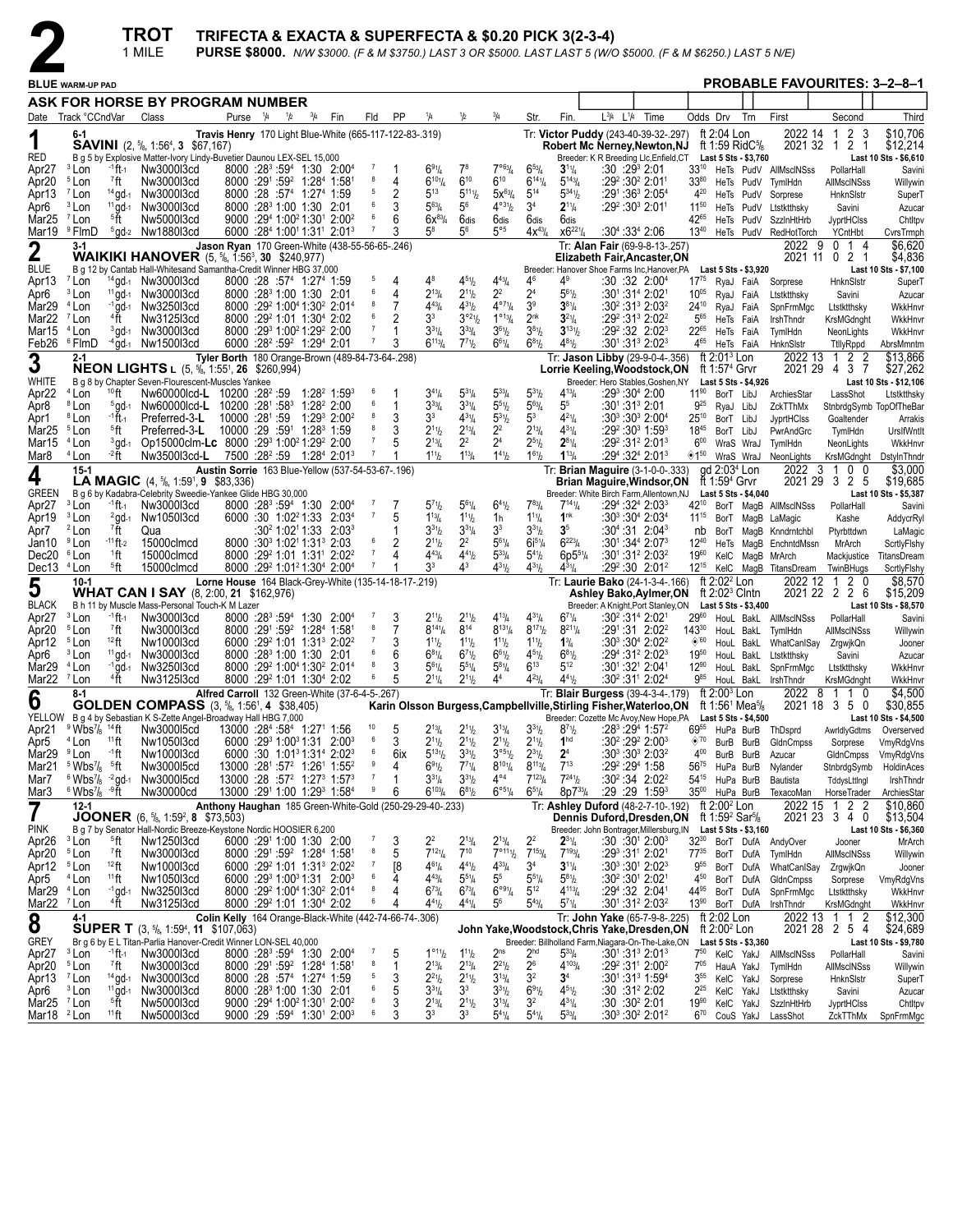

|                                                  |                                                                        |                                           | TROT<br>1 MILE                                                                                                                                      |                                                                                           |               |             |                                                                                                                       |                     |                                                             |                                                          |                                      |                                            |                                                   | TRIFECTA & EXACTA & SUPERFECTA & \$0.20 PICK 3(2-3-4) | PURSE \$8000. N/W \$3000. (F & M \$3750.) LAST 3 OR \$5000. LAST LAST 5 (W/O \$5000. (F & M \$6250.) LAST 5 N/E)                                                                                                       |                               |                                                                                  |                                           |                                                            |                                                   |                                               |
|--------------------------------------------------|------------------------------------------------------------------------|-------------------------------------------|-----------------------------------------------------------------------------------------------------------------------------------------------------|-------------------------------------------------------------------------------------------|---------------|-------------|-----------------------------------------------------------------------------------------------------------------------|---------------------|-------------------------------------------------------------|----------------------------------------------------------|--------------------------------------|--------------------------------------------|---------------------------------------------------|-------------------------------------------------------|------------------------------------------------------------------------------------------------------------------------------------------------------------------------------------------------------------------------|-------------------------------|----------------------------------------------------------------------------------|-------------------------------------------|------------------------------------------------------------|---------------------------------------------------|-----------------------------------------------|
|                                                  | <b>BLUE WARM-UP PAD</b>                                                |                                           |                                                                                                                                                     |                                                                                           |               |             |                                                                                                                       |                     |                                                             |                                                          |                                      |                                            |                                                   |                                                       |                                                                                                                                                                                                                        |                               |                                                                                  |                                           | <b>PROBABLE FAVOURITES: 3-2-8-1</b>                        |                                                   |                                               |
|                                                  |                                                                        |                                           | ASK FOR HORSE BY PROGRAM NUMBER                                                                                                                     |                                                                                           |               |             |                                                                                                                       |                     |                                                             |                                                          |                                      |                                            |                                                   |                                                       |                                                                                                                                                                                                                        |                               |                                                                                  |                                           |                                                            |                                                   |                                               |
|                                                  | Date Track °CCndVar                                                    |                                           | Class                                                                                                                                               | Purse 1/4                                                                                 | $\frac{1}{2}$ | $^{3}/_{4}$ | Fin                                                                                                                   | Fld                 | PP                                                          | 1/4                                                      | 1/2                                  | $^{3}/_{4}$                                | Str.                                              | Fin.                                                  | $L^{3/4}$<br>$L^{1/4}$<br>Time                                                                                                                                                                                         | Odds Drv                      |                                                                                  | Trn                                       | First                                                      | Second                                            | Third                                         |
| 1<br>RED                                         | 6-1                                                                    |                                           | <b>SAVINI</b> (2, $\frac{5}{6}$ , 1:56 <sup>4</sup> , 3 \$67,167)<br>B g 5 by Explosive Matter-Ivory Lindy-Buvetier Daunou LEX-SEL 15,000           |                                                                                           |               |             |                                                                                                                       |                     | Travis Henry 170 Light Blue-White (665-117-122-83-.319)     |                                                          |                                      |                                            |                                                   |                                                       | Tr: Victor Puddy (243-40-39-32-.297)<br>Robert Mc Nerney,Newton,NJ<br>Breeder: K R Breeding Llc, Enfield, CT                                                                                                           |                               | ft 2:04 Lon                                                                      | ft 1:59 Rid $C\%$<br>Last 5 Sts - \$3,760 | 2022 14                                                    | 2 <sub>3</sub><br>$\overline{1}$<br>2021 32 1 2 1 | \$10,706<br>\$12,214<br>Last 10 Sts - \$6,610 |
| Apr <sub>27</sub>                                | <sup>3</sup> Lon                                                       | -1 ft-1                                   | Nw3000l3cd                                                                                                                                          |                                                                                           |               |             | 8000 :28 <sup>3</sup> :59 <sup>4</sup> 1:30 2:00 <sup>4</sup>                                                         |                     |                                                             | 691/4                                                    | $7^8$                                | 7°63/4                                     | $6^{53}$ /4                                       | $3^{11}/4$                                            | $:30:29^3 2:01$                                                                                                                                                                                                        | $33^{10}$                     |                                                                                  |                                           | HeTs PudV AllMscINSss                                      | PollarHall                                        | Savini                                        |
| Apr20<br>Apr13                                   | <sup>5</sup> Lon<br><sup>7</sup> Lon                                   | 7ft                                       | Nw3000l3cd<br>14 gd-1 Nw3000l3cd                                                                                                                    | 8000 :28 :57 <sup>4</sup> 1:27 <sup>4</sup> 1:59                                          |               |             | $8000$ : $29^1$ : $59^2$ 1: $28^4$ 1: $58^1$                                                                          | 8<br>5              | 4                                                           | $6^{10}$ <sup>1</sup> / <sub>4</sub><br>$5^{13}$         | $6^{10}$<br>$5^{111}$ b              | $6^{10}$<br>$5x^{63}/4$                    | $6^{14}$ <sup>1</sup> / <sub>4</sub><br>$5^{14}$  | $5^{143}$ / <sub>4</sub><br>$5^{34}$ <sup>1</sup>     | :29º :30º 2:01ª<br>$:29^1:36^3$ 2:05 <sup>4</sup>                                                                                                                                                                      | $33^{80}$<br>$4^{20}$         |                                                                                  |                                           | HeTs PudV TymlHdn<br>HeTs PudV Sorprese                    | AllMscINSss<br>HnknSlstr                          | Willywin<br>SuperT                            |
| Apr6                                             | <sup>3</sup> Lon                                                       |                                           | <sup>11</sup> gd-1 Nw3000l3cd                                                                                                                       | 8000 :28 <sup>3</sup> 1:00 1:30 2:01                                                      |               |             |                                                                                                                       | 6<br>6              |                                                             | $5^{63}$ /4                                              | $5^6$                                | $4^{\circ 31}/2$                           | 3 <sup>4</sup>                                    | $2^{11}/4$                                            | :29º :30ª 2:01ª                                                                                                                                                                                                        | $11^{50}$                     |                                                                                  |                                           | HeTs PudV Ltstktthsky                                      | Savini                                            | Azucar                                        |
| Mar25<br>Mar19                                   | <sup>7</sup> Lon<br><sup>9</sup> FlmD                                  | §ft                                       | Nw5000l3cd<br>$5$ gd- $2$ Nw188013cd                                                                                                                |                                                                                           |               |             | $9000 : 294 1:002 1:301 2:002$<br>6000 :284 1:0011:311 2:013                                                          | $\overline{7}$      | 6                                                           | $6x^{83/4}$<br>58                                        | 6dis<br>56                           | 6dis<br>$5^{\circ 5}$                      | 6dis<br>$4x^{43}$ / <sub>4</sub>                  | 6dis<br>$x6^{221}/4$                                  | $:30^{4}$ :33 <sup>4</sup> 2:06                                                                                                                                                                                        | 42 <sup>65</sup><br>$13^{40}$ |                                                                                  |                                           | HeTs PudV SzzInHtHrb<br>HeTs PudV RedHotTorch              | <b>JyprtHClss</b><br>YCntHbt                      | Chtltpv<br>CvrsTrmph                          |
| $\mathbf 2$                                      | $3-1$                                                                  |                                           |                                                                                                                                                     |                                                                                           |               |             | Jason Ryan 170 Green-White (438-55-56-65-.246)                                                                        |                     |                                                             |                                                          |                                      |                                            |                                                   |                                                       | Tr: Alan Fair (69-9-8-13-.257)                                                                                                                                                                                         |                               |                                                                                  |                                           | 2022 9                                                     | 014                                               | \$6,620                                       |
| <b>BLUE</b>                                      |                                                                        |                                           | <b>WAIKIKI HANOVER</b> (5, 5/8, 1:56 <sup>3</sup> , 30 \$240,977)<br>B g 12 by Cantab Hall-Whitesand Samantha-Credit Winner HBG 37,000              |                                                                                           |               |             |                                                                                                                       |                     |                                                             |                                                          |                                      |                                            |                                                   |                                                       | Elizabeth Fair, Ancaster, ON<br>Breeder: Hanover Shoe Farms Inc, Hanover, PA Last 5 Sts - \$3,920                                                                                                                      |                               |                                                                                  |                                           |                                                            | 2021 11 0 2 1                                     | \$4,836<br>Last 10 Sts - \$7,100              |
| Apr13<br>Apr6                                    | <sup>7</sup> Lon<br><sup>3</sup> Lon                                   |                                           | $14$ gd- $1$ Nw300013cd<br><sup>11</sup> gd-1 Nw3000l3cd                                                                                            | 8000 :28 :57 <sup>4</sup> 1:27 <sup>4</sup> 1:59<br>8000 :28 <sup>3</sup> 1:00 1:30 2:01  |               |             |                                                                                                                       | 5<br>6              | 4<br>4                                                      | 48<br>$2^{13}/4$                                         | $4^{51}h$<br>$2^{11}h$               | $4^{43}$ / <sub>4</sub><br>2 <sup>2</sup>  | 4 <sup>6</sup><br>2 <sup>4</sup>                  | $4^9$<br>$5^{61}/2$                                   | :30 :32 2:00 <sup>4</sup><br>:301:314 2:021                                                                                                                                                                            | $17^{75}$<br>$10^{05}$        | RyaJ FaiA<br>RyaJ FaiA                                                           |                                           | Sorprese<br>Ltstktthsky                                    | HnknSlstr<br>Savini                               | SuperT<br>Azucar                              |
| Mar29                                            | <sup>4</sup> Lon                                                       | $-1$ gd $-1$                              | Nw3250l3cd                                                                                                                                          |                                                                                           |               |             | 8000 :29 <sup>2</sup> 1:00 <sup>4</sup> 1:30 <sup>2</sup> 2:01 <sup>4</sup>                                           | 8                   | 7                                                           | $4^{43}$ /4                                              | $4^{31}h$                            | $4^{\circ 71}/4$                           | 3 <sup>9</sup>                                    | $3^{81}/4$                                            | $:30^2:31^3$ 2:03 <sup>2</sup>                                                                                                                                                                                         | $24^{10}$                     | RyaJ FaiA                                                                        |                                           | SpnFrmMgc                                                  | Ltstktthsky                                       | WkkHnvr                                       |
| Mar22<br>Mar15                                   | <sup>7</sup> Lon<br><sup>4</sup> Lon                                   | 4Ť                                        | Nw312513cd<br><sup>3</sup> gd-1 Nw3000l3cd                                                                                                          | 8000 :29 1:01 1:30 2:02<br>8000 :29 <sup>3</sup> 1:00 <sup>2</sup> 1:29 <sup>2</sup> 2:00 |               |             |                                                                                                                       | 6<br>7              | 2                                                           | 3 <sup>3</sup><br>$3^{31}/4$                             | $3^{o_2}V_2$<br>$3^{33}/4$           | $1^{\circ 13}/4$<br>$3^{61}/2$             | 2 <sup>nk</sup><br>$3^{81}/2$                     | $3^{21}/4$<br>$3^{13}$ <sup>1</sup> / <sub>2</sub>    | :292:313 2:022<br>$:29^2:32$ 2:02 <sup>3</sup>                                                                                                                                                                         | $5^{65}$<br>22 <sup>65</sup>  | HeTs FaiA<br>HeTs FaiA                                                           |                                           | IrshThndr<br>TymlHdn                                       | KrsMGdnght<br>NeonLights                          | WkkHnvr<br>WkkHnvr                            |
| Feb26                                            | <sup>6</sup> FlmD                                                      |                                           | $4$ gd-1 Nw150013cd                                                                                                                                 | 6000 :28 <sup>2</sup> :59 <sup>2</sup> 1:29 <sup>4</sup> 2:01                             |               |             |                                                                                                                       |                     |                                                             | $6^{113}/4$                                              | $7^{71}h$                            | $6^{61}/4$                                 | $6^{81}/2$                                        | $4^{81}/2$                                            | $:30^1:31^3$ 2:02 <sup>3</sup>                                                                                                                                                                                         | 465                           | HeTs FaiA                                                                        |                                           | HnknSlstr                                                  | TtllyRppd                                         | AbrsMmntm                                     |
| 3                                                | $2 - 1$                                                                |                                           | <b>NEON LIGHTS L</b> (5, <sup>5</sup> / <sub>8</sub> , 1:55 <sup>1</sup> , <b>26</b> \$260,994)                                                     |                                                                                           |               |             |                                                                                                                       |                     | Tyler Borth 180 Orange-Brown (489-84-73-64-.298)            |                                                          |                                      |                                            |                                                   |                                                       | Tr: Jason Libby (29-9-0-4-.356)<br>Lorrie Keeling, Woodstock, ON                                                                                                                                                       |                               | ft $2:013$ Lon<br>ft 1:57 <sup>4</sup> Grvr                                      |                                           | 2022 13                                                    | 22<br>-1<br>2021 29 4 3 7                         | \$13,866<br>\$27,262                          |
| WHITE                                            |                                                                        |                                           | B g 8 by Chapter Seven-Flourescent-Muscles Yankee                                                                                                   |                                                                                           |               |             |                                                                                                                       |                     |                                                             |                                                          |                                      |                                            |                                                   |                                                       | Breeder: Hero Stables, Goshen, NY                                                                                                                                                                                      |                               |                                                                                  | Last 5 Sts - \$4,926                      |                                                            |                                                   | Last 10 Sts - \$12,106                        |
| Apr <sub>22</sub><br>Apr <sub>8</sub>            | <sup>4</sup> Lon<br>$10$ ft<br><sup>8</sup> Lon                        | $5$ gd-1                                  | Nw60000lcd-L 10200 :28 <sup>2</sup> :59<br>Nw60000lcd-L 10200 :281 :583 1:282 2:00                                                                  |                                                                                           |               |             | $1:28^2$ 1:59 <sup>3</sup>                                                                                            | -6<br>6             | 1                                                           | $3^{41}/4$<br>$3^{33}$ /4                                | $5^{31}/4$<br>$3^{31}/4$             | $5^{33}$ /4<br>$5^{51}$                    | $5^{31}/2$<br>$5^{63}$ /4                         | $4^{13}/4$<br>5 <sup>5</sup>                          | :29 $304$ 2:00                                                                                                                                                                                                         | $11^{90}$<br>$9^{25}$         | BorT LibJ<br>RyaJ LibJ                                                           |                                           | ArchiesStar<br>ZckTThMx                                    | LassShot                                          | Ltstktthsky<br>StnbrdgSymb TopOfTheBar        |
| Apr1                                             | <sup>8</sup> Lon                                                       | $-1$ ft $-1$                              | Preferred-3-L                                                                                                                                       | 10000 :281 :59                                                                            |               |             | $1:29^3$ 2:00 <sup>2</sup>                                                                                            | 8                   |                                                             | 3 <sup>3</sup>                                           | $4^{31}/4$                           | $5^{31}$ / <sub>2</sub>                    | $5^3$                                             | $4^{21}/4$                                            | $:30^3:30^3$ 2:00 $^4$                                                                                                                                                                                                 | $25^{10}$                     | BorT LibJ                                                                        |                                           | JyprtHClss                                                 | Goaltender                                        | Arrakis                                       |
| Mar25<br>Mar15                                   | <sup>5</sup> Lon<br><sup>4</sup> Lon                                   | <sup>5</sup> ft<br>$3$ gd-1               | Preferred-3-L<br>Op15000clm-Lc 8000 :29 <sup>3</sup> 1:00 <sup>2</sup> 1:29 <sup>2</sup> 2:00                                                       | $10000:29:5911:2831:59$                                                                   |               |             |                                                                                                                       |                     |                                                             | $2^{11}h$<br>$2^{13}/4$                                  | $2^{13}/4$<br>2 <sup>2</sup>         | 2 <sup>2</sup><br>2 <sup>4</sup>           | $2^{13}/4$<br>$2^{51}/2$                          | $4^{31}/4$<br>$2^{81}/4$                              | $:29^2:30^3$ 1:59 <sup>3</sup><br>:29 <sup>2</sup> :31 <sup>2</sup> 2:01 <sup>3</sup>                                                                                                                                  | $18^{45}$<br>600              | BorT LibJ<br>WraS WraJ                                                           |                                           | PwrAndGrc<br>TymlHdn                                       | TymlHdn<br>NeonLights                             | UrslfWntlt<br>WkkHnvr                         |
| Mar8                                             | $-2$ ft<br><sup>4</sup> Lon                                            |                                           | Nw3500l3cd-L 7500 :28 <sup>2</sup> :59 1:28 <sup>4</sup> 2:01 <sup>3</sup>                                                                          |                                                                                           |               |             |                                                                                                                       |                     |                                                             | $1^{11}b$                                                | $1^{13} / 4$                         | $1^{41}/2$                                 | $1^{61}/2$                                        | $1^{13}/4$                                            | :294 :324 2:013                                                                                                                                                                                                        | ◈1™                           | WraS WraJ                                                                        |                                           | NeonLights                                                 | KrsMGdnght                                        | DstylnThndr                                   |
| 4<br><b>GREEN</b>                                | $15 - 1$                                                               |                                           | <b>LA MAGIC</b> $(4, \frac{5}{6}, 1:59^1, 9 \quad $83,336)$<br>B g 6 by Kadabra-Celebrity Sweedie-Yankee Glide HBG 30,000                           |                                                                                           |               |             |                                                                                                                       |                     | Austin Sorrie 163 Blue-Yellow (537-54-53-67-.196)           |                                                          |                                      |                                            |                                                   |                                                       | Tr: Brian Maguire (3-1-0-0-.333)<br>Brian Maguire, Windsor, ON<br>Breeder: White Birch Farm, Allentown, NJ                                                                                                             |                               | gd 2:03 <sup>4</sup> Lon<br>ft 1:59 <sup>4</sup> Grvr                            | Last 5 Sts - \$4,040                      | 2022<br>-3                                                 | $0\quad 0$<br>$\overline{1}$<br>2021 29 3 2 5     | \$3,000<br>\$19,685<br>Last 10 Sts - \$5,387  |
| Apr <sub>27</sub>                                | <sup>3</sup> Lon                                                       | -1 ft-1                                   | Nw3000l3cd                                                                                                                                          |                                                                                           |               |             | 8000 :28 <sup>3</sup> :59 <sup>4</sup> 1:30 2:00 <sup>4</sup>                                                         |                     |                                                             | $5^{7}$ <sup>1</sup> / <sub>2</sub>                      | $5^{61}/4$                           | $6^{41}/2$                                 | $7^{83}$ /4                                       | $7^{14}$ <sup>1</sup> / <sub>4</sub>                  | $:29^4:32^4:2:03^3$                                                                                                                                                                                                    | $42^{10}$                     |                                                                                  |                                           | BorT MagB AllMscINSss                                      | PollarHall                                        | Savini                                        |
| Apr19<br>Apr7                                    | <sup>3</sup> Lon<br><sup>2</sup> Lon                                   | $^{2}$ gd-1<br><sup>7</sup> ft            | Nw1050l3cd<br>Qua                                                                                                                                   |                                                                                           |               |             | 6000 :30 1:02 <sup>2</sup> 1:33 2:03 <sup>4</sup><br>$:30^2$ 1:02 <sup>1</sup> 1:33 2:03 <sup>3</sup>                 | $\overline{7}$      | 5                                                           | $1^{13}$ / <sub>4</sub><br>$3^{31}h$                     | $1^{11}h$<br>$3^{31}/4$              | 1h<br>3 <sup>3</sup>                       | $1^{11}/4$<br>$3^{31}$ / <sub>2</sub>             | 1 <sup>nk</sup><br>3 <sup>5</sup>                     | $:30^3:30^4$ 2:03 <sup>4</sup><br>$:30^{4}:31$ 2:04 <sup>3</sup>                                                                                                                                                       | nb                            |                                                                                  |                                           | 11 <sup>15</sup> BorT MagB LaMagic<br>BorT MagB Knndmtchbl | Kashe<br>Ptyrbttdwn                               | AddycrRyl<br>LaMagic                          |
| Jan10                                            | <sup>9</sup> Lon                                                       | $-11$ ft-2                                | 15000clmcd                                                                                                                                          | 8000 :30 <sup>3</sup> 1:02 <sup>1</sup> 1:31 <sup>3</sup> 2:03                            |               |             |                                                                                                                       | 6                   | 2                                                           | $2^{11}h$                                                | $2^2$                                | $5^{61}/4$                                 | $6i^{51}/4$                                       | $6^{223}$ / <sub>4</sub>                              | $:30^1:34^4 2:07^3$                                                                                                                                                                                                    | $12^{40}$                     |                                                                                  |                                           | HeTs MagB EnchntdMssn                                      | MrArch                                            | ScrtlyFlshy                                   |
| Dec20 <sup>6</sup> Lon<br>Dec13 <sup>4</sup> Lon |                                                                        | $1$ ft<br>§ft                             | 15000clmcd<br>15000clmcd                                                                                                                            |                                                                                           |               |             | 8000 :29 1:01 1:31 2:02 2<br>8000 :29 <sup>2</sup> 1:01 <sup>2</sup> 1:30 <sup>4</sup> 2:00 <sup>4</sup>              | $\overline{7}$      |                                                             | $4^{43}$ /4<br>33                                        | $4^{41}h$<br>43                      | $5^{33}$ /4<br>$4^{31}/2$                  | $5^{4}$ <sup>1</sup> / <sub>2</sub><br>$4^{31}/2$ | $6p5^{51}/4$<br>$4^{31}/4$                            | $:30^{\circ}$ :31 <sup>2</sup> 2:03 <sup>2</sup><br>$:29^2:30$ 2:01 <sup>2</sup>                                                                                                                                       | 1960<br>$12^{15}$             |                                                                                  |                                           | KelC MagB MrArch<br>KelC MagB TitansDream TwinBHugs        | Mackjustice                                       | TitansDream<br>ScrtlyFlshy                    |
| 5                                                | $10-1$                                                                 |                                           | <b>WHAT CAN I SAY</b> (8, 2:00, 21 \$162,976)                                                                                                       |                                                                                           |               |             |                                                                                                                       |                     | Lorne House 164 Black-Grey-White (135-14-18-17-.219)        |                                                          |                                      |                                            |                                                   |                                                       | Tr: Laurie Bako (24-1-3-4-.166)<br>Ashley Bako, Aylmer, ON                                                                                                                                                             |                               | ft $2:022$ Lon<br>ft $2:02^3$ Clntn                                              |                                           | 2022 12                                                    | 2 0<br>$\mathbf{1}$<br>2021 22 2 2 6              | \$8,570<br>\$15,209                           |
| <b>BLACK</b><br>Apr <sub>27</sub>                | <sup>3</sup> Lon                                                       | -1 ft -1                                  | B h 11 by Muscle Mass-Personal Touch-K M Lazer<br>Nw3000l3cd                                                                                        |                                                                                           |               |             | 8000 :28 <sup>3</sup> :59 <sup>4</sup> 1:30 2:00 <sup>4</sup>                                                         |                     | 3                                                           | $2^{11}h$                                                | $2^{11}h$                            | $4^{13}$ / <sub>4</sub>                    | $4^{31}/4$                                        | $6^{71}/4$                                            | Breeder: A Knight, Port Stanley, ON<br>$:30^2:31^4$ 2:02 <sup>1</sup>                                                                                                                                                  | $29^{60}$                     |                                                                                  | Last 5 Sts - \$3,400                      | HouL BakL AllMscINSss                                      | PollarHall                                        | Last 10 Sts - \$8,570<br>Savini               |
| Apr <sub>20</sub>                                | <sup>5</sup> Lon                                                       | 7ft                                       | Nw3000l3cd                                                                                                                                          |                                                                                           |               |             | 8000 :291 :59 <sup>2</sup> 1:28 <sup>4</sup> 1:581                                                                    | 8<br>7              | 7                                                           | $8^{14}\%$                                               | $8^{14}$                             | $8^{131}/4$                                | $8^{17}$ <sup>1</sup> / <sub>2</sub>              | $8^{211}/4$                                           | $:29^{\circ}$ :31 2:02 <sup>2</sup>                                                                                                                                                                                    | $143^{30}$                    |                                                                                  | HouL BakL                                 | TymlHdn                                                    | AllMscINSss                                       | Willywin                                      |
| Apr12<br>Apr6                                    | $12$ ft<br><sup>5</sup> Lon<br><sup>3</sup> Lon                        | $11$ gd-1                                 | Nw1000l3cd<br>Nw3000l3cd                                                                                                                            | 8000 :28 <sup>3</sup> 1:00 1:30                                                           |               |             | 6000 :29 1:01 1:31 2:02 2:02<br>-2:01                                                                                 | 6                   | 3<br>6                                                      | $1^{11}b$<br>$6^{81}/4$                                  | $1^{11}h$<br>$6^{71}h$               | $1^{11}$ / <sub>2</sub><br>$6^{61}/2$      | $1^{11}$ / <sub>2</sub><br>$4^{51}/2$             | $1\frac{3}{4}$<br>$6^{81}/2$                          | :30 <sup>3</sup> :30 <sup>4</sup> 2:02 <sup>2</sup><br>$:29^4:31^2 2:02^3$                                                                                                                                             | $\Diamond$ '60<br>$19^{50}$   | HouL BakL<br>HouL BakL                                                           |                                           | WhatCanISay<br>Ltstktthsky                                 | ZrgwjkQn<br>Savini                                | Jooner<br>Azucar                              |
| Mar29 <sup>4</sup> Lon                           |                                                                        | $-1$ gd-1                                 | Nw3250l3cd                                                                                                                                          |                                                                                           |               |             | 8000 :29 <sup>2</sup> 1:00 <sup>4</sup> 1:30 <sup>2</sup> 2:01 <sup>4</sup>                                           | 8                   | 3                                                           | $5^{61}/4$                                               | $5^{51}/4$                           | $5^{81}/4$                                 | $6^{13}$                                          | $5^{12}$                                              | $:30^1:32^1 2:04^1$                                                                                                                                                                                                    | $12^{90}$                     | HouL BakL                                                                        |                                           | SpnFrmMqc                                                  | Ltstktthsky                                       | WkkHnvr                                       |
| Mar <sub>22</sub>                                | <sup>7</sup> Lon<br>8-1                                                | <sup>4</sup> ft                           | Nw3125l3cd                                                                                                                                          | 8000 :29 <sup>2</sup> 1:01 1:30 <sup>4</sup> 2:02                                         |               |             | Alfred Carroll 132 Green-White (37-6-4-5-.267)                                                                        |                     |                                                             | $2^{11}/4$                                               | $2^{11}h$                            | 4 <sup>4</sup>                             | $4^{23}$ /4                                       | $4^{41}/_{2}$                                         | $:30^2:31^1$ 2:02 <sup>4</sup><br>Tr: Blair Burgess (39-4-3-4-.179)                                                                                                                                                    | $9^{85}$                      | HouL BakL<br>ft $2:003$ Lon                                                      |                                           | IrshThndr<br>2022<br>-8                                    | KrsMGdnght<br>1 1 0                               | WkkHnvr<br>\$4,500                            |
| 6                                                | $9$ Wbs <sup>7</sup> / <sub>8</sub> 14 ft                              |                                           | <b>GOLDEN COMPASS</b> (3, 5/8, 1:56 <sup>1</sup> , 4 \$38,405)<br>YELLOW B q 4 by Sebastian K S-Zette Angel-Broadway Hall HBG 7,000                 | 13000 :284 :584 1:271 1:56                                                                |               |             |                                                                                                                       | 10                  | 5                                                           | $2^{13}/4$                                               | $2^{11}h$                            | $3^{13}/4$                                 | $3^{31}/2$                                        | $8^{71}/2$                                            | Karin Olsson Burgess, Campbellville, Stirling Fisher, Waterloo, ON ft 1:561 Mea <sup>5</sup> /8<br>Breeder: Cozette Mc Avoy, New Hope, PA  Last 5 Sts - \$4,500<br>:28 <sup>3</sup> :29 <sup>4</sup> 1:57 <sup>2</sup> |                               |                                                                                  |                                           |                                                            | 2021 18 3 5 0                                     | \$30,855<br>Last 10 Sts - \$4,500             |
| Apr21<br>Apr <sub>5</sub>                        | $11$ ft<br><sup>4</sup> Lon                                            |                                           | Nw300015cd<br>Nw1050l3cd                                                                                                                            |                                                                                           |               |             | 6000 :29 1:00 1:31 2:00 3                                                                                             | 6                   | 3                                                           | $2^{11}h$                                                | $2^{11}h$                            | $2^{11}$ / <sub>2</sub>                    | $2^{11}/2$                                        | 1 <sup>hd</sup>                                       | :30 <sup>2</sup> :29 <sup>2</sup> 2:00 <sup>3</sup>                                                                                                                                                                    | 6955<br>$\otimes^{70}$        | BurB BurB                                                                        |                                           | HuPa BurB ThDsprd<br>GldnCmpss                             | Sorprese                                          | AwrldlyGdtms Overserved<br>VmyRdgVns          |
| Mar <sub>29</sub><br>Mar <sub>21</sub>           | <sup>9</sup> Lon<br>∸1ft<br>$5$ Wbs <sup>7</sup> / <sub>8</sub> $5$ ft |                                           | Nw1000l3cd<br>Nw300015cd                                                                                                                            |                                                                                           |               |             | 6000 :30 1:01 <sup>3</sup> 1:31 <sup>4</sup> 2:02 <sup>3</sup><br>13000 :281 :57 <sup>2</sup> 1:261 1:55 <sup>2</sup> | 6<br>9              | 6ix<br>4                                                    | $5^{131}/2$<br>$6^{91}/2$                                | $3^{31}h$<br>$7^{71}$ / <sub>4</sub> | $3^{\circ 51}/2$<br>$8^{101}/4$            | $2^{31}/2$<br>$8^{113}/4$                         | 2 <sup>4</sup><br>$7^{13}$                            | $:30^3:30^3$ 2:03 <sup>2</sup><br>:292 :294 1:58                                                                                                                                                                       | $4^{00}$<br>5675              | BurB BurB<br>HuPa BurB                                                           |                                           | Azucar                                                     | GldnCmpss                                         | VmyRdgVns                                     |
| Mar7                                             | $6$ Wbs <sup>7</sup> / <sub>8</sub> $-2$ gd-1                          |                                           | Nw300015cd                                                                                                                                          |                                                                                           |               |             | $13000:28:57^2$ 1:27 <sup>3</sup> 1:57 <sup>3</sup>                                                                   | $\overline{7}$      | 1                                                           | $3^{31}/4$                                               | $3^{31}h$                            | $4^{\circ 4}$                              | $7^{123}/4$                                       | $7^{24}$ <sup>1</sup> b                               | $:30^2:34$ 2:02 <sup>2</sup>                                                                                                                                                                                           | 54 <sup>15</sup> HuPa BurB    |                                                                                  |                                           | Nylander<br>Bautista                                       | StnbrdgSymb<br>TddysLttlngl                       | HoldinAces<br>IrshThndr                       |
| Mar3                                             | $6$ Wbs $\%$ $-9$ ft                                                   |                                           | Nw30000cd                                                                                                                                           |                                                                                           |               |             | 13000 :291 1:00 1:293 1:584                                                                                           | 9                   | 6                                                           | $6^{103}/4$                                              | $6^{81}$ / <sub>2</sub>              | $6^{\circ 51}/4$                           | $6^{51}/4$                                        | $8p7^{33}$ /4                                         | :29:29:1:59 <sup>3</sup>                                                                                                                                                                                               | $35^{00}$                     | HuPa BurB                                                                        |                                           | TexacoMan                                                  | HorseTrader                                       | ArchiesStar                                   |
| $\overline{7}$                                   | $12 - 1$                                                               |                                           | <b>JOONER</b> (6, $\frac{5}{6}$ , 1:59 <sup>2</sup> , 8 \$73,503)                                                                                   |                                                                                           |               |             |                                                                                                                       |                     |                                                             | Anthony Haughan 185 Green-White-Gold (250-29-29-40-.233) |                                      |                                            |                                                   |                                                       | Tr: Ashley Duford (48-2-7-10-.192)<br>Dennis Duford, Dresden, ON                                                                                                                                                       |                               | ft 2:00 <sup>2</sup> Lon<br>ft 1:59 <sup>2</sup> Sar <sup>5</sup> / <sub>8</sub> |                                           |                                                            | 2022 15 1 2 2<br>2021 23 3 4 0                    | \$10,860<br>\$13,504                          |
| <b>PINK</b><br>Apr26                             | <sup>3</sup> Lon                                                       | <sup>5</sup> ft                           | B g 7 by Senator Hall-Nordic Breeze-Keystone Nordic HOOSIER 6,200<br>Nw1250l3cd                                                                     | 6000 :291 1:00 1:30 2:00                                                                  |               |             |                                                                                                                       |                     | 3                                                           | 22                                                       | $2^{13}/4$                           | $2^{13}/4$                                 | 2 <sup>2</sup>                                    | $2^{31}/4$                                            | Breeder: John Bontrager, Millersburg, IN<br>:30 :30 <sup>1</sup> 2:00 <sup>3</sup>                                                                                                                                     | $32^{30}$                     |                                                                                  | Last 5 Sts - \$3,160                      | BorT DufA AndyOver                                         | Jooner                                            | Last 10 Sts - \$6,360<br>MrArch               |
| Apr20                                            | <sup>5</sup> Lon<br>$7$ ft                                             |                                           | Nw3000l3cd                                                                                                                                          |                                                                                           |               |             | 8000 :291 :59 <sup>2</sup> 1:28 <sup>4</sup> 1:581                                                                    | 8                   | 5                                                           | $7^{12}$ <sup>1</sup> / <sub>4</sub>                     | $7^{10}$                             | $7^{\circ 11}$ <sup>1</sup> / <sub>2</sub> | $7^{153}$ /4                                      | $7^{193}/4$                                           | $:29^3:31^1$ 2:021                                                                                                                                                                                                     | 7735                          | BorT DufA                                                                        |                                           | TymlHdn                                                    | AllMscINSss                                       | Willywin                                      |
| Apr12<br>Apr5                                    | <sup>5</sup> Lon<br>$12$ ft<br>$11$ ft<br><sup>4</sup> Lon             |                                           | Nw1000l3cd<br>Nw1050l3cd                                                                                                                            |                                                                                           |               |             | 6000 :29 1:01 1:31 2:02 2:02<br>6000 :293 1:003 1:31 2:003                                                            | $\overline{7}$<br>6 | [8<br>4                                                     | $4^{61}$ /4<br>$4^{43}$ /4                               | $4^{41}h$<br>$5^{51}/4$              | $4^{33}l_4$<br>5 <sup>5</sup>              | 3 <sup>4</sup><br>$5^{51}/4$                      | $3^{11}/4$<br>$5^{81}/2$                              | $:30^3:30^1$ 2:02 <sup>3</sup><br>:30 <sup>2</sup> :30 <sup>1</sup> 2:02 <sup>1</sup>                                                                                                                                  | $9^{55}$<br>4 <sup>50</sup>   | BorT DufA<br>BorT DufA                                                           |                                           | WhatCanISay<br>GldnCmpss                                   | ZrgwjkQn<br>Sorprese                              | Jooner<br>VmyRdgVns                           |
| Mar29 <sup>4</sup> Lon                           |                                                                        | $-1$ gd $-1$                              | Nw3250l3cd                                                                                                                                          |                                                                                           |               |             | 8000 :29 <sup>2</sup> 1:00 <sup>4</sup> 1:30 <sup>2</sup> 2:01 <sup>4</sup>                                           | 8                   | 4                                                           | $6^{73}$ /4                                              | $6^{73}/4$                           | $6^{\circ 91}/4$                           | $5^{12}$                                          | $4^{113}/4$                                           | :294:32 2:041                                                                                                                                                                                                          | 44%                           | BorT DufA                                                                        |                                           | SpnFrmMgc                                                  | Ltstktthsky                                       | WkkHnvr                                       |
| Mar <sub>22</sub>                                | <sup>7</sup> Lon<br>4-1                                                | <sup>4</sup> ft                           | Nw312513cd                                                                                                                                          | 8000 :29 <sup>2</sup> 1:01 1:30 <sup>4</sup> 2:02                                         |               |             |                                                                                                                       |                     | 4<br>Colin Kelly 164 Orange-Black-White (442-74-66-74-.306) | $4^{41}$                                                 | $4^{41}$ / <sub>4</sub>              | $5^6$                                      | $5^{43}$ /4                                       | $5^{71}/4$                                            | :301:312 2:032<br>Tr: John Yake (65-7-9-8-.225)                                                                                                                                                                        | $13^{90}$                     | BorT DufA<br>ft $2:02$ Lon                                                       |                                           | IrshThndr                                                  | KrsMGdnght<br>2022 13 1 1 2                       | WkkHnvr<br>\$12,300                           |
| 8<br><b>GREY</b>                                 |                                                                        |                                           | <b>SUPER T</b> (3, <sup>5</sup> <sub>8</sub> , 1:59 <sup>4</sup> , 11 \$107,063)<br>Br g 6 by E L Titan-Parlia Hanover-Credit Winner LON-SEL 40,000 |                                                                                           |               |             |                                                                                                                       |                     |                                                             |                                                          |                                      |                                            |                                                   |                                                       | John Yake, Woodstock, Chris Yake, Dresden, ON<br>Breeder: Billholland Farm, Niagara-On-The-Lake, ON                                                                                                                    |                               | ft 2:00 <sup>2</sup> Lon                                                         | Last 5 Sts - \$3,360                      |                                                            | 2021 28 2 5 4                                     | \$24,689<br>Last 10 Sts - \$9,780             |
| Apr27                                            | <sup>3</sup> Lon                                                       | $-1$ ft $-1$                              | Nw3000l3cd                                                                                                                                          |                                                                                           |               |             | 8000 :28 <sup>3</sup> :59 <sup>4</sup> 1:30 2:00 <sup>4</sup>                                                         | 8                   | 5<br>1                                                      | $1^{\circ_{11}}h$                                        | $1^{11}h$                            | 2 <sup>ns</sup>                            | 2 <sup>hd</sup>                                   | $5^{33}/4$<br>$4^{103}$ /4                            | $:30^1:31^3$ 2:01 <sup>3</sup>                                                                                                                                                                                         | $7^{50}$                      | KelC YakJ                                                                        |                                           | AllMscINSss                                                | PollarHall                                        | Savini                                        |
| Apr20<br>Apr13                                   | <sup>5</sup> Lon<br><sup>7</sup> Lon                                   | 7ft<br>$14$ gd-1                          | Nw3000l3cd<br>Nw3000l3cd                                                                                                                            | 8000 :28 :57 <sup>4</sup> 1:27 <sup>4</sup> 1:59                                          |               |             | $8000$ : $29^1$ : $59^2$ 1: $28^4$ 1: $58^1$                                                                          | 5                   | 3                                                           | $2^{13}/4$<br>$2^{21}h$                                  | $2^{13}/4$<br>$2^{11}h$              | $2^{21}/2$<br>$3^{13}/4$                   | 2 <sup>6</sup><br>3 <sup>2</sup>                  | 3 <sup>4</sup>                                        | $:29^2:31^1$ 2:00 <sup>2</sup><br>:301:313 1:594                                                                                                                                                                       | $7^{05}$<br>$3^{55}$          | HauA YakJ<br>KelC YakJ                                                           |                                           | TymlHdn<br>Sorprese                                        | AllMscINSss<br>HnknSlstr                          | Willywin<br>SuperT                            |
| Apr6                                             | <sup>3</sup> Lon                                                       | $11$ gd-1<br>$5\frac{\text{H}}{\text{H}}$ | Nw3000l3cd                                                                                                                                          | 8000 :28 <sup>3</sup> 1:00 1:30 2:01                                                      |               |             |                                                                                                                       | 6<br>6              | 5                                                           | $3^{31}/4$                                               | 3 <sup>3</sup>                       | $3^{31}/2$                                 | 691/2<br>3 <sup>2</sup>                           | $4^{51}/2$                                            | $:30:31^22:02$                                                                                                                                                                                                         | $2^{25}$                      | KelC YakJ                                                                        |                                           | Ltstktthsky                                                | Savini                                            | Azucar                                        |
| Mar25 $7$ Lon<br>Mar18 <sup>2</sup> Lon          | $11$ ft                                                                |                                           | Nw5000l3cd<br>Nw5000l3cd                                                                                                                            |                                                                                           |               |             | $9000 : 294 1:002 1:301 2:002$<br>$9000:29:5941:3012:003$                                                             |                     | 3<br>3                                                      | $2^{13}/4$<br>3 <sup>3</sup>                             | $2^{11}h$<br>3 <sup>3</sup>          | $3^{13}/4$<br>$5^{41}/4$                   | $5^{41}/4$                                        | $4^{31}/4$<br>$5^{33}/4$                              | :30:30 <sup>2</sup> 2:01<br>:303 :302 2:012                                                                                                                                                                            | 19 <sup>90</sup><br>$6^{70}$  | KelC YakJ<br>CouS YakJ                                                           |                                           | SzzinHtHrb<br>LassShot                                     | JyprtHClss<br>ZckTThMx                            | Chtltpv<br>SpnFrmMgc                          |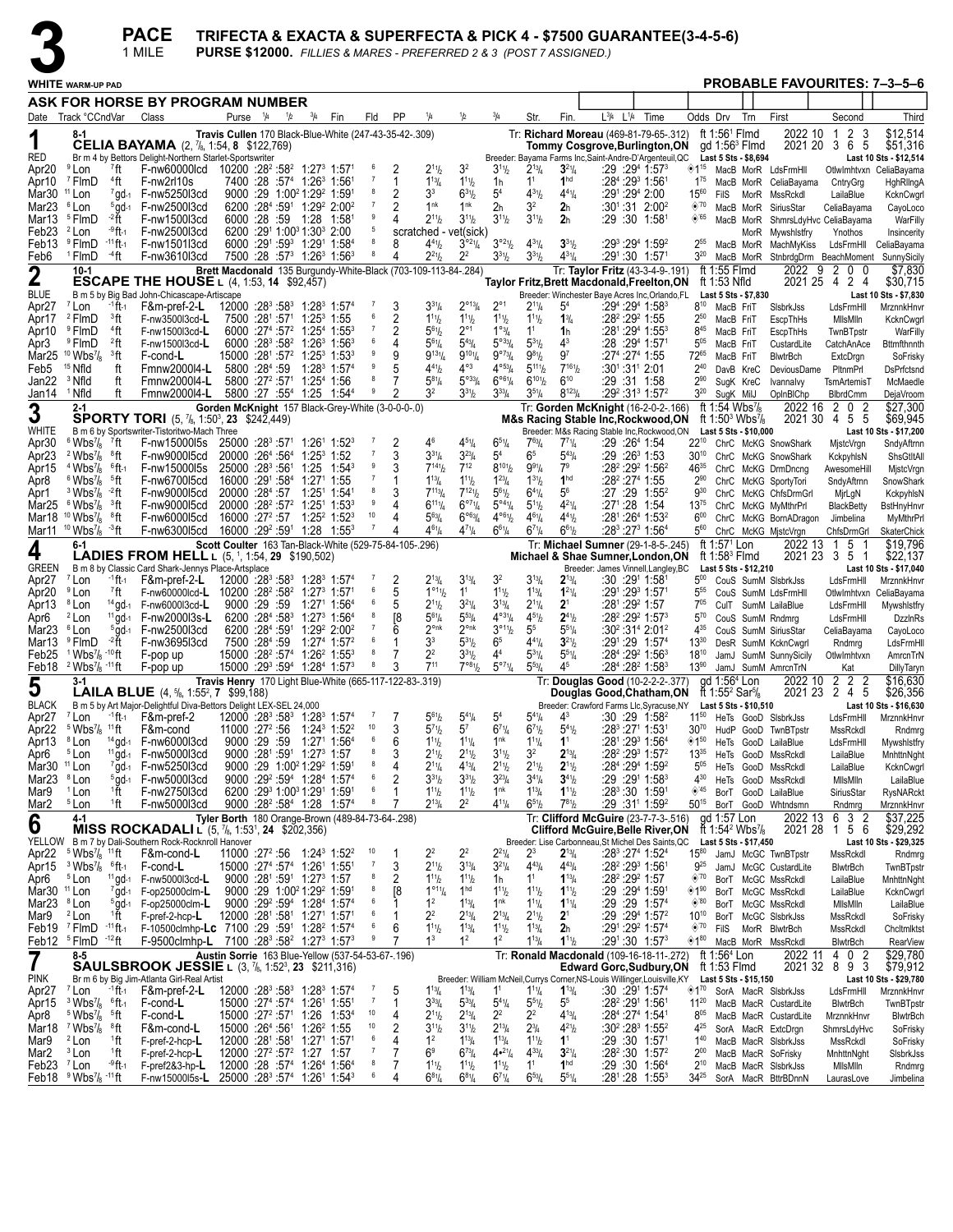|                                   |                                                                                  |                                    | <b>PACE</b><br>1 MILE                                                                                                                           |                                                                                                                                                                |     |                                                                                             |                                                                                  |                     |                     |                                                                 |                                                          |                                                                                        |                                                       | <b>PURSE \$12000.</b> FILLIES & MARES - PREFERRED 2 & 3 (POST 7 ASSIGNED.) |                                                                        |           | TRIFECTA & EXACTA & SUPERFECTA & PICK 4 - \$7500 GUARANTEE(3-4-5-6)                            |                                |                                                      |                                                      |                                                               |   |                                       |                                      |
|-----------------------------------|----------------------------------------------------------------------------------|------------------------------------|-------------------------------------------------------------------------------------------------------------------------------------------------|----------------------------------------------------------------------------------------------------------------------------------------------------------------|-----|---------------------------------------------------------------------------------------------|----------------------------------------------------------------------------------|---------------------|---------------------|-----------------------------------------------------------------|----------------------------------------------------------|----------------------------------------------------------------------------------------|-------------------------------------------------------|----------------------------------------------------------------------------|------------------------------------------------------------------------|-----------|------------------------------------------------------------------------------------------------|--------------------------------|------------------------------------------------------|------------------------------------------------------|---------------------------------------------------------------|---|---------------------------------------|--------------------------------------|
|                                   | <b>WHITE WARM-UP PAD</b>                                                         |                                    |                                                                                                                                                 |                                                                                                                                                                |     |                                                                                             |                                                                                  |                     |                     |                                                                 |                                                          |                                                                                        |                                                       |                                                                            |                                                                        |           |                                                                                                |                                |                                                      |                                                      |                                                               |   |                                       | <b>PROBABLE FAVOURITES: 7-3-5-6</b>  |
|                                   |                                                                                  |                                    | ASK FOR HORSE BY PROGRAM NUMBER                                                                                                                 |                                                                                                                                                                |     |                                                                                             |                                                                                  |                     |                     |                                                                 |                                                          |                                                                                        |                                                       |                                                                            |                                                                        |           |                                                                                                |                                |                                                      |                                                      |                                                               |   |                                       |                                      |
|                                   | Date Track °CCndVar                                                              |                                    | Class                                                                                                                                           | Purse <sup>1</sup> / <sub>4</sub>                                                                                                                              | 1/2 | $^{3}/_{4}$                                                                                 | Fin                                                                              | Fld                 | PP                  | 1/4                                                             | 1/2                                                      | 3/4                                                                                    | Str.                                                  | Fin.                                                                       | L3/4                                                                   | $L^{1/4}$ | Time                                                                                           | Odds Drv                       |                                                      | Trn                                                  | First                                                         |   | Second                                | Third                                |
| 1                                 |                                                                                  |                                    | <b>CELIA BAYAMA</b> $(2, 7)$ <sub>6</sub> , 1:54, 8 \$122,769)                                                                                  | Travis Cullen 170 Black-Blue-White (247-43-35-42-.309)                                                                                                         |     |                                                                                             |                                                                                  |                     |                     |                                                                 |                                                          |                                                                                        |                                                       |                                                                            |                                                                        |           | Tr: Richard Moreau (469-81-79-65-.312)                                                         |                                | ft $1:561$ Fimd                                      | gd 1:56 $3$ Flmd                                     | 2022 10                                                       |   | 2 <sub>3</sub><br>-1<br>2021 20 3 6 5 | \$12,514<br>\$51,316                 |
| RED                               |                                                                                  |                                    | Br m 4 by Bettors Delight-Northern Starlet-Sportswriter                                                                                         |                                                                                                                                                                |     |                                                                                             |                                                                                  |                     |                     |                                                                 |                                                          |                                                                                        |                                                       |                                                                            |                                                                        |           | Tommy Cosgrove,Burlington,ON<br>Breeder: Bayama Farms Inc, Saint-Andre-D'Argenteuil, QC        |                                |                                                      | Last 5 Sts - \$8,694                                 |                                                               |   |                                       | Last 10 Sts - \$12,514               |
| Apr20<br>Apr10                    | $9$ Lon<br><sup>7</sup> FlmD                                                     | <sup>7</sup> ft<br><sup>4</sup> ft | F-nw60000lcd 10200 :28 <sup>2</sup> :58 <sup>2</sup> 1:27 <sup>3</sup> 1:57 <sup>1</sup><br>F-nw2rl10s                                          |                                                                                                                                                                |     | 7400 :28 :57 <sup>4</sup> 1:26 <sup>3</sup> 1:56 <sup>1</sup>                               |                                                                                  | 6<br>-7             | 2<br>1              | $2^{11}h$<br>$1^{13}$ / <sub>4</sub>                            | 3 <sup>2</sup><br>$1^{11}h$                              | $3^{11}/2$<br>1h                                                                       | $2^{13}/4$<br>$1^1$                                   | $3^{21}/4$<br>1 <sup>hd</sup>                                              | :28 <sup>4</sup> :29 <sup>3</sup> 1:561                                |           | :29:29 <sup>4</sup> 1:57 <sup>3</sup>                                                          | ◈1 <sup>15</sup><br>$1^{75}$   |                                                      | MacB MorR                                            | MacB MorR LdsFrmHll<br>CeliaBayama                            |   | CntryGrg                              | Otlwlmhtvxn CeliaBayama<br>HghRllngA |
| Mar <sub>30</sub>                 | $11$ Lon                                                                         |                                    | 7qd-1 F-nw5250l3cd                                                                                                                              |                                                                                                                                                                |     | 9000 :29 1:00 <sup>2</sup> 1:29 <sup>2</sup> 1:59 <sup>1</sup>                              |                                                                                  | 8                   | 2                   | 3 <sup>3</sup>                                                  | $6^{31}h$                                                | 5 <sup>4</sup>                                                                         | $4^{31}/2$                                            | $4^{41}/4$                                                                 | :291:294 2:00                                                          |           |                                                                                                | $15^{60}$                      | FilS                                                 | MorR                                                 | MssRckdl                                                      |   | LailaBlue                             | KcknCwgrl                            |
| Mar23<br>Mar13                    | <sup>6</sup> Lon<br><sup>5</sup> FlmD                                            | $5$ gd-1<br>-2 ft                  | F-nw2500l3cd<br>F-nw1500l3cd                                                                                                                    | 6000 :28 :59 1:28                                                                                                                                              |     |                                                                                             | $6200$ : $28^4$ : $59^1$ 1: $29^2$ 2:00 <sup>2</sup><br>1:581                    | $\overline{7}$<br>9 | 2<br>4              | 1 <sup>nk</sup><br>$2^{11}h$                                    | 1 <sup>nk</sup><br>$3^{11}h$                             | 2 <sub>h</sub><br>$3^{11}/2$                                                           | 32<br>$3^{11}/2$                                      | 2 <sub>h</sub><br>2 <sub>h</sub>                                           | :29 :30 1:58                                                           |           | :301:31 2:002                                                                                  | $\otimes$ '70<br>$\diamond$ 65 |                                                      | MacB MorR<br>MacB MorR                               | SiriusStar<br>ShmrsLdyHvc CeliaBayama                         |   | CeliaBayama                           | CayoLoco<br>WarFilly                 |
| Feb23                             | <sup>2</sup> Lon                                                                 | -9 ft-1                            | F-nw2500l3cd                                                                                                                                    |                                                                                                                                                                |     | 6200 :291 1:003 1:303 2:00                                                                  |                                                                                  | 5                   |                     | scratched - vet(sick)                                           |                                                          |                                                                                        |                                                       |                                                                            |                                                                        |           |                                                                                                |                                |                                                      | MorR                                                 | Mywshlstfry                                                   |   | Ynothos                               | Insincerity                          |
| Feb13<br>Feb6                     | <sup>9</sup> FlmD<br><sup>1</sup> FlmD                                           | $-11$ ft-1<br>⊸4ft                 | F-nw1501l3cd<br>F-nw3610l3cd                                                                                                                    |                                                                                                                                                                |     |                                                                                             | 6000 :291 :593 1:291 1:584<br>$7500:28:57^3$ 1:26 <sup>3</sup> 1:56 <sup>3</sup> | 8<br>8              | 8                   | $4^{41}h$<br>$2^{21}h$                                          | $3^{\circ 2}\%$<br>22                                    | $3^{\circ_2}\%$<br>$3^{31}$ / <sub>2</sub>                                             | $4^{31}/4$<br>$3^{31}$ / <sub>2</sub>                 | $3^{31}$ / <sub>2</sub><br>$4^{31}/4$                                      | :291:30 1:571                                                          |           | $:29^3:29^4$ 1:59 <sup>2</sup>                                                                 | 255<br>$3^{20}$                |                                                      | MacB MorR                                            | MachMyKiss<br>MacB MorR StnbrdgDrm BeachMoment                |   |                                       | LdsFrmHll CeliaBayama<br>SunnySicily |
| $\overline{2}$                    | $10-1$                                                                           |                                    |                                                                                                                                                 |                                                                                                                                                                |     |                                                                                             |                                                                                  |                     |                     | Brett Macdonald 135 Burgundy-White-Black (703-109-113-84-.284)  |                                                          |                                                                                        |                                                       |                                                                            |                                                                        |           | Tr: Taylor Fritz (43-3-4-9-.191)                                                               |                                | ft 1:55 Flmd                                         |                                                      | 2022                                                          | 9 | 2 0<br>0                              | \$7,830                              |
| <b>BLUE</b>                       |                                                                                  |                                    | <b>ESCAPE THE HOUSE L (4, 1:53, 14 \$92,457)</b><br>B m 5 by Big Bad John-Chicascape-Artiscape                                                  |                                                                                                                                                                |     |                                                                                             |                                                                                  |                     |                     |                                                                 |                                                          |                                                                                        |                                                       |                                                                            |                                                                        |           | Taylor Fritz, Brett Macdonald, Freelton, ON<br>Breeder: Winchester Baye Acres Inc, Orlando, FL |                                | ft 1:53 Nfld                                         | Last 5 Sts - \$7,830                                 |                                                               |   | 2021 25 4 2 4                         | \$30,715<br>Last 10 Sts - \$7,830    |
| Apr27                             | <sup>7</sup> Lon                                                                 | -1 ft-1                            | F&m-pref-2-L                                                                                                                                    | $12000$ : $28^3$ : $58^3$ 1: $28^3$ 1: $57^4$                                                                                                                  |     |                                                                                             |                                                                                  | $\mathbf{z}$<br>6   | 3                   | $3^{31}/4$                                                      | $2^{\circ_{13}}/4$                                       | $2^{\circ}$                                                                            | $2^{11}$ /4                                           | 5 <sup>4</sup>                                                             |                                                                        |           | :294 :294 1:583                                                                                | $8^{10}$                       | MacB FriT                                            |                                                      | SisbrkJss                                                     |   | LdsFrmHll                             | MrznnkHnvr                           |
| Apr17<br>Apr10                    | <sup>2</sup> FlmD<br><sup>9</sup> FlmD                                           | <sup>3</sup> ft<br><sup>4</sup> ft | F-nw3500l3cd-L<br>F-nw1500l3cd-L                                                                                                                | 7500 :281 :571                                                                                                                                                 |     | $1:25^3$ 1:55                                                                               | $6000$ : $27^4$ :57 <sup>2</sup> 1:25 <sup>4</sup> 1:55 <sup>3</sup>             | $\overline{7}$      | 2<br>2              | $1^{11}h$<br>$5^{61}$                                           | $1^{11}h$<br>$2^{\circ}1$                                | $1^{11}/2$<br>$1^{\circ_{3}}/4$                                                        | $1^{11}$<br>1 <sup>1</sup>                            | $1\frac{3}{4}$<br>1h                                                       | :28 <sup>2</sup> :29 <sup>2</sup> 1:55<br>:281 :294 1:553              |           |                                                                                                | $2^{50}$<br>$8^{45}$           | MacB FriT<br>MacB FriT                               |                                                      | EscpThHs<br>EscpThHs                                          |   | MilsMiln<br>TwnBTpstr                 | KcknCwgrl<br>WarFilly                |
| Apr3                              | <sup>9</sup> FlmD                                                                | <sup>2</sup> ft                    | F-nw1500l3cd-L                                                                                                                                  | 6000 :28 3:58 2:58                                                                                                                                             |     |                                                                                             | $1:26^3$ 1:56 <sup>3</sup>                                                       | 6<br>9              | 4                   | $5^{61}/4$                                                      | $5^{43}$ /4                                              | $5^{033}/4$                                                                            | $5^{31}$ / <sub>2</sub>                               | $4^3$                                                                      | :28 :294 1:571                                                         |           |                                                                                                | $5^{05}$                       | MacB FriT                                            |                                                      | CustardLite                                                   |   | CatchAnAce                            | <b>Bttmfthnnth</b>                   |
| Mar25<br>Feb5                     | $10 \text{ Wbs}$ <sup>7</sup> / <sub>8</sub><br><sup>15</sup> Nfld               | <sup>3</sup> ft<br>ft              | F-cond-L<br>Fmnw2000l4-L                                                                                                                        | 15000 :281 :572 1:253 1:533<br>5800 : 284 : 59                                                                                                                 |     |                                                                                             | $1:28^3$ 1:57 <sup>4</sup>                                                       | 9                   | 9<br>5              | $9^{13}\%$<br>$4^{41}h$                                         | $9^{10}$ <sup>1</sup> / <sub>4</sub><br>$4^{\circ 3}$    | 9°73/4<br>$4^{\circ 53} / 4$                                                           | $9^{81}/2$<br>$5^{11}$ <sup>1</sup> / <sub>2</sub>    | 9 <sup>7</sup><br>$7^{16}$ <sup>1</sup>                                    | :274 :274 1:55<br>:301:311 2:01                                        |           |                                                                                                | 72 <sup>65</sup><br>$2^{40}$   | MacB FriT                                            | DavB KreC                                            | BlwtrBch<br>DeviousDame                                       |   | ExtcDrgn<br>PltnmPrl                  | SoFrisky<br>DsPrfctsnd               |
| Jan22                             | <sup>3</sup> Nfld                                                                | ft                                 | Fmnw2000I4-L                                                                                                                                    | 5800 :27 <sup>2</sup> :571                                                                                                                                     |     | $1:254$ 1:56                                                                                |                                                                                  | 8<br>9              |                     | $5^{81}/4$                                                      | $5^{\circ 33}/4$                                         | $6^{\circ 61}/4$                                                                       | $6^{101}$                                             | $6^{10}$                                                                   | :29 :31 1:58                                                           |           |                                                                                                | $2^{90}$                       |                                                      | SuqK KreC                                            | Ivannalvy                                                     |   | TsmArtemisT                           | McMaedle                             |
| Jan14                             | <sup>1</sup> Nfld<br>2-1                                                         | ft                                 | Fmnw2000l4-L                                                                                                                                    | Gorden McKnight 157 Black-Grey-White (3-0-0-0-.0)                                                                                                              |     | 5800 :27 :55 <sup>4</sup> 1:25                                                              | $1:54^{4}$                                                                       |                     |                     | 3 <sup>2</sup>                                                  | $3^{31}h$                                                | $3^{33}$ /4                                                                            | $3^{5}\%$                                             | $8^{123}$ / <sub>4</sub>                                                   |                                                                        |           | $:29^2:31^3$ 1:57 <sup>2</sup><br>Tr: Gorden McKnight (16-2-0-2-.166)                          | $3^{20}$                       | SugK MilJ<br>ft 1:54 Wbs <sup>7</sup> / <sub>8</sub> |                                                      | OpInBIChp<br>2022 16                                          |   | <b>BlbrdCmm</b><br>2 0 2              | DejaVroom<br>\$27,300                |
| 3                                 |                                                                                  |                                    | <b>SPORTY TORI</b> (5, $\frac{7}{6}$ , 1:50 <sup>3</sup> , 23 \$242,449)                                                                        |                                                                                                                                                                |     |                                                                                             |                                                                                  |                     |                     |                                                                 |                                                          |                                                                                        |                                                       |                                                                            |                                                                        |           | <b>M&amp;s Racing Stable Inc, Rockwood, ON</b>                                                 |                                |                                                      | ft 1:50 <sup>3</sup> Wbs <sup>7</sup> / <sub>8</sub> | 2021 30                                                       |   | 4 5 5                                 | \$69,945                             |
| WHITE<br>Apr30                    | $6$ Wbs $\frac{7}{8}$                                                            | 7ft                                | B m 6 by Sportswriter-Tistoritwo-Mach Three<br>F-nw15000l5s                                                                                     | $25000$ :28 <sup>3</sup> :57 <sup>1</sup> 1:26 <sup>1</sup> 1:52 <sup>3</sup>                                                                                  |     |                                                                                             |                                                                                  |                     | 2                   | 46                                                              | $4^{51}/4$                                               | $6^{51}/4$                                                                             | $7^{63}$ / <sub>4</sub>                               | $7^{71}$ / <sub>4</sub>                                                    | :29 :26ª 1:54                                                          |           | Breeder: M&s Racing Stable Inc, Rockwood, ON                                                   |                                |                                                      | Last 5 Sts - \$10,000                                | 22 <sup>10</sup> ChrC McKG SnowShark                          |   | MistcVrgn                             | Last 10 Sts - \$17,200<br>SndyAftrnn |
| Apr23                             | $2 \, \text{Wbs}$ <sup>7</sup> / <sub>8</sub>                                    | ®ft                                | F-nw9000l5cd                                                                                                                                    | 20000 :264 :564                                                                                                                                                |     | $1:25^3$ 1:52                                                                               |                                                                                  | 9                   | 3                   | $3^{31}/4$                                                      | $3^{23}$ /4                                              | 5 <sup>4</sup>                                                                         | 6 <sup>5</sup>                                        | $5^{43}$ /4                                                                | $:29:26^3$ 1:53                                                        |           |                                                                                                | $30^{10}$                      |                                                      |                                                      | ChrC McKG SnowShark                                           |   | KckpyhlsN                             | ShsGtItAll                           |
| Apr15<br>Apr8                     | $4$ Wbs $\frac{7}{8}$<br>$6$ Wbs <sup>7</sup> / <sub>8</sub>                     | $^6$ ft-1<br>∘ft                   | F-nw15000l5s<br>F-nw670015cd                                                                                                                    | 25000 :283 :561<br>16000 :291 :584                                                                                                                             |     | 1:25<br>$1:27^{\circ}$ 1:55                                                                 | $1:54^3$                                                                         | 7                   |                     | $7^{14}$ <sup>1</sup> / <sub>2</sub><br>$1^{13}$ / <sub>4</sub> | $7^{12}$<br>$1^{11}h$                                    | $8^{101}/_2$<br>$1^{23}/4$                                                             | $9^{91}/4$<br>$1^{31}$ / <sub>2</sub>                 | 7 <sup>9</sup><br>1 <sup>hd</sup>                                          | :28 <sup>2</sup> :29 <sup>2</sup> 1:56 <sup>2</sup><br>:28º :27ª 1:55  |           |                                                                                                | 4635<br>$2^{90}$               |                                                      |                                                      | ChrC McKG DrmDncng<br>ChrC McKG SportyTori                    |   | AwesomeHill<br>SndyAftrnn             | MjstcVrgn<br>SnowShark               |
| Apr1                              | $3 \text{ Wbs}$ <sup>2</sup> ft                                                  |                                    | F-nw9000l5cd                                                                                                                                    | 20000 :284 :57                                                                                                                                                 |     | $1:25^{1}$                                                                                  | 1:54                                                                             | 8<br>9              |                     | $7^{113}/4$                                                     | $7^{121}$                                                | $5^{61}/2$                                                                             | $6^{41}/4$                                            | $5^6$                                                                      | :27 :29 1:55 <sup>2</sup>                                              |           |                                                                                                | $9^{30}$                       |                                                      |                                                      | ChrC McKG ChfsDrmGrl                                          |   | MirLgN                                | KckpyhlsN                            |
| Mar <sub>25</sub><br>Mar18        | $6\,\mathrm{Wb}$ s $\frac{7}{8}$<br>$10 \text{ Wbs}$ <sup>7</sup> / <sub>8</sub> | <sup>3</sup> ft<br>®ft             | F-nw9000l5cd<br>F-nw6000l5cd                                                                                                                    | 20000 :28 <sup>2</sup> :57 <sup>2</sup><br>$16000:27^2:57 \quad 1:25^2 \quad 1:52^3$                                                                           |     | $1:25^{1}$                                                                                  | $1:53^{3}$                                                                       | 10                  | 4                   | $6^{111}/4$<br>$5^{63}$ /4                                      | $6^{07}$ <sup>1</sup> / <sub>4</sub><br>$6^{\circ 63}/4$ | $5^{\circ 4}$ <sup>1</sup> / <sub>4</sub><br>$4^{\circ 6}$ <sup>1</sup> / <sub>2</sub> | $5^{11}$<br>$4^{6}$ <sup>1</sup> / <sub>4</sub>       | $4^{21}/4$<br>$4^{41}$ / <sub>2</sub>                                      | $:27^1:28$ 1:54                                                        |           | :281:264 1:532                                                                                 | $13^{75}$<br>600               |                                                      |                                                      | ChrC McKG MyMthrPrl<br>ChrC McKG BornADragon                  |   | <b>BlackBetty</b><br>Jimbelina        | BstHnyHnvr<br>MyMthrPrl              |
|                                   | Mar11 <sup>10</sup> Wbs <sup>7</sup> / <sub>8</sub> <sup>-3</sup> ft             |                                    | F-nw6300l5cd                                                                                                                                    | 16000 :29 <sup>2</sup> :59 <sup>1</sup> 1:28 1:55 <sup>3</sup>                                                                                                 |     |                                                                                             |                                                                                  |                     |                     | $4^{61}/4$                                                      | $4^{71}$ /4                                              | $6^{61}/4$                                                                             | $6^{7}$ <sup>1</sup> / <sub>4</sub>                   | $6^{61}/2$                                                                 |                                                                        |           | :283 :273 1:564                                                                                | 560                            |                                                      |                                                      | ChrC McKG MistcVrgn                                           |   | ChfsDrmGrl                            | SkaterChick                          |
| 4                                 | 6-1                                                                              |                                    | <b>LADIES FROM HELL</b> $L$ (5, <sup>1</sup> , 1:54, <b>29</b> \$190,502)                                                                       | Scott Coulter 163 Tan-Black-White (529-75-84-105-.296)                                                                                                         |     |                                                                                             |                                                                                  |                     |                     |                                                                 |                                                          |                                                                                        |                                                       |                                                                            |                                                                        |           | Tr: Michael Sumner (29-1-8-5-.245)<br>Michael & Shae Sumner, London, ON                        |                                | ft 1:57 <sup>1</sup> Lon<br>ft 1:58 $3$ Flmd         |                                                      | 2022 13<br>2021 23 3 5                                        |   | - 5<br>1<br>$\overline{1}$            | \$19,796<br>\$22,137                 |
| GREEN                             |                                                                                  |                                    | B m 8 by Classic Card Shark-Jennys Place-Artsplace                                                                                              |                                                                                                                                                                |     |                                                                                             |                                                                                  |                     |                     |                                                                 |                                                          |                                                                                        |                                                       |                                                                            |                                                                        |           | Breeder: James Vinnell, Langley, BC                                                            |                                |                                                      | Last 5 Sts - \$12,210                                |                                                               |   |                                       | Last 10 Sts - \$17,040               |
| Apr27<br>Apr20                    | <sup>7</sup> Lon<br><sup>9</sup> Lon                                             | $-1$ ft $-1$<br>7ft                | F&m-pref-2-L<br>F-nw60000lcd-L 10200 :28 <sup>2</sup> :58 <sup>2</sup> 1:27 <sup>3</sup> 1:57 <sup>1</sup>                                      | $12000$ :28 $3$ :58 $3$ 1:28 $3$ 1:57 $4$                                                                                                                      |     |                                                                                             |                                                                                  | 6                   | 2<br>5              | $2^{13}/4$<br>1°11/2                                            | $3^{13}/4$<br>1 <sup>1</sup>                             | 3 <sup>2</sup><br>$1^{11}$                                                             | $3^{13}/4$<br>$1^{13}/4$                              | $2^{13}/4$<br>$1^{21}/4$                                                   | :30 :291 1:581<br>:291 :293 1:571                                      |           |                                                                                                | $5^{00}$<br>555                |                                                      |                                                      | CouS SumM SIsbrkJss<br>CouS SumM LdsFrmHll                    |   | LdsFrmHll<br>OtlwImhtvxn              | MrznnkHnvr<br>CeliaBayama            |
| Apr13                             | <sup>8</sup> Lon                                                                 | $14$ gd-1                          | F-nw6000l3cd-L                                                                                                                                  | 9000 :29 :59                                                                                                                                                   |     |                                                                                             | $1:271$ 1:56 <sup>4</sup>                                                        | 8                   | 5                   | $2^{11}h$                                                       | $3^{21}/4$                                               | $3^{13}/4$                                                                             | $2^{11}/4$                                            | 2 <sup>1</sup>                                                             | :281:292 1:57                                                          |           |                                                                                                | $7^{05}$                       |                                                      |                                                      | CulT SumM LailaBlue                                           |   | LdsFrmHll                             | Mywshlstfry                          |
| Apr6<br>Mar23                     | <sup>2</sup> Lon<br><sup>6</sup> Lon                                             | $11$ gd-1<br>$5$ gd-1              | F-nw2000l3s-L<br>F-nw2500l3cd                                                                                                                   | 6200 :284 :583<br>6200 :284 :591                                                                                                                               |     |                                                                                             | $1:27^3$ 1:56 <sup>4</sup><br>1:29 <sup>2</sup> 2:00 <sup>2</sup>                | 7                   | [8<br>6             | $5^{61}/4$<br>$2^{\circ n k}$                                   | $5^{53}$ /4<br>$2^{\circ n k}$                           | $4^{\circ 3}$ <sup>1</sup> / <sub>4</sub><br>3°11/2                                    | $4^{5}$ <sup>1</sup> / <sub>2</sub><br>5 <sup>5</sup> | $2^{41}/2$<br>$5^{51}/4$                                                   |                                                                        |           | :28 <sup>2</sup> :29 <sup>2</sup> 1:57 <sup>3</sup><br>$:30^2:31^4 2:01^2$                     | $5^{70}$<br>435                |                                                      |                                                      | CouS SumM Rndmrg<br>CouS SumM SiriusStar                      |   | LdsFrmHll<br>CeliaBayama              | <b>DzzinRs</b><br>CayoLoco           |
| Mar13                             | <sup>9</sup> FlmD                                                                | -2 ft                              | F-nw3695l3cd                                                                                                                                    | 7500 :284 :59                                                                                                                                                  |     |                                                                                             | 1:27 <sup>4</sup> 1:57 <sup>2</sup>                                              | 6                   | 1                   | 3 <sup>3</sup>                                                  | $5^{31}h$                                                | 6 <sup>5</sup>                                                                         | $4^{41}/4$                                            | $3^{21}$                                                                   |                                                                        |           | $:29^1:29$ 1:57 <sup>4</sup>                                                                   | $13^{30}$                      |                                                      |                                                      | DesR SumM KcknCwarl                                           |   | Rndmrg                                | LdsFrmHll                            |
| Feb25                             | $1$ Wbs $\frac{7}{8}$ -10 ft<br>Feb18 $2$ Wbs $\frac{7}{8}$ -11ft                |                                    | F-pop up<br>F-pop up                                                                                                                            | 15000 :28 <sup>2</sup> :574<br>$15000$ : $29^3$ : $59^4$ 1: $28^4$ 1:57 <sup>3</sup>                                                                           |     |                                                                                             | $1:26^2$ 1:55 <sup>3</sup>                                                       | 8<br>8              | 7<br>3              | 2 <sup>2</sup><br>711                                           | $3^{31}h$<br>$7^{\circ 8_{1}}/2$                         | 4 <sup>4</sup><br>$5^{\circ 7}$ <sup>1</sup> / <sub>4</sub>                            | $5^{3}$ <sup>1</sup> / <sub>4</sub><br>$5^{53}$ /4    | $5^{51}/4$<br>45                                                           |                                                                        |           | :284 :292 1:563<br>$:28^4:28^2$ 1:58 $^3$                                                      | $18^{10}$<br>$13^{90}$         |                                                      |                                                      | JamJ SumM SunnySicily<br>JamJ SumM AmrcnTrN                   |   | OtlwImhtvxn<br>Kat                    | AmrcnTrN<br>DillyTaryn               |
| 5                                 | $3-1$                                                                            |                                    |                                                                                                                                                 | Travis Henry 170 Light Blue-White (665-117-122-83-.319)                                                                                                        |     |                                                                                             |                                                                                  |                     |                     |                                                                 |                                                          |                                                                                        |                                                       |                                                                            |                                                                        |           | Tr: Douglas Good (10-2-2-2-.377)                                                               |                                | gd 1:56 <sup>4</sup> Lon                             |                                                      | 2022 10                                                       |   | 2<br>$\overline{2}$<br>2              | \$16,630                             |
| BLACK                             |                                                                                  |                                    | <b>LAILA BLUE</b> $(4, 5)$ , 1:55 <sup>2</sup> , 7 \$99,188)<br>B m 5 by Art Major-Delightful Diva-Bettors Delight LEX-SEL 24,000               |                                                                                                                                                                |     |                                                                                             |                                                                                  |                     |                     |                                                                 |                                                          |                                                                                        |                                                       |                                                                            |                                                                        |           | Douglas Good,Chatham,ON<br>Breeder: Crawford Farms Llc, Syracuse, NY Last 5 Sts - \$10,510     |                                | ft 1:55 <sup>2</sup> Sar <sup>5</sup> / <sub>8</sub> |                                                      |                                                               |   | 2021 23 2 4 5                         | \$26,356<br>Last 10 Sts - \$16,630   |
|                                   |                                                                                  |                                    | Apr27 <sup>7</sup> Lon <sup>-1</sup> ft <sub>1</sub> F&m-pref-2 12000 :28 <sup>3</sup> :58 <sup>3</sup> 1:28 <sup>3</sup> 1:57 <sup>4</sup> 7 7 | 11000 :27 <sup>2</sup> :56                                                                                                                                     |     |                                                                                             | $1:24^3$ 1:52 <sup>2</sup>                                                       | 10                  | 3                   | $5^{61}$<br>$5^{7}$ <sup>1</sup> / <sub>2</sub>                 | $5^{41}$ / <sub>4</sub><br>$5^7$                         | 5 <sup>4</sup><br>$6^{7}$ <sup>1</sup> / <sub>4</sub>                                  | $5^{41}$ / <sub>4</sub>                               | $4^3$                                                                      | :283 :271 1:531                                                        |           | :30 :29 1:58 <sup>2</sup>                                                                      |                                |                                                      |                                                      | 11 <sup>50</sup> HeTs GooD SIsbrkJss                          |   | LdsFrmHll                             | MrznnkHnvr                           |
| Apr22<br>Apr13                    | $5$ Wbs $\frac{7}{8}$ <sup>11</sup> ft<br><sup>8</sup> Lon                       | $14$ gd-1                          | F&m-cond<br>F-nw6000l3cd                                                                                                                        | 9000:29:59                                                                                                                                                     |     |                                                                                             | 1:27 <sup>1</sup> 1:56 <sup>4</sup>                                              | 6                   | 6                   | $1^{11}h$                                                       | $1^{11}/4$                                               | 1 <sup>nk</sup>                                                                        | $6^{7}$ <sup>1</sup> / <sub>2</sub><br>$1^{11}/4$     | $5^{41}h$<br>1 <sup>1</sup>                                                | :281:293 1:564                                                         |           |                                                                                                | $30^{70}$<br>$*1^{50}$         |                                                      |                                                      | HudP GooD TwnBTpstr<br>HeTs GooD LailaBlue                    |   | MssRckdl<br>LdsFrmHll                 | Rndmrg<br>Mywshlstfry                |
| Apr6                              | <sup>5</sup> Lon                                                                 | $11$ gd-1                          | F-nw5000l3cd                                                                                                                                    |                                                                                                                                                                |     | 9000 :281 :591 1:273 1:57<br>9000 :29 1:00 <sup>2</sup> 1:29 <sup>2</sup> 1:59 <sup>1</sup> |                                                                                  | 8<br>8              | 3<br>4              | $2^{11}h$                                                       | $2^{11}h$                                                | $3^{11}/2$<br>$2^{11}/2$                                                               | 3 <sup>2</sup><br>$2^{11}/2$                          | $2^{13}/4$<br>$2^{11}/2$                                                   | :28 <sup>2</sup> :29 <sup>3</sup> 1:57 <sup>2</sup><br>:284 :294 1:592 |           |                                                                                                | $13^{35}$                      |                                                      |                                                      | HeTs GooD MssRckdl                                            |   | LailaBlue                             | MnhttnNght                           |
| Mar30 11 Lon<br>Mar <sub>23</sub> | <sup>8</sup> Lon                                                                 | $5$ gd-1                           | 7gd-1 F-nw5250l3cd<br>F-nw5000l3cd                                                                                                              |                                                                                                                                                                |     |                                                                                             | 9000 :29 <sup>2</sup> :59 <sup>4</sup> 1:28 <sup>4</sup> 1:57 <sup>4</sup>       | 6                   | 2                   | $2^{11}/4$<br>$3^{31}h$                                         | $4^{13}/4$<br>$3^{31}h$                                  | $3^{23}/4$                                                                             | $3^{4}$ <sup>1</sup> / <sub>4</sub>                   | $3^{41}$ / <sub>2</sub>                                                    |                                                                        |           | $:29:29^11:58^3$                                                                               | $5^{05}$<br>430                |                                                      | HeTs GooD<br>HeTs GooD                               | MssRckdl<br>MssRckdl                                          |   | LailaBlue<br>MilsMiln                 | KcknCwgrl<br>LailaBlue               |
| Mar9                              | <sup>1</sup> Lon                                                                 | <sup>1</sup> ft                    | F-nw2750l3cd                                                                                                                                    |                                                                                                                                                                |     | 6200 :29 1:00 31:29 1:59                                                                    |                                                                                  | 6<br>8              | 1<br>7              | $1^{11}h$                                                       | $1^{11}h$                                                | 1 <sup>nk</sup>                                                                        | $1^{13}/4$                                            | $1^{11}$ / <sub>2</sub>                                                    | :28 <sup>3</sup> :30 1:591                                             |           |                                                                                                | $\diamond$ '45                 |                                                      |                                                      | BorT GooD LailaBlue                                           |   | SiriusStar                            | RysNARckt                            |
| Mar2                              | <sup>5</sup> Lon<br>4-1                                                          | 1ft                                | F-nw5000l3cd                                                                                                                                    | Tyler Borth 180 Orange-Brown (489-84-73-64-.298)                                                                                                               |     |                                                                                             | 9000 :28 <sup>2</sup> :58 <sup>4</sup> 1:28 1:57 <sup>4</sup>                    |                     |                     | $2^{13}/4$                                                      | 2 <sup>2</sup>                                           | $4^{11}/4$                                                                             | $6^{51}/2$                                            | $7^{81}/2$                                                                 |                                                                        |           | $:29:31^{1}$ 1:59 <sup>2</sup><br>Tr: Clifford McGuire (23-7-7-3-.516)                         |                                | gd 1:57 Lon                                          |                                                      | 50 <sup>15</sup> BorT GooD Whtndsmn<br>2022 13                |   | Rndmrg<br>6 3 2                       | MrznnkHnvr<br>\$37,225               |
| 6                                 |                                                                                  |                                    | <b>MISS ROCKADALI</b> L $(5, 7), 1:53$ <sup>1</sup> , 24 \$202,356)                                                                             |                                                                                                                                                                |     |                                                                                             |                                                                                  |                     |                     |                                                                 |                                                          |                                                                                        |                                                       |                                                                            |                                                                        |           | <b>Clifford McGuire, Belle River, ON</b>                                                       |                                |                                                      | ft 1:54 <sup>2</sup> Wbs <sup>7</sup> / <sub>8</sub> | 2021 28                                                       |   | 156                                   | \$29,292<br>Last 10 Sts - \$29,325   |
| Apr22                             | $5$ Wbs $\frac{7}{8}$ <sup>11</sup> ft                                           |                                    | YELLOW B m 7 by Dali-Southern Rock-Rocknroll Hanover<br>F&m-cond-L                                                                              | 11000 :27 <sup>2</sup> :56 1:24 <sup>3</sup> 1:52 <sup>2</sup>                                                                                                 |     |                                                                                             |                                                                                  | 10                  |                     | 2 <sup>2</sup>                                                  | 2 <sup>2</sup>                                           | $2^{2^{1}}$ /4                                                                         | $2^3$                                                 | $2^{13}/4$                                                                 |                                                                        |           | Breeder: Lise Carbonneau, St Michel Des Saints, QC<br>:283 :274 1:524                          | $15^{80}$                      |                                                      | Last 5 Sts - \$17,450                                | JamJ McGC TwnBTpstr                                           |   | MssRckdl                              | Rndmrg                               |
| Apr15                             | $3 \, \mathrm{Wbs}$ 7/ $8 \,$ $6 \, \mathrm{ft}$ -1                              |                                    | F-cond-L<br><sup>11</sup> gd-1  F-nw5000l3cd-L                                                                                                  | 15000 :274 :574 1:261 1:551<br>9000 :281 :591 1:273 1:57                                                                                                       |     |                                                                                             |                                                                                  | $\overline{7}$<br>8 | 3<br>2              | $2^{11}h$                                                       | $3^{13}/4$<br>$1^{11}h$                                  | $3^{21}/4$                                                                             | $4^{43}/4$<br>1 <sup>1</sup>                          | $4^{43}/4$<br>$1^{13}/4$                                                   | :28 <sup>2</sup> :29 <sup>3</sup> 1:561                                |           |                                                                                                | $9^{25}$<br>$\otimes^{70}$     |                                                      |                                                      | JamJ McGC CustardLite                                         |   | BlwtrBch                              | TwnBTpstr                            |
| Apr6                              | <sup>5</sup> Lon<br>Mar30 <sup>11</sup> Lon                                      |                                    | $7$ qd-1 F-op25000clm-L                                                                                                                         | 9000 :29 1:00 <sup>2</sup> 1:29 <sup>2</sup> 1:59 <sup>1</sup>                                                                                                 |     |                                                                                             |                                                                                  | 8                   | [8                  | $1^{11}h$<br>$1^{\circ 1}$ <sup>1</sup> / <sub>4</sub>          | 1 <sup>hd</sup>                                          | 1 <sub>h</sub><br>$1^{11}$                                                             | $1^{11}$                                              | $1^{11}$                                                                   | :28 <sup>2</sup> :29 <sup>2</sup> 1:57<br>:29 :294 1:591               |           |                                                                                                | $*1^{90}$                      |                                                      |                                                      | BorT McGC MssRckdl<br>BorT McGC MssRckdl                      |   | LailaBlue<br>LailaBlue                | MnhttnNght<br>KcknCwgrl              |
| Mar <sub>23</sub>                 | <sup>8</sup> Lon                                                                 |                                    | <sup>5</sup> gd-1 F-op25000clm-L                                                                                                                |                                                                                                                                                                |     |                                                                                             | 9000 :29 <sup>2</sup> :59 <sup>4</sup> 1:28 <sup>4</sup> 1:57 <sup>4</sup>       | 6<br>6              |                     | 1 <sup>2</sup>                                                  | $1^{13}$ / <sub>4</sub>                                  | 1 <sup>nk</sup>                                                                        | $1^{11}/4$                                            | $1^{11}/4$                                                                 |                                                                        |           | :29 :29 1:574                                                                                  | $\diamond$ '80                 |                                                      |                                                      | BorT McGC MssRckdl                                            |   | MilsMiln                              | LailaBlue                            |
| Mar9                              | <sup>2</sup> Lon<br>Feb19 <sup>7</sup> FlmD                                      | ↑ft<br>$-11$ ft $-1$               | F-pref-2-hcp-L<br>F-10500clmhp-Lc 7100 :29 :59 <sup>1</sup> 1:28 <sup>2</sup> 1:57 <sup>4</sup>                                                 | 12000 :281 :581                                                                                                                                                |     |                                                                                             | 1:27 <sup>1</sup> 1:57 <sup>1</sup>                                              | 6                   | -1<br>6             | $2^2$<br>$1^{11}h$                                              | $2^{13}/4$<br>$1^{13}$ / <sub>4</sub>                    | $2^{13}/4$<br>$1^{11}/2$                                                               | $2^{11}/2$<br>$1^{13}/4$                              | 2 <sup>1</sup><br>2 <sub>h</sub>                                           |                                                                        |           | :29:29 <sup>4</sup> 1:57 <sup>2</sup><br>:291:292 1:574                                        | $10^{10}$<br>$\diamond$ '70    | FilS                                                 | MorR                                                 | BorT McGC SIsbrkJss<br>BlwtrBch                               |   | MssRckdl<br>MssRckdl                  | SoFrisky<br>Chcltmlktst              |
|                                   | Feb12 <sup>5</sup> FlmD                                                          | $-12$ ft                           | F-9500clmhp-L 7100 :28 <sup>3</sup> :58 <sup>2</sup> 1:27 <sup>3</sup> 1:57 <sup>3</sup>                                                        |                                                                                                                                                                |     |                                                                                             |                                                                                  | 9                   |                     | 1 <sup>3</sup>                                                  | 1 <sup>2</sup>                                           | 1 <sup>2</sup>                                                                         | $1^{13}/4$                                            | $1^{11}$ / <sub>2</sub>                                                    |                                                                        |           | $:29^1:30$ 1:57 <sup>3</sup>                                                                   | ◈180                           |                                                      |                                                      | MacB MorR MssRckdl                                            |   | <b>BlwtrBch</b>                       | <b>RearView</b>                      |
| $\overline{\mathbf{7}}$           | 8-5                                                                              |                                    | <b>SAULSBROOK JESSIE L (3, 7/8, 1:523, 23 \$211,316)</b>                                                                                        | Austin Sorrie 163 Blue-Yellow (537-54-53-67-.196)                                                                                                              |     |                                                                                             |                                                                                  |                     |                     |                                                                 |                                                          |                                                                                        |                                                       |                                                                            |                                                                        |           | Tr: Ronald Macdonald (109-16-18-11-.272)<br><b>Edward Gorc, Sudbury, ON</b>                    |                                | ft 1:56 <sup>4</sup> Lon<br>ft 1:53 Flmd             |                                                      | 2022 11                                                       |   | 4 0 2<br>2021 32 8 9 3                | \$29,780<br>\$79,912                 |
| <b>PINK</b>                       |                                                                                  |                                    | Br m 6 by Big Jim-Atlanta Girl-Real Artist                                                                                                      |                                                                                                                                                                |     |                                                                                             |                                                                                  | $\mathcal{I}$       |                     |                                                                 |                                                          |                                                                                        |                                                       |                                                                            |                                                                        |           | Breeder: William McNeil, Currys Corner, NS-Louis Willinger, Louisville, KY                     |                                |                                                      | Last 5 Sts - \$15,150                                |                                                               |   |                                       | Last 10 Sts - \$29,780               |
| Apr27<br>Apr15                    | <sup>7</sup> Lon<br>$3$ Wbs <sup>7</sup> / <sub>8</sub> $6$ ft-1                 | $-1$ ft-1                          | F&m-pref-2-L<br>F-cond-L                                                                                                                        | $12000$ :28 <sup>3</sup> :58 <sup>3</sup> 1:28 <sup>3</sup> 1:57 <sup>4</sup><br>$15000$ :27 <sup>4</sup> :57 <sup>4</sup> 1:26 <sup>1</sup> 1:55 <sup>1</sup> |     |                                                                                             |                                                                                  | $\overline{7}$      | 5<br>1              | $1^{13}$ / <sub>4</sub><br>$3^{33}/4$                           | $1^{13}/4$<br>$5^{33}/4$                                 | $1^1$<br>$5^{41}/4$                                                                    | $1^{11}/4$<br>$5^{51}$                                | $1^{13}/4$<br>5 <sup>5</sup>                                               | :28º :291 1:561                                                        |           | :30:29 <sup>1</sup> 1:57 <sup>4</sup>                                                          | ◈1"                            |                                                      |                                                      | SorA MacR SIsbrkJss<br>11 <sup>20</sup> MacB MacR CustardLite |   | LdsFrmHll<br><b>BlwtrBch</b>          | MrznnkHnvr<br>TwnBTpstr              |
| Apr8                              | $5 \text{ Wbs} \frac{7}{8}$                                                      | <sup>5</sup> ft                    | F-cond-L                                                                                                                                        | 15000 :27 <sup>2</sup> :57 <sup>1</sup>                                                                                                                        |     | 1:26                                                                                        | 1:53 <sup>4</sup>                                                                | 10<br>$10$          | 4                   | $2^{11}h$                                                       | $2^{13}/4$                                               | 2 <sup>2</sup>                                                                         | 2 <sup>2</sup>                                        | $4^{13}/4$                                                                 | :284 : 274 1:541                                                       |           |                                                                                                | $8^{05}$                       |                                                      |                                                      | MacB MacR CustardLite                                         |   | MrznnkHnvr                            | <b>BlwtrBch</b>                      |
| Mar18<br>Mar9                     | <sup>7</sup> Wbs½<br><sup>2</sup> Lon                                            | ®ft<br>1ft                         | F&m-cond-L<br>F-pref-2-hcp-L                                                                                                                    | 15000 :264 :561<br>12000 :281 :581                                                                                                                             |     | $1:26^2$ 1:55<br>1:271 1:571                                                                |                                                                                  | 6                   | $\overline{c}$<br>4 | $3^{11}h$<br>1 <sup>2</sup>                                     | $3^{11}h$<br>$1^{13}/4$                                  | $2^{13}/4$<br>$1^{13}/4$                                                               | $2^{3}/_{4}$<br>$1^{11}$                              | $4^{21}/2$<br>1 <sup>1</sup>                                               | :30 <sup>2</sup> :28 <sup>3</sup> 1:55 <sup>2</sup><br>:29 :30 1:571   |           |                                                                                                | $4^{25}$<br>$1^{40}$           |                                                      |                                                      | SorA MacR ExtcDrgn<br>MacB MacR SIsbrkJss                     |   | ShmrsLdyHvc<br>MssRckdl               | SoFrisky<br>SoFrisky                 |
| Mar <sub>2</sub>                  | <sup>3</sup> Lon                                                                 | <sup>1</sup> ft                    | F-pref-2-hcp-L                                                                                                                                  | 12000 :27 <sup>2</sup> :57 <sup>2</sup> 1:27 1:57                                                                                                              |     |                                                                                             |                                                                                  |                     | 7                   | 6 <sup>9</sup>                                                  | $6^{73}$ /4                                              | $4•^{21}/4$                                                                            | $4^{33} / 4$                                          | $3^{21}/4$                                                                 |                                                                        |           | $:28^2:30$ 1:57 <sup>2</sup>                                                                   | $2^{00}$                       |                                                      |                                                      | MacB MacR SoFrisky                                            |   | MnhttnNght                            | SisbrkJss                            |
| Feb23                             | <sup>7</sup> Lon<br>Feb18 $9$ Wbs <sup>7</sup> / <sub>8</sub> $-11$ ft           | - <sup>9</sup> ft-1                | F-pref2&3-hp-L<br>F-nw15000l5s-L                                                                                                                | 12000 :28 :574 1:264 1:564<br>25000 :28 <sup>3</sup> :57 <sup>4</sup> 1:26 <sup>1</sup> 1:54 <sup>3</sup>                                                      |     |                                                                                             |                                                                                  | 8<br>6              | 7<br>4              | $1^{11}h$<br>$6^{81}/4$                                         | $1^{11}h$<br>$6^{81}/4$                                  | $1^{11}$<br>$6^{7}\%$                                                                  | 1 <sup>1</sup><br>$6^{53}$ /4                         | 1 <sup>hd</sup><br>$5^{51}/4$                                              | :29 :30 1:564                                                          |           | $:28^{\circ}$ :28 1:55 $^{\circ}$                                                              | $2^{10}$<br>3425               |                                                      |                                                      | MacB MacR SIsbrkJss<br>SorA MacR BttrBDnnN                    |   | MilsMiln<br>LaurasLove                | Rndmrg<br>Jimbelina                  |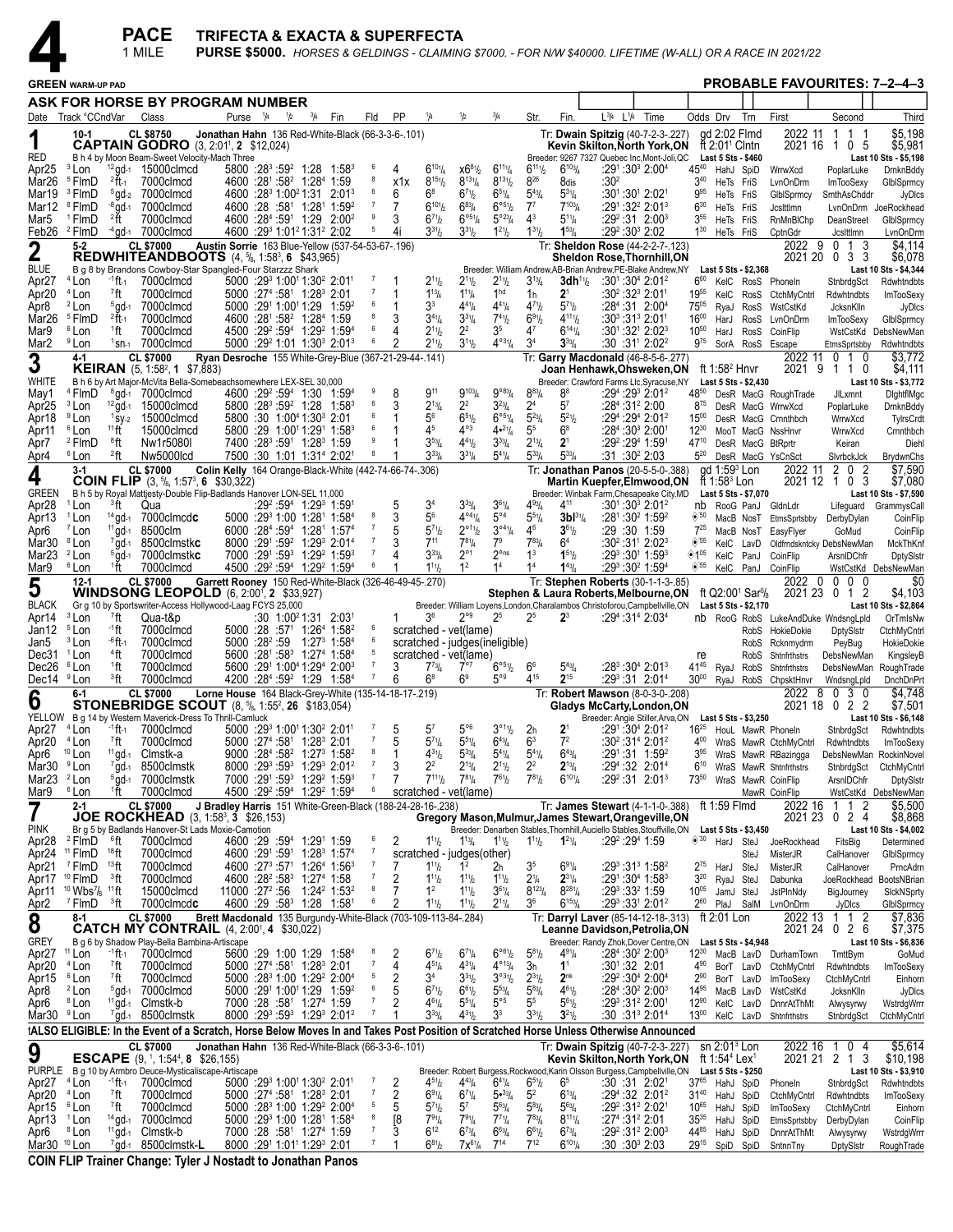

| <b>PROBABLE FAVOURITES: 7-2-4-3</b><br><b>GREEN WARM-UP PAD</b><br>ASK FOR HORSE BY PROGRAM NUMBER<br>$^{3}/_{4}$<br><b>PP</b><br>1/4<br>1/2<br>$^{3}/_{4}$<br>Fin.<br>$L^{3}/4$ $L^{1}/4$<br>Time<br>Odds Drv<br>First<br>Track °CCndVar<br>Class<br>Purse <sup>1</sup> /4<br>1/2<br>Fin<br>Fld<br>Str.<br>Trn<br>Second<br>Date<br>2022 11<br>qd 2:02 Flmd<br>1 1 1<br><b>CL \$8750</b><br>Jonathan Hahn 136 Red-White-Black (66-3-3-6-.101)<br>Tr: Dwain Spitzig (40-7-2-3-.227)<br>$10-1$<br><b>CAPTAIN GODRO</b> (3, 2:01 <sup>1</sup> , 2 \$12,024)<br>ft $2:011$ Cintn<br>2021 16 1 0 5<br>Kevin Skilton, North York, ON<br>RED<br>B h 4 by Moon Beam-Sweet Velocity-Mach Three<br>Breeder: 9267 7327 Quebec Inc, Mont-Joli, QC<br>Last 5 Sts \$460<br>Last 10 Sts - \$5,198<br><sup>3</sup> Lon<br>$6^{101}/4$<br>$6^{11}$ <sup>1</sup><br>$6^{103}/4$<br>:291:303 2:004<br>4540<br>$12$ gd-1 15000 clmcd<br>$5800 : 28^3 : 59^2$ 1:28 1:58 <sup>3</sup><br>- 6<br>$x6^{81}/x$<br>$6^{11}$ %<br>Apr <sub>25</sub><br>4<br>HahJ SpiD<br>WrrwXcd<br>PoplarLuke<br>826<br>8<br>$8^{15}$ <sup>1</sup> / <sub>2</sub><br>$8^{13}\%$<br>$8^{131}/2$<br><sup>5</sup> FlmD<br>$^{2}$ ft-1<br>7000clmcd<br>4600 :281 :58 <sup>2</sup> 1:28 <sup>4</sup> 1:59<br>:30ª<br>Mar26<br>x1x<br>8dis<br>$3^{40}$<br>HeTs FriS<br>LvnOnDrm<br><b>ImTooSexy</b><br>6<br>$6^8$<br>$6^{71}h$<br>$6^{51}/4$<br>$5^{43}$ /4<br>$5^{31}/4$<br>Mar19<br><sup>3</sup> FlmD<br><sup>5</sup> gd-2 7000clmcd<br>4600 :28 1:00 21:31 2:01 3<br>6<br>$:30^{1}:30^{1}$ 2:02 <sup>1</sup><br>$9^{95}$<br>HeTs FriS<br>GlbISprmcy<br>SmthAsChddr<br>$6^{101}/2$<br>$-8$ gd-1<br>$\overline{7}$<br>$6^{83}$ /4<br>$6^{\circ 51}/2$<br>$7^7$<br>$7^{103}$<br>:291:322 2:013<br>Mar12<br><sup>8</sup> FlmD<br>7000clmcd<br>4600 :28 :58 <sup>1</sup> 1:28 <sup>1</sup> 1:59 <sup>2</sup><br>$6^{30}$<br>7<br>HeTs FriS<br>Jcsittimn<br>LvnOnDrm<br>9<br>$6^{\circ 5}$ <sup>1</sup> / <sub>4</sub><br>$5^{\circ 23} / 4$<br>$4^3$<br>$5^{11}/4$<br><sup>1</sup> FlmD<br>$2$ ft<br>7000clmcd<br>4600 :284 :591 1:29 2:00 <sup>2</sup><br>3<br>$6^{7}$ <sup>1</sup> / <sub>2</sub><br>$:29^2:31$ 2:00 <sup>3</sup><br>Mar5<br>3 <sup>55</sup><br>HeTs FriS<br>RnMnBIChp<br>DeanStreet<br>GlbISprmcy<br>5<br>$3^{31}h$<br>$1^{21}/2$<br>$1^{31}/2$<br>$1^{53}/4$<br>$:29^2:30^3$ 2:02<br>Feb26<br><sup>2</sup> FlmD<br>$4$ gd- $1$ 7000clmcd<br>4600 :29 1:01 2:31 2:02<br>$3^{31}h$<br>$1^{30}$<br>4i<br>HeTs FriS<br>CptnGdr<br>Jcslttlmn<br><b>CL \$7000</b><br>Austin Sorrie 163 Blue-Yellow (537-54-53-67-.196)<br>Tr: Sheldon Rose (44-2-2-7-.123)<br>2022 9 0 1 3<br>$5-2$<br>$\overline{\mathbf{2}}$<br><b>REDWHITEANDBOOTS</b> $(4, \frac{5}{6}, 1:58^3, 6, \$43,965)$<br>2021 20 0 3 3<br>Sheldon Rose,Thornhill,ON<br><b>BLUE</b><br>B g 8 by Brandons Cowboy-Star Spangled-Four Starzzz Shark<br>Breeder: William Andrew, AB-Brian Andrew, PE-Blake Andrew, NY Last 5 Sts - \$2,368<br>Last 10 Sts - \$4,344<br>$4$ Lon<br>3dh <sup>1</sup> 1/2<br>:30 <sup>1</sup> :30 <sup>4</sup> 2:01 <sup>2</sup><br>-1 ft-1<br>7000clmcd<br>5000 :29 1:00 1:30 2:01<br>7<br>$2^{11}h$<br>$2^{11}h$<br>$2^{11}$ / <sub>2</sub><br>$3^{13}/4$<br>$6^{60}$<br>Apr <sub>27</sub><br>KelC RosS PhoneIn<br>StnbrdgSct<br>1 <sup>hd</sup><br>7000clmcd<br>$5000$ : $27^4$ : $58^1$ 1:28 $^3$ 2:01<br>7<br>$1^{13}$ /4<br>$2^1$<br>Apr <sub>20</sub><br><sup>4</sup> Lon<br>7ft<br>$1^{11}/4$<br>1h<br>:30²:32ª 2:01ª<br>1955<br>KelC RosS<br>CtchMyCntrl<br>Rdwhtndbts<br>6<br>33<br>$4^{41}/4$<br>$4^{71}$<br>$5^{71}h$<br><sup>2</sup> Lon<br>$5$ gd-1<br>7000clmcd<br>$5000 : 291 1:001 1:29$<br>1:59 <sup>2</sup><br>$4^{41}$ /4<br>$:28^4:31$ 2:00 <sup>4</sup><br>$75^{05}$<br>Apr8<br>RyaJ RosS<br>WstCstKd<br>JcksnKlln<br>$2f1-1$<br>7000clmcd<br>4600 :281 :58 <sup>2</sup> 1:28 <sup>4</sup> 1:59<br>8<br>$3^{41}/4$<br>$3^{31}/4$<br>$7^{41}h$<br>$6^{91}/2$<br>$4^{11}$ <sup>1</sup><br>1600<br><sup>5</sup> FlmD<br>3<br>$:30^3:31^3$ 2:011<br>Mar <sub>26</sub><br>LvnOnDrm<br>HarJ<br>RosS<br><b>ImTooSexy</b><br>6<br>$2^2$<br>35<br>47<br>$6^{14}$ <sup>1</sup> / <sub>4</sub><br><sup>6</sup> Lon<br>7000clmcd<br>4500 :29 <sup>2</sup> :59 <sup>4</sup> 1:29 <sup>2</sup> 1:59 <sup>4</sup><br>$2^{11}h$<br>$:30^{1}.32^{1}.2:02^{3}$<br>Mar9<br>1ft<br>$10^{50}$<br>CoinFlip<br>HarJ<br>RosS<br>WstCstKd DebsNewMan<br>6<br>$3^{11}h$<br>$4^{\circ 31}/4$<br>3 <sup>4</sup><br><sup>9</sup> Lon<br><sup>1</sup> sn-1 7000clmcd<br>$5000$ :29 <sup>2</sup> 1:01 1:30 <sup>3</sup> 2:01 <sup>3</sup><br>$2^{11}h$<br>$3^{33}$ /4<br>$:30:31^{1}$ 2:02 <sup>2</sup><br>$9^{75}$<br>Mar <sub>2</sub><br>SorA RosS Escape<br>EtmsSprtsbby<br><b>CL \$7000</b><br>Ryan Desroche 155 White-Grey-Blue (367-21-29-44-.141)<br>2022 11<br>0 1 0<br>4-1<br>Tr: Garry Macdonald (46-8-5-6-.277)<br>3<br><b>KEIRAN</b> $(5, 1:58^2, 1 \,$ \$7,883)<br>ft 1:58 $2$ Hnvr<br>2021 9<br>1 1 0<br>Joan Henhawk,Ohsweken,ON<br>WHITE<br>B h 6 by Art Major-McVita Bella-Somebeachsomewhere LEX-SEL 30,000<br>Breeder: Crawford Farms Llc, Syracuse, NY<br>Last 5 Sts - \$2,430<br>Last 10 Sts - \$3,772<br>$9^{103}$ / <sub>4</sub><br>9°83/4<br>$9^{11}$<br>8 <sup>8</sup><br>:294 :293 2:012<br><sup>4</sup> FlmD<br>$^{8}$ gd-1 7000clmcd<br>4600 :29 <sup>2</sup> :59 <sup>4</sup> 1:30 1:59 <sup>4</sup><br>8<br>$8^{83} / 4$<br>4850<br>May1<br>DesR MacG RoughTrade<br><b>JILxmnt</b><br>6<br>$2^2$<br>$3^{23}/4$<br>$2^{13}/4$<br>2 <sup>4</sup><br>$5^7$<br>$5800 : 28^3 : 59^2$ 1:28 1:58 <sup>3</sup><br>3<br>$:28^4:31^22:00$<br>Apr <sub>25</sub><br><sup>3</sup> Lon<br>$12$ gd-1<br>15000clmcd<br>$8^{75}$<br>DesR MacG WrrwXcd<br>PoplarLuke<br>$6^{\circ 51}/4$<br>6<br>56<br>65%<br>$5^{23}$ /4<br>$5^{21}/2$<br>:294 :294 2:012<br><sup>9</sup> Lon<br>15000clmcd<br>5800 :30 1:00 <sup>4</sup> 1:30 <sup>3</sup> 2:01<br>$15^{00}$<br>Apr18<br>$1$ SV-2<br>DesR MacG Crnnthbch<br>WrrwXcd<br>$4^{\circ 3}$<br>11 <sup>11</sup><br>6<br>45<br>$4•^{21}/4$<br>5 <sup>5</sup><br>$6^8$<br>$:284:303 2:001$<br><sup>6</sup> Lon<br>15000clmcd<br>5800 :29 1:00 <sup>1</sup> 1:29 <sup>1</sup> 1:58 <sup>3</sup><br>$12^{30}$<br>Apr11<br>MooT MacG NssHnvr<br>WrrwXcd<br>9<br>$3^{53}/4$<br>$4^{41}h$<br>$3^{33}/4$<br>$2^{13}/4$<br>2 <sup>1</sup><br><sup>2</sup> FlmD<br>®ft<br>Nw1r5080I<br>7400 :28 <sup>3</sup> :59 <sup>1</sup> 1:28 <sup>3</sup> 1:59<br>:29º :29ª 1:59ª<br>Apr7<br>47 <sup>10</sup><br>DesR MacG BtRprtr<br>Keiran<br><sup>2</sup> ft<br>$3^{33}$ /4<br>$3^{31}/4$<br>$5^{33}/4$<br><sup>6</sup> Lon<br>Nw5000lcd<br>7500 :30 1:01 1:31 <sup>4</sup> 2:02 <sup>1</sup><br>8<br>$5^{41}/4$<br>$5^{33}$ /4<br>:31:30 <sup>2</sup> 2:03<br>$5^{20}$<br>Apr4<br>DesR MacG YsCnSct<br>SlvrbckJck<br>ad 1:59 <sup>3</sup> Lon<br>Colin Kelly 164 Orange-Black-White (442-74-66-74-.306)<br>Tr: Jonathan Panos (20-5-5-0-.388)<br>2022 11<br>2 0 2<br><b>CL \$7000</b><br>3-1<br>4<br><b>COIN FLIP</b> $(3, 5/8, 1:57^3, 6, 30,322)$<br>ft 1:58 $3$ Lon<br>2021 12 1 0 3<br>Martin Kuepfer, Elmwood, ON<br><b>GREEN</b><br>B h 5 by Royal Mattjesty-Double Flip-Badlands Hanover LON-SEL 11,000<br>Breeder: Winbak Farm, Chesapeake City, MD<br>Last 10 Sts - \$7,590<br>Last 5 Sts - \$7,070<br>$3^{33}$ /4<br>$3^{61}/4$<br>$4^{11}$<br><sup>3</sup> ft<br>:29 <sup>2</sup> :59 <sup>4</sup> 1:29 <sup>3</sup> 1:591<br>34<br>$4^{93}$ /4<br>$:30^1:30^3$ 2:01 <sup>2</sup><br>Apr28<br><sup>1</sup> Lon<br>Qua<br>5<br>nb<br>RooG PanJ<br>GldnLdr<br>Lifeguard GrammysCall<br>$4^{04}\%$<br>$5^{\circ 4}$<br>8<br>56<br>$5^{51}/4$<br>$3b1^{3}$ <sup>1</sup> / <sub>4</sub><br>5000 :29 1:00 1:28 1:58 4<br>3<br>$:28^1:30^2$ 1:59 <sup>2</sup><br>Apr13<br><sup>1</sup> Lon<br>$^{14}$ gd-1 7000clmcd $c$<br>$\otimes$ 50<br>MacB NosT<br>EtmsSprtsbby<br>DerbyDylan<br>6000 :284 :594 1:281 1:574<br>$5^{71}h$<br>$2^{\circ_{11}}\frac{1}{2}$<br>$3^{\circ 4}\frac{1}{4}$<br>46<br>$3^{61}/2$<br><sup>7</sup> Lon<br>$11$ ad-1<br>8500clm<br>:29 :30 1:59<br>$7^{25}$<br>Apr6<br>EasyFlyer<br>GoMud<br>MacB NosT<br>$7$ gd-1<br>8000 :291 :59 <sup>2</sup> 1:29 <sup>3</sup> 2:01 <sup>4</sup><br>$7^{11}$<br>$7^{81}/4$<br>7 <sup>9</sup><br>$7^{83}$ / <sub>4</sub><br>:30 <sup>2</sup> :31 <sup>1</sup> 2:02 <sup>3</sup><br>$\diamond$ '55<br>Mar30 <sup>8</sup> Lon<br>8500clmstkc<br>6 <sup>4</sup><br>KelC LavD<br>Oldfrndskntcky DebsNewMan<br>$3^{33}/4$<br>$2^{\circ}1$<br>$2^{\circ}$ ns<br>1 <sup>3</sup><br>$1^{51}/2$<br><sup>2</sup> Lon<br>7000 :291 :593 1:292 1:593<br>7<br>:293 :301 1:593<br>◈1º<br>Mar <sub>23</sub><br>$5$ gd-1<br>7000clmstk <b>c</b><br>KelC PanJ<br>CoinFlip<br>ArsnIDChfr<br>1ft<br>4500 :29 <sup>2</sup> :59 <sup>4</sup> 1:29 <sup>2</sup> 1:59 <sup>4</sup><br>1 <sup>2</sup><br>1 <sup>4</sup><br>1 <sup>4</sup><br>:293 :302 1:594<br>$\diamond$ '55<br><sup>6</sup> Lon<br>7000clmcd<br>6<br>$1^{11}b$<br>$1^{43}$ / <sub>4</sub><br>Mar9<br>KelC PanJ<br>CoinFlip<br>WstCstKd DebsNewMan<br>Garrett Rooney 150 Red-White-Black (326-46-49-45-.270)<br>2022 0<br>$0\,0\,0$<br>$12 - 1$<br><b>CL \$7000</b><br>Tr: Stephen Roberts (30-1-1-3-.85)<br>5<br><b>WINDSONG LEOPOLD</b> (6, 2:00 <sup>1</sup> , 2 \$33,927)<br>ft Q2:00 <sup>1</sup> Sar <sup>5</sup> / <sub>8</sub><br>2021 23 0 1 2<br>Stephen & Laura Roberts, Melbourne, ON<br><b>BLACK</b><br>Gr g 10 by Sportswriter-Access Hollywood-Laag FCYS 25,000<br>Breeder: William Loyens, London, Charalambos Christoforou, Campbellville, ON<br>Last 5 Sts - \$2,170<br>Last 10 Sts - \$2,864<br><sup>3</sup> Lon<br><sup>7</sup> ft<br>$2^{\circ 9}$<br>2 <sup>5</sup><br>$2^3$<br>:30 1:00 <sup>2</sup> 1:31 2:03 <sup>1</sup><br>36<br>2 <sup>5</sup><br>Apr14<br>Qua-t&p<br>$:29^4:31^4 2:03^4$<br>nb RooG RobS LukeAndDuke WndsngLpld<br><sup>5</sup> Lon<br>∙1ft<br>6<br>Jan12<br>7000clmcd<br>$5000$ :28 :57 <sup>1</sup> 1:26 <sup>4</sup> 1:58 <sup>2</sup><br>scratched - vet(lame)<br>RobS HokieDokie<br>DptySistr<br>CtchMyCntrl<br>5000 :28 <sup>2</sup> :59 1:27 <sup>3</sup> 1:58 <sup>4</sup><br>6<br><sup>3</sup> Lon<br><sup>-6</sup> ft-1<br>7000clmcd<br>scratched - judges(ineligible)<br>Jan5<br>PeyBug<br>RobS Rcknmydrm<br>$44$ ft<br>5600 :281 :583 1:274 1:584<br>Dec31 <sup>1</sup> Lon<br>7000clmcd<br>scratched - vet(lame)<br>RobS<br>Shtnfrthstrs<br>DebsNewMan<br>re<br>6°5%<br>$:28^3:30^4$ 2:01 <sup>3</sup><br>Dec26 <sup>6</sup> Lon<br><sup>1</sup> ft<br>7000clmcd<br>5600 :291 1:004 1:294 2:003<br>$5^{43}$ / <sub>4</sub><br>4145<br>3<br>$7^{73}$ /4<br>$7^{\circ}$<br>6 <sup>6</sup><br>RyaJ RobS<br>Shtnfrthstrs<br>DebsNewMan RoughTrade<br><sup>3</sup> ft<br>4200 :284 :59 <sup>2</sup> 1:29 1:584<br>6 <sup>9</sup><br>$5^{\circ}$<br>415<br>$2^{15}$<br>Dec14 <sup>9</sup> Lon<br>7000clmcd<br>68<br>$:29^3:31$ 2:01 <sup>4</sup><br>30 <sup>00</sup> RyaJ RobS ChpsktHnvr<br>6<br>WndsngLpld<br>2022<br>8030<br><b>CL \$7000</b><br><b>Lorne House</b> 164 Black-Grey-White (135-14-18-17-.219)<br>Tr: Robert Mawson (8-0-3-0-.208)<br>6-1<br>6<br><b>STONEBRIDGE SCOUT</b> $(8, \frac{5}{6}, 1:55^2, 26, \frac{6}{3}, 183,054)$<br>2021 18 0 2 2<br>Gladys McCarty, London, ON<br>YELLOW B g 14 by Western Maverick-Dress To Thrill-Camluck<br>Breeder: Angie Stiller, Arva, ON Last 5 Sts - \$3,250<br>Last 10 Sts - \$6,148<br>$5^{\circ 6}$<br>$3^{\circ_1}\%$<br>Apr27 <sup>4</sup> Lon<br>-1 ft 1<br>5000 :293 1:001 1:302 2:011<br>$5^7$<br>2 <sub>h</sub><br>2 <sup>1</sup><br>:291:304 2:012<br>7000clmcd<br>16 <sup>25</sup> HouL MawR Phoneln<br>5<br>StnbrdgSct<br>$5^{71}/4$<br>7 <sup>2</sup><br>7<br>$5^{51}/4$<br>$6^{43}/4$<br>6 <sup>3</sup><br><sup>4</sup> Lon<br>7ft<br>7000clmcd<br>5000 :274 :581 1:283 2:01<br>$:30^2:31^4$ 2:01 <sup>2</sup><br>Apr20<br>5<br>$4^{00}$<br>WraS MawR CtchMyCntrl<br>Rdwhtndbts<br><sup>10</sup> Lon<br>9000 :284 :58 <sup>2</sup> 1:27 <sup>3</sup> 1:58 <sup>2</sup><br>8<br>$4^{31}h$<br>$5^{33}$ /4<br>$5^{41}/4$<br>$5^{41}/4$<br>$6^{43}/4$<br>$11$ gd-1<br>Clmstk-a<br>$:29^1:31$ 1:59 <sup>2</sup><br>$3^{95}$<br>Apr6<br>WraS MawR RBazingga<br>DebsNewMan RockinNovel<br>$\overline{7}$<br>$7$ gd-1<br>8000 :293 :593 1:293 2:012<br>$2^2$<br>$2^{13}$ /4<br>$2^{11}/2$<br>2 <sup>2</sup><br>$2^{13}/4$<br>:294:32 2:014<br>Mar30 <sup>9</sup> Lon<br>8500clmstk<br>3<br>6 <sup>10</sup> WraS MawR Shtnfrthstrs<br>StnbrdgSct<br>$7^{81}/2$<br>$7^{111}$<br>Mar23 $2$ Lon<br>7000 :291 :593 1:29 <sup>2</sup> 1:593<br>$\overline{7}$<br>$7^{81}/4$<br>$7^{61}/2$<br>$6^{101}/4$<br>$:29^2:31$ 2:01 <sup>3</sup><br>$5$ gd- $1$ 7000clmstk<br>$73^{50}$<br>WraS MawR CoinFlip<br>ArsnIDChfr<br>1ft<br>4500 :29 <sup>2</sup> :59 <sup>4</sup> 1:29 <sup>2</sup> 1:59 <sup>4</sup><br>Mar9<br><sup>6</sup> Lon<br>7000clmcd<br>$6\phantom{.0}$<br>scratched - vet(lame)<br>MawR CoinFlip<br>WstCstKd DebsNewMan<br>\$5,500<br><b>CL \$7000</b><br>J Bradley Harris 151 White-Green-Black (188-24-28-16-.238)<br>Tr: James Stewart (4-1-1-0-.388)<br>ft 1:59 $F$ Imd<br>2022 16<br>1 1 2<br>7<br>$2 - 1$<br>JOE ROCKHEAD (3, 1:58 <sup>3</sup> , 3 \$26,153)<br>2021 23 0 2 4<br>Gregory Mason, Mulmur, James Stewart, Orangeville, ON<br><b>PINK</b><br>Br g 5 by Badlands Hanover-St Lads Moxie-Camotion<br>Breeder: Denarben Stables, Thornhill, Auciello Stables, Stouffville, ON<br>Last 5 Sts - \$3,450<br>Last 10 Sts - \$4,002<br>2<br>$\diamond$ '30<br><sup>2</sup> FlmD<br>$^6$ ft<br>7000clmcd<br>4600 :29 :59 <sup>4</sup> 1:29 <sup>1</sup> 1:59<br>$1^{11}h$<br>$:29^2:29^4$ 1:59<br>Apr28<br>$1^{13}/4$<br>$1^{11}$ <sup>1</sup> / <sub>2</sub><br>$1^{11}$ / <sub>2</sub><br>$1^{21}/4$<br>HarJ SteJ<br>JoeRockhead<br>FitsBig<br><sup>11</sup> FlmD $18$ ft<br>7000clmcd<br>4600 :291 :591 1:283 1:574<br>$\overline{7}$<br>Apr24<br>scratched - judges(other)<br>MisterJR<br>CalHanover<br>SteJ<br>4600 :273 :571 1:264 1:563<br>$\overline{7}$<br>1 <sup>2</sup><br>:293 :313 1:582<br><sup>7</sup> FlmD<br>$13$ ft<br>7000clmcd<br>7<br>3 <sup>5</sup><br>$6^{91}/4$<br>$2^{75}$<br>Apr21<br>$1^{11}h$<br>2 <sub>h</sub><br>HarJ SteJ<br>MisterJR<br>CalHanover<br>$\overline{7}$<br><sup>10</sup> FlmD<br><sup>3</sup> ft<br>4600 :28 <sup>2</sup> :58 <sup>3</sup> 1:27 <sup>4</sup> 1:58<br>2<br>$2^{31}/4$<br>:291:304 1:583<br>$3^{20}$<br>7000clmcd<br>$1^{11}b$<br>$2\frac{1}{4}$<br>Apr17<br>$1^{11}h$<br>$1^{11}$ / <sub>2</sub><br>JoeRockhead BootsNBrian<br>RyaJ SteJ<br>Dabunka<br>8<br>1 <sup>2</sup><br>$3^{61}/4$<br>$8^{123}/4$<br>$8^{281}/4$<br>$10$ Wbs <sup>7</sup> / <sub>8</sub> 11 ft<br>$11000$ :27 <sup>2</sup> :56 1:24 <sup>2</sup> 1:53 <sup>2</sup><br>7<br>$:29^3:33^2$ 1:59<br>Apr11<br>15000clmcd<br>$1^{11}h$<br>$10^{05}$<br>JamJ SteJ<br>JstPlnNdy<br>BigJourney<br>$2^{11}/4$<br>36<br>$6^{153}/4$<br>:293 :331 2:012<br>$7$ FlmD $3$ ft<br>7000clmcdc<br>4600 :29 :58 <sup>3</sup> 1:28 1:58 <sup>1</sup><br>6<br>2<br>$1^{11}h$<br>$1^{11}h$<br>$2^{60}$<br>PlaJ SalM<br>Apr <sub>2</sub><br>LvnOnDrm<br>JyDics<br><b>CL \$7000</b><br>Brett Macdonald 135 Burgundy-White-Black (703-109-113-84-.284)<br>Tr: Darryl Laver (85-14-12-18-.313)<br>ft $2:01$ Lon<br>2022 13 1 1 2<br>8-1<br>8<br><b>CATCH MY CONTRAIL</b> (4, 2:00 <sup>1</sup> , 4 \$30,022)<br>Leanne Davidson, Petrolia, ON<br>2021 24 0 2 6<br><b>GREY</b><br>B g 6 by Shadow Play-Bella Bambina-Artiscape<br>Breeder: Randy Zhok, Dover Centre, ON<br>Last 10 Sts - \$6,836<br>Last 5 Sts - \$4,948<br>$6^{\circ 6} \%$<br><sup>11</sup> Lon<br><sup>-1</sup> ft-1<br>5600 :29 1:00 1:29 1:584<br>8<br>2<br>$6^{71}h$<br>$6^{71}/4$<br>$5^{81}/2$<br>$4^{91}/4$<br>$:284:302$ 2:00 <sup>3</sup><br>$12^{30}$<br>Apr27<br>7000clmcd<br>MacB LavD DurhamTown<br>TmttBym<br>$\overline{7}$<br>$4^{\circ_{13}}/4$<br>1 <sup>1</sup><br><sup>7</sup> ft<br>7000clmcd<br>5000 :27 <sup>4</sup> :58 <sup>1</sup> 1:28 <sup>3</sup> 2:01<br>$4^{51}/4$<br>:30 <sup>1</sup> :32 2:01<br>Apr20<br><sup>4</sup> Lon<br>4<br>$4^{31}/4$<br>3h<br>$4^{90}$<br>BorT LavD CtchMyCntrl<br>Rdwhtndbts<br>5<br>2<br>3 <sup>4</sup><br>$3^{31}h$<br>$3^{031}/2$<br>$2^{31}/2$<br>2 <sup>nk</sup><br>:29 <sup>2</sup> :30 <sup>4</sup> 2:00 <sup>4</sup><br>® Lon<br><sup>7</sup> ft<br>7000clmcd<br>5000 :28 <sup>3</sup> 1:00 1:29 <sup>2</sup> 2:00 <sup>4</sup><br>$2^{90}$<br>Apr15<br>BorT LavD<br>ImTooSexy<br>CtchMyCntrl<br>6<br>$6^{71}h$<br>$5^{53}$ /4<br>$5^{83}$ /4<br>$4^{61}/2$<br>:284 :302 2:003<br><sup>2</sup> Lon<br>$5$ gd-1<br>7000clmcd<br>5000 :291 1:001 1:29 1:59 <sup>2</sup><br>$6^{61}$ / <sub>2</sub><br>14 <sup>95</sup><br>Apr8<br>5<br>MacB LavD<br>WstCstKd<br>JcksnKlln |      |                  |          | <b>PACE</b><br>1 MILE       | TRIFECTA & EXACTA & SUPERFECTA |  |  |                |   |                         |             |               |                |             |  |           |  | PURSE \$5000. HORSES & GELDINGS - CLAIMING \$7000. - FOR N/W \$40000. LIFETIME (W-ALL) OR A RACE IN 2021/22 |           |                                |
|---------------------------------------------------------------------------------------------------------------------------------------------------------------------------------------------------------------------------------------------------------------------------------------------------------------------------------------------------------------------------------------------------------------------------------------------------------------------------------------------------------------------------------------------------------------------------------------------------------------------------------------------------------------------------------------------------------------------------------------------------------------------------------------------------------------------------------------------------------------------------------------------------------------------------------------------------------------------------------------------------------------------------------------------------------------------------------------------------------------------------------------------------------------------------------------------------------------------------------------------------------------------------------------------------------------------------------------------------------------------------------------------------------------------------------------------------------------------------------------------------------------------------------------------------------------------------------------------------------------------------------------------------------------------------------------------------------------------------------------------------------------------------------------------------------------------------------------------------------------------------------------------------------------------------------------------------------------------------------------------------------------------------------------------------------------------------------------------------------------------------------------------------------------------------------------------------------------------------------------------------------------------------------------------------------------------------------------------------------------------------------------------------------------------------------------------------------------------------------------------------------------------------------------------------------------------------------------------------------------------------------------------------------------------------------------------------------------------------------------------------------------------------------------------------------------------------------------------------------------------------------------------------------------------------------------------------------------------------------------------------------------------------------------------------------------------------------------------------------------------------------------------------------------------------------------------------------------------------------------------------------------------------------------------------------------------------------------------------------------------------------------------------------------------------------------------------------------------------------------------------------------------------------------------------------------------------------------------------------------------------------------------------------------------------------------------------------------------------------------------------------------------------------------------------------------------------------------------------------------------------------------------------------------------------------------------------------------------------------------------------------------------------------------------------------------------------------------------------------------------------------------------------------------------------------------------------------------------------------------------------------------------------------------------------------------------------------------------------------------------------------------------------------------------------------------------------------------------------------------------------------------------------------------------------------------------------------------------------------------------------------------------------------------------------------------------------------------------------------------------------------------------------------------------------------------------------------------------------------------------------------------------------------------------------------------------------------------------------------------------------------------------------------------------------------------------------------------------------------------------------------------------------------------------------------------------------------------------------------------------------------------------------------------------------------------------------------------------------------------------------------------------------------------------------------------------------------------------------------------------------------------------------------------------------------------------------------------------------------------------------------------------------------------------------------------------------------------------------------------------------------------------------------------------------------------------------------------------------------------------------------------------------------------------------------------------------------------------------------------------------------------------------------------------------------------------------------------------------------------------------------------------------------------------------------------------------------------------------------------------------------------------------------------------------------------------------------------------------------------------------------------------------------------------------------------------------------------------------------------------------------------------------------------------------------------------------------------------------------------------------------------------------------------------------------------------------------------------------------------------------------------------------------------------------------------------------------------------------------------------------------------------------------------------------------------------------------------------------------------------------------------------------------------------------------------------------------------------------------------------------------------------------------------------------------------------------------------------------------------------------------------------------------------------------------------------------------------------------------------------------------------------------------------------------------------------------------------------------------------------------------------------------------------------------------------------------------------------------------------------------------------------------------------------------------------------------------------------------------------------------------------------------------------------------------------------------------------------------------------------------------------------------------------------------------------------------------------------------------------------------------------------------------------------------------------------------------------------------------------------------------------------------------------------------------------------------------------------------------------------------------------------------------------------------------------------------------------------------------------------------------------------------------------------------------------------------------------------------------------------------------------------------------------------------------------------------------------------------------------------------------------------------------------------------------------------------------------------------------------------------------------------------------------------------------------------------------------------------------------------------------------------------------------------------------------------------------------------------------------------------------------------------------------------------------------------------------------------------------------------------------------------------------------------------------------------------------------------------------------------------------------------------------------------------------------------------------------------------------------------------------------------------------------------------------------------------------------------------------------------------------------------------------------------------------------------------------------------------------------------------------------------------------------------------------------------------------------------------------------------------------------------------------------------------------------------------------------------------------------------------------------------------------------------------------------------------------------------------------------------------------------------------------------------------------------------------------------------------------------------------------------------------------------------------------------------------------------------------------------------------------------------------------------------------------------------------------------------------------------------------------------------------------------------------------------------------------------------------------------------------------------------------------------------------------------------------------------------------------------------------------------------------------------------------------------------------------------------------------------------------------------------------------------------------------------------------------------------------------------------------------------------------------------------------------------------------------------------------------------------------------------------------------------------------------------------------------------------------------------------------------------------------------------------------------------------------------------------------------------------------------------------------------------------------------------------------------------------------------------------------------------------------------------------------------------------------------------------------------------------------------------------------------------------------------------------------------------------------------------------------------------------------------------------------------------------------------------------------------------------------------------------------------------------------------------------------------------------------------------------------------------------------------------------------------------------------------------------------------------------------------------------------------------------------------------------------------------------------------------------------------------------------------------------------------------------------------------------------------------------------------------------------------------------------------------------------------------------------------------------------------------------------------------------------------------------------------------------------------------------------------------------------------------------------------------------------------------------------------------------------------------------------------------------------------------------------------------------------------------------------------------------------------------------------------------------------------------------------------------------------------------------------------------------------------------------------------------------------------------------------------------------------------------------------------------------------------------------------------------------------------------------------------------------------------------------------------------------------------------------------------------------------------------------------------------------------------------------------------------------------------------------------------------------------------------------------------------------------------------------------------------------------------------------------------------------------------------------------------------------------------------------------------------------------------------------------------------------------------------------------------------------------------------------------------------------------------------------------------------------------------------------------------------------------------------------------------------------------------------------------------------------------------------------------------------------------------------------------------------------------------------------------------------------------------------------------------------------------------------------------------------------------------------------------------------------------------------------------------------------------------------------------------------------------------------------------------------------------------------------------------------------------------------------------------------------------------------------------------------------------------------------------------------------------------------------------------------------------------------------------------------------------------------------------------------------------------------------------------------------------------------------------------------------------------------------------------------------------------------------------------------------------------------------------------------------------------------------------------------------------------------------------------------------------------------------------------------------------------------------------------------------------------------------------------------------------------------------------------------------------------------------------------------------------------------------------------------------------------------------------------------------------------------------------------------------------------------------------------------------------------------------------------------------------------------------------------------------------------------------------------------------------------------------------------------------------------------------------------------------------------------------------------------------------------------------------------------------------------------------------------------------------------------------------------------------------------------------------------------------------------------------------------------------------------------------------------------------------------------------------------------------------------------------------------------------------------------------------------------------------------------------------------------------------------------------------------------------------------------------------------------------------------------------------------------------------------------------------------------------------------------------------------------------------------------------------------------------------------------------------|------|------------------|----------|-----------------------------|--------------------------------|--|--|----------------|---|-------------------------|-------------|---------------|----------------|-------------|--|-----------|--|-------------------------------------------------------------------------------------------------------------|-----------|--------------------------------|
|                                                                                                                                                                                                                                                                                                                                                                                                                                                                                                                                                                                                                                                                                                                                                                                                                                                                                                                                                                                                                                                                                                                                                                                                                                                                                                                                                                                                                                                                                                                                                                                                                                                                                                                                                                                                                                                                                                                                                                                                                                                                                                                                                                                                                                                                                                                                                                                                                                                                                                                                                                                                                                                                                                                                                                                                                                                                                                                                                                                                                                                                                                                                                                                                                                                                                                                                                                                                                                                                                                                                                                                                                                                                                                                                                                                                                                                                                                                                                                                                                                                                                                                                                                                                                                                                                                                                                                                                                                                                                                                                                                                                                                                                                                                                                                                                                                                                                                                                                                                                                                                                                                                                                                                                                                                                                                                                                                                                                                                                                                                                                                                                                                                                                                                                                                                                                                                                                                                                                                                                                                                                                                                                                                                                                                                                                                                                                                                                                                                                                                                                                                                                                                                                                                                                                                                                                                                                                                                                                                                                                                                                                                                                                                                                                                                                                                                                                                                                                                                                                                                                                                                                                                                                                                                                                                                                                                                                                                                                                                                                                                                                                                                                                                                                                                                                                                                                                                                                                                                                                                                                                                                                                                                                                                                                                                                                                                                                                                                                                                                                                                                                                                                                                                                                                                                                                                                                                                                                                                                                                                                                                                                                                                                                                                                                                                                                                                                                                                                                                                                                                                                                                                                                                                                                                                                                                                                                                                                                                                                                                                                                                                                                                                                                                                                                                                                                                                                                                                                                                                                                                                                                                                                                                                                                                                                                                                                                                                                                                                                                                                                                                                                                                                                                                                                                                                                                                                                                                                                                                                                                                                                                                                                                                                                                                                                                                                                                                                                                                                                                                                                                                                                                                                                                                                                                                                                                                                                                                                                                                                                                                                                                                                                                                                                                                                                                                                                                                                                                                                                                                                                                                                                                                                                                                                                                                                                                                                                                                                                                                                                                                                                                                                                                                                                                                                                                                                                                                                                                                                                                                                                                                                                                                                                                                                                                                                                                                                                                                                                                                                                                                                                                                                                                                                                                                                                                                                                                                                                                                                                                                                                                                                                                                                                                                                                                                                                                                                                                                                                                                                                                                                                                                                                                                                                                                                                                                                                                                                                                                                                                                                                                                                                                                                                                                                                                                   |      |                  |          |                             |                                |  |  |                |   |                         |             |               |                |             |  |           |  |                                                                                                             |           |                                |
|                                                                                                                                                                                                                                                                                                                                                                                                                                                                                                                                                                                                                                                                                                                                                                                                                                                                                                                                                                                                                                                                                                                                                                                                                                                                                                                                                                                                                                                                                                                                                                                                                                                                                                                                                                                                                                                                                                                                                                                                                                                                                                                                                                                                                                                                                                                                                                                                                                                                                                                                                                                                                                                                                                                                                                                                                                                                                                                                                                                                                                                                                                                                                                                                                                                                                                                                                                                                                                                                                                                                                                                                                                                                                                                                                                                                                                                                                                                                                                                                                                                                                                                                                                                                                                                                                                                                                                                                                                                                                                                                                                                                                                                                                                                                                                                                                                                                                                                                                                                                                                                                                                                                                                                                                                                                                                                                                                                                                                                                                                                                                                                                                                                                                                                                                                                                                                                                                                                                                                                                                                                                                                                                                                                                                                                                                                                                                                                                                                                                                                                                                                                                                                                                                                                                                                                                                                                                                                                                                                                                                                                                                                                                                                                                                                                                                                                                                                                                                                                                                                                                                                                                                                                                                                                                                                                                                                                                                                                                                                                                                                                                                                                                                                                                                                                                                                                                                                                                                                                                                                                                                                                                                                                                                                                                                                                                                                                                                                                                                                                                                                                                                                                                                                                                                                                                                                                                                                                                                                                                                                                                                                                                                                                                                                                                                                                                                                                                                                                                                                                                                                                                                                                                                                                                                                                                                                                                                                                                                                                                                                                                                                                                                                                                                                                                                                                                                                                                                                                                                                                                                                                                                                                                                                                                                                                                                                                                                                                                                                                                                                                                                                                                                                                                                                                                                                                                                                                                                                                                                                                                                                                                                                                                                                                                                                                                                                                                                                                                                                                                                                                                                                                                                                                                                                                                                                                                                                                                                                                                                                                                                                                                                                                                                                                                                                                                                                                                                                                                                                                                                                                                                                                                                                                                                                                                                                                                                                                                                                                                                                                                                                                                                                                                                                                                                                                                                                                                                                                                                                                                                                                                                                                                                                                                                                                                                                                                                                                                                                                                                                                                                                                                                                                                                                                                                                                                                                                                                                                                                                                                                                                                                                                                                                                                                                                                                                                                                                                                                                                                                                                                                                                                                                                                                                                                                                                                                                                                                                                                                                                                                                                                                                                                                                                                                                                                                   |      |                  |          |                             |                                |  |  |                |   |                         |             |               |                |             |  |           |  |                                                                                                             |           |                                |
|                                                                                                                                                                                                                                                                                                                                                                                                                                                                                                                                                                                                                                                                                                                                                                                                                                                                                                                                                                                                                                                                                                                                                                                                                                                                                                                                                                                                                                                                                                                                                                                                                                                                                                                                                                                                                                                                                                                                                                                                                                                                                                                                                                                                                                                                                                                                                                                                                                                                                                                                                                                                                                                                                                                                                                                                                                                                                                                                                                                                                                                                                                                                                                                                                                                                                                                                                                                                                                                                                                                                                                                                                                                                                                                                                                                                                                                                                                                                                                                                                                                                                                                                                                                                                                                                                                                                                                                                                                                                                                                                                                                                                                                                                                                                                                                                                                                                                                                                                                                                                                                                                                                                                                                                                                                                                                                                                                                                                                                                                                                                                                                                                                                                                                                                                                                                                                                                                                                                                                                                                                                                                                                                                                                                                                                                                                                                                                                                                                                                                                                                                                                                                                                                                                                                                                                                                                                                                                                                                                                                                                                                                                                                                                                                                                                                                                                                                                                                                                                                                                                                                                                                                                                                                                                                                                                                                                                                                                                                                                                                                                                                                                                                                                                                                                                                                                                                                                                                                                                                                                                                                                                                                                                                                                                                                                                                                                                                                                                                                                                                                                                                                                                                                                                                                                                                                                                                                                                                                                                                                                                                                                                                                                                                                                                                                                                                                                                                                                                                                                                                                                                                                                                                                                                                                                                                                                                                                                                                                                                                                                                                                                                                                                                                                                                                                                                                                                                                                                                                                                                                                                                                                                                                                                                                                                                                                                                                                                                                                                                                                                                                                                                                                                                                                                                                                                                                                                                                                                                                                                                                                                                                                                                                                                                                                                                                                                                                                                                                                                                                                                                                                                                                                                                                                                                                                                                                                                                                                                                                                                                                                                                                                                                                                                                                                                                                                                                                                                                                                                                                                                                                                                                                                                                                                                                                                                                                                                                                                                                                                                                                                                                                                                                                                                                                                                                                                                                                                                                                                                                                                                                                                                                                                                                                                                                                                                                                                                                                                                                                                                                                                                                                                                                                                                                                                                                                                                                                                                                                                                                                                                                                                                                                                                                                                                                                                                                                                                                                                                                                                                                                                                                                                                                                                                                                                                                                                                                                                                                                                                                                                                                                                                                                                                                                                                                                                   |      |                  |          |                             |                                |  |  |                |   |                         |             |               |                |             |  |           |  |                                                                                                             |           | Third<br>\$5.198               |
|                                                                                                                                                                                                                                                                                                                                                                                                                                                                                                                                                                                                                                                                                                                                                                                                                                                                                                                                                                                                                                                                                                                                                                                                                                                                                                                                                                                                                                                                                                                                                                                                                                                                                                                                                                                                                                                                                                                                                                                                                                                                                                                                                                                                                                                                                                                                                                                                                                                                                                                                                                                                                                                                                                                                                                                                                                                                                                                                                                                                                                                                                                                                                                                                                                                                                                                                                                                                                                                                                                                                                                                                                                                                                                                                                                                                                                                                                                                                                                                                                                                                                                                                                                                                                                                                                                                                                                                                                                                                                                                                                                                                                                                                                                                                                                                                                                                                                                                                                                                                                                                                                                                                                                                                                                                                                                                                                                                                                                                                                                                                                                                                                                                                                                                                                                                                                                                                                                                                                                                                                                                                                                                                                                                                                                                                                                                                                                                                                                                                                                                                                                                                                                                                                                                                                                                                                                                                                                                                                                                                                                                                                                                                                                                                                                                                                                                                                                                                                                                                                                                                                                                                                                                                                                                                                                                                                                                                                                                                                                                                                                                                                                                                                                                                                                                                                                                                                                                                                                                                                                                                                                                                                                                                                                                                                                                                                                                                                                                                                                                                                                                                                                                                                                                                                                                                                                                                                                                                                                                                                                                                                                                                                                                                                                                                                                                                                                                                                                                                                                                                                                                                                                                                                                                                                                                                                                                                                                                                                                                                                                                                                                                                                                                                                                                                                                                                                                                                                                                                                                                                                                                                                                                                                                                                                                                                                                                                                                                                                                                                                                                                                                                                                                                                                                                                                                                                                                                                                                                                                                                                                                                                                                                                                                                                                                                                                                                                                                                                                                                                                                                                                                                                                                                                                                                                                                                                                                                                                                                                                                                                                                                                                                                                                                                                                                                                                                                                                                                                                                                                                                                                                                                                                                                                                                                                                                                                                                                                                                                                                                                                                                                                                                                                                                                                                                                                                                                                                                                                                                                                                                                                                                                                                                                                                                                                                                                                                                                                                                                                                                                                                                                                                                                                                                                                                                                                                                                                                                                                                                                                                                                                                                                                                                                                                                                                                                                                                                                                                                                                                                                                                                                                                                                                                                                                                                                                                                                                                                                                                                                                                                                                                                                                                                                                                                                                                   |      |                  |          |                             |                                |  |  |                |   |                         |             |               |                |             |  |           |  |                                                                                                             |           | \$5,981                        |
|                                                                                                                                                                                                                                                                                                                                                                                                                                                                                                                                                                                                                                                                                                                                                                                                                                                                                                                                                                                                                                                                                                                                                                                                                                                                                                                                                                                                                                                                                                                                                                                                                                                                                                                                                                                                                                                                                                                                                                                                                                                                                                                                                                                                                                                                                                                                                                                                                                                                                                                                                                                                                                                                                                                                                                                                                                                                                                                                                                                                                                                                                                                                                                                                                                                                                                                                                                                                                                                                                                                                                                                                                                                                                                                                                                                                                                                                                                                                                                                                                                                                                                                                                                                                                                                                                                                                                                                                                                                                                                                                                                                                                                                                                                                                                                                                                                                                                                                                                                                                                                                                                                                                                                                                                                                                                                                                                                                                                                                                                                                                                                                                                                                                                                                                                                                                                                                                                                                                                                                                                                                                                                                                                                                                                                                                                                                                                                                                                                                                                                                                                                                                                                                                                                                                                                                                                                                                                                                                                                                                                                                                                                                                                                                                                                                                                                                                                                                                                                                                                                                                                                                                                                                                                                                                                                                                                                                                                                                                                                                                                                                                                                                                                                                                                                                                                                                                                                                                                                                                                                                                                                                                                                                                                                                                                                                                                                                                                                                                                                                                                                                                                                                                                                                                                                                                                                                                                                                                                                                                                                                                                                                                                                                                                                                                                                                                                                                                                                                                                                                                                                                                                                                                                                                                                                                                                                                                                                                                                                                                                                                                                                                                                                                                                                                                                                                                                                                                                                                                                                                                                                                                                                                                                                                                                                                                                                                                                                                                                                                                                                                                                                                                                                                                                                                                                                                                                                                                                                                                                                                                                                                                                                                                                                                                                                                                                                                                                                                                                                                                                                                                                                                                                                                                                                                                                                                                                                                                                                                                                                                                                                                                                                                                                                                                                                                                                                                                                                                                                                                                                                                                                                                                                                                                                                                                                                                                                                                                                                                                                                                                                                                                                                                                                                                                                                                                                                                                                                                                                                                                                                                                                                                                                                                                                                                                                                                                                                                                                                                                                                                                                                                                                                                                                                                                                                                                                                                                                                                                                                                                                                                                                                                                                                                                                                                                                                                                                                                                                                                                                                                                                                                                                                                                                                                                                                                                                                                                                                                                                                                                                                                                                                                                                                                                                                                                                   |      |                  |          |                             |                                |  |  |                |   |                         |             |               |                |             |  |           |  |                                                                                                             |           | <b>DrnknBddy</b>               |
|                                                                                                                                                                                                                                                                                                                                                                                                                                                                                                                                                                                                                                                                                                                                                                                                                                                                                                                                                                                                                                                                                                                                                                                                                                                                                                                                                                                                                                                                                                                                                                                                                                                                                                                                                                                                                                                                                                                                                                                                                                                                                                                                                                                                                                                                                                                                                                                                                                                                                                                                                                                                                                                                                                                                                                                                                                                                                                                                                                                                                                                                                                                                                                                                                                                                                                                                                                                                                                                                                                                                                                                                                                                                                                                                                                                                                                                                                                                                                                                                                                                                                                                                                                                                                                                                                                                                                                                                                                                                                                                                                                                                                                                                                                                                                                                                                                                                                                                                                                                                                                                                                                                                                                                                                                                                                                                                                                                                                                                                                                                                                                                                                                                                                                                                                                                                                                                                                                                                                                                                                                                                                                                                                                                                                                                                                                                                                                                                                                                                                                                                                                                                                                                                                                                                                                                                                                                                                                                                                                                                                                                                                                                                                                                                                                                                                                                                                                                                                                                                                                                                                                                                                                                                                                                                                                                                                                                                                                                                                                                                                                                                                                                                                                                                                                                                                                                                                                                                                                                                                                                                                                                                                                                                                                                                                                                                                                                                                                                                                                                                                                                                                                                                                                                                                                                                                                                                                                                                                                                                                                                                                                                                                                                                                                                                                                                                                                                                                                                                                                                                                                                                                                                                                                                                                                                                                                                                                                                                                                                                                                                                                                                                                                                                                                                                                                                                                                                                                                                                                                                                                                                                                                                                                                                                                                                                                                                                                                                                                                                                                                                                                                                                                                                                                                                                                                                                                                                                                                                                                                                                                                                                                                                                                                                                                                                                                                                                                                                                                                                                                                                                                                                                                                                                                                                                                                                                                                                                                                                                                                                                                                                                                                                                                                                                                                                                                                                                                                                                                                                                                                                                                                                                                                                                                                                                                                                                                                                                                                                                                                                                                                                                                                                                                                                                                                                                                                                                                                                                                                                                                                                                                                                                                                                                                                                                                                                                                                                                                                                                                                                                                                                                                                                                                                                                                                                                                                                                                                                                                                                                                                                                                                                                                                                                                                                                                                                                                                                                                                                                                                                                                                                                                                                                                                                                                                                                                                                                                                                                                                                                                                                                                                                                                                                                                                                                                   |      |                  |          |                             |                                |  |  |                |   |                         |             |               |                |             |  |           |  |                                                                                                             |           | GlbISprmcy<br>JyDIcs           |
|                                                                                                                                                                                                                                                                                                                                                                                                                                                                                                                                                                                                                                                                                                                                                                                                                                                                                                                                                                                                                                                                                                                                                                                                                                                                                                                                                                                                                                                                                                                                                                                                                                                                                                                                                                                                                                                                                                                                                                                                                                                                                                                                                                                                                                                                                                                                                                                                                                                                                                                                                                                                                                                                                                                                                                                                                                                                                                                                                                                                                                                                                                                                                                                                                                                                                                                                                                                                                                                                                                                                                                                                                                                                                                                                                                                                                                                                                                                                                                                                                                                                                                                                                                                                                                                                                                                                                                                                                                                                                                                                                                                                                                                                                                                                                                                                                                                                                                                                                                                                                                                                                                                                                                                                                                                                                                                                                                                                                                                                                                                                                                                                                                                                                                                                                                                                                                                                                                                                                                                                                                                                                                                                                                                                                                                                                                                                                                                                                                                                                                                                                                                                                                                                                                                                                                                                                                                                                                                                                                                                                                                                                                                                                                                                                                                                                                                                                                                                                                                                                                                                                                                                                                                                                                                                                                                                                                                                                                                                                                                                                                                                                                                                                                                                                                                                                                                                                                                                                                                                                                                                                                                                                                                                                                                                                                                                                                                                                                                                                                                                                                                                                                                                                                                                                                                                                                                                                                                                                                                                                                                                                                                                                                                                                                                                                                                                                                                                                                                                                                                                                                                                                                                                                                                                                                                                                                                                                                                                                                                                                                                                                                                                                                                                                                                                                                                                                                                                                                                                                                                                                                                                                                                                                                                                                                                                                                                                                                                                                                                                                                                                                                                                                                                                                                                                                                                                                                                                                                                                                                                                                                                                                                                                                                                                                                                                                                                                                                                                                                                                                                                                                                                                                                                                                                                                                                                                                                                                                                                                                                                                                                                                                                                                                                                                                                                                                                                                                                                                                                                                                                                                                                                                                                                                                                                                                                                                                                                                                                                                                                                                                                                                                                                                                                                                                                                                                                                                                                                                                                                                                                                                                                                                                                                                                                                                                                                                                                                                                                                                                                                                                                                                                                                                                                                                                                                                                                                                                                                                                                                                                                                                                                                                                                                                                                                                                                                                                                                                                                                                                                                                                                                                                                                                                                                                                                                                                                                                                                                                                                                                                                                                                                                                                                                                                                                                                   |      |                  |          |                             |                                |  |  |                |   |                         |             |               |                |             |  |           |  |                                                                                                             |           | JoeRockhead                    |
|                                                                                                                                                                                                                                                                                                                                                                                                                                                                                                                                                                                                                                                                                                                                                                                                                                                                                                                                                                                                                                                                                                                                                                                                                                                                                                                                                                                                                                                                                                                                                                                                                                                                                                                                                                                                                                                                                                                                                                                                                                                                                                                                                                                                                                                                                                                                                                                                                                                                                                                                                                                                                                                                                                                                                                                                                                                                                                                                                                                                                                                                                                                                                                                                                                                                                                                                                                                                                                                                                                                                                                                                                                                                                                                                                                                                                                                                                                                                                                                                                                                                                                                                                                                                                                                                                                                                                                                                                                                                                                                                                                                                                                                                                                                                                                                                                                                                                                                                                                                                                                                                                                                                                                                                                                                                                                                                                                                                                                                                                                                                                                                                                                                                                                                                                                                                                                                                                                                                                                                                                                                                                                                                                                                                                                                                                                                                                                                                                                                                                                                                                                                                                                                                                                                                                                                                                                                                                                                                                                                                                                                                                                                                                                                                                                                                                                                                                                                                                                                                                                                                                                                                                                                                                                                                                                                                                                                                                                                                                                                                                                                                                                                                                                                                                                                                                                                                                                                                                                                                                                                                                                                                                                                                                                                                                                                                                                                                                                                                                                                                                                                                                                                                                                                                                                                                                                                                                                                                                                                                                                                                                                                                                                                                                                                                                                                                                                                                                                                                                                                                                                                                                                                                                                                                                                                                                                                                                                                                                                                                                                                                                                                                                                                                                                                                                                                                                                                                                                                                                                                                                                                                                                                                                                                                                                                                                                                                                                                                                                                                                                                                                                                                                                                                                                                                                                                                                                                                                                                                                                                                                                                                                                                                                                                                                                                                                                                                                                                                                                                                                                                                                                                                                                                                                                                                                                                                                                                                                                                                                                                                                                                                                                                                                                                                                                                                                                                                                                                                                                                                                                                                                                                                                                                                                                                                                                                                                                                                                                                                                                                                                                                                                                                                                                                                                                                                                                                                                                                                                                                                                                                                                                                                                                                                                                                                                                                                                                                                                                                                                                                                                                                                                                                                                                                                                                                                                                                                                                                                                                                                                                                                                                                                                                                                                                                                                                                                                                                                                                                                                                                                                                                                                                                                                                                                                                                                                                                                                                                                                                                                                                                                                                                                                                                                                                                                                   |      |                  |          |                             |                                |  |  |                |   |                         |             |               |                |             |  |           |  |                                                                                                             |           | LvnOnDrm                       |
|                                                                                                                                                                                                                                                                                                                                                                                                                                                                                                                                                                                                                                                                                                                                                                                                                                                                                                                                                                                                                                                                                                                                                                                                                                                                                                                                                                                                                                                                                                                                                                                                                                                                                                                                                                                                                                                                                                                                                                                                                                                                                                                                                                                                                                                                                                                                                                                                                                                                                                                                                                                                                                                                                                                                                                                                                                                                                                                                                                                                                                                                                                                                                                                                                                                                                                                                                                                                                                                                                                                                                                                                                                                                                                                                                                                                                                                                                                                                                                                                                                                                                                                                                                                                                                                                                                                                                                                                                                                                                                                                                                                                                                                                                                                                                                                                                                                                                                                                                                                                                                                                                                                                                                                                                                                                                                                                                                                                                                                                                                                                                                                                                                                                                                                                                                                                                                                                                                                                                                                                                                                                                                                                                                                                                                                                                                                                                                                                                                                                                                                                                                                                                                                                                                                                                                                                                                                                                                                                                                                                                                                                                                                                                                                                                                                                                                                                                                                                                                                                                                                                                                                                                                                                                                                                                                                                                                                                                                                                                                                                                                                                                                                                                                                                                                                                                                                                                                                                                                                                                                                                                                                                                                                                                                                                                                                                                                                                                                                                                                                                                                                                                                                                                                                                                                                                                                                                                                                                                                                                                                                                                                                                                                                                                                                                                                                                                                                                                                                                                                                                                                                                                                                                                                                                                                                                                                                                                                                                                                                                                                                                                                                                                                                                                                                                                                                                                                                                                                                                                                                                                                                                                                                                                                                                                                                                                                                                                                                                                                                                                                                                                                                                                                                                                                                                                                                                                                                                                                                                                                                                                                                                                                                                                                                                                                                                                                                                                                                                                                                                                                                                                                                                                                                                                                                                                                                                                                                                                                                                                                                                                                                                                                                                                                                                                                                                                                                                                                                                                                                                                                                                                                                                                                                                                                                                                                                                                                                                                                                                                                                                                                                                                                                                                                                                                                                                                                                                                                                                                                                                                                                                                                                                                                                                                                                                                                                                                                                                                                                                                                                                                                                                                                                                                                                                                                                                                                                                                                                                                                                                                                                                                                                                                                                                                                                                                                                                                                                                                                                                                                                                                                                                                                                                                                                                                                                                                                                                                                                                                                                                                                                                                                                                                                                                                                                                                   |      |                  |          |                             |                                |  |  |                |   |                         |             |               |                |             |  |           |  |                                                                                                             |           | \$4,114<br>\$6,078             |
|                                                                                                                                                                                                                                                                                                                                                                                                                                                                                                                                                                                                                                                                                                                                                                                                                                                                                                                                                                                                                                                                                                                                                                                                                                                                                                                                                                                                                                                                                                                                                                                                                                                                                                                                                                                                                                                                                                                                                                                                                                                                                                                                                                                                                                                                                                                                                                                                                                                                                                                                                                                                                                                                                                                                                                                                                                                                                                                                                                                                                                                                                                                                                                                                                                                                                                                                                                                                                                                                                                                                                                                                                                                                                                                                                                                                                                                                                                                                                                                                                                                                                                                                                                                                                                                                                                                                                                                                                                                                                                                                                                                                                                                                                                                                                                                                                                                                                                                                                                                                                                                                                                                                                                                                                                                                                                                                                                                                                                                                                                                                                                                                                                                                                                                                                                                                                                                                                                                                                                                                                                                                                                                                                                                                                                                                                                                                                                                                                                                                                                                                                                                                                                                                                                                                                                                                                                                                                                                                                                                                                                                                                                                                                                                                                                                                                                                                                                                                                                                                                                                                                                                                                                                                                                                                                                                                                                                                                                                                                                                                                                                                                                                                                                                                                                                                                                                                                                                                                                                                                                                                                                                                                                                                                                                                                                                                                                                                                                                                                                                                                                                                                                                                                                                                                                                                                                                                                                                                                                                                                                                                                                                                                                                                                                                                                                                                                                                                                                                                                                                                                                                                                                                                                                                                                                                                                                                                                                                                                                                                                                                                                                                                                                                                                                                                                                                                                                                                                                                                                                                                                                                                                                                                                                                                                                                                                                                                                                                                                                                                                                                                                                                                                                                                                                                                                                                                                                                                                                                                                                                                                                                                                                                                                                                                                                                                                                                                                                                                                                                                                                                                                                                                                                                                                                                                                                                                                                                                                                                                                                                                                                                                                                                                                                                                                                                                                                                                                                                                                                                                                                                                                                                                                                                                                                                                                                                                                                                                                                                                                                                                                                                                                                                                                                                                                                                                                                                                                                                                                                                                                                                                                                                                                                                                                                                                                                                                                                                                                                                                                                                                                                                                                                                                                                                                                                                                                                                                                                                                                                                                                                                                                                                                                                                                                                                                                                                                                                                                                                                                                                                                                                                                                                                                                                                                                                                                                                                                                                                                                                                                                                                                                                                                                                                                                                                                                   |      |                  |          |                             |                                |  |  |                |   |                         |             |               |                |             |  |           |  |                                                                                                             |           | Rdwhtndbts                     |
|                                                                                                                                                                                                                                                                                                                                                                                                                                                                                                                                                                                                                                                                                                                                                                                                                                                                                                                                                                                                                                                                                                                                                                                                                                                                                                                                                                                                                                                                                                                                                                                                                                                                                                                                                                                                                                                                                                                                                                                                                                                                                                                                                                                                                                                                                                                                                                                                                                                                                                                                                                                                                                                                                                                                                                                                                                                                                                                                                                                                                                                                                                                                                                                                                                                                                                                                                                                                                                                                                                                                                                                                                                                                                                                                                                                                                                                                                                                                                                                                                                                                                                                                                                                                                                                                                                                                                                                                                                                                                                                                                                                                                                                                                                                                                                                                                                                                                                                                                                                                                                                                                                                                                                                                                                                                                                                                                                                                                                                                                                                                                                                                                                                                                                                                                                                                                                                                                                                                                                                                                                                                                                                                                                                                                                                                                                                                                                                                                                                                                                                                                                                                                                                                                                                                                                                                                                                                                                                                                                                                                                                                                                                                                                                                                                                                                                                                                                                                                                                                                                                                                                                                                                                                                                                                                                                                                                                                                                                                                                                                                                                                                                                                                                                                                                                                                                                                                                                                                                                                                                                                                                                                                                                                                                                                                                                                                                                                                                                                                                                                                                                                                                                                                                                                                                                                                                                                                                                                                                                                                                                                                                                                                                                                                                                                                                                                                                                                                                                                                                                                                                                                                                                                                                                                                                                                                                                                                                                                                                                                                                                                                                                                                                                                                                                                                                                                                                                                                                                                                                                                                                                                                                                                                                                                                                                                                                                                                                                                                                                                                                                                                                                                                                                                                                                                                                                                                                                                                                                                                                                                                                                                                                                                                                                                                                                                                                                                                                                                                                                                                                                                                                                                                                                                                                                                                                                                                                                                                                                                                                                                                                                                                                                                                                                                                                                                                                                                                                                                                                                                                                                                                                                                                                                                                                                                                                                                                                                                                                                                                                                                                                                                                                                                                                                                                                                                                                                                                                                                                                                                                                                                                                                                                                                                                                                                                                                                                                                                                                                                                                                                                                                                                                                                                                                                                                                                                                                                                                                                                                                                                                                                                                                                                                                                                                                                                                                                                                                                                                                                                                                                                                                                                                                                                                                                                                                                                                                                                                                                                                                                                                                                                                                                                                                                                                                                                   |      |                  |          |                             |                                |  |  |                |   |                         |             |               |                |             |  |           |  |                                                                                                             |           | <b>ImTooSexy</b>               |
|                                                                                                                                                                                                                                                                                                                                                                                                                                                                                                                                                                                                                                                                                                                                                                                                                                                                                                                                                                                                                                                                                                                                                                                                                                                                                                                                                                                                                                                                                                                                                                                                                                                                                                                                                                                                                                                                                                                                                                                                                                                                                                                                                                                                                                                                                                                                                                                                                                                                                                                                                                                                                                                                                                                                                                                                                                                                                                                                                                                                                                                                                                                                                                                                                                                                                                                                                                                                                                                                                                                                                                                                                                                                                                                                                                                                                                                                                                                                                                                                                                                                                                                                                                                                                                                                                                                                                                                                                                                                                                                                                                                                                                                                                                                                                                                                                                                                                                                                                                                                                                                                                                                                                                                                                                                                                                                                                                                                                                                                                                                                                                                                                                                                                                                                                                                                                                                                                                                                                                                                                                                                                                                                                                                                                                                                                                                                                                                                                                                                                                                                                                                                                                                                                                                                                                                                                                                                                                                                                                                                                                                                                                                                                                                                                                                                                                                                                                                                                                                                                                                                                                                                                                                                                                                                                                                                                                                                                                                                                                                                                                                                                                                                                                                                                                                                                                                                                                                                                                                                                                                                                                                                                                                                                                                                                                                                                                                                                                                                                                                                                                                                                                                                                                                                                                                                                                                                                                                                                                                                                                                                                                                                                                                                                                                                                                                                                                                                                                                                                                                                                                                                                                                                                                                                                                                                                                                                                                                                                                                                                                                                                                                                                                                                                                                                                                                                                                                                                                                                                                                                                                                                                                                                                                                                                                                                                                                                                                                                                                                                                                                                                                                                                                                                                                                                                                                                                                                                                                                                                                                                                                                                                                                                                                                                                                                                                                                                                                                                                                                                                                                                                                                                                                                                                                                                                                                                                                                                                                                                                                                                                                                                                                                                                                                                                                                                                                                                                                                                                                                                                                                                                                                                                                                                                                                                                                                                                                                                                                                                                                                                                                                                                                                                                                                                                                                                                                                                                                                                                                                                                                                                                                                                                                                                                                                                                                                                                                                                                                                                                                                                                                                                                                                                                                                                                                                                                                                                                                                                                                                                                                                                                                                                                                                                                                                                                                                                                                                                                                                                                                                                                                                                                                                                                                                                                                                                                                                                                                                                                                                                                                                                                                                                                                                                                                                                                   |      |                  |          |                             |                                |  |  |                |   |                         |             |               |                |             |  |           |  |                                                                                                             |           | JyDIcs<br>GlbISprmcy           |
|                                                                                                                                                                                                                                                                                                                                                                                                                                                                                                                                                                                                                                                                                                                                                                                                                                                                                                                                                                                                                                                                                                                                                                                                                                                                                                                                                                                                                                                                                                                                                                                                                                                                                                                                                                                                                                                                                                                                                                                                                                                                                                                                                                                                                                                                                                                                                                                                                                                                                                                                                                                                                                                                                                                                                                                                                                                                                                                                                                                                                                                                                                                                                                                                                                                                                                                                                                                                                                                                                                                                                                                                                                                                                                                                                                                                                                                                                                                                                                                                                                                                                                                                                                                                                                                                                                                                                                                                                                                                                                                                                                                                                                                                                                                                                                                                                                                                                                                                                                                                                                                                                                                                                                                                                                                                                                                                                                                                                                                                                                                                                                                                                                                                                                                                                                                                                                                                                                                                                                                                                                                                                                                                                                                                                                                                                                                                                                                                                                                                                                                                                                                                                                                                                                                                                                                                                                                                                                                                                                                                                                                                                                                                                                                                                                                                                                                                                                                                                                                                                                                                                                                                                                                                                                                                                                                                                                                                                                                                                                                                                                                                                                                                                                                                                                                                                                                                                                                                                                                                                                                                                                                                                                                                                                                                                                                                                                                                                                                                                                                                                                                                                                                                                                                                                                                                                                                                                                                                                                                                                                                                                                                                                                                                                                                                                                                                                                                                                                                                                                                                                                                                                                                                                                                                                                                                                                                                                                                                                                                                                                                                                                                                                                                                                                                                                                                                                                                                                                                                                                                                                                                                                                                                                                                                                                                                                                                                                                                                                                                                                                                                                                                                                                                                                                                                                                                                                                                                                                                                                                                                                                                                                                                                                                                                                                                                                                                                                                                                                                                                                                                                                                                                                                                                                                                                                                                                                                                                                                                                                                                                                                                                                                                                                                                                                                                                                                                                                                                                                                                                                                                                                                                                                                                                                                                                                                                                                                                                                                                                                                                                                                                                                                                                                                                                                                                                                                                                                                                                                                                                                                                                                                                                                                                                                                                                                                                                                                                                                                                                                                                                                                                                                                                                                                                                                                                                                                                                                                                                                                                                                                                                                                                                                                                                                                                                                                                                                                                                                                                                                                                                                                                                                                                                                                                                                                                                                                                                                                                                                                                                                                                                                                                                                                                                                                                                                   |      |                  |          |                             |                                |  |  |                |   |                         |             |               |                |             |  |           |  |                                                                                                             |           | Rdwhtndbts                     |
|                                                                                                                                                                                                                                                                                                                                                                                                                                                                                                                                                                                                                                                                                                                                                                                                                                                                                                                                                                                                                                                                                                                                                                                                                                                                                                                                                                                                                                                                                                                                                                                                                                                                                                                                                                                                                                                                                                                                                                                                                                                                                                                                                                                                                                                                                                                                                                                                                                                                                                                                                                                                                                                                                                                                                                                                                                                                                                                                                                                                                                                                                                                                                                                                                                                                                                                                                                                                                                                                                                                                                                                                                                                                                                                                                                                                                                                                                                                                                                                                                                                                                                                                                                                                                                                                                                                                                                                                                                                                                                                                                                                                                                                                                                                                                                                                                                                                                                                                                                                                                                                                                                                                                                                                                                                                                                                                                                                                                                                                                                                                                                                                                                                                                                                                                                                                                                                                                                                                                                                                                                                                                                                                                                                                                                                                                                                                                                                                                                                                                                                                                                                                                                                                                                                                                                                                                                                                                                                                                                                                                                                                                                                                                                                                                                                                                                                                                                                                                                                                                                                                                                                                                                                                                                                                                                                                                                                                                                                                                                                                                                                                                                                                                                                                                                                                                                                                                                                                                                                                                                                                                                                                                                                                                                                                                                                                                                                                                                                                                                                                                                                                                                                                                                                                                                                                                                                                                                                                                                                                                                                                                                                                                                                                                                                                                                                                                                                                                                                                                                                                                                                                                                                                                                                                                                                                                                                                                                                                                                                                                                                                                                                                                                                                                                                                                                                                                                                                                                                                                                                                                                                                                                                                                                                                                                                                                                                                                                                                                                                                                                                                                                                                                                                                                                                                                                                                                                                                                                                                                                                                                                                                                                                                                                                                                                                                                                                                                                                                                                                                                                                                                                                                                                                                                                                                                                                                                                                                                                                                                                                                                                                                                                                                                                                                                                                                                                                                                                                                                                                                                                                                                                                                                                                                                                                                                                                                                                                                                                                                                                                                                                                                                                                                                                                                                                                                                                                                                                                                                                                                                                                                                                                                                                                                                                                                                                                                                                                                                                                                                                                                                                                                                                                                                                                                                                                                                                                                                                                                                                                                                                                                                                                                                                                                                                                                                                                                                                                                                                                                                                                                                                                                                                                                                                                                                                                                                                                                                                                                                                                                                                                                                                                                                                                                                                                                                   |      |                  |          |                             |                                |  |  |                |   |                         |             |               |                |             |  |           |  |                                                                                                             |           | \$3,772<br>\$4,111             |
|                                                                                                                                                                                                                                                                                                                                                                                                                                                                                                                                                                                                                                                                                                                                                                                                                                                                                                                                                                                                                                                                                                                                                                                                                                                                                                                                                                                                                                                                                                                                                                                                                                                                                                                                                                                                                                                                                                                                                                                                                                                                                                                                                                                                                                                                                                                                                                                                                                                                                                                                                                                                                                                                                                                                                                                                                                                                                                                                                                                                                                                                                                                                                                                                                                                                                                                                                                                                                                                                                                                                                                                                                                                                                                                                                                                                                                                                                                                                                                                                                                                                                                                                                                                                                                                                                                                                                                                                                                                                                                                                                                                                                                                                                                                                                                                                                                                                                                                                                                                                                                                                                                                                                                                                                                                                                                                                                                                                                                                                                                                                                                                                                                                                                                                                                                                                                                                                                                                                                                                                                                                                                                                                                                                                                                                                                                                                                                                                                                                                                                                                                                                                                                                                                                                                                                                                                                                                                                                                                                                                                                                                                                                                                                                                                                                                                                                                                                                                                                                                                                                                                                                                                                                                                                                                                                                                                                                                                                                                                                                                                                                                                                                                                                                                                                                                                                                                                                                                                                                                                                                                                                                                                                                                                                                                                                                                                                                                                                                                                                                                                                                                                                                                                                                                                                                                                                                                                                                                                                                                                                                                                                                                                                                                                                                                                                                                                                                                                                                                                                                                                                                                                                                                                                                                                                                                                                                                                                                                                                                                                                                                                                                                                                                                                                                                                                                                                                                                                                                                                                                                                                                                                                                                                                                                                                                                                                                                                                                                                                                                                                                                                                                                                                                                                                                                                                                                                                                                                                                                                                                                                                                                                                                                                                                                                                                                                                                                                                                                                                                                                                                                                                                                                                                                                                                                                                                                                                                                                                                                                                                                                                                                                                                                                                                                                                                                                                                                                                                                                                                                                                                                                                                                                                                                                                                                                                                                                                                                                                                                                                                                                                                                                                                                                                                                                                                                                                                                                                                                                                                                                                                                                                                                                                                                                                                                                                                                                                                                                                                                                                                                                                                                                                                                                                                                                                                                                                                                                                                                                                                                                                                                                                                                                                                                                                                                                                                                                                                                                                                                                                                                                                                                                                                                                                                                                                                                                                                                                                                                                                                                                                                                                                                                                                                                                                                                                   |      |                  |          |                             |                                |  |  |                |   |                         |             |               |                |             |  |           |  |                                                                                                             |           | DightflMgc                     |
|                                                                                                                                                                                                                                                                                                                                                                                                                                                                                                                                                                                                                                                                                                                                                                                                                                                                                                                                                                                                                                                                                                                                                                                                                                                                                                                                                                                                                                                                                                                                                                                                                                                                                                                                                                                                                                                                                                                                                                                                                                                                                                                                                                                                                                                                                                                                                                                                                                                                                                                                                                                                                                                                                                                                                                                                                                                                                                                                                                                                                                                                                                                                                                                                                                                                                                                                                                                                                                                                                                                                                                                                                                                                                                                                                                                                                                                                                                                                                                                                                                                                                                                                                                                                                                                                                                                                                                                                                                                                                                                                                                                                                                                                                                                                                                                                                                                                                                                                                                                                                                                                                                                                                                                                                                                                                                                                                                                                                                                                                                                                                                                                                                                                                                                                                                                                                                                                                                                                                                                                                                                                                                                                                                                                                                                                                                                                                                                                                                                                                                                                                                                                                                                                                                                                                                                                                                                                                                                                                                                                                                                                                                                                                                                                                                                                                                                                                                                                                                                                                                                                                                                                                                                                                                                                                                                                                                                                                                                                                                                                                                                                                                                                                                                                                                                                                                                                                                                                                                                                                                                                                                                                                                                                                                                                                                                                                                                                                                                                                                                                                                                                                                                                                                                                                                                                                                                                                                                                                                                                                                                                                                                                                                                                                                                                                                                                                                                                                                                                                                                                                                                                                                                                                                                                                                                                                                                                                                                                                                                                                                                                                                                                                                                                                                                                                                                                                                                                                                                                                                                                                                                                                                                                                                                                                                                                                                                                                                                                                                                                                                                                                                                                                                                                                                                                                                                                                                                                                                                                                                                                                                                                                                                                                                                                                                                                                                                                                                                                                                                                                                                                                                                                                                                                                                                                                                                                                                                                                                                                                                                                                                                                                                                                                                                                                                                                                                                                                                                                                                                                                                                                                                                                                                                                                                                                                                                                                                                                                                                                                                                                                                                                                                                                                                                                                                                                                                                                                                                                                                                                                                                                                                                                                                                                                                                                                                                                                                                                                                                                                                                                                                                                                                                                                                                                                                                                                                                                                                                                                                                                                                                                                                                                                                                                                                                                                                                                                                                                                                                                                                                                                                                                                                                                                                                                                                                                                                                                                                                                                                                                                                                                                                                                                                                                                                                                                   |      |                  |          |                             |                                |  |  |                |   |                         |             |               |                |             |  |           |  |                                                                                                             |           | <b>DrnknBddy</b>               |
|                                                                                                                                                                                                                                                                                                                                                                                                                                                                                                                                                                                                                                                                                                                                                                                                                                                                                                                                                                                                                                                                                                                                                                                                                                                                                                                                                                                                                                                                                                                                                                                                                                                                                                                                                                                                                                                                                                                                                                                                                                                                                                                                                                                                                                                                                                                                                                                                                                                                                                                                                                                                                                                                                                                                                                                                                                                                                                                                                                                                                                                                                                                                                                                                                                                                                                                                                                                                                                                                                                                                                                                                                                                                                                                                                                                                                                                                                                                                                                                                                                                                                                                                                                                                                                                                                                                                                                                                                                                                                                                                                                                                                                                                                                                                                                                                                                                                                                                                                                                                                                                                                                                                                                                                                                                                                                                                                                                                                                                                                                                                                                                                                                                                                                                                                                                                                                                                                                                                                                                                                                                                                                                                                                                                                                                                                                                                                                                                                                                                                                                                                                                                                                                                                                                                                                                                                                                                                                                                                                                                                                                                                                                                                                                                                                                                                                                                                                                                                                                                                                                                                                                                                                                                                                                                                                                                                                                                                                                                                                                                                                                                                                                                                                                                                                                                                                                                                                                                                                                                                                                                                                                                                                                                                                                                                                                                                                                                                                                                                                                                                                                                                                                                                                                                                                                                                                                                                                                                                                                                                                                                                                                                                                                                                                                                                                                                                                                                                                                                                                                                                                                                                                                                                                                                                                                                                                                                                                                                                                                                                                                                                                                                                                                                                                                                                                                                                                                                                                                                                                                                                                                                                                                                                                                                                                                                                                                                                                                                                                                                                                                                                                                                                                                                                                                                                                                                                                                                                                                                                                                                                                                                                                                                                                                                                                                                                                                                                                                                                                                                                                                                                                                                                                                                                                                                                                                                                                                                                                                                                                                                                                                                                                                                                                                                                                                                                                                                                                                                                                                                                                                                                                                                                                                                                                                                                                                                                                                                                                                                                                                                                                                                                                                                                                                                                                                                                                                                                                                                                                                                                                                                                                                                                                                                                                                                                                                                                                                                                                                                                                                                                                                                                                                                                                                                                                                                                                                                                                                                                                                                                                                                                                                                                                                                                                                                                                                                                                                                                                                                                                                                                                                                                                                                                                                                                                                                                                                                                                                                                                                                                                                                                                                                                                                                                                                                                   |      |                  |          |                             |                                |  |  |                |   |                         |             |               |                |             |  |           |  |                                                                                                             |           | TylrsCrdt<br>Crnnthbch         |
|                                                                                                                                                                                                                                                                                                                                                                                                                                                                                                                                                                                                                                                                                                                                                                                                                                                                                                                                                                                                                                                                                                                                                                                                                                                                                                                                                                                                                                                                                                                                                                                                                                                                                                                                                                                                                                                                                                                                                                                                                                                                                                                                                                                                                                                                                                                                                                                                                                                                                                                                                                                                                                                                                                                                                                                                                                                                                                                                                                                                                                                                                                                                                                                                                                                                                                                                                                                                                                                                                                                                                                                                                                                                                                                                                                                                                                                                                                                                                                                                                                                                                                                                                                                                                                                                                                                                                                                                                                                                                                                                                                                                                                                                                                                                                                                                                                                                                                                                                                                                                                                                                                                                                                                                                                                                                                                                                                                                                                                                                                                                                                                                                                                                                                                                                                                                                                                                                                                                                                                                                                                                                                                                                                                                                                                                                                                                                                                                                                                                                                                                                                                                                                                                                                                                                                                                                                                                                                                                                                                                                                                                                                                                                                                                                                                                                                                                                                                                                                                                                                                                                                                                                                                                                                                                                                                                                                                                                                                                                                                                                                                                                                                                                                                                                                                                                                                                                                                                                                                                                                                                                                                                                                                                                                                                                                                                                                                                                                                                                                                                                                                                                                                                                                                                                                                                                                                                                                                                                                                                                                                                                                                                                                                                                                                                                                                                                                                                                                                                                                                                                                                                                                                                                                                                                                                                                                                                                                                                                                                                                                                                                                                                                                                                                                                                                                                                                                                                                                                                                                                                                                                                                                                                                                                                                                                                                                                                                                                                                                                                                                                                                                                                                                                                                                                                                                                                                                                                                                                                                                                                                                                                                                                                                                                                                                                                                                                                                                                                                                                                                                                                                                                                                                                                                                                                                                                                                                                                                                                                                                                                                                                                                                                                                                                                                                                                                                                                                                                                                                                                                                                                                                                                                                                                                                                                                                                                                                                                                                                                                                                                                                                                                                                                                                                                                                                                                                                                                                                                                                                                                                                                                                                                                                                                                                                                                                                                                                                                                                                                                                                                                                                                                                                                                                                                                                                                                                                                                                                                                                                                                                                                                                                                                                                                                                                                                                                                                                                                                                                                                                                                                                                                                                                                                                                                                                                                                                                                                                                                                                                                                                                                                                                                                                                                                                                                                   |      |                  |          |                             |                                |  |  |                |   |                         |             |               |                |             |  |           |  |                                                                                                             |           | Diehl<br>BrydwnChs             |
|                                                                                                                                                                                                                                                                                                                                                                                                                                                                                                                                                                                                                                                                                                                                                                                                                                                                                                                                                                                                                                                                                                                                                                                                                                                                                                                                                                                                                                                                                                                                                                                                                                                                                                                                                                                                                                                                                                                                                                                                                                                                                                                                                                                                                                                                                                                                                                                                                                                                                                                                                                                                                                                                                                                                                                                                                                                                                                                                                                                                                                                                                                                                                                                                                                                                                                                                                                                                                                                                                                                                                                                                                                                                                                                                                                                                                                                                                                                                                                                                                                                                                                                                                                                                                                                                                                                                                                                                                                                                                                                                                                                                                                                                                                                                                                                                                                                                                                                                                                                                                                                                                                                                                                                                                                                                                                                                                                                                                                                                                                                                                                                                                                                                                                                                                                                                                                                                                                                                                                                                                                                                                                                                                                                                                                                                                                                                                                                                                                                                                                                                                                                                                                                                                                                                                                                                                                                                                                                                                                                                                                                                                                                                                                                                                                                                                                                                                                                                                                                                                                                                                                                                                                                                                                                                                                                                                                                                                                                                                                                                                                                                                                                                                                                                                                                                                                                                                                                                                                                                                                                                                                                                                                                                                                                                                                                                                                                                                                                                                                                                                                                                                                                                                                                                                                                                                                                                                                                                                                                                                                                                                                                                                                                                                                                                                                                                                                                                                                                                                                                                                                                                                                                                                                                                                                                                                                                                                                                                                                                                                                                                                                                                                                                                                                                                                                                                                                                                                                                                                                                                                                                                                                                                                                                                                                                                                                                                                                                                                                                                                                                                                                                                                                                                                                                                                                                                                                                                                                                                                                                                                                                                                                                                                                                                                                                                                                                                                                                                                                                                                                                                                                                                                                                                                                                                                                                                                                                                                                                                                                                                                                                                                                                                                                                                                                                                                                                                                                                                                                                                                                                                                                                                                                                                                                                                                                                                                                                                                                                                                                                                                                                                                                                                                                                                                                                                                                                                                                                                                                                                                                                                                                                                                                                                                                                                                                                                                                                                                                                                                                                                                                                                                                                                                                                                                                                                                                                                                                                                                                                                                                                                                                                                                                                                                                                                                                                                                                                                                                                                                                                                                                                                                                                                                                                                                                                                                                                                                                                                                                                                                                                                                                                                                                                                                                                                                   |      |                  |          |                             |                                |  |  |                |   |                         |             |               |                |             |  |           |  |                                                                                                             |           | \$7.590<br>\$7,080             |
|                                                                                                                                                                                                                                                                                                                                                                                                                                                                                                                                                                                                                                                                                                                                                                                                                                                                                                                                                                                                                                                                                                                                                                                                                                                                                                                                                                                                                                                                                                                                                                                                                                                                                                                                                                                                                                                                                                                                                                                                                                                                                                                                                                                                                                                                                                                                                                                                                                                                                                                                                                                                                                                                                                                                                                                                                                                                                                                                                                                                                                                                                                                                                                                                                                                                                                                                                                                                                                                                                                                                                                                                                                                                                                                                                                                                                                                                                                                                                                                                                                                                                                                                                                                                                                                                                                                                                                                                                                                                                                                                                                                                                                                                                                                                                                                                                                                                                                                                                                                                                                                                                                                                                                                                                                                                                                                                                                                                                                                                                                                                                                                                                                                                                                                                                                                                                                                                                                                                                                                                                                                                                                                                                                                                                                                                                                                                                                                                                                                                                                                                                                                                                                                                                                                                                                                                                                                                                                                                                                                                                                                                                                                                                                                                                                                                                                                                                                                                                                                                                                                                                                                                                                                                                                                                                                                                                                                                                                                                                                                                                                                                                                                                                                                                                                                                                                                                                                                                                                                                                                                                                                                                                                                                                                                                                                                                                                                                                                                                                                                                                                                                                                                                                                                                                                                                                                                                                                                                                                                                                                                                                                                                                                                                                                                                                                                                                                                                                                                                                                                                                                                                                                                                                                                                                                                                                                                                                                                                                                                                                                                                                                                                                                                                                                                                                                                                                                                                                                                                                                                                                                                                                                                                                                                                                                                                                                                                                                                                                                                                                                                                                                                                                                                                                                                                                                                                                                                                                                                                                                                                                                                                                                                                                                                                                                                                                                                                                                                                                                                                                                                                                                                                                                                                                                                                                                                                                                                                                                                                                                                                                                                                                                                                                                                                                                                                                                                                                                                                                                                                                                                                                                                                                                                                                                                                                                                                                                                                                                                                                                                                                                                                                                                                                                                                                                                                                                                                                                                                                                                                                                                                                                                                                                                                                                                                                                                                                                                                                                                                                                                                                                                                                                                                                                                                                                                                                                                                                                                                                                                                                                                                                                                                                                                                                                                                                                                                                                                                                                                                                                                                                                                                                                                                                                                                                                                                                                                                                                                                                                                                                                                                                                                                                                                                                                                                                   |      |                  |          |                             |                                |  |  |                |   |                         |             |               |                |             |  |           |  |                                                                                                             |           |                                |
|                                                                                                                                                                                                                                                                                                                                                                                                                                                                                                                                                                                                                                                                                                                                                                                                                                                                                                                                                                                                                                                                                                                                                                                                                                                                                                                                                                                                                                                                                                                                                                                                                                                                                                                                                                                                                                                                                                                                                                                                                                                                                                                                                                                                                                                                                                                                                                                                                                                                                                                                                                                                                                                                                                                                                                                                                                                                                                                                                                                                                                                                                                                                                                                                                                                                                                                                                                                                                                                                                                                                                                                                                                                                                                                                                                                                                                                                                                                                                                                                                                                                                                                                                                                                                                                                                                                                                                                                                                                                                                                                                                                                                                                                                                                                                                                                                                                                                                                                                                                                                                                                                                                                                                                                                                                                                                                                                                                                                                                                                                                                                                                                                                                                                                                                                                                                                                                                                                                                                                                                                                                                                                                                                                                                                                                                                                                                                                                                                                                                                                                                                                                                                                                                                                                                                                                                                                                                                                                                                                                                                                                                                                                                                                                                                                                                                                                                                                                                                                                                                                                                                                                                                                                                                                                                                                                                                                                                                                                                                                                                                                                                                                                                                                                                                                                                                                                                                                                                                                                                                                                                                                                                                                                                                                                                                                                                                                                                                                                                                                                                                                                                                                                                                                                                                                                                                                                                                                                                                                                                                                                                                                                                                                                                                                                                                                                                                                                                                                                                                                                                                                                                                                                                                                                                                                                                                                                                                                                                                                                                                                                                                                                                                                                                                                                                                                                                                                                                                                                                                                                                                                                                                                                                                                                                                                                                                                                                                                                                                                                                                                                                                                                                                                                                                                                                                                                                                                                                                                                                                                                                                                                                                                                                                                                                                                                                                                                                                                                                                                                                                                                                                                                                                                                                                                                                                                                                                                                                                                                                                                                                                                                                                                                                                                                                                                                                                                                                                                                                                                                                                                                                                                                                                                                                                                                                                                                                                                                                                                                                                                                                                                                                                                                                                                                                                                                                                                                                                                                                                                                                                                                                                                                                                                                                                                                                                                                                                                                                                                                                                                                                                                                                                                                                                                                                                                                                                                                                                                                                                                                                                                                                                                                                                                                                                                                                                                                                                                                                                                                                                                                                                                                                                                                                                                                                                                                                                                                                                                                                                                                                                                                                                                                                                                                                                                                                                   |      |                  |          |                             |                                |  |  |                |   |                         |             |               |                |             |  |           |  |                                                                                                             |           | CoinFlip                       |
|                                                                                                                                                                                                                                                                                                                                                                                                                                                                                                                                                                                                                                                                                                                                                                                                                                                                                                                                                                                                                                                                                                                                                                                                                                                                                                                                                                                                                                                                                                                                                                                                                                                                                                                                                                                                                                                                                                                                                                                                                                                                                                                                                                                                                                                                                                                                                                                                                                                                                                                                                                                                                                                                                                                                                                                                                                                                                                                                                                                                                                                                                                                                                                                                                                                                                                                                                                                                                                                                                                                                                                                                                                                                                                                                                                                                                                                                                                                                                                                                                                                                                                                                                                                                                                                                                                                                                                                                                                                                                                                                                                                                                                                                                                                                                                                                                                                                                                                                                                                                                                                                                                                                                                                                                                                                                                                                                                                                                                                                                                                                                                                                                                                                                                                                                                                                                                                                                                                                                                                                                                                                                                                                                                                                                                                                                                                                                                                                                                                                                                                                                                                                                                                                                                                                                                                                                                                                                                                                                                                                                                                                                                                                                                                                                                                                                                                                                                                                                                                                                                                                                                                                                                                                                                                                                                                                                                                                                                                                                                                                                                                                                                                                                                                                                                                                                                                                                                                                                                                                                                                                                                                                                                                                                                                                                                                                                                                                                                                                                                                                                                                                                                                                                                                                                                                                                                                                                                                                                                                                                                                                                                                                                                                                                                                                                                                                                                                                                                                                                                                                                                                                                                                                                                                                                                                                                                                                                                                                                                                                                                                                                                                                                                                                                                                                                                                                                                                                                                                                                                                                                                                                                                                                                                                                                                                                                                                                                                                                                                                                                                                                                                                                                                                                                                                                                                                                                                                                                                                                                                                                                                                                                                                                                                                                                                                                                                                                                                                                                                                                                                                                                                                                                                                                                                                                                                                                                                                                                                                                                                                                                                                                                                                                                                                                                                                                                                                                                                                                                                                                                                                                                                                                                                                                                                                                                                                                                                                                                                                                                                                                                                                                                                                                                                                                                                                                                                                                                                                                                                                                                                                                                                                                                                                                                                                                                                                                                                                                                                                                                                                                                                                                                                                                                                                                                                                                                                                                                                                                                                                                                                                                                                                                                                                                                                                                                                                                                                                                                                                                                                                                                                                                                                                                                                                                                                                                                                                                                                                                                                                                                                                                                                                                                                                                                                                                                   |      |                  |          |                             |                                |  |  |                |   |                         |             |               |                |             |  |           |  |                                                                                                             |           | CoinFlip<br>MckThKnf           |
|                                                                                                                                                                                                                                                                                                                                                                                                                                                                                                                                                                                                                                                                                                                                                                                                                                                                                                                                                                                                                                                                                                                                                                                                                                                                                                                                                                                                                                                                                                                                                                                                                                                                                                                                                                                                                                                                                                                                                                                                                                                                                                                                                                                                                                                                                                                                                                                                                                                                                                                                                                                                                                                                                                                                                                                                                                                                                                                                                                                                                                                                                                                                                                                                                                                                                                                                                                                                                                                                                                                                                                                                                                                                                                                                                                                                                                                                                                                                                                                                                                                                                                                                                                                                                                                                                                                                                                                                                                                                                                                                                                                                                                                                                                                                                                                                                                                                                                                                                                                                                                                                                                                                                                                                                                                                                                                                                                                                                                                                                                                                                                                                                                                                                                                                                                                                                                                                                                                                                                                                                                                                                                                                                                                                                                                                                                                                                                                                                                                                                                                                                                                                                                                                                                                                                                                                                                                                                                                                                                                                                                                                                                                                                                                                                                                                                                                                                                                                                                                                                                                                                                                                                                                                                                                                                                                                                                                                                                                                                                                                                                                                                                                                                                                                                                                                                                                                                                                                                                                                                                                                                                                                                                                                                                                                                                                                                                                                                                                                                                                                                                                                                                                                                                                                                                                                                                                                                                                                                                                                                                                                                                                                                                                                                                                                                                                                                                                                                                                                                                                                                                                                                                                                                                                                                                                                                                                                                                                                                                                                                                                                                                                                                                                                                                                                                                                                                                                                                                                                                                                                                                                                                                                                                                                                                                                                                                                                                                                                                                                                                                                                                                                                                                                                                                                                                                                                                                                                                                                                                                                                                                                                                                                                                                                                                                                                                                                                                                                                                                                                                                                                                                                                                                                                                                                                                                                                                                                                                                                                                                                                                                                                                                                                                                                                                                                                                                                                                                                                                                                                                                                                                                                                                                                                                                                                                                                                                                                                                                                                                                                                                                                                                                                                                                                                                                                                                                                                                                                                                                                                                                                                                                                                                                                                                                                                                                                                                                                                                                                                                                                                                                                                                                                                                                                                                                                                                                                                                                                                                                                                                                                                                                                                                                                                                                                                                                                                                                                                                                                                                                                                                                                                                                                                                                                                                                                                                                                                                                                                                                                                                                                                                                                                                                                                                                                                                   |      |                  |          |                             |                                |  |  |                |   |                         |             |               |                |             |  |           |  |                                                                                                             |           | DptySistr                      |
|                                                                                                                                                                                                                                                                                                                                                                                                                                                                                                                                                                                                                                                                                                                                                                                                                                                                                                                                                                                                                                                                                                                                                                                                                                                                                                                                                                                                                                                                                                                                                                                                                                                                                                                                                                                                                                                                                                                                                                                                                                                                                                                                                                                                                                                                                                                                                                                                                                                                                                                                                                                                                                                                                                                                                                                                                                                                                                                                                                                                                                                                                                                                                                                                                                                                                                                                                                                                                                                                                                                                                                                                                                                                                                                                                                                                                                                                                                                                                                                                                                                                                                                                                                                                                                                                                                                                                                                                                                                                                                                                                                                                                                                                                                                                                                                                                                                                                                                                                                                                                                                                                                                                                                                                                                                                                                                                                                                                                                                                                                                                                                                                                                                                                                                                                                                                                                                                                                                                                                                                                                                                                                                                                                                                                                                                                                                                                                                                                                                                                                                                                                                                                                                                                                                                                                                                                                                                                                                                                                                                                                                                                                                                                                                                                                                                                                                                                                                                                                                                                                                                                                                                                                                                                                                                                                                                                                                                                                                                                                                                                                                                                                                                                                                                                                                                                                                                                                                                                                                                                                                                                                                                                                                                                                                                                                                                                                                                                                                                                                                                                                                                                                                                                                                                                                                                                                                                                                                                                                                                                                                                                                                                                                                                                                                                                                                                                                                                                                                                                                                                                                                                                                                                                                                                                                                                                                                                                                                                                                                                                                                                                                                                                                                                                                                                                                                                                                                                                                                                                                                                                                                                                                                                                                                                                                                                                                                                                                                                                                                                                                                                                                                                                                                                                                                                                                                                                                                                                                                                                                                                                                                                                                                                                                                                                                                                                                                                                                                                                                                                                                                                                                                                                                                                                                                                                                                                                                                                                                                                                                                                                                                                                                                                                                                                                                                                                                                                                                                                                                                                                                                                                                                                                                                                                                                                                                                                                                                                                                                                                                                                                                                                                                                                                                                                                                                                                                                                                                                                                                                                                                                                                                                                                                                                                                                                                                                                                                                                                                                                                                                                                                                                                                                                                                                                                                                                                                                                                                                                                                                                                                                                                                                                                                                                                                                                                                                                                                                                                                                                                                                                                                                                                                                                                                                                                                                                                                                                                                                                                                                                                                                                                                                                                                                                                                                                                   |      |                  |          |                             |                                |  |  |                |   |                         |             |               |                |             |  |           |  |                                                                                                             |           | \$0                            |
|                                                                                                                                                                                                                                                                                                                                                                                                                                                                                                                                                                                                                                                                                                                                                                                                                                                                                                                                                                                                                                                                                                                                                                                                                                                                                                                                                                                                                                                                                                                                                                                                                                                                                                                                                                                                                                                                                                                                                                                                                                                                                                                                                                                                                                                                                                                                                                                                                                                                                                                                                                                                                                                                                                                                                                                                                                                                                                                                                                                                                                                                                                                                                                                                                                                                                                                                                                                                                                                                                                                                                                                                                                                                                                                                                                                                                                                                                                                                                                                                                                                                                                                                                                                                                                                                                                                                                                                                                                                                                                                                                                                                                                                                                                                                                                                                                                                                                                                                                                                                                                                                                                                                                                                                                                                                                                                                                                                                                                                                                                                                                                                                                                                                                                                                                                                                                                                                                                                                                                                                                                                                                                                                                                                                                                                                                                                                                                                                                                                                                                                                                                                                                                                                                                                                                                                                                                                                                                                                                                                                                                                                                                                                                                                                                                                                                                                                                                                                                                                                                                                                                                                                                                                                                                                                                                                                                                                                                                                                                                                                                                                                                                                                                                                                                                                                                                                                                                                                                                                                                                                                                                                                                                                                                                                                                                                                                                                                                                                                                                                                                                                                                                                                                                                                                                                                                                                                                                                                                                                                                                                                                                                                                                                                                                                                                                                                                                                                                                                                                                                                                                                                                                                                                                                                                                                                                                                                                                                                                                                                                                                                                                                                                                                                                                                                                                                                                                                                                                                                                                                                                                                                                                                                                                                                                                                                                                                                                                                                                                                                                                                                                                                                                                                                                                                                                                                                                                                                                                                                                                                                                                                                                                                                                                                                                                                                                                                                                                                                                                                                                                                                                                                                                                                                                                                                                                                                                                                                                                                                                                                                                                                                                                                                                                                                                                                                                                                                                                                                                                                                                                                                                                                                                                                                                                                                                                                                                                                                                                                                                                                                                                                                                                                                                                                                                                                                                                                                                                                                                                                                                                                                                                                                                                                                                                                                                                                                                                                                                                                                                                                                                                                                                                                                                                                                                                                                                                                                                                                                                                                                                                                                                                                                                                                                                                                                                                                                                                                                                                                                                                                                                                                                                                                                                                                                                                                                                                                                                                                                                                                                                                                                                                                                                                                                                                                                                   |      |                  |          |                             |                                |  |  |                |   |                         |             |               |                |             |  |           |  |                                                                                                             |           | \$4,103                        |
|                                                                                                                                                                                                                                                                                                                                                                                                                                                                                                                                                                                                                                                                                                                                                                                                                                                                                                                                                                                                                                                                                                                                                                                                                                                                                                                                                                                                                                                                                                                                                                                                                                                                                                                                                                                                                                                                                                                                                                                                                                                                                                                                                                                                                                                                                                                                                                                                                                                                                                                                                                                                                                                                                                                                                                                                                                                                                                                                                                                                                                                                                                                                                                                                                                                                                                                                                                                                                                                                                                                                                                                                                                                                                                                                                                                                                                                                                                                                                                                                                                                                                                                                                                                                                                                                                                                                                                                                                                                                                                                                                                                                                                                                                                                                                                                                                                                                                                                                                                                                                                                                                                                                                                                                                                                                                                                                                                                                                                                                                                                                                                                                                                                                                                                                                                                                                                                                                                                                                                                                                                                                                                                                                                                                                                                                                                                                                                                                                                                                                                                                                                                                                                                                                                                                                                                                                                                                                                                                                                                                                                                                                                                                                                                                                                                                                                                                                                                                                                                                                                                                                                                                                                                                                                                                                                                                                                                                                                                                                                                                                                                                                                                                                                                                                                                                                                                                                                                                                                                                                                                                                                                                                                                                                                                                                                                                                                                                                                                                                                                                                                                                                                                                                                                                                                                                                                                                                                                                                                                                                                                                                                                                                                                                                                                                                                                                                                                                                                                                                                                                                                                                                                                                                                                                                                                                                                                                                                                                                                                                                                                                                                                                                                                                                                                                                                                                                                                                                                                                                                                                                                                                                                                                                                                                                                                                                                                                                                                                                                                                                                                                                                                                                                                                                                                                                                                                                                                                                                                                                                                                                                                                                                                                                                                                                                                                                                                                                                                                                                                                                                                                                                                                                                                                                                                                                                                                                                                                                                                                                                                                                                                                                                                                                                                                                                                                                                                                                                                                                                                                                                                                                                                                                                                                                                                                                                                                                                                                                                                                                                                                                                                                                                                                                                                                                                                                                                                                                                                                                                                                                                                                                                                                                                                                                                                                                                                                                                                                                                                                                                                                                                                                                                                                                                                                                                                                                                                                                                                                                                                                                                                                                                                                                                                                                                                                                                                                                                                                                                                                                                                                                                                                                                                                                                                                                                                                                                                                                                                                                                                                                                                                                                                                                                                                                                                                                   |      |                  |          |                             |                                |  |  |                |   |                         |             |               |                |             |  |           |  |                                                                                                             |           | OrTmIsNw                       |
|                                                                                                                                                                                                                                                                                                                                                                                                                                                                                                                                                                                                                                                                                                                                                                                                                                                                                                                                                                                                                                                                                                                                                                                                                                                                                                                                                                                                                                                                                                                                                                                                                                                                                                                                                                                                                                                                                                                                                                                                                                                                                                                                                                                                                                                                                                                                                                                                                                                                                                                                                                                                                                                                                                                                                                                                                                                                                                                                                                                                                                                                                                                                                                                                                                                                                                                                                                                                                                                                                                                                                                                                                                                                                                                                                                                                                                                                                                                                                                                                                                                                                                                                                                                                                                                                                                                                                                                                                                                                                                                                                                                                                                                                                                                                                                                                                                                                                                                                                                                                                                                                                                                                                                                                                                                                                                                                                                                                                                                                                                                                                                                                                                                                                                                                                                                                                                                                                                                                                                                                                                                                                                                                                                                                                                                                                                                                                                                                                                                                                                                                                                                                                                                                                                                                                                                                                                                                                                                                                                                                                                                                                                                                                                                                                                                                                                                                                                                                                                                                                                                                                                                                                                                                                                                                                                                                                                                                                                                                                                                                                                                                                                                                                                                                                                                                                                                                                                                                                                                                                                                                                                                                                                                                                                                                                                                                                                                                                                                                                                                                                                                                                                                                                                                                                                                                                                                                                                                                                                                                                                                                                                                                                                                                                                                                                                                                                                                                                                                                                                                                                                                                                                                                                                                                                                                                                                                                                                                                                                                                                                                                                                                                                                                                                                                                                                                                                                                                                                                                                                                                                                                                                                                                                                                                                                                                                                                                                                                                                                                                                                                                                                                                                                                                                                                                                                                                                                                                                                                                                                                                                                                                                                                                                                                                                                                                                                                                                                                                                                                                                                                                                                                                                                                                                                                                                                                                                                                                                                                                                                                                                                                                                                                                                                                                                                                                                                                                                                                                                                                                                                                                                                                                                                                                                                                                                                                                                                                                                                                                                                                                                                                                                                                                                                                                                                                                                                                                                                                                                                                                                                                                                                                                                                                                                                                                                                                                                                                                                                                                                                                                                                                                                                                                                                                                                                                                                                                                                                                                                                                                                                                                                                                                                                                                                                                                                                                                                                                                                                                                                                                                                                                                                                                                                                                                                                                                                                                                                                                                                                                                                                                                                                                                                                                                                                                                                   |      |                  |          |                             |                                |  |  |                |   |                         |             |               |                |             |  |           |  |                                                                                                             |           | HokieDokie                     |
|                                                                                                                                                                                                                                                                                                                                                                                                                                                                                                                                                                                                                                                                                                                                                                                                                                                                                                                                                                                                                                                                                                                                                                                                                                                                                                                                                                                                                                                                                                                                                                                                                                                                                                                                                                                                                                                                                                                                                                                                                                                                                                                                                                                                                                                                                                                                                                                                                                                                                                                                                                                                                                                                                                                                                                                                                                                                                                                                                                                                                                                                                                                                                                                                                                                                                                                                                                                                                                                                                                                                                                                                                                                                                                                                                                                                                                                                                                                                                                                                                                                                                                                                                                                                                                                                                                                                                                                                                                                                                                                                                                                                                                                                                                                                                                                                                                                                                                                                                                                                                                                                                                                                                                                                                                                                                                                                                                                                                                                                                                                                                                                                                                                                                                                                                                                                                                                                                                                                                                                                                                                                                                                                                                                                                                                                                                                                                                                                                                                                                                                                                                                                                                                                                                                                                                                                                                                                                                                                                                                                                                                                                                                                                                                                                                                                                                                                                                                                                                                                                                                                                                                                                                                                                                                                                                                                                                                                                                                                                                                                                                                                                                                                                                                                                                                                                                                                                                                                                                                                                                                                                                                                                                                                                                                                                                                                                                                                                                                                                                                                                                                                                                                                                                                                                                                                                                                                                                                                                                                                                                                                                                                                                                                                                                                                                                                                                                                                                                                                                                                                                                                                                                                                                                                                                                                                                                                                                                                                                                                                                                                                                                                                                                                                                                                                                                                                                                                                                                                                                                                                                                                                                                                                                                                                                                                                                                                                                                                                                                                                                                                                                                                                                                                                                                                                                                                                                                                                                                                                                                                                                                                                                                                                                                                                                                                                                                                                                                                                                                                                                                                                                                                                                                                                                                                                                                                                                                                                                                                                                                                                                                                                                                                                                                                                                                                                                                                                                                                                                                                                                                                                                                                                                                                                                                                                                                                                                                                                                                                                                                                                                                                                                                                                                                                                                                                                                                                                                                                                                                                                                                                                                                                                                                                                                                                                                                                                                                                                                                                                                                                                                                                                                                                                                                                                                                                                                                                                                                                                                                                                                                                                                                                                                                                                                                                                                                                                                                                                                                                                                                                                                                                                                                                                                                                                                                                                                                                                                                                                                                                                                                                                                                                                                                                                                                                                                   |      |                  |          |                             |                                |  |  |                |   |                         |             |               |                |             |  |           |  |                                                                                                             |           | KingsleyB                      |
|                                                                                                                                                                                                                                                                                                                                                                                                                                                                                                                                                                                                                                                                                                                                                                                                                                                                                                                                                                                                                                                                                                                                                                                                                                                                                                                                                                                                                                                                                                                                                                                                                                                                                                                                                                                                                                                                                                                                                                                                                                                                                                                                                                                                                                                                                                                                                                                                                                                                                                                                                                                                                                                                                                                                                                                                                                                                                                                                                                                                                                                                                                                                                                                                                                                                                                                                                                                                                                                                                                                                                                                                                                                                                                                                                                                                                                                                                                                                                                                                                                                                                                                                                                                                                                                                                                                                                                                                                                                                                                                                                                                                                                                                                                                                                                                                                                                                                                                                                                                                                                                                                                                                                                                                                                                                                                                                                                                                                                                                                                                                                                                                                                                                                                                                                                                                                                                                                                                                                                                                                                                                                                                                                                                                                                                                                                                                                                                                                                                                                                                                                                                                                                                                                                                                                                                                                                                                                                                                                                                                                                                                                                                                                                                                                                                                                                                                                                                                                                                                                                                                                                                                                                                                                                                                                                                                                                                                                                                                                                                                                                                                                                                                                                                                                                                                                                                                                                                                                                                                                                                                                                                                                                                                                                                                                                                                                                                                                                                                                                                                                                                                                                                                                                                                                                                                                                                                                                                                                                                                                                                                                                                                                                                                                                                                                                                                                                                                                                                                                                                                                                                                                                                                                                                                                                                                                                                                                                                                                                                                                                                                                                                                                                                                                                                                                                                                                                                                                                                                                                                                                                                                                                                                                                                                                                                                                                                                                                                                                                                                                                                                                                                                                                                                                                                                                                                                                                                                                                                                                                                                                                                                                                                                                                                                                                                                                                                                                                                                                                                                                                                                                                                                                                                                                                                                                                                                                                                                                                                                                                                                                                                                                                                                                                                                                                                                                                                                                                                                                                                                                                                                                                                                                                                                                                                                                                                                                                                                                                                                                                                                                                                                                                                                                                                                                                                                                                                                                                                                                                                                                                                                                                                                                                                                                                                                                                                                                                                                                                                                                                                                                                                                                                                                                                                                                                                                                                                                                                                                                                                                                                                                                                                                                                                                                                                                                                                                                                                                                                                                                                                                                                                                                                                                                                                                                                                                                                                                                                                                                                                                                                                                                                                                                                                                                                                                                   |      |                  |          |                             |                                |  |  |                |   |                         |             |               |                |             |  |           |  |                                                                                                             |           | DnchDnPrt<br>\$4,748           |
|                                                                                                                                                                                                                                                                                                                                                                                                                                                                                                                                                                                                                                                                                                                                                                                                                                                                                                                                                                                                                                                                                                                                                                                                                                                                                                                                                                                                                                                                                                                                                                                                                                                                                                                                                                                                                                                                                                                                                                                                                                                                                                                                                                                                                                                                                                                                                                                                                                                                                                                                                                                                                                                                                                                                                                                                                                                                                                                                                                                                                                                                                                                                                                                                                                                                                                                                                                                                                                                                                                                                                                                                                                                                                                                                                                                                                                                                                                                                                                                                                                                                                                                                                                                                                                                                                                                                                                                                                                                                                                                                                                                                                                                                                                                                                                                                                                                                                                                                                                                                                                                                                                                                                                                                                                                                                                                                                                                                                                                                                                                                                                                                                                                                                                                                                                                                                                                                                                                                                                                                                                                                                                                                                                                                                                                                                                                                                                                                                                                                                                                                                                                                                                                                                                                                                                                                                                                                                                                                                                                                                                                                                                                                                                                                                                                                                                                                                                                                                                                                                                                                                                                                                                                                                                                                                                                                                                                                                                                                                                                                                                                                                                                                                                                                                                                                                                                                                                                                                                                                                                                                                                                                                                                                                                                                                                                                                                                                                                                                                                                                                                                                                                                                                                                                                                                                                                                                                                                                                                                                                                                                                                                                                                                                                                                                                                                                                                                                                                                                                                                                                                                                                                                                                                                                                                                                                                                                                                                                                                                                                                                                                                                                                                                                                                                                                                                                                                                                                                                                                                                                                                                                                                                                                                                                                                                                                                                                                                                                                                                                                                                                                                                                                                                                                                                                                                                                                                                                                                                                                                                                                                                                                                                                                                                                                                                                                                                                                                                                                                                                                                                                                                                                                                                                                                                                                                                                                                                                                                                                                                                                                                                                                                                                                                                                                                                                                                                                                                                                                                                                                                                                                                                                                                                                                                                                                                                                                                                                                                                                                                                                                                                                                                                                                                                                                                                                                                                                                                                                                                                                                                                                                                                                                                                                                                                                                                                                                                                                                                                                                                                                                                                                                                                                                                                                                                                                                                                                                                                                                                                                                                                                                                                                                                                                                                                                                                                                                                                                                                                                                                                                                                                                                                                                                                                                                                                                                                                                                                                                                                                                                                                                                                                                                                                                                                                                                   |      |                  |          |                             |                                |  |  |                |   |                         |             |               |                |             |  |           |  |                                                                                                             |           | \$7,501                        |
|                                                                                                                                                                                                                                                                                                                                                                                                                                                                                                                                                                                                                                                                                                                                                                                                                                                                                                                                                                                                                                                                                                                                                                                                                                                                                                                                                                                                                                                                                                                                                                                                                                                                                                                                                                                                                                                                                                                                                                                                                                                                                                                                                                                                                                                                                                                                                                                                                                                                                                                                                                                                                                                                                                                                                                                                                                                                                                                                                                                                                                                                                                                                                                                                                                                                                                                                                                                                                                                                                                                                                                                                                                                                                                                                                                                                                                                                                                                                                                                                                                                                                                                                                                                                                                                                                                                                                                                                                                                                                                                                                                                                                                                                                                                                                                                                                                                                                                                                                                                                                                                                                                                                                                                                                                                                                                                                                                                                                                                                                                                                                                                                                                                                                                                                                                                                                                                                                                                                                                                                                                                                                                                                                                                                                                                                                                                                                                                                                                                                                                                                                                                                                                                                                                                                                                                                                                                                                                                                                                                                                                                                                                                                                                                                                                                                                                                                                                                                                                                                                                                                                                                                                                                                                                                                                                                                                                                                                                                                                                                                                                                                                                                                                                                                                                                                                                                                                                                                                                                                                                                                                                                                                                                                                                                                                                                                                                                                                                                                                                                                                                                                                                                                                                                                                                                                                                                                                                                                                                                                                                                                                                                                                                                                                                                                                                                                                                                                                                                                                                                                                                                                                                                                                                                                                                                                                                                                                                                                                                                                                                                                                                                                                                                                                                                                                                                                                                                                                                                                                                                                                                                                                                                                                                                                                                                                                                                                                                                                                                                                                                                                                                                                                                                                                                                                                                                                                                                                                                                                                                                                                                                                                                                                                                                                                                                                                                                                                                                                                                                                                                                                                                                                                                                                                                                                                                                                                                                                                                                                                                                                                                                                                                                                                                                                                                                                                                                                                                                                                                                                                                                                                                                                                                                                                                                                                                                                                                                                                                                                                                                                                                                                                                                                                                                                                                                                                                                                                                                                                                                                                                                                                                                                                                                                                                                                                                                                                                                                                                                                                                                                                                                                                                                                                                                                                                                                                                                                                                                                                                                                                                                                                                                                                                                                                                                                                                                                                                                                                                                                                                                                                                                                                                                                                                                                                                                                                                                                                                                                                                                                                                                                                                                                                                                                                                                                                   |      |                  |          |                             |                                |  |  |                |   |                         |             |               |                |             |  |           |  |                                                                                                             |           | Rdwhtndbts                     |
|                                                                                                                                                                                                                                                                                                                                                                                                                                                                                                                                                                                                                                                                                                                                                                                                                                                                                                                                                                                                                                                                                                                                                                                                                                                                                                                                                                                                                                                                                                                                                                                                                                                                                                                                                                                                                                                                                                                                                                                                                                                                                                                                                                                                                                                                                                                                                                                                                                                                                                                                                                                                                                                                                                                                                                                                                                                                                                                                                                                                                                                                                                                                                                                                                                                                                                                                                                                                                                                                                                                                                                                                                                                                                                                                                                                                                                                                                                                                                                                                                                                                                                                                                                                                                                                                                                                                                                                                                                                                                                                                                                                                                                                                                                                                                                                                                                                                                                                                                                                                                                                                                                                                                                                                                                                                                                                                                                                                                                                                                                                                                                                                                                                                                                                                                                                                                                                                                                                                                                                                                                                                                                                                                                                                                                                                                                                                                                                                                                                                                                                                                                                                                                                                                                                                                                                                                                                                                                                                                                                                                                                                                                                                                                                                                                                                                                                                                                                                                                                                                                                                                                                                                                                                                                                                                                                                                                                                                                                                                                                                                                                                                                                                                                                                                                                                                                                                                                                                                                                                                                                                                                                                                                                                                                                                                                                                                                                                                                                                                                                                                                                                                                                                                                                                                                                                                                                                                                                                                                                                                                                                                                                                                                                                                                                                                                                                                                                                                                                                                                                                                                                                                                                                                                                                                                                                                                                                                                                                                                                                                                                                                                                                                                                                                                                                                                                                                                                                                                                                                                                                                                                                                                                                                                                                                                                                                                                                                                                                                                                                                                                                                                                                                                                                                                                                                                                                                                                                                                                                                                                                                                                                                                                                                                                                                                                                                                                                                                                                                                                                                                                                                                                                                                                                                                                                                                                                                                                                                                                                                                                                                                                                                                                                                                                                                                                                                                                                                                                                                                                                                                                                                                                                                                                                                                                                                                                                                                                                                                                                                                                                                                                                                                                                                                                                                                                                                                                                                                                                                                                                                                                                                                                                                                                                                                                                                                                                                                                                                                                                                                                                                                                                                                                                                                                                                                                                                                                                                                                                                                                                                                                                                                                                                                                                                                                                                                                                                                                                                                                                                                                                                                                                                                                                                                                                                                                                                                                                                                                                                                                                                                                                                                                                                                                                                                                                                   |      |                  |          |                             |                                |  |  |                |   |                         |             |               |                |             |  |           |  |                                                                                                             |           | ImTooSexy                      |
|                                                                                                                                                                                                                                                                                                                                                                                                                                                                                                                                                                                                                                                                                                                                                                                                                                                                                                                                                                                                                                                                                                                                                                                                                                                                                                                                                                                                                                                                                                                                                                                                                                                                                                                                                                                                                                                                                                                                                                                                                                                                                                                                                                                                                                                                                                                                                                                                                                                                                                                                                                                                                                                                                                                                                                                                                                                                                                                                                                                                                                                                                                                                                                                                                                                                                                                                                                                                                                                                                                                                                                                                                                                                                                                                                                                                                                                                                                                                                                                                                                                                                                                                                                                                                                                                                                                                                                                                                                                                                                                                                                                                                                                                                                                                                                                                                                                                                                                                                                                                                                                                                                                                                                                                                                                                                                                                                                                                                                                                                                                                                                                                                                                                                                                                                                                                                                                                                                                                                                                                                                                                                                                                                                                                                                                                                                                                                                                                                                                                                                                                                                                                                                                                                                                                                                                                                                                                                                                                                                                                                                                                                                                                                                                                                                                                                                                                                                                                                                                                                                                                                                                                                                                                                                                                                                                                                                                                                                                                                                                                                                                                                                                                                                                                                                                                                                                                                                                                                                                                                                                                                                                                                                                                                                                                                                                                                                                                                                                                                                                                                                                                                                                                                                                                                                                                                                                                                                                                                                                                                                                                                                                                                                                                                                                                                                                                                                                                                                                                                                                                                                                                                                                                                                                                                                                                                                                                                                                                                                                                                                                                                                                                                                                                                                                                                                                                                                                                                                                                                                                                                                                                                                                                                                                                                                                                                                                                                                                                                                                                                                                                                                                                                                                                                                                                                                                                                                                                                                                                                                                                                                                                                                                                                                                                                                                                                                                                                                                                                                                                                                                                                                                                                                                                                                                                                                                                                                                                                                                                                                                                                                                                                                                                                                                                                                                                                                                                                                                                                                                                                                                                                                                                                                                                                                                                                                                                                                                                                                                                                                                                                                                                                                                                                                                                                                                                                                                                                                                                                                                                                                                                                                                                                                                                                                                                                                                                                                                                                                                                                                                                                                                                                                                                                                                                                                                                                                                                                                                                                                                                                                                                                                                                                                                                                                                                                                                                                                                                                                                                                                                                                                                                                                                                                                                                                                                                                                                                                                                                                                                                                                                                                                                                                                                                                                                                                   |      |                  |          |                             |                                |  |  |                |   |                         |             |               |                |             |  |           |  |                                                                                                             |           | CtchMyCntrl<br>DptySIstr       |
|                                                                                                                                                                                                                                                                                                                                                                                                                                                                                                                                                                                                                                                                                                                                                                                                                                                                                                                                                                                                                                                                                                                                                                                                                                                                                                                                                                                                                                                                                                                                                                                                                                                                                                                                                                                                                                                                                                                                                                                                                                                                                                                                                                                                                                                                                                                                                                                                                                                                                                                                                                                                                                                                                                                                                                                                                                                                                                                                                                                                                                                                                                                                                                                                                                                                                                                                                                                                                                                                                                                                                                                                                                                                                                                                                                                                                                                                                                                                                                                                                                                                                                                                                                                                                                                                                                                                                                                                                                                                                                                                                                                                                                                                                                                                                                                                                                                                                                                                                                                                                                                                                                                                                                                                                                                                                                                                                                                                                                                                                                                                                                                                                                                                                                                                                                                                                                                                                                                                                                                                                                                                                                                                                                                                                                                                                                                                                                                                                                                                                                                                                                                                                                                                                                                                                                                                                                                                                                                                                                                                                                                                                                                                                                                                                                                                                                                                                                                                                                                                                                                                                                                                                                                                                                                                                                                                                                                                                                                                                                                                                                                                                                                                                                                                                                                                                                                                                                                                                                                                                                                                                                                                                                                                                                                                                                                                                                                                                                                                                                                                                                                                                                                                                                                                                                                                                                                                                                                                                                                                                                                                                                                                                                                                                                                                                                                                                                                                                                                                                                                                                                                                                                                                                                                                                                                                                                                                                                                                                                                                                                                                                                                                                                                                                                                                                                                                                                                                                                                                                                                                                                                                                                                                                                                                                                                                                                                                                                                                                                                                                                                                                                                                                                                                                                                                                                                                                                                                                                                                                                                                                                                                                                                                                                                                                                                                                                                                                                                                                                                                                                                                                                                                                                                                                                                                                                                                                                                                                                                                                                                                                                                                                                                                                                                                                                                                                                                                                                                                                                                                                                                                                                                                                                                                                                                                                                                                                                                                                                                                                                                                                                                                                                                                                                                                                                                                                                                                                                                                                                                                                                                                                                                                                                                                                                                                                                                                                                                                                                                                                                                                                                                                                                                                                                                                                                                                                                                                                                                                                                                                                                                                                                                                                                                                                                                                                                                                                                                                                                                                                                                                                                                                                                                                                                                                                                                                                                                                                                                                                                                                                                                                                                                                                                                                                                                                                   |      |                  |          |                             |                                |  |  |                |   |                         |             |               |                |             |  |           |  |                                                                                                             |           |                                |
|                                                                                                                                                                                                                                                                                                                                                                                                                                                                                                                                                                                                                                                                                                                                                                                                                                                                                                                                                                                                                                                                                                                                                                                                                                                                                                                                                                                                                                                                                                                                                                                                                                                                                                                                                                                                                                                                                                                                                                                                                                                                                                                                                                                                                                                                                                                                                                                                                                                                                                                                                                                                                                                                                                                                                                                                                                                                                                                                                                                                                                                                                                                                                                                                                                                                                                                                                                                                                                                                                                                                                                                                                                                                                                                                                                                                                                                                                                                                                                                                                                                                                                                                                                                                                                                                                                                                                                                                                                                                                                                                                                                                                                                                                                                                                                                                                                                                                                                                                                                                                                                                                                                                                                                                                                                                                                                                                                                                                                                                                                                                                                                                                                                                                                                                                                                                                                                                                                                                                                                                                                                                                                                                                                                                                                                                                                                                                                                                                                                                                                                                                                                                                                                                                                                                                                                                                                                                                                                                                                                                                                                                                                                                                                                                                                                                                                                                                                                                                                                                                                                                                                                                                                                                                                                                                                                                                                                                                                                                                                                                                                                                                                                                                                                                                                                                                                                                                                                                                                                                                                                                                                                                                                                                                                                                                                                                                                                                                                                                                                                                                                                                                                                                                                                                                                                                                                                                                                                                                                                                                                                                                                                                                                                                                                                                                                                                                                                                                                                                                                                                                                                                                                                                                                                                                                                                                                                                                                                                                                                                                                                                                                                                                                                                                                                                                                                                                                                                                                                                                                                                                                                                                                                                                                                                                                                                                                                                                                                                                                                                                                                                                                                                                                                                                                                                                                                                                                                                                                                                                                                                                                                                                                                                                                                                                                                                                                                                                                                                                                                                                                                                                                                                                                                                                                                                                                                                                                                                                                                                                                                                                                                                                                                                                                                                                                                                                                                                                                                                                                                                                                                                                                                                                                                                                                                                                                                                                                                                                                                                                                                                                                                                                                                                                                                                                                                                                                                                                                                                                                                                                                                                                                                                                                                                                                                                                                                                                                                                                                                                                                                                                                                                                                                                                                                                                                                                                                                                                                                                                                                                                                                                                                                                                                                                                                                                                                                                                                                                                                                                                                                                                                                                                                                                                                                                                                                                                                                                                                                                                                                                                                                                                                                                                                                                                                                                                   |      |                  |          |                             |                                |  |  |                |   |                         |             |               |                |             |  |           |  |                                                                                                             |           | \$8,868                        |
|                                                                                                                                                                                                                                                                                                                                                                                                                                                                                                                                                                                                                                                                                                                                                                                                                                                                                                                                                                                                                                                                                                                                                                                                                                                                                                                                                                                                                                                                                                                                                                                                                                                                                                                                                                                                                                                                                                                                                                                                                                                                                                                                                                                                                                                                                                                                                                                                                                                                                                                                                                                                                                                                                                                                                                                                                                                                                                                                                                                                                                                                                                                                                                                                                                                                                                                                                                                                                                                                                                                                                                                                                                                                                                                                                                                                                                                                                                                                                                                                                                                                                                                                                                                                                                                                                                                                                                                                                                                                                                                                                                                                                                                                                                                                                                                                                                                                                                                                                                                                                                                                                                                                                                                                                                                                                                                                                                                                                                                                                                                                                                                                                                                                                                                                                                                                                                                                                                                                                                                                                                                                                                                                                                                                                                                                                                                                                                                                                                                                                                                                                                                                                                                                                                                                                                                                                                                                                                                                                                                                                                                                                                                                                                                                                                                                                                                                                                                                                                                                                                                                                                                                                                                                                                                                                                                                                                                                                                                                                                                                                                                                                                                                                                                                                                                                                                                                                                                                                                                                                                                                                                                                                                                                                                                                                                                                                                                                                                                                                                                                                                                                                                                                                                                                                                                                                                                                                                                                                                                                                                                                                                                                                                                                                                                                                                                                                                                                                                                                                                                                                                                                                                                                                                                                                                                                                                                                                                                                                                                                                                                                                                                                                                                                                                                                                                                                                                                                                                                                                                                                                                                                                                                                                                                                                                                                                                                                                                                                                                                                                                                                                                                                                                                                                                                                                                                                                                                                                                                                                                                                                                                                                                                                                                                                                                                                                                                                                                                                                                                                                                                                                                                                                                                                                                                                                                                                                                                                                                                                                                                                                                                                                                                                                                                                                                                                                                                                                                                                                                                                                                                                                                                                                                                                                                                                                                                                                                                                                                                                                                                                                                                                                                                                                                                                                                                                                                                                                                                                                                                                                                                                                                                                                                                                                                                                                                                                                                                                                                                                                                                                                                                                                                                                                                                                                                                                                                                                                                                                                                                                                                                                                                                                                                                                                                                                                                                                                                                                                                                                                                                                                                                                                                                                                                                                                                                                                                                                                                                                                                                                                                                                                                                                                                                                                                                                                   |      |                  |          |                             |                                |  |  |                |   |                         |             |               |                |             |  |           |  |                                                                                                             |           | Determined                     |
|                                                                                                                                                                                                                                                                                                                                                                                                                                                                                                                                                                                                                                                                                                                                                                                                                                                                                                                                                                                                                                                                                                                                                                                                                                                                                                                                                                                                                                                                                                                                                                                                                                                                                                                                                                                                                                                                                                                                                                                                                                                                                                                                                                                                                                                                                                                                                                                                                                                                                                                                                                                                                                                                                                                                                                                                                                                                                                                                                                                                                                                                                                                                                                                                                                                                                                                                                                                                                                                                                                                                                                                                                                                                                                                                                                                                                                                                                                                                                                                                                                                                                                                                                                                                                                                                                                                                                                                                                                                                                                                                                                                                                                                                                                                                                                                                                                                                                                                                                                                                                                                                                                                                                                                                                                                                                                                                                                                                                                                                                                                                                                                                                                                                                                                                                                                                                                                                                                                                                                                                                                                                                                                                                                                                                                                                                                                                                                                                                                                                                                                                                                                                                                                                                                                                                                                                                                                                                                                                                                                                                                                                                                                                                                                                                                                                                                                                                                                                                                                                                                                                                                                                                                                                                                                                                                                                                                                                                                                                                                                                                                                                                                                                                                                                                                                                                                                                                                                                                                                                                                                                                                                                                                                                                                                                                                                                                                                                                                                                                                                                                                                                                                                                                                                                                                                                                                                                                                                                                                                                                                                                                                                                                                                                                                                                                                                                                                                                                                                                                                                                                                                                                                                                                                                                                                                                                                                                                                                                                                                                                                                                                                                                                                                                                                                                                                                                                                                                                                                                                                                                                                                                                                                                                                                                                                                                                                                                                                                                                                                                                                                                                                                                                                                                                                                                                                                                                                                                                                                                                                                                                                                                                                                                                                                                                                                                                                                                                                                                                                                                                                                                                                                                                                                                                                                                                                                                                                                                                                                                                                                                                                                                                                                                                                                                                                                                                                                                                                                                                                                                                                                                                                                                                                                                                                                                                                                                                                                                                                                                                                                                                                                                                                                                                                                                                                                                                                                                                                                                                                                                                                                                                                                                                                                                                                                                                                                                                                                                                                                                                                                                                                                                                                                                                                                                                                                                                                                                                                                                                                                                                                                                                                                                                                                                                                                                                                                                                                                                                                                                                                                                                                                                                                                                                                                                                                                                                                                                                                                                                                                                                                                                                                                                                                                                                                                                                   |      |                  |          |                             |                                |  |  |                |   |                         |             |               |                |             |  |           |  |                                                                                                             |           | GlbISprmcy<br>PrncAdrn         |
|                                                                                                                                                                                                                                                                                                                                                                                                                                                                                                                                                                                                                                                                                                                                                                                                                                                                                                                                                                                                                                                                                                                                                                                                                                                                                                                                                                                                                                                                                                                                                                                                                                                                                                                                                                                                                                                                                                                                                                                                                                                                                                                                                                                                                                                                                                                                                                                                                                                                                                                                                                                                                                                                                                                                                                                                                                                                                                                                                                                                                                                                                                                                                                                                                                                                                                                                                                                                                                                                                                                                                                                                                                                                                                                                                                                                                                                                                                                                                                                                                                                                                                                                                                                                                                                                                                                                                                                                                                                                                                                                                                                                                                                                                                                                                                                                                                                                                                                                                                                                                                                                                                                                                                                                                                                                                                                                                                                                                                                                                                                                                                                                                                                                                                                                                                                                                                                                                                                                                                                                                                                                                                                                                                                                                                                                                                                                                                                                                                                                                                                                                                                                                                                                                                                                                                                                                                                                                                                                                                                                                                                                                                                                                                                                                                                                                                                                                                                                                                                                                                                                                                                                                                                                                                                                                                                                                                                                                                                                                                                                                                                                                                                                                                                                                                                                                                                                                                                                                                                                                                                                                                                                                                                                                                                                                                                                                                                                                                                                                                                                                                                                                                                                                                                                                                                                                                                                                                                                                                                                                                                                                                                                                                                                                                                                                                                                                                                                                                                                                                                                                                                                                                                                                                                                                                                                                                                                                                                                                                                                                                                                                                                                                                                                                                                                                                                                                                                                                                                                                                                                                                                                                                                                                                                                                                                                                                                                                                                                                                                                                                                                                                                                                                                                                                                                                                                                                                                                                                                                                                                                                                                                                                                                                                                                                                                                                                                                                                                                                                                                                                                                                                                                                                                                                                                                                                                                                                                                                                                                                                                                                                                                                                                                                                                                                                                                                                                                                                                                                                                                                                                                                                                                                                                                                                                                                                                                                                                                                                                                                                                                                                                                                                                                                                                                                                                                                                                                                                                                                                                                                                                                                                                                                                                                                                                                                                                                                                                                                                                                                                                                                                                                                                                                                                                                                                                                                                                                                                                                                                                                                                                                                                                                                                                                                                                                                                                                                                                                                                                                                                                                                                                                                                                                                                                                                                                                                                                                                                                                                                                                                                                                                                                                                                                                                                                                                   |      |                  |          |                             |                                |  |  |                |   |                         |             |               |                |             |  |           |  |                                                                                                             |           |                                |
|                                                                                                                                                                                                                                                                                                                                                                                                                                                                                                                                                                                                                                                                                                                                                                                                                                                                                                                                                                                                                                                                                                                                                                                                                                                                                                                                                                                                                                                                                                                                                                                                                                                                                                                                                                                                                                                                                                                                                                                                                                                                                                                                                                                                                                                                                                                                                                                                                                                                                                                                                                                                                                                                                                                                                                                                                                                                                                                                                                                                                                                                                                                                                                                                                                                                                                                                                                                                                                                                                                                                                                                                                                                                                                                                                                                                                                                                                                                                                                                                                                                                                                                                                                                                                                                                                                                                                                                                                                                                                                                                                                                                                                                                                                                                                                                                                                                                                                                                                                                                                                                                                                                                                                                                                                                                                                                                                                                                                                                                                                                                                                                                                                                                                                                                                                                                                                                                                                                                                                                                                                                                                                                                                                                                                                                                                                                                                                                                                                                                                                                                                                                                                                                                                                                                                                                                                                                                                                                                                                                                                                                                                                                                                                                                                                                                                                                                                                                                                                                                                                                                                                                                                                                                                                                                                                                                                                                                                                                                                                                                                                                                                                                                                                                                                                                                                                                                                                                                                                                                                                                                                                                                                                                                                                                                                                                                                                                                                                                                                                                                                                                                                                                                                                                                                                                                                                                                                                                                                                                                                                                                                                                                                                                                                                                                                                                                                                                                                                                                                                                                                                                                                                                                                                                                                                                                                                                                                                                                                                                                                                                                                                                                                                                                                                                                                                                                                                                                                                                                                                                                                                                                                                                                                                                                                                                                                                                                                                                                                                                                                                                                                                                                                                                                                                                                                                                                                                                                                                                                                                                                                                                                                                                                                                                                                                                                                                                                                                                                                                                                                                                                                                                                                                                                                                                                                                                                                                                                                                                                                                                                                                                                                                                                                                                                                                                                                                                                                                                                                                                                                                                                                                                                                                                                                                                                                                                                                                                                                                                                                                                                                                                                                                                                                                                                                                                                                                                                                                                                                                                                                                                                                                                                                                                                                                                                                                                                                                                                                                                                                                                                                                                                                                                                                                                                                                                                                                                                                                                                                                                                                                                                                                                                                                                                                                                                                                                                                                                                                                                                                                                                                                                                                                                                                                                                                                                                                                                                                                                                                                                                                                                                                                                                                                                                                                                                                   |      |                  |          |                             |                                |  |  |                |   |                         |             |               |                |             |  |           |  |                                                                                                             |           | SickNSprty<br>GlbISprmcy       |
|                                                                                                                                                                                                                                                                                                                                                                                                                                                                                                                                                                                                                                                                                                                                                                                                                                                                                                                                                                                                                                                                                                                                                                                                                                                                                                                                                                                                                                                                                                                                                                                                                                                                                                                                                                                                                                                                                                                                                                                                                                                                                                                                                                                                                                                                                                                                                                                                                                                                                                                                                                                                                                                                                                                                                                                                                                                                                                                                                                                                                                                                                                                                                                                                                                                                                                                                                                                                                                                                                                                                                                                                                                                                                                                                                                                                                                                                                                                                                                                                                                                                                                                                                                                                                                                                                                                                                                                                                                                                                                                                                                                                                                                                                                                                                                                                                                                                                                                                                                                                                                                                                                                                                                                                                                                                                                                                                                                                                                                                                                                                                                                                                                                                                                                                                                                                                                                                                                                                                                                                                                                                                                                                                                                                                                                                                                                                                                                                                                                                                                                                                                                                                                                                                                                                                                                                                                                                                                                                                                                                                                                                                                                                                                                                                                                                                                                                                                                                                                                                                                                                                                                                                                                                                                                                                                                                                                                                                                                                                                                                                                                                                                                                                                                                                                                                                                                                                                                                                                                                                                                                                                                                                                                                                                                                                                                                                                                                                                                                                                                                                                                                                                                                                                                                                                                                                                                                                                                                                                                                                                                                                                                                                                                                                                                                                                                                                                                                                                                                                                                                                                                                                                                                                                                                                                                                                                                                                                                                                                                                                                                                                                                                                                                                                                                                                                                                                                                                                                                                                                                                                                                                                                                                                                                                                                                                                                                                                                                                                                                                                                                                                                                                                                                                                                                                                                                                                                                                                                                                                                                                                                                                                                                                                                                                                                                                                                                                                                                                                                                                                                                                                                                                                                                                                                                                                                                                                                                                                                                                                                                                                                                                                                                                                                                                                                                                                                                                                                                                                                                                                                                                                                                                                                                                                                                                                                                                                                                                                                                                                                                                                                                                                                                                                                                                                                                                                                                                                                                                                                                                                                                                                                                                                                                                                                                                                                                                                                                                                                                                                                                                                                                                                                                                                                                                                                                                                                                                                                                                                                                                                                                                                                                                                                                                                                                                                                                                                                                                                                                                                                                                                                                                                                                                                                                                                                                                                                                                                                                                                                                                                                                                                                                                                                                                                                                                                   |      |                  |          |                             |                                |  |  |                |   |                         |             |               |                |             |  |           |  |                                                                                                             |           | \$7,836<br>\$7,375             |
|                                                                                                                                                                                                                                                                                                                                                                                                                                                                                                                                                                                                                                                                                                                                                                                                                                                                                                                                                                                                                                                                                                                                                                                                                                                                                                                                                                                                                                                                                                                                                                                                                                                                                                                                                                                                                                                                                                                                                                                                                                                                                                                                                                                                                                                                                                                                                                                                                                                                                                                                                                                                                                                                                                                                                                                                                                                                                                                                                                                                                                                                                                                                                                                                                                                                                                                                                                                                                                                                                                                                                                                                                                                                                                                                                                                                                                                                                                                                                                                                                                                                                                                                                                                                                                                                                                                                                                                                                                                                                                                                                                                                                                                                                                                                                                                                                                                                                                                                                                                                                                                                                                                                                                                                                                                                                                                                                                                                                                                                                                                                                                                                                                                                                                                                                                                                                                                                                                                                                                                                                                                                                                                                                                                                                                                                                                                                                                                                                                                                                                                                                                                                                                                                                                                                                                                                                                                                                                                                                                                                                                                                                                                                                                                                                                                                                                                                                                                                                                                                                                                                                                                                                                                                                                                                                                                                                                                                                                                                                                                                                                                                                                                                                                                                                                                                                                                                                                                                                                                                                                                                                                                                                                                                                                                                                                                                                                                                                                                                                                                                                                                                                                                                                                                                                                                                                                                                                                                                                                                                                                                                                                                                                                                                                                                                                                                                                                                                                                                                                                                                                                                                                                                                                                                                                                                                                                                                                                                                                                                                                                                                                                                                                                                                                                                                                                                                                                                                                                                                                                                                                                                                                                                                                                                                                                                                                                                                                                                                                                                                                                                                                                                                                                                                                                                                                                                                                                                                                                                                                                                                                                                                                                                                                                                                                                                                                                                                                                                                                                                                                                                                                                                                                                                                                                                                                                                                                                                                                                                                                                                                                                                                                                                                                                                                                                                                                                                                                                                                                                                                                                                                                                                                                                                                                                                                                                                                                                                                                                                                                                                                                                                                                                                                                                                                                                                                                                                                                                                                                                                                                                                                                                                                                                                                                                                                                                                                                                                                                                                                                                                                                                                                                                                                                                                                                                                                                                                                                                                                                                                                                                                                                                                                                                                                                                                                                                                                                                                                                                                                                                                                                                                                                                                                                                                                                                                                                                                                                                                                                                                                                                                                                                                                                                                                                                                                                   |      |                  |          |                             |                                |  |  |                |   |                         |             |               |                |             |  |           |  |                                                                                                             |           | GoMud                          |
|                                                                                                                                                                                                                                                                                                                                                                                                                                                                                                                                                                                                                                                                                                                                                                                                                                                                                                                                                                                                                                                                                                                                                                                                                                                                                                                                                                                                                                                                                                                                                                                                                                                                                                                                                                                                                                                                                                                                                                                                                                                                                                                                                                                                                                                                                                                                                                                                                                                                                                                                                                                                                                                                                                                                                                                                                                                                                                                                                                                                                                                                                                                                                                                                                                                                                                                                                                                                                                                                                                                                                                                                                                                                                                                                                                                                                                                                                                                                                                                                                                                                                                                                                                                                                                                                                                                                                                                                                                                                                                                                                                                                                                                                                                                                                                                                                                                                                                                                                                                                                                                                                                                                                                                                                                                                                                                                                                                                                                                                                                                                                                                                                                                                                                                                                                                                                                                                                                                                                                                                                                                                                                                                                                                                                                                                                                                                                                                                                                                                                                                                                                                                                                                                                                                                                                                                                                                                                                                                                                                                                                                                                                                                                                                                                                                                                                                                                                                                                                                                                                                                                                                                                                                                                                                                                                                                                                                                                                                                                                                                                                                                                                                                                                                                                                                                                                                                                                                                                                                                                                                                                                                                                                                                                                                                                                                                                                                                                                                                                                                                                                                                                                                                                                                                                                                                                                                                                                                                                                                                                                                                                                                                                                                                                                                                                                                                                                                                                                                                                                                                                                                                                                                                                                                                                                                                                                                                                                                                                                                                                                                                                                                                                                                                                                                                                                                                                                                                                                                                                                                                                                                                                                                                                                                                                                                                                                                                                                                                                                                                                                                                                                                                                                                                                                                                                                                                                                                                                                                                                                                                                                                                                                                                                                                                                                                                                                                                                                                                                                                                                                                                                                                                                                                                                                                                                                                                                                                                                                                                                                                                                                                                                                                                                                                                                                                                                                                                                                                                                                                                                                                                                                                                                                                                                                                                                                                                                                                                                                                                                                                                                                                                                                                                                                                                                                                                                                                                                                                                                                                                                                                                                                                                                                                                                                                                                                                                                                                                                                                                                                                                                                                                                                                                                                                                                                                                                                                                                                                                                                                                                                                                                                                                                                                                                                                                                                                                                                                                                                                                                                                                                                                                                                                                                                                                                                                                                                                                                                                                                                                                                                                                                                                                                                                                                                                                                   |      |                  |          |                             |                                |  |  |                |   |                         |             |               |                |             |  |           |  |                                                                                                             |           | <b>ImTooSexy</b>               |
|                                                                                                                                                                                                                                                                                                                                                                                                                                                                                                                                                                                                                                                                                                                                                                                                                                                                                                                                                                                                                                                                                                                                                                                                                                                                                                                                                                                                                                                                                                                                                                                                                                                                                                                                                                                                                                                                                                                                                                                                                                                                                                                                                                                                                                                                                                                                                                                                                                                                                                                                                                                                                                                                                                                                                                                                                                                                                                                                                                                                                                                                                                                                                                                                                                                                                                                                                                                                                                                                                                                                                                                                                                                                                                                                                                                                                                                                                                                                                                                                                                                                                                                                                                                                                                                                                                                                                                                                                                                                                                                                                                                                                                                                                                                                                                                                                                                                                                                                                                                                                                                                                                                                                                                                                                                                                                                                                                                                                                                                                                                                                                                                                                                                                                                                                                                                                                                                                                                                                                                                                                                                                                                                                                                                                                                                                                                                                                                                                                                                                                                                                                                                                                                                                                                                                                                                                                                                                                                                                                                                                                                                                                                                                                                                                                                                                                                                                                                                                                                                                                                                                                                                                                                                                                                                                                                                                                                                                                                                                                                                                                                                                                                                                                                                                                                                                                                                                                                                                                                                                                                                                                                                                                                                                                                                                                                                                                                                                                                                                                                                                                                                                                                                                                                                                                                                                                                                                                                                                                                                                                                                                                                                                                                                                                                                                                                                                                                                                                                                                                                                                                                                                                                                                                                                                                                                                                                                                                                                                                                                                                                                                                                                                                                                                                                                                                                                                                                                                                                                                                                                                                                                                                                                                                                                                                                                                                                                                                                                                                                                                                                                                                                                                                                                                                                                                                                                                                                                                                                                                                                                                                                                                                                                                                                                                                                                                                                                                                                                                                                                                                                                                                                                                                                                                                                                                                                                                                                                                                                                                                                                                                                                                                                                                                                                                                                                                                                                                                                                                                                                                                                                                                                                                                                                                                                                                                                                                                                                                                                                                                                                                                                                                                                                                                                                                                                                                                                                                                                                                                                                                                                                                                                                                                                                                                                                                                                                                                                                                                                                                                                                                                                                                                                                                                                                                                                                                                                                                                                                                                                                                                                                                                                                                                                                                                                                                                                                                                                                                                                                                                                                                                                                                                                                                                                                                                                                                                                                                                                                                                                                                                                                                                                                                                                                                                                                                   |      |                  |          |                             |                                |  |  |                |   |                         |             |               |                |             |  |           |  |                                                                                                             |           | Einhorn<br>JyDIcs              |
| $:29^3:31^2 2:00^1$<br>7000 :28 :58 <sup>1</sup> 1:27 <sup>4</sup> 1:59<br>KelC LavD<br>8000 :293 :593 1:293 2:012<br>$3^{33}$ /4<br>$4^{31}h$<br>3 <sup>3</sup><br>$3^{31}/2$<br>$3^{21}/2$<br>Mar30 <sup>9</sup> Lon<br>$7$ gd- $1$ 8500 clmstk<br>$\mathbf{7}$<br>$:30:31^3 2:01^4$<br>$13^{00}$<br>1<br>KelC LavD Shtnfrthstrs<br>StnbrdgSct                                                                                                                                                                                                                                                                                                                                                                                                                                                                                                                                                                                                                                                                                                                                                                                                                                                                                                                                                                                                                                                                                                                                                                                                                                                                                                                                                                                                                                                                                                                                                                                                                                                                                                                                                                                                                                                                                                                                                                                                                                                                                                                                                                                                                                                                                                                                                                                                                                                                                                                                                                                                                                                                                                                                                                                                                                                                                                                                                                                                                                                                                                                                                                                                                                                                                                                                                                                                                                                                                                                                                                                                                                                                                                                                                                                                                                                                                                                                                                                                                                                                                                                                                                                                                                                                                                                                                                                                                                                                                                                                                                                                                                                                                                                                                                                                                                                                                                                                                                                                                                                                                                                                                                                                                                                                                                                                                                                                                                                                                                                                                                                                                                                                                                                                                                                                                                                                                                                                                                                                                                                                                                                                                                                                                                                                                                                                                                                                                                                                                                                                                                                                                                                                                                                                                                                                                                                                                                                                                                                                                                                                                                                                                                                                                                                                                                                                                                                                                                                                                                                                                                                                                                                                                                                                                                                                                                                                                                                                                                                                                                                                                                                                                                                                                                                                                                                                                                                                                                                                                                                                                                                                                                                                                                                                                                                                                                                                                                                                                                                                                                                                                                                                                                                                                                                                                                                                                                                                                                                                                                                                                                                                                                                                                                                                                                                                                                                                                                                                                                                                                                                                                                                                                                                                                                                                                                                                                                                                                                                                                                                                                                                                                                                                                                                                                                                                                                                                                                                                                                                                                                                                                                                                                                                                                                                                                                                                                                                                                                                                                                                                                                                                                                                                                                                                                                                                                                                                                                                                                                                                                                                                                                                                                                                                                                                                                                                                                                                                                                                                                                                                                                                                                                                                                                                                                                                                                                                                                                                                                                                                                                                                                                                                                                                                                                                                                                                                                                                                                                                                                                                                                                                                                                                                                                                                                                                                                                                                                                                                                                                                                                                                                                                                                                                                                                                                                                                                                                                                                                                                                                                                                                                                                                                                                                                                                                                                                                                                                                                                                                                                                                                                                                                                                                                                                                                                                                                                                                                                                                                                                                                                                                                                                                                                                                                                                                                                                                                                                                                                                                                                                                                                                                                                                                                                                                                                                                                                                                                                  | Apr6 | <sup>8</sup> Lon |          | <sup>11</sup> gd-1 Clmstk-b |                                |  |  | 7              | 2 | 4 <sup>61</sup> /4      | $5^{51}/4$  | $5^{\circ 5}$ | 5 <sup>5</sup> | $5^{61}/2$  |  | $12^{90}$ |  | DnnrAtThMt                                                                                                  | Alwysyrwy | WstrdgWrrr<br>CtchMyCntrl      |
| tALSO ELIGIBLE: In the Event of a Scratch, Horse Below Moves In and Takes Post Position of Scratched Horse Unless Otherwise Announced                                                                                                                                                                                                                                                                                                                                                                                                                                                                                                                                                                                                                                                                                                                                                                                                                                                                                                                                                                                                                                                                                                                                                                                                                                                                                                                                                                                                                                                                                                                                                                                                                                                                                                                                                                                                                                                                                                                                                                                                                                                                                                                                                                                                                                                                                                                                                                                                                                                                                                                                                                                                                                                                                                                                                                                                                                                                                                                                                                                                                                                                                                                                                                                                                                                                                                                                                                                                                                                                                                                                                                                                                                                                                                                                                                                                                                                                                                                                                                                                                                                                                                                                                                                                                                                                                                                                                                                                                                                                                                                                                                                                                                                                                                                                                                                                                                                                                                                                                                                                                                                                                                                                                                                                                                                                                                                                                                                                                                                                                                                                                                                                                                                                                                                                                                                                                                                                                                                                                                                                                                                                                                                                                                                                                                                                                                                                                                                                                                                                                                                                                                                                                                                                                                                                                                                                                                                                                                                                                                                                                                                                                                                                                                                                                                                                                                                                                                                                                                                                                                                                                                                                                                                                                                                                                                                                                                                                                                                                                                                                                                                                                                                                                                                                                                                                                                                                                                                                                                                                                                                                                                                                                                                                                                                                                                                                                                                                                                                                                                                                                                                                                                                                                                                                                                                                                                                                                                                                                                                                                                                                                                                                                                                                                                                                                                                                                                                                                                                                                                                                                                                                                                                                                                                                                                                                                                                                                                                                                                                                                                                                                                                                                                                                                                                                                                                                                                                                                                                                                                                                                                                                                                                                                                                                                                                                                                                                                                                                                                                                                                                                                                                                                                                                                                                                                                                                                                                                                                                                                                                                                                                                                                                                                                                                                                                                                                                                                                                                                                                                                                                                                                                                                                                                                                                                                                                                                                                                                                                                                                                                                                                                                                                                                                                                                                                                                                                                                                                                                                                                                                                                                                                                                                                                                                                                                                                                                                                                                                                                                                                                                                                                                                                                                                                                                                                                                                                                                                                                                                                                                                                                                                                                                                                                                                                                                                                                                                                                                                                                                                                                                                                                                                                                                                                                                                                                                                                                                                                                                                                                                                                                                                                                                                                                                                                                                                                                                                                                                                                                                                                                                                                                                                                                                                                                                                                                                                                                                                                                                                                                                                                                                                                                             |      |                  |          |                             |                                |  |  |                |   |                         |             |               |                |             |  |           |  |                                                                                                             |           |                                |
| <b>CL \$7000</b><br>sn $2:013$ Lon<br>2022 16 1 0 4<br>Jonathan Hahn 136 Red-White-Black (66-3-3-6-.101)<br>Tr: Dwain Spitzig (40-7-2-3-.227)<br>9<br><b>ESCAPE</b> $(9, 1, 1:54^4, 8, $26,155)$<br>2021 21 2 1<br>3<br>Kevin Skilton, North York, ON<br>ft 1:54 <sup>4</sup> Lex <sup>1</sup>                                                                                                                                                                                                                                                                                                                                                                                                                                                                                                                                                                                                                                                                                                                                                                                                                                                                                                                                                                                                                                                                                                                                                                                                                                                                                                                                                                                                                                                                                                                                                                                                                                                                                                                                                                                                                                                                                                                                                                                                                                                                                                                                                                                                                                                                                                                                                                                                                                                                                                                                                                                                                                                                                                                                                                                                                                                                                                                                                                                                                                                                                                                                                                                                                                                                                                                                                                                                                                                                                                                                                                                                                                                                                                                                                                                                                                                                                                                                                                                                                                                                                                                                                                                                                                                                                                                                                                                                                                                                                                                                                                                                                                                                                                                                                                                                                                                                                                                                                                                                                                                                                                                                                                                                                                                                                                                                                                                                                                                                                                                                                                                                                                                                                                                                                                                                                                                                                                                                                                                                                                                                                                                                                                                                                                                                                                                                                                                                                                                                                                                                                                                                                                                                                                                                                                                                                                                                                                                                                                                                                                                                                                                                                                                                                                                                                                                                                                                                                                                                                                                                                                                                                                                                                                                                                                                                                                                                                                                                                                                                                                                                                                                                                                                                                                                                                                                                                                                                                                                                                                                                                                                                                                                                                                                                                                                                                                                                                                                                                                                                                                                                                                                                                                                                                                                                                                                                                                                                                                                                                                                                                                                                                                                                                                                                                                                                                                                                                                                                                                                                                                                                                                                                                                                                                                                                                                                                                                                                                                                                                                                                                                                                                                                                                                                                                                                                                                                                                                                                                                                                                                                                                                                                                                                                                                                                                                                                                                                                                                                                                                                                                                                                                                                                                                                                                                                                                                                                                                                                                                                                                                                                                                                                                                                                                                                                                                                                                                                                                                                                                                                                                                                                                                                                                                                                                                                                                                                                                                                                                                                                                                                                                                                                                                                                                                                                                                                                                                                                                                                                                                                                                                                                                                                                                                                                                                                                                                                                                                                                                                                                                                                                                                                                                                                                                                                                                                                                                                                                                                                                                                                                                                                                                                                                                                                                                                                                                                                                                                                                                                                                                                                                                                                                                                                                                                                                                                                                                                                                                                                                                                                                                                                                                                                                                                                                                                                                                                                                                                                                                                                                                                                                                                                                                                                                                                                                                                                                                                                                                                                    |      |                  |          |                             |                                |  |  |                |   |                         |             |               |                |             |  |           |  |                                                                                                             |           | \$5,614<br>\$10,198            |
| PURPLE B g 10 by Armbro Deuce-Mysticaliscape-Artiscape<br>Breeder: Robert Burgess, Rockwood, Karin Olsson Burgess, Campbellville, ON<br>Last 5 Sts - \$250<br>Last 10 Sts - \$3,910<br>5000 :29 1:00 1:30 2:01<br>2<br>6 <sup>5</sup><br>37 <sup>65</sup> HahJ SpiD<br><sup>-1</sup> ft-1<br>7000clmcd<br>$\mathcal{I}$<br>451/2<br>$4^{43}$ / <sub>4</sub><br>$6^{41}/4$                                                                                                                                                                                                                                                                                                                                                                                                                                                                                                                                                                                                                                                                                                                                                                                                                                                                                                                                                                                                                                                                                                                                                                                                                                                                                                                                                                                                                                                                                                                                                                                                                                                                                                                                                                                                                                                                                                                                                                                                                                                                                                                                                                                                                                                                                                                                                                                                                                                                                                                                                                                                                                                                                                                                                                                                                                                                                                                                                                                                                                                                                                                                                                                                                                                                                                                                                                                                                                                                                                                                                                                                                                                                                                                                                                                                                                                                                                                                                                                                                                                                                                                                                                                                                                                                                                                                                                                                                                                                                                                                                                                                                                                                                                                                                                                                                                                                                                                                                                                                                                                                                                                                                                                                                                                                                                                                                                                                                                                                                                                                                                                                                                                                                                                                                                                                                                                                                                                                                                                                                                                                                                                                                                                                                                                                                                                                                                                                                                                                                                                                                                                                                                                                                                                                                                                                                                                                                                                                                                                                                                                                                                                                                                                                                                                                                                                                                                                                                                                                                                                                                                                                                                                                                                                                                                                                                                                                                                                                                                                                                                                                                                                                                                                                                                                                                                                                                                                                                                                                                                                                                                                                                                                                                                                                                                                                                                                                                                                                                                                                                                                                                                                                                                                                                                                                                                                                                                                                                                                                                                                                                                                                                                                                                                                                                                                                                                                                                                                                                                                                                                                                                                                                                                                                                                                                                                                                                                                                                                                                                                                                                                                                                                                                                                                                                                                                                                                                                                                                                                                                                                                                                                                                                                                                                                                                                                                                                                                                                                                                                                                                                                                                                                                                                                                                                                                                                                                                                                                                                                                                                                                                                                                                                                                                                                                                                                                                                                                                                                                                                                                                                                                                                                                                                                                                                                                                                                                                                                                                                                                                                                                                                                                                                                                                                                                                                                                                                                                                                                                                                                                                                                                                                                                                                                                                                                                                                                                                                                                                                                                                                                                                                                                                                                                                                                                                                                                                                                                                                                                                                                                                                                                                                                                                                                                                                                                                                                                                                                                                                                                                                                                                                                                                                                                                                                                                                                                                                                                                                                                                                                                                                                                                                                                                                                                                                                                                                                                                                                                                                                                                                                                                                                                                                                                                                                                                                                                                                                         |      |                  |          |                             |                                |  |  |                |   |                         |             |               |                |             |  |           |  |                                                                                                             |           |                                |
| Apr27 <sup>4</sup> Lon<br>$6^{51}/2$<br>:30 :31 2:021<br>Phoneln<br>StnbrdgSct<br>5000 :274 :581 1:283 2:01<br>$5 \cdot \frac{33}{4}$<br>:294 :32 2:012<br>Apr20 <sup>4</sup> Lon<br>7ft<br>7000clmcd<br>$6^{91}/4$<br>$6^{71}/4$<br>$5^2$<br>$6^{13}/4$<br>3140 HahJ SpiD<br>CtchMyCntrl<br>Rdwhtndbts                                                                                                                                                                                                                                                                                                                                                                                                                                                                                                                                                                                                                                                                                                                                                                                                                                                                                                                                                                                                                                                                                                                                                                                                                                                                                                                                                                                                                                                                                                                                                                                                                                                                                                                                                                                                                                                                                                                                                                                                                                                                                                                                                                                                                                                                                                                                                                                                                                                                                                                                                                                                                                                                                                                                                                                                                                                                                                                                                                                                                                                                                                                                                                                                                                                                                                                                                                                                                                                                                                                                                                                                                                                                                                                                                                                                                                                                                                                                                                                                                                                                                                                                                                                                                                                                                                                                                                                                                                                                                                                                                                                                                                                                                                                                                                                                                                                                                                                                                                                                                                                                                                                                                                                                                                                                                                                                                                                                                                                                                                                                                                                                                                                                                                                                                                                                                                                                                                                                                                                                                                                                                                                                                                                                                                                                                                                                                                                                                                                                                                                                                                                                                                                                                                                                                                                                                                                                                                                                                                                                                                                                                                                                                                                                                                                                                                                                                                                                                                                                                                                                                                                                                                                                                                                                                                                                                                                                                                                                                                                                                                                                                                                                                                                                                                                                                                                                                                                                                                                                                                                                                                                                                                                                                                                                                                                                                                                                                                                                                                                                                                                                                                                                                                                                                                                                                                                                                                                                                                                                                                                                                                                                                                                                                                                                                                                                                                                                                                                                                                                                                                                                                                                                                                                                                                                                                                                                                                                                                                                                                                                                                                                                                                                                                                                                                                                                                                                                                                                                                                                                                                                                                                                                                                                                                                                                                                                                                                                                                                                                                                                                                                                                                                                                                                                                                                                                                                                                                                                                                                                                                                                                                                                                                                                                                                                                                                                                                                                                                                                                                                                                                                                                                                                                                                                                                                                                                                                                                                                                                                                                                                                                                                                                                                                                                                                                                                                                                                                                                                                                                                                                                                                                                                                                                                                                                                                                                                                                                                                                                                                                                                                                                                                                                                                                                                                                                                                                                                                                                                                                                                                                                                                                                                                                                                                                                                                                                                                                                                                                                                                                                                                                                                                                                                                                                                                                                                                                                                                                                                                                                                                                                                                                                                                                                                                                                                                                                                                                                                                                                                                                                                                                                                                                                                                                                                                                                                                                                                                                                                           |      |                  |          |                             |                                |  |  |                |   |                         |             |               |                |             |  |           |  |                                                                                                             |           | Rdwhtndbts<br><b>ImTooSexy</b> |
| 5<br>:29 <sup>2</sup> :31 <sup>2</sup> 2:02 <sup>1</sup><br>Apr15<br>®Lon<br><sup>7</sup> ft<br>7000clmcd<br>5000 :28 <sup>3</sup> 1:00 1:29 <sup>2</sup> 2:00 <sup>4</sup><br>$5^7$<br>$5^{63}$ /4<br>$5^{83}$ /4<br>$5^{63}/4$<br>1065<br>5<br>$5^{7}$ <sup>1</sup> / <sub>2</sub><br>HahJ SpiD<br><b>ImTooSexy</b><br>CtchMyCntrl<br>8<br>$7^{83}$ /4<br>$8^{11}$ <sup>1</sup> / <sub>4</sub><br>$14$ gd-1<br>[8<br>$7^{91}/4$<br>791/4<br>$7^{7}\frac{1}{4}$<br>:274 :31 <sup>2</sup> 2:01<br>Apr13 <sup>1</sup> Lon<br>7000clmcd<br>$5000$ :29 <sup>3</sup> 1:00 1:28 <sup>1</sup> 1:58 <sup>4</sup><br>$35^{35}$<br>HahJ SpiD<br>EtmsSprtsbby<br>DerbyDylan                                                                                                                                                                                                                                                                                                                                                                                                                                                                                                                                                                                                                                                                                                                                                                                                                                                                                                                                                                                                                                                                                                                                                                                                                                                                                                                                                                                                                                                                                                                                                                                                                                                                                                                                                                                                                                                                                                                                                                                                                                                                                                                                                                                                                                                                                                                                                                                                                                                                                                                                                                                                                                                                                                                                                                                                                                                                                                                                                                                                                                                                                                                                                                                                                                                                                                                                                                                                                                                                                                                                                                                                                                                                                                                                                                                                                                                                                                                                                                                                                                                                                                                                                                                                                                                                                                                                                                                                                                                                                                                                                                                                                                                                                                                                                                                                                                                                                                                                                                                                                                                                                                                                                                                                                                                                                                                                                                                                                                                                                                                                                                                                                                                                                                                                                                                                                                                                                                                                                                                                                                                                                                                                                                                                                                                                                                                                                                                                                                                                                                                                                                                                                                                                                                                                                                                                                                                                                                                                                                                                                                                                                                                                                                                                                                                                                                                                                                                                                                                                                                                                                                                                                                                                                                                                                                                                                                                                                                                                                                                                                                                                                                                                                                                                                                                                                                                                                                                                                                                                                                                                                                                                                                                                                                                                                                                                                                                                                                                                                                                                                                                                                                                                                                                                                                                                                                                                                                                                                                                                                                                                                                                                                                                                                                                                                                                                                                                                                                                                                                                                                                                                                                                                                                                                                                                                                                                                                                                                                                                                                                                                                                                                                                                                                                                                                                                                                                                                                                                                                                                                                                                                                                                                                                                                                                                                                                                                                                                                                                                                                                                                                                                                                                                                                                                                                                                                                                                                                                                                                                                                                                                                                                                                                                                                                                                                                                                                                                                                                                                                                                                                                                                                                                                                                                                                                                                                                                                                                                                                                                                                                                                                                                                                                                                                                                                                                                                                                                                                                                                                                                                                                                                                                                                                                                                                                                                                                                                                                                                                                                                                                                                                                                                                                                                                                                                                                                                                                                                                                                                                                                                                                                                                                                                                                                                                                                                                                                                                                                                                                                                                                                                                                                                                                                                                                                                                                                                                                                                                                                                                                                                                                                                                                                                                                                                                                                                                                                                                                                                                                                                                                                                                                 |      |                  |          |                             |                                |  |  |                |   |                         |             |               |                |             |  |           |  |                                                                                                             |           | Einhorn<br>CoinFlip            |
| $\overline{7}$<br>3<br>$6^{63}/4$<br>$11$ gd-1<br>7000 :28 :581 1:274 1:59<br>$6^{12}$<br>$6^{73}$ /4<br>$6^{61}/2$<br>$6^{73}/4$<br>$:29^2:31^2:2:00^3$<br><sup>8</sup> Lon<br>Clmstk-b<br>4485<br>Apr6<br>HahJ SpiD<br><b>DnnrAtThMt</b><br>Alwysyrwy<br>Mar30 10 Lon<br>:30 :30 $30$ 2:03<br>8000 :291 1:011 1:293 2:01<br>29 <sup>15</sup> SpiD SpiD                                                                                                                                                                                                                                                                                                                                                                                                                                                                                                                                                                                                                                                                                                                                                                                                                                                                                                                                                                                                                                                                                                                                                                                                                                                                                                                                                                                                                                                                                                                                                                                                                                                                                                                                                                                                                                                                                                                                                                                                                                                                                                                                                                                                                                                                                                                                                                                                                                                                                                                                                                                                                                                                                                                                                                                                                                                                                                                                                                                                                                                                                                                                                                                                                                                                                                                                                                                                                                                                                                                                                                                                                                                                                                                                                                                                                                                                                                                                                                                                                                                                                                                                                                                                                                                                                                                                                                                                                                                                                                                                                                                                                                                                                                                                                                                                                                                                                                                                                                                                                                                                                                                                                                                                                                                                                                                                                                                                                                                                                                                                                                                                                                                                                                                                                                                                                                                                                                                                                                                                                                                                                                                                                                                                                                                                                                                                                                                                                                                                                                                                                                                                                                                                                                                                                                                                                                                                                                                                                                                                                                                                                                                                                                                                                                                                                                                                                                                                                                                                                                                                                                                                                                                                                                                                                                                                                                                                                                                                                                                                                                                                                                                                                                                                                                                                                                                                                                                                                                                                                                                                                                                                                                                                                                                                                                                                                                                                                                                                                                                                                                                                                                                                                                                                                                                                                                                                                                                                                                                                                                                                                                                                                                                                                                                                                                                                                                                                                                                                                                                                                                                                                                                                                                                                                                                                                                                                                                                                                                                                                                                                                                                                                                                                                                                                                                                                                                                                                                                                                                                                                                                                                                                                                                                                                                                                                                                                                                                                                                                                                                                                                                                                                                                                                                                                                                                                                                                                                                                                                                                                                                                                                                                                                                                                                                                                                                                                                                                                                                                                                                                                                                                                                                                                                                                                                                                                                                                                                                                                                                                                                                                                                                                                                                                                                                                                                                                                                                                                                                                                                                                                                                                                                                                                                                                                                                                                                                                                                                                                                                                                                                                                                                                                                                                                                                                                                                                                                                                                                                                                                                                                                                                                                                                                                                                                                                                                                                                                                                                                                                                                                                                                                                                                                                                                                                                                                                                                                                                                                                                                                                                                                                                                                                                                                                                                                                                                                                                                                                                                                                                                                                                                                                                                                                                                                                                                                                                                                                                          |      |                  | $7$ gd-1 | 8500clmstk-L                |                                |  |  | $\overline{7}$ | 1 | $6^{81}$ / <sub>2</sub> | $7x^{61}/4$ | $7^{14}$      | $7^{12}$       | $6^{101}/4$ |  |           |  | SntnnTny                                                                                                    | DptySistr | WstrdgWrrr<br>RoughTrade       |

**COIN FLIP Trainer Change: Tyler J Nostadt to Jonathan Panos**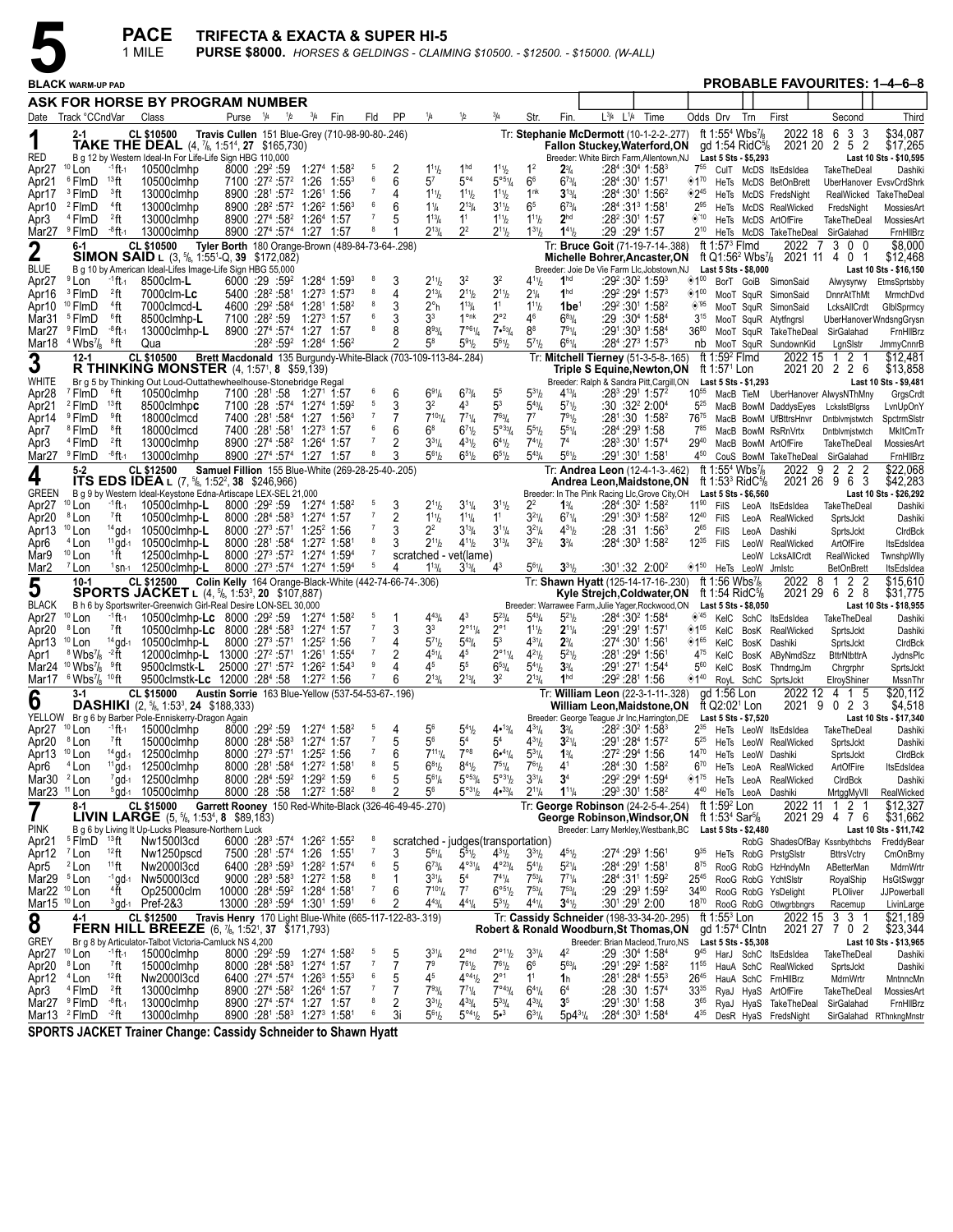

|                                                   |                                                                     |                                       | <b>PACE</b><br>1 MILE                                                                                                                                 | <b>TRIFECTA &amp; EXACTA &amp; SUPER HI-5</b>                  |                       |                |                                                                                                                                                          |             |             |                     |         |                                                    |                                                               |                                                    |                                                    |                                                   | <b>PURSE \$8000.</b> HORSES & GELDINGS - CLAIMING \$10500. - \$12500. - \$15000. (W-ALL)                                    |                                                                       |                           |                                                                                                                                       |              |                                                                                   |                                                    |                                                |
|---------------------------------------------------|---------------------------------------------------------------------|---------------------------------------|-------------------------------------------------------------------------------------------------------------------------------------------------------|----------------------------------------------------------------|-----------------------|----------------|----------------------------------------------------------------------------------------------------------------------------------------------------------|-------------|-------------|---------------------|---------|----------------------------------------------------|---------------------------------------------------------------|----------------------------------------------------|----------------------------------------------------|---------------------------------------------------|-----------------------------------------------------------------------------------------------------------------------------|-----------------------------------------------------------------------|---------------------------|---------------------------------------------------------------------------------------------------------------------------------------|--------------|-----------------------------------------------------------------------------------|----------------------------------------------------|------------------------------------------------|
|                                                   | <b>BLACK WARM-UP PAD</b>                                            |                                       |                                                                                                                                                       |                                                                |                       |                |                                                                                                                                                          |             |             |                     |         |                                                    |                                                               |                                                    |                                                    |                                                   |                                                                                                                             |                                                                       |                           |                                                                                                                                       |              |                                                                                   | <b>PROBABLE FAVOURITES: 1-4-6-8</b>                |                                                |
|                                                   |                                                                     |                                       | ASK FOR HORSE BY PROGRAM NUMBER                                                                                                                       |                                                                |                       |                |                                                                                                                                                          |             |             |                     |         |                                                    |                                                               |                                                    |                                                    |                                                   |                                                                                                                             |                                                                       |                           |                                                                                                                                       |              |                                                                                   |                                                    |                                                |
|                                                   | Date Track °CCndVar                                                 |                                       | Class                                                                                                                                                 |                                                                | Purse <sup>1</sup> /4 |                | 1/2                                                                                                                                                      | $^{3}/_{4}$ | Fin         | Fld                 | PP      | 1/4                                                | 1/2                                                           |                                                    | Str.                                               | Fin.                                              | L 3/4<br>$L^{1/4}$                                                                                                          | Time                                                                  |                           | Odds Drv                                                                                                                              | Trn          | First                                                                             | Second                                             | Third                                          |
| 1<br>RED                                          |                                                                     |                                       | <b>CL \$10500</b><br>TAKE THE DEAL (4, 7/8, 1:51 <sup>4</sup> , 27 \$165,730)<br>B g 12 by Western Ideal-In For Life-Life Sign HBG 110,000            | Travis Cullen 151 Blue-Grey (710-98-90-80-.246)                |                       |                |                                                                                                                                                          |             |             |                     |         |                                                    |                                                               |                                                    |                                                    |                                                   | Tr: Stephanie McDermott (10-1-2-2-.277)<br><b>Fallon Stuckey, Waterford, ON</b><br>Breeder: White Birch Farm, Allentown, NJ |                                                                       |                           | ft 1:55 <sup>4</sup> Wbs <sup>7</sup> / <sub>8</sub><br>gd 1:54 Rid $C\%$<br>Last 5 Sts - \$5,293                                     |              | 2022 18                                                                           | 3<br>6<br>-3<br>2021 20 2 5 2                      | \$34,087<br>\$17,265<br>Last 10 Sts - \$10,595 |
| Apr <sub>27</sub>                                 | $10$ Lon                                                            | <sup>-1</sup> ft-1                    | 10500clmhp                                                                                                                                            |                                                                |                       | $8000:29^2:59$ |                                                                                                                                                          |             | 1:274 1:582 | - 5<br>6            | 2       | $1^{11}h$<br>57                                    | 1 <sup>hd</sup>                                               | $1^{11}$ / <sub>2</sub>                            | 1 <sup>2</sup>                                     | $2\frac{3}{4}$                                    |                                                                                                                             | :284:3041:583                                                         | 755                       |                                                                                                                                       |              | CulT McDS ItsEdsIdea                                                              | TakeTheDeal                                        | Dashiki                                        |
| Apr21<br>Apr17                                    | <sup>6</sup> FlmD<br><sup>3</sup> FlmD                              | $13$ ft<br><sup>3</sup> ft            | 10500clmhp<br>13000clmhp                                                                                                                              |                                                                |                       |                | $7100$ :27 <sup>2</sup> :57 <sup>2</sup> 1:26 1:55 <sup>3</sup><br>8900 :281 :57 <sup>2</sup> 1:261 1:56                                                 |             |             |                     | 6<br>4  | $1^{11}h$                                          | $5^{\circ 4}$<br>$1^{11}h$                                    | $5^{\circ 5} \%$<br>$1^{11}$ / <sub>2</sub>        | 6 <sup>6</sup><br>1 <sup>nk</sup>                  | $6^{73}/4$<br>$3^{13}/4$                          |                                                                                                                             | :284 :301 1:571<br>:284:3011:562                                      | $\otimes 2^{45}$          |                                                                                                                                       |              | <sup>170</sup> HeTs McDS BetOnBrett<br>HeTs McDS FredsNight                       | RealWicked                                         | UberHanover EvsvCrdShrk<br>TakeTheDeal         |
| Apr10                                             | <sup>2</sup> FlmD                                                   | $4$ ft                                | 13000clmhp                                                                                                                                            |                                                                |                       |                | 8900 :28 <sup>2</sup> :57 <sup>2</sup> 1:26 <sup>2</sup> 1:56 <sup>3</sup>                                                                               |             |             | 6                   | 6       | $1\frac{1}{4}$                                     | $2^{13}$ / <sub>4</sub>                                       | $3^{11}/2$                                         | 6 <sup>5</sup>                                     | $6^{73}/4$<br>2 <sup>hd</sup>                     | :28 <sup>2</sup> :30 <sup>1</sup> 1:57                                                                                      | :28 <sup>4</sup> :31 <sup>3</sup> 1:581                               | $2^{95}$<br>$\otimes$ '10 |                                                                                                                                       |              | HeTs McDS RealWicked                                                              | FredsNight                                         | MossiesArt                                     |
| Apr3                                              | <sup>4</sup> FlmD<br>Mar27 <sup>9</sup> FlmD                        | $^{2}$ ft<br><sup>-8</sup> ft-1       | 13000clmhp<br>13000clmhp                                                                                                                              |                                                                |                       |                | 8900 :27 <sup>4</sup> :58 <sup>2</sup> 1:26 <sup>4</sup> 1:57<br>8900 :27 <sup>4</sup> :57 <sup>4</sup> 1:27 1:57                                        |             |             |                     |         | $1^{13}$ / <sub>4</sub><br>$2^{13}$ /4             | 1 <sup>1</sup><br>$2^2$                                       | $1^{11}$ / <sub>2</sub><br>$2^{11}$ / <sub>2</sub> | $1^{11}$<br>$1^{31}$ / <sub>2</sub>                | $1^{41}$ / <sub>2</sub>                           | :29 :29 1:57                                                                                                                |                                                                       | $2^{10}$                  |                                                                                                                                       |              | HeTs McDS ArtOfFire<br>HeTs McDS TakeTheDeal SirGalahad                           | TakeTheDeal                                        | MossiesArt<br>FmHIIBrz                         |
| $\mathbf 2$                                       | $6 - 1$                                                             |                                       | <b>CL \$10500</b><br><b>SIMON SAID</b> L $(3, \frac{5}{6}, 1.55^{1}$ -Q, <b>39</b> \$172,082)                                                         | Tyler Borth 180 Orange-Brown (489-84-73-64-.298)               |                       |                |                                                                                                                                                          |             |             |                     |         |                                                    |                                                               |                                                    |                                                    |                                                   | Tr: Bruce Goit (71-19-7-14-.388)<br>Michelle Bohrer, Ancaster, ON                                                           |                                                                       |                           | ft 1:57 $3$ Flmd                                                                                                                      |              | 2022<br>-7<br>ft Q1:56 <sup>2</sup> Wbs <sup>7</sup> / <sub>8</sub> 2021 11 4 0 1 | 300                                                | \$8,000<br>\$12,468                            |
| <b>BLUE</b>                                       |                                                                     |                                       | B g 10 by American Ideal-Lifes Image-Life Sign HBG 55,000                                                                                             |                                                                |                       |                |                                                                                                                                                          |             |             |                     |         |                                                    |                                                               |                                                    |                                                    |                                                   | Breeder: Joie De Vie Farm Llc, Jobstown, NJ                                                                                 |                                                                       |                           | Last 5 Sts - \$8,000                                                                                                                  |              |                                                                                   |                                                    | Last 10 Sts - \$16,150                         |
| Apr27<br>Apr16                                    | <sup>9</sup> Lon<br><sup>3</sup> FlmD                               | <sup>-1</sup> ft-1<br><sup>2</sup> ft | 8500clm-L<br>7000clm-Lc                                                                                                                               |                                                                |                       |                | $6000:29:59^2$ 1:28 <sup>4</sup> 1:59 <sup>3</sup><br>$5400 : 28^2 : 58^1$ 1:27 <sup>3</sup> 1:57 <sup>3</sup>                                           |             |             | -8                  | 3<br>4  | $2^{11}h$<br>$2^{13}/4$                            | 3 <sup>2</sup><br>$2^{11}h$                                   | 32<br>$2^{11}/2$                                   | $4^{11}$<br>2 <sup>1</sup> / <sub>4</sub>          | 1 <sup>hd</sup><br>1 <sup>hd</sup>                |                                                                                                                             | $:29^2:30^2$ 1:59 $^3$<br>:29 29 1:57 3                               | ◈1≌                       |                                                                                                                                       |              | BorT GoiB SimonSaid<br><sup>◆100</sup> MooT SquR SimonSaid                        | Alwysyrwy<br>DnnrAtThMt                            | EtmsSprtsbby<br>MrmchDvd                       |
| Apr10                                             | <sup>10</sup> FlmD                                                  | <sup>4</sup> ft                       | 7000clmcd-L                                                                                                                                           |                                                                |                       |                | 4600 :29 <sup>2</sup> :58 <sup>4</sup> 1:28 <sup>1</sup> 1:58 <sup>2</sup>                                                                               |             |             |                     |         | $2^{\circ}$ h                                      | $1^{13}$ /4                                                   | 1 <sup>1</sup>                                     | $1^{11}$ / <sub>2</sub>                            | 1be <sup>≀</sup>                                  |                                                                                                                             | $:29^2:30^1$ 1:58 <sup>2</sup>                                        | ◈'95                      |                                                                                                                                       |              | MooT SquR SimonSaid                                                               | LcksAllCrdt                                        | GlbISprmcy                                     |
| Mar31                                             | <sup>5</sup> FlmD<br>Mar27 <sup>9</sup> FlmD                        | ®ft<br><sup>-8</sup> ft-1             | 8500clmhp-L<br>13000clmhp-L                                                                                                                           |                                                                |                       |                | 7100 :28 <sup>2</sup> :59 1:27 <sup>3</sup> 1:57<br>8900 :27 <sup>4</sup> :57 <sup>4</sup> 1:27 1:57                                                     |             |             | 8                   | 3<br>8  | 3 <sup>3</sup><br>$8^{93}/4$                       | 1 <sup>onk</sup><br>$7^{\circ 6}$ <sup>1</sup> / <sub>4</sub> | $2^{\circ 2}$<br>7.53/4                            | 46<br>8 <sup>8</sup>                               | $6^{83}/4$<br>791/4                               |                                                                                                                             | $:29:30^{4}$ 1:58 <sup>4</sup><br>:291:303 1:584                      | $3^{15}$<br>$36^{80}$     |                                                                                                                                       |              | MooT SquR Atytfngrsl<br>MooT SquR TakeTheDeal SirGalahad                          |                                                    | UberHanoverWndsngGrysn<br>FrnHIIBrz            |
| Mar18                                             | $4$ Wbs <sup>7</sup> / <sub>8</sub> $8$ ft                          |                                       | Qua                                                                                                                                                   |                                                                |                       |                | :28 <sup>2</sup> :59 <sup>2</sup> 1:28 <sup>4</sup> 1:56 <sup>2</sup>                                                                                    |             |             |                     |         | 58                                                 | $5^{91}h$                                                     | $5^{61}/2$                                         | $5^{7}$ <sup>1</sup> / <sub>2</sub>                | $6^{61}/4$                                        |                                                                                                                             | $:28^4:27^3$ 1:57 $^3$                                                | nb                        |                                                                                                                                       |              | MooT SquR SundownKid                                                              | LgnSlstr                                           | <b>JmmyCnnrB</b>                               |
| 3                                                 | $12 - 1$                                                            |                                       | <b>CL \$10500</b><br><b>R THINKING MONSTER</b> $(4, 1:57^1, 8, 559, 139)$                                                                             | Brett Macdonald 135 Burgundy-White-Black (703-109-113-84-.284) |                       |                |                                                                                                                                                          |             |             |                     |         |                                                    |                                                               |                                                    |                                                    |                                                   | Tr: Mitchell Tierney (51-3-5-8-.165)<br>Triple S Equine, Newton, ON                                                         |                                                                       |                           | ft 1:59 <sup>2</sup> Flmd<br>ft 1:57 <sup>1</sup> Lon                                                                                 |              | 2022 15                                                                           | 121<br>2021 20 2 2 6                               | \$12,481<br>\$13,858                           |
| WHITE                                             |                                                                     |                                       | Br g 5 by Thinking Out Loud-Outtathewheelhouse-Stonebridge Regal                                                                                      |                                                                |                       |                |                                                                                                                                                          |             |             |                     |         |                                                    |                                                               |                                                    |                                                    |                                                   | Breeder: Ralph & Sandra Pitt, Cargill, ON                                                                                   |                                                                       |                           | Last 5 Sts - \$1,293                                                                                                                  |              |                                                                                   |                                                    | Last 10 Sts - \$9,481                          |
| Apr28<br>Apr21                                    | <sup>7</sup> FlmD<br><sup>2</sup> FlmD                              | $^6$ ft<br><sup>13</sup> ft           | 10500clmhp<br>8500clmhpc                                                                                                                              |                                                                |                       |                | 7100 :281 :58 1:271 1:57<br>$7100$ :28 :57 <sup>4</sup> 1:27 <sup>4</sup> 1:59 <sup>2</sup>                                                              |             |             | 5                   | 6<br>3  | $6^{91}/4$<br>32                                   | $6^{73}$ /4<br>43                                             | 5 <sup>5</sup><br>5 <sup>3</sup>                   | $5^{3}$ <sup>1</sup> / <sub>2</sub><br>$5^{43}$ /4 | $4^{13}/4$<br>$5^{7}$ <sup>1</sup> / <sub>2</sub> |                                                                                                                             | $:28^3:29^1$ 1:57 <sup>2</sup><br>$:30:32^2 2:00^4$                   | $10^{55}$<br>$5^{25}$     |                                                                                                                                       |              | MacB BowM DaddysEyes LckslstBlgrss                                                | MacB TieM UberHanover AlwysNThMny                  | GrgsCrdt<br>LvnUpOnY                           |
| Apr14                                             | <sup>9</sup> FlmD                                                   | ≗ft                                   | 18000clmcd                                                                                                                                            |                                                                |                       |                | 7400 :281 :584 1:27 1:563                                                                                                                                |             |             |                     |         | $7^{101}/4$                                        | $7^{71}$ /4                                                   | $7^{63}$ / <sub>4</sub>                            | $7^7$                                              | $7^{91}h$                                         |                                                                                                                             | $:28^1:30$ 1:58 <sup>2</sup>                                          | 7675                      |                                                                                                                                       |              |                                                                                   | MacB BowM UfBttrsHnvr Dntblvmjstwtch               | SpctrmSlstr                                    |
| Apr7<br>Apr3                                      | <sup>8</sup> FlmD<br><sup>4</sup> FlmD                              | ®ft<br>$^{2}$ ft                      | 18000clmcd<br>13000clmhp                                                                                                                              |                                                                |                       |                | 7400 :281 :581 1:273 1:57<br>8900 :27 <sup>4</sup> :58 <sup>2</sup> 1:26 <sup>4</sup> 1:57                                                               |             |             |                     | 6<br>2  | $6^8$<br>$3^{31}/4$                                | $6^{7}$ <sup>1</sup> / <sub>2</sub><br>$4^{31}h$              | $5^{033}/4$<br>$6^{41}/2$                          | $5^{51}$<br>$7^{41}$                               | $5^{51}/4$<br>7 <sup>4</sup>                      |                                                                                                                             | :284 :293 1:58<br>$:28^3:30^1$ 1:57 <sup>4</sup>                      | $7^{85}$<br>2940          |                                                                                                                                       |              | MacB BowM RsRnVrtx<br>MacB BowM ArtOfFire                                         | Dntblvmjstwtch<br>TakeTheDeal                      | MkItCmTr<br>MossiesArt                         |
|                                                   | Mar27 <sup>9</sup> FlmD                                             | <sup>-8</sup> ft-1                    | 13000clmhp                                                                                                                                            |                                                                |                       |                | 8900 :27 <sup>4</sup> :57 <sup>4</sup> 1:27 1:57                                                                                                         |             |             |                     |         | $5^{61}h$                                          | $6^{51}$ / <sub>2</sub>                                       | $6^{51}/2$                                         | $5^{43}$ /4                                        | $5^{61}/2$                                        |                                                                                                                             | :291:301 1:581                                                        | 450                       |                                                                                                                                       |              | CouS BowM TakeTheDeal SirGalahad                                                  |                                                    | FmHIIBrz                                       |
| 4<br><b>GREEN</b>                                 | $5-2$                                                               |                                       | <b>CL \$12500</b><br><b>ITS EDS IDEA</b> L $(7, \frac{5}{6}, 1:52^2, 38, \$246,966)$<br>B g 9 by Western Ideal-Keystone Edna-Artiscape LEX-SEL 21,000 | Samuel Fillion 155 Blue-White (269-28-25-40-.205)              |                       |                |                                                                                                                                                          |             |             |                     |         |                                                    |                                                               |                                                    |                                                    |                                                   | Tr: Andrea Leon (12-4-1-3-.462)<br>Andrea Leon, Maidstone, ON<br>Breeder: In The Pink Racing Llc, Grove City, OH            |                                                                       |                           | ft 1:55 <sup>4</sup> Wbs <sup>7</sup> / <sub>8</sub><br>ft 1:53 <sup>3</sup> RidC <sup>5</sup> / <sub>8</sub><br>Last 5 Sts - \$6,560 |              |                                                                                   | 2022 9 2 2 2<br>2021 26 9 6 3                      | \$22,068<br>\$42,283<br>Last 10 Sts - \$26,292 |
| Apr <sub>27</sub>                                 | $10$ Lon                                                            | $-1$ ft $-1$                          | 10500clmhp-L                                                                                                                                          |                                                                |                       |                | 8000 :29 <sup>2</sup> :59 1:27 <sup>4</sup> 1:58 <sup>2</sup>                                                                                            |             |             | -5                  | 3       | $2^{11}h$                                          | $3^{11}/4$                                                    | $3^{11}/2$                                         | $2^2$                                              | $1\frac{3}{4}$                                    |                                                                                                                             | :284:3021:582                                                         | $11^{90}$                 | FilS                                                                                                                                  |              | LeoA ItsEdsIdea                                                                   | TakeTheDeal                                        | Dashiki                                        |
| Apr20<br>Apr13                                    | <sup>8</sup> Lon<br>$10$ Lon                                        | 7ft                                   | 10500clmhp-L<br>14 gd-1 10500clmhp-L                                                                                                                  |                                                                |                       |                | $8000$ :28 <sup>4</sup> :58 <sup>3</sup> 1:27 <sup>4</sup> 1:57<br>8000 :27 <sup>3</sup> :57 <sup>1</sup> 1:25 <sup>2</sup> 1:56                         |             |             |                     | 2       | $1^{11}h$<br>2 <sup>2</sup>                        | $1^{11}$ / <sub>4</sub><br>$3^{13}/4$                         | 1 <sup>1</sup><br>$3^{11}/4$                       | $3^{21}/4$<br>$3^{21}/4$                           | $6^{71}/4$<br>$4^{31}/2$                          |                                                                                                                             | :291:30 <sup>3</sup> 1:58 <sup>2</sup><br>:28 :31 1:56 <sup>3</sup>   | $12^{40}$<br>$2^{65}$     | FilS<br><b>FilS</b>                                                                                                                   | LeoA<br>LeoA | RealWicked<br>Dashiki                                                             | SprtsJckt<br>SprtsJckt                             | Dashiki<br>CIrdBck                             |
| Apr6                                              | $4$ Lon                                                             | $11$ gd-1                             | 10500clmhp-L                                                                                                                                          |                                                                |                       |                | 8000 :281 :584 1:272 1:581                                                                                                                               |             |             |                     |         | $2^{11}h$                                          | $4^{11}h$                                                     | $3^{13}/4$                                         | $3^{21}/2$                                         | $3\frac{3}{4}$                                    |                                                                                                                             | $:28^4:30^3$ 1:58 <sup>2</sup>                                        | $12^{35}$                 | FilS                                                                                                                                  | LeoW         | RealWicked                                                                        | ArtOfFire                                          | ItsEdsIdea                                     |
| Mar9<br>Mar <sub>2</sub>                          | $10$ Lon<br><sup>7</sup> Lon                                        | ↑ft                                   | 12500clmhp-L<br>$1$ sn $-1$ 12500clmhp-L                                                                                                              |                                                                |                       |                | 8000 :27 <sup>3</sup> :57 <sup>2</sup> 1:27 <sup>4</sup> 1:59 <sup>4</sup><br>8000 :27 <sup>3</sup> :57 <sup>4</sup> 1:27 <sup>4</sup> 1:59 <sup>4</sup> |             |             | - 7                 | 4       | scratched - vet(lame)<br>$1^{13}$ /4               | $3^{13}/4$                                                    | $4^3$                                              | $5^{61}/4$                                         | $3^{31}$ / <sub>2</sub>                           |                                                                                                                             | $:30^{\circ}$ :32 2:00 <sup>2</sup>                                   |                           |                                                                                                                                       |              | LeoW LcksAllCrdt<br>150 HeTs LeoW Jrnlstc                                         | RealWicked<br><b>BetOnBrett</b>                    | TwnshpWlly<br>ItsEdsIdea                       |
| 5                                                 | $10-1$                                                              |                                       | <b>CL \$12500</b><br><b>SPORTS JACKET</b> L (4, <sup>5</sup> / <sub>8</sub> , 1:53 <sup>3</sup> , 20 \$107,887)                                       | Colin Kelly 164 Orange-Black-White (442-74-66-74-.306)         |                       |                |                                                                                                                                                          |             |             |                     |         |                                                    |                                                               |                                                    |                                                    |                                                   | Tr: Shawn Hyatt (125-14-17-16-.230)<br>Kyle Strejch, Coldwater, ON ft 1:54 RidC <sup>5</sup> /8                             |                                                                       |                           | ft 1:56 Wbs <sup>7</sup> /s                                                                                                           |              | 2022 8                                                                            | 1 2 2<br>2021 29 6 2 8                             | \$15,610<br>\$31,775                           |
| <b>BLACK</b><br>Apr <sub>27</sub>                 | $10$ Lon                                                            | <sup>-1</sup> ft-1                    | B h 6 by Sportswriter-Greenwich Girl-Real Desire LON-SEL 30,000<br>10500clmhp-Lc 8000 :29 <sup>2</sup> :59 1:27 <sup>4</sup> 1:58 <sup>2</sup>        |                                                                |                       |                |                                                                                                                                                          |             |             | 5                   | -1      | $4^{43}$ /4                                        | 4 <sup>3</sup>                                                | $5^{23}$ /4                                        | $5^{43}$ /4                                        | $5^{21}/2$                                        | Breeder: Warrawee Farm, Julie Yager, Rockwood, ON                                                                           | :284 :30 <sup>2</sup> 1:584                                           | $\diamond$ 45             | Last 5 Sts - \$8,050                                                                                                                  |              | KelC SchC ItsEdsIdea                                                              | TakeTheDeal                                        | Last 10 Sts - \$18,955<br>Dashiki              |
| Apr20                                             | <sup>8</sup> Lon                                                    | $7$ ft                                | 10500clmhp-Lc 8000 :28 <sup>4</sup> :58 <sup>3</sup> 1:27 <sup>4</sup> 1:57                                                                           |                                                                |                       |                |                                                                                                                                                          |             |             |                     | 3       | 3 <sup>3</sup>                                     | $2^{\circ_{11}}\frac{1}{4}$                                   | $2^{\circ}1$                                       | $1^{11}$                                           | $2^{11}/4$                                        |                                                                                                                             | :291 :291 1:571                                                       |                           |                                                                                                                                       |              | <sup>105</sup> KelC BosK RealWicked                                               | SprtsJckt                                          | Dashiki                                        |
| Apr13<br>Apr1                                     | $10$ Lon<br>$8$ Wbs <sup>7</sup> / <sub>8</sub> $-2$ H              | $14$ gd-1                             | 10500clmhp-L<br>12000clmhp-L 13000 :27 <sup>2</sup> :57 <sup>1</sup> 1:26 <sup>1</sup> 1:55 <sup>4</sup>                                              |                                                                |                       |                | 8000 :27 <sup>3</sup> :57 <sup>1</sup> 1:25 <sup>2</sup> 1:56                                                                                            |             |             |                     |         | $5^{71}h$<br>$4^{51}/4$                            | $5^{43}$ /4<br>45                                             | 5 <sup>3</sup><br>$2^{\circ_{11}}\frac{1}{4}$      | $4^{31}$ /4<br>$4^{21}/2$                          | $2\frac{3}{4}$<br>$5^{21}/2$                      |                                                                                                                             | :274 :301 1:561<br>:281:294 1:561                                     | 4 <sup>75</sup>           |                                                                                                                                       | KelC BosK    | <sup>165</sup> KelC BosK Dashiki<br>AByNmdSzz                                     | SprtsJckt<br><b>BttrNtbttrA</b>                    | CIrdBck<br>JydnsPlc                            |
|                                                   | Mar24 <sup>10</sup> Wbs <sup>7</sup> / <sub>8</sub> <sup>9</sup> ft |                                       | 9500clmstk-L                                                                                                                                          |                                                                |                       |                | 25000 :271 :57 <sup>2</sup> 1:26 <sup>2</sup> 1:54 <sup>3</sup>                                                                                          |             |             | 9                   |         | 45                                                 | 55                                                            | $6^{53}/4$                                         | $5^{4}$ <sup>1</sup> / <sub>2</sub>                | $3^{3}/_{4}$                                      |                                                                                                                             | :291:271 1:544                                                        | $5^{60}$                  |                                                                                                                                       |              | KelC BosK ThndrngJm                                                               | Chrgrphr                                           | SprtsJckt                                      |
| Mar17                                             | $6\,\rm Wb$ s $\mathrm{^{7}/_{8}}$ $^{10}\rm{ft}$<br>3-1            |                                       | 9500clmstk-Lc 12000 :284 :58 1:27 <sup>2</sup> 1:56<br><b>CL \$15000</b>                                                                              | Austin Sorrie 163 Blue-Yellow (537-54-53-67-.196)              |                       |                |                                                                                                                                                          |             |             |                     |         | $2^{13}$ /4                                        | $2^{13}/4$                                                    | 3 <sup>2</sup>                                     | $2^{13} / 4$                                       | 1 <sup>hd</sup>                                   | Tr: William Leon (22-3-1-11-.328)                                                                                           | :29 <sup>2</sup> :28 <sup>1</sup> 1:56                                |                           | gd 1:56 Lon                                                                                                                           |              | 140 RoyL SchC SprtsJckt<br>2022 12                                                | ElroyShiner<br>4 1 5                               | MssnThr<br>\$20,112                            |
| 6                                                 |                                                                     |                                       | <b>DASHIKI</b> (2, <sup>5</sup> /8, 1:53 <sup>3</sup> , <b>24</b> \$188,333)                                                                          |                                                                |                       |                |                                                                                                                                                          |             |             |                     |         |                                                    |                                                               |                                                    |                                                    |                                                   | William Leon, Maidstone, ON ft Q2:02 <sup>1</sup> Lon                                                                       |                                                                       |                           |                                                                                                                                       |              | 2021 9                                                                            | 0 2 3                                              | \$4,518<br>Last 10 Sts - \$17,340              |
| Apr27 <sup>10</sup> Lon                           |                                                                     |                                       | YELLOW Br g 6 by Barber Pole-Enniskerry-Dragon Again<br>$-1$ ft-1 15000clmhp                                                                          |                                                                |                       |                | 8000 :29 <sup>2</sup> :59 1:27 <sup>4</sup> 1:58 <sup>2</sup>                                                                                            |             |             |                     | 4       | 5 <sup>6</sup>                                     | $5^{4}$ <sup>1</sup> / <sub>2</sub>                           | 4•13/4                                             | $4^{31}/4$                                         | $3\frac{3}{4}$                                    | Breeder: George Teague Jr Inc, Harrington, DE Last 5 Sts - \$7,520                                                          | :28 <sup>2</sup> :30 <sup>2</sup> 1:58 <sup>3</sup>                   |                           |                                                                                                                                       |              | 2 <sup>35</sup> HeTs LeoW ItsEdsIdea                                              | TakeTheDeal                                        | Dashiki                                        |
| Apr20<br>Apr13 <sup>10</sup> Lon                  | <sup>8</sup> Lon                                                    | <sup>7</sup> ft                       | 15000clmhp<br>14 gd-1 12500clmhp                                                                                                                      |                                                                |                       |                | 8000 :284 :583 1:274 1:57<br>8000 :273 :571 1:252 1:56                                                                                                   |             |             |                     | 5<br>6  | 5 <sup>6</sup><br>$7^{111}/4$                      | 54<br>$7^{\circ}$                                             | $5^4$<br>6•41/4                                    | $4^{31}/2$<br>$5^{31}/4$                           | $3^{21}/4$<br>$1\frac{3}{4}$                      |                                                                                                                             | :291:284 1:572<br>:27 <sup>2</sup> :29 <sup>4</sup> 1:56              | $5^{25}$<br>$14^{70}$     |                                                                                                                                       |              | HeTs LeoW RealWicked                                                              | SprtsJckt                                          | Dashiki                                        |
| Apr6                                              | <sup>4</sup> Lon                                                    |                                       | <sup>11</sup> gd-1 12500clmhp                                                                                                                         |                                                                |                       |                | 8000 :281 :584 1:272 1:581                                                                                                                               |             |             | 8                   | 5       | $6^{81}/2$                                         | $8^{41}$ / <sub>2</sub>                                       | $7^{51}/4$                                         | $7^{61}/2$                                         | $4^{1}$                                           |                                                                                                                             | :284:30 1:582                                                         | $6^{70}$                  |                                                                                                                                       |              | HeTs LeoW Dashiki<br>HeTs LeoA RealWicked                                         | SprtsJckt<br>ArtOfFire                             | CIrdBck<br>ItsEdsIdea                          |
| Mar30 $2$ Lon<br>Mar23 <sup>11</sup> Lon          |                                                                     |                                       | 7gd-1 12500clmhp<br>$5$ gd- $10500$ clmhp                                                                                                             |                                                                |                       |                | 8000 :284 :59 <sup>2</sup> 1:29 <sup>2</sup> 1:59<br>8000 :28 :58 1:27 <sup>2</sup> 1:58 <sup>2</sup>                                                    |             |             | 6<br>8              | 5<br>2  | $5^{61}/4$<br>56                                   | $5^{\circ 53}/4$<br>$5^{\circ 31}/2$                          | $5^{\circ 31}/2$<br>$4\cdot \frac{33}{4}$          | $3^{31}/4$<br>$2^{11}/4$                           | 3 <sup>4</sup><br>$1^{11}/4$                      |                                                                                                                             | :29 <sup>2</sup> :29 <sup>4</sup> 1:59 <sup>4</sup><br>:293:301 1:582 | 440                       | $*1^{75}$ HeTs LeoA                                                                                                                   |              | RealWicked                                                                        | CIrdBck                                            | Dashiki                                        |
| $\overline{7}$                                    | 8-1                                                                 |                                       | CL \$15000<br><b>LIVIN LARGE</b> $(5, \frac{5}{6}, 1:53^4, 8 \quad $89,183)$                                                                          | Garrett Rooney 150 Red-White-Black (326-46-49-45-.270)         |                       |                |                                                                                                                                                          |             |             |                     |         |                                                    |                                                               |                                                    |                                                    |                                                   | Tr: George Robinson (24-2-5-4-.254)<br>George Robinson, Windsor, ON                                                         |                                                                       |                           | ft 1:59 $2$ Lon<br>ft 1:53 <sup>4</sup> Sar <sup>5</sup> /8                                                                           |              | HeTs LeoA Dashiki<br>2022 11                                                      | MrtggMyVII<br>1 2 1<br>2021 29 4 7 6               | RealWicked<br>\$12,327<br>\$31,662             |
| <b>PINK</b>                                       |                                                                     |                                       | B g 6 by Living It Up-Lucks Pleasure-Northern Luck                                                                                                    |                                                                |                       |                |                                                                                                                                                          |             |             |                     |         |                                                    |                                                               |                                                    |                                                    |                                                   | Breeder: Larry Merkley, Westbank, BC                                                                                        |                                                                       |                           | Last 5 Sts - \$2,480                                                                                                                  |              |                                                                                   |                                                    | Last 10 Sts - \$11,742                         |
| Apr12 <sup>7</sup> Lon                            | Apr21 <sup>5</sup> FlmD                                             | $13$ ft<br>$12$ ft                    | Nw1500l3cd<br>Nw1250pscd                                                                                                                              |                                                                |                       |                | 6000 :28 <sup>3</sup> :57 <sup>4</sup> 1:26 <sup>2</sup> 1:55 <sup>2</sup><br>7500 :281 :574 1:26 1:551                                                  |             |             | 8<br>-7             | 3       | scratched - judges(transportation)<br>$5^{61}/4$   | $5^{51}h$                                                     | $4^{31}$ / <sub>2</sub>                            | $3^{31}$ / <sub>2</sub>                            | $4^{51}/2$                                        |                                                                                                                             | :274 :293 1:561                                                       | 935                       |                                                                                                                                       |              | HeTs RobG PrstgSlstr                                                              | RobG ShadesOfBay Kssnbythbchs<br><b>BttrsVctry</b> | FreddyBear<br>CmOnBrny                         |
| Apr5                                              | <sup>2</sup> Lon                                                    | $11$ ft                               | Nw2000I3cd                                                                                                                                            |                                                                |                       |                | 6400 :28 <sup>3</sup> :59 <sup>3</sup> 1:28 <sup>2</sup> 1:57 <sup>4</sup>                                                                               |             |             | 6                   | 5       | $6^{73}$ /4                                        | $4^{\circ 31}/4$                                              | $4^{\circ}23/4$                                    | $5^{41}$ / <sub>2</sub>                            | $5^{21}/4$                                        |                                                                                                                             | :284 :291 1:581                                                       | $8^{75}$                  |                                                                                                                                       |              | RooG RobG HzHndyMn                                                                | ABetterMan                                         | MdrnWrtr                                       |
| Mar29 <sup>5</sup> Lon<br>Mar22 <sup>10</sup> Lon |                                                                     | $4\text{ H}$                          | $-1$ gd- $1$ Nw500013cd<br>Op25000clm                                                                                                                 |                                                                |                       |                | 9000 :283 :583 1:272 1:58<br>10000 :284 :59 <sup>2</sup> 1:284 1:581                                                                                     |             |             | 8<br>$\overline{7}$ | -1<br>6 | $3^{31}/4$<br>$7^{10}$ <sup>1</sup> / <sub>4</sub> | 5 <sup>4</sup><br>$7^7$                                       | $7^{41}/4$<br>$6^{\circ 5_{1/2}}$                  | $7^{53}$ /4<br>$7^{53}$ /4                         | $7^{71}/4$<br>$7^{53}$ / <sub>4</sub>             |                                                                                                                             | :284:311:1:592<br>$:29:29^3$ 1:59 <sup>2</sup>                        | $25^{45}$<br>$34^{90}$    |                                                                                                                                       |              | RooG RobG YchtSistr<br>RooG RobG YsDelight                                        | RoyalShip<br>PLOliver                              | HsGtSwggr<br><b>JJPowerball</b>                |
| Mar15 <sup>10</sup> Lon                           |                                                                     |                                       | $^{3}$ gd-1 Pref-2&3                                                                                                                                  |                                                                |                       |                | 13000 :283 :594 1:301 1:591                                                                                                                              |             |             | 6                   | 2       | $4^{43}/4$                                         | $4^{41}$ / <sub>4</sub>                                       | $5^{31}/2$                                         | $4^{41}/4$                                         | $3^{41}$ / <sub>2</sub>                           |                                                                                                                             | :30 <sup>1</sup> :29 <sup>1</sup> 2:00                                |                           |                                                                                                                                       |              | 1870 RooG RobG Otlwgrbbngrs                                                       | Racemup                                            | LivinLarge                                     |
| 8<br>GREY                                         | 4-1                                                                 |                                       | <b>CL \$12500</b><br><b>FERN HILL BREEZE</b> $(6, 7), 1:52^1, 37, 171, 793)$<br>Br g 8 by Articulator-Talbot Victoria-Camluck NS 4,200                | Travis Henry 170 Light Blue-White (665-117-122-83-.319)        |                       |                |                                                                                                                                                          |             |             |                     |         |                                                    |                                                               |                                                    |                                                    |                                                   | Tr: Cassidy Schneider (198-33-34-20-.295)<br>Robert & Ronald Woodburn, St Thomas, ON<br>Breeder: Brian Macleod, Truro, NS   |                                                                       |                           | ft 1:55 $3$ Lon<br>gd 1:57 <sup>4</sup> Clntn<br>Last 5 Sts - \$5,308                                                                 |              |                                                                                   | 2022 15 3 3 1<br>2021 27 7 0 2                     | \$21,189<br>\$23,344<br>Last 10 Sts - \$13,965 |
| Apr27 <sup>10</sup> Lon                           |                                                                     | $-1$ ft.1                             | 15000clmhp                                                                                                                                            |                                                                |                       |                | 8000 :29 <sup>2</sup> :59 1:27 <sup>4</sup> 1:58 <sup>2</sup>                                                                                            |             |             |                     | 5       | $3^{31}/4$                                         | $2^{\circ}$ hd                                                | $2^{\circ_{11}}\frac{1}{2}$                        | $3^{31}/4$                                         | 4 <sup>2</sup>                                    |                                                                                                                             | $:29:30^{4}$ 1:58 <sup>4</sup>                                        | $9^{45}$                  |                                                                                                                                       |              | HarJ SchC ItsEdsIdea                                                              | TakeTheDeal                                        | Dashiki                                        |
| Apr20 <sup>8</sup> Lon<br>Apr12 <sup>4</sup> Lon  |                                                                     | $7$ ft<br>$12$ ft                     | 15000clmhp<br>Nw2000l3cd                                                                                                                              |                                                                |                       |                | 8000 :284 :583 1:274 1:57<br>6400 :274 :574 1:26 <sup>3</sup> 1:55 <sup>3</sup>                                                                          |             |             |                     | 7<br>5  | 7 <sup>9</sup><br>45                               | $7^{61}h$<br>$4^{\circ 41}/2$                                 | $7^{61}/2$<br>$2^{\circ}1$                         | 6 <sup>6</sup><br>1 <sup>1</sup>                   | $5^{63}$ /4<br>1h                                 |                                                                                                                             | :291:292 1:582<br>:281:284 1:553                                      |                           |                                                                                                                                       |              | 1155 HauA SchC RealWicked                                                         | SprtsJckt                                          | Dashiki                                        |
| Apr3                                              | <sup>4</sup> FlmD                                                   | <sup>2</sup> ft                       | 13000clmhp                                                                                                                                            |                                                                |                       |                | 8900 :27 <sup>4</sup> :58 <sup>2</sup> 1:26 <sup>4</sup> 1:57                                                                                            |             |             |                     | 7       | $7^{93}$ /4                                        | $7^{71}$ /4                                                   | $7^{043}/4$                                        | $6^{4}$ <sup>1</sup> / <sub>4</sub>                | 6 <sup>4</sup>                                    |                                                                                                                             | :28 :30 1:574                                                         | 2645                      |                                                                                                                                       |              | HauA SchC FrnHllBrz<br>33 <sup>35</sup> RyaJ HyaS ArtOfFire                       | MdrnWrtr<br>TakeTheDeal                            | MntnncMn<br>MossiesArt                         |
|                                                   | Mar27 $9$ FlmD<br>Mar13 <sup>2</sup> FlmD                           | -8 ft-1<br>$-2$ ft                    | 13000clmhp<br>13000clmhp                                                                                                                              |                                                                |                       |                | 8900 :27 <sup>4</sup> :57 <sup>4</sup> 1:27 1:57<br>8900 :28 <sup>1</sup> :58 <sup>3</sup> 1:27 <sup>3</sup> 1:58 <sup>1</sup>                           |             |             | 8<br>6              | 2<br>3i | $3^{31}h$<br>$5^{61}$ / <sub>2</sub>               | $4^{33}$ / <sub>4</sub><br>$5^{\circ 4^{1}/2}$                | $5^{33}/4$<br>5• <sup>3</sup>                      | $4^{33}l_4$<br>$6^{31}/4$                          | 3 <sup>5</sup><br>$5p4^{31}/4$                    |                                                                                                                             | :291:301 1:58<br>:284 :30 <sup>3</sup> 1:584                          | $3^{65}$                  |                                                                                                                                       |              | RyaJ HyaS TakeTheDeal SirGalahad<br>4 <sup>35</sup> DesR HyaS FredsNight          |                                                    | FmHIIBrz<br>SirGalahad RThnkngMnstr            |
|                                                   |                                                                     |                                       |                                                                                                                                                       |                                                                |                       |                |                                                                                                                                                          |             |             |                     |         |                                                    |                                                               |                                                    |                                                    |                                                   |                                                                                                                             |                                                                       |                           |                                                                                                                                       |              |                                                                                   |                                                    |                                                |

**SPORTS JACKET Trainer Change: Cassidy Schneider to Shawn Hyatt**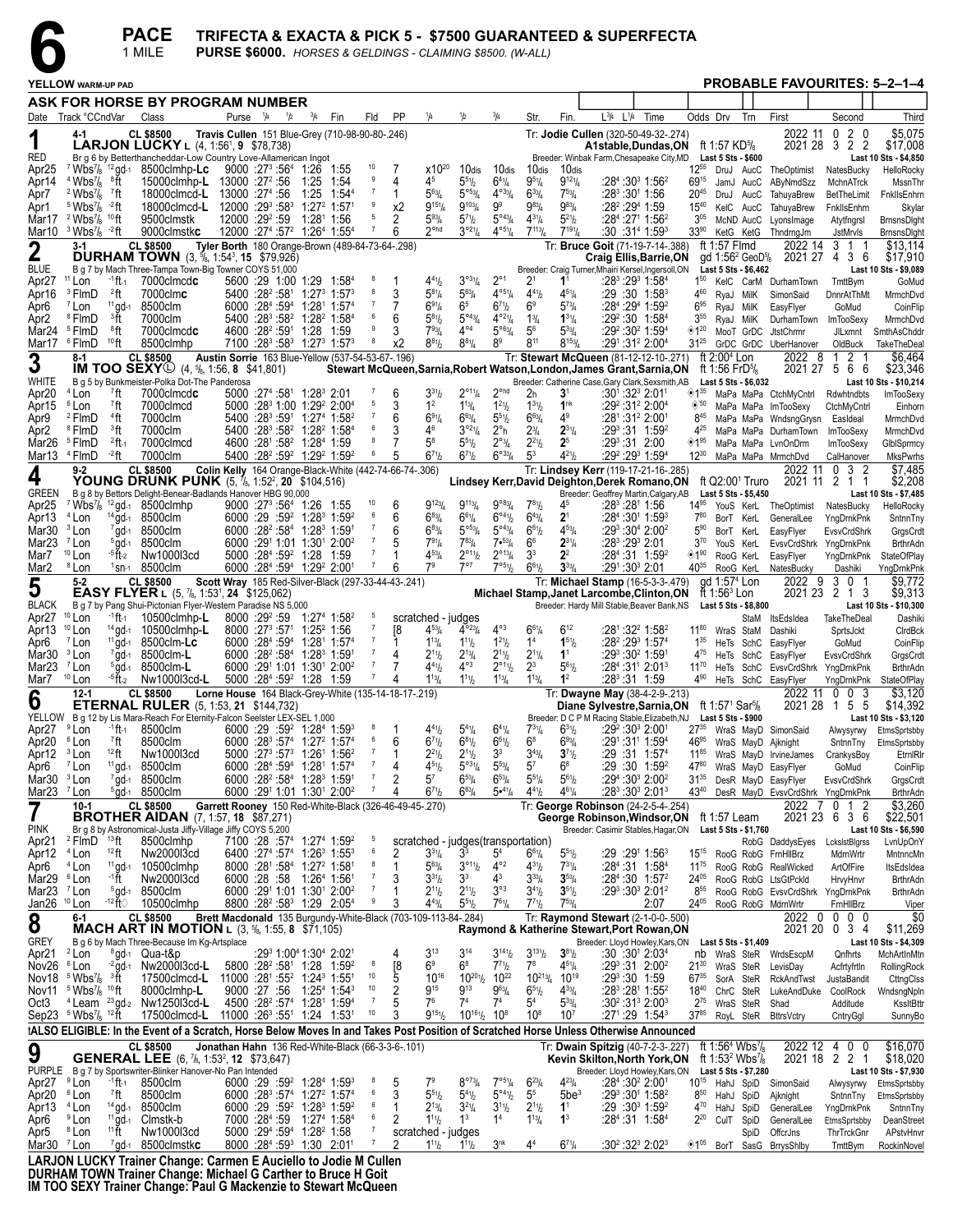**PACE TRIFECTA & EXACTA & PICK 5 - \$7500 GUARANTEED & SUPERFECTA 6** 1 MILE **PURSE \$6000.** *HORSES & GELDINGS - CLAIMING \$8500. (W-ALL)*

|                                                  |                                                                                                                    |                                 | 1 MILE                                                                                                                                |                       |                    |                                                                                                                                             |                                  |                | PURSE \$6000. HORSES & GELDINGS - CLAIMING \$8500. (W-ALL)     |                                                         |                                                         |                                  |                                  |                                                                                                                   |      |                               |                                             |                                                                               |                                                                  |                                                 |                                        |
|--------------------------------------------------|--------------------------------------------------------------------------------------------------------------------|---------------------------------|---------------------------------------------------------------------------------------------------------------------------------------|-----------------------|--------------------|---------------------------------------------------------------------------------------------------------------------------------------------|----------------------------------|----------------|----------------------------------------------------------------|---------------------------------------------------------|---------------------------------------------------------|----------------------------------|----------------------------------|-------------------------------------------------------------------------------------------------------------------|------|-------------------------------|---------------------------------------------|-------------------------------------------------------------------------------|------------------------------------------------------------------|-------------------------------------------------|----------------------------------------|
|                                                  | YELLOW warm-up pad                                                                                                 |                                 |                                                                                                                                       |                       |                    |                                                                                                                                             |                                  |                |                                                                |                                                         |                                                         |                                  |                                  |                                                                                                                   |      |                               |                                             |                                                                               | <b>PROBABLE FAVOURITES: 5-2-1-4</b>                              |                                                 |                                        |
|                                                  |                                                                                                                    |                                 | ASK FOR HORSE BY PROGRAM NUMBER                                                                                                       |                       |                    |                                                                                                                                             |                                  |                |                                                                |                                                         |                                                         |                                  |                                  |                                                                                                                   |      |                               |                                             |                                                                               |                                                                  |                                                 |                                        |
|                                                  | Date Track °CCndVar                                                                                                |                                 | Class                                                                                                                                 | Purse <sup>1</sup> /4 | 1/2<br>$^{3}/_{4}$ | Fin                                                                                                                                         | Fld                              | PP             | 1/4                                                            | 1/2                                                     | $^{3}/_{4}$                                             | Str.                             | Fin.                             | $L^{3}/4$ $L^{1}/4$                                                                                               | Time | Odds Drv                      |                                             | Trn                                                                           | First                                                            | Second                                          | Third                                  |
| 1                                                | 4-1                                                                                                                |                                 | <b>CL \$8500</b>                                                                                                                      |                       |                    | Travis Cullen 151 Blue-Grey (710-98-90-80-.246)                                                                                             |                                  |                |                                                                |                                                         |                                                         |                                  |                                  | Tr: Jodie Cullen (320-50-49-32-.274)                                                                              |      |                               |                                             |                                                                               | 2022 11                                                          | 2 <sub>0</sub><br>0                             | \$5,075                                |
| <b>RED</b>                                       |                                                                                                                    |                                 | LARJON LUCKY L (4, 1:561, 9 \$78,738)<br>Br g 6 by Betterthancheddar-Low Country Love-Allamerican Ingot                               |                       |                    |                                                                                                                                             |                                  |                |                                                                |                                                         |                                                         |                                  |                                  | A1stable,Dundas,ON ft 1:57 KD%<br>Breeder: Winbak Farm, Chesapeake City, MD Last 5 Sts - \$600                    |      |                               |                                             |                                                                               |                                                                  | 2021 28 3 2 2                                   | \$17,008<br>Last 10 Sts - \$4,850      |
| Apr <sub>25</sub>                                | $4$ Wbs <sup>7</sup> / <sub>8</sub> $8$ ft                                                                         | $7$ Wbs $\frac{7}{8}$ , 12 gd-1 | 8500clmhp-Lc                                                                                                                          |                       |                    | $9000:27^3:56^4$ 1:26 1:55                                                                                                                  | 10<br>9                          | 7<br>4         | $x10^{20}$<br>45                                               | 10dis<br>$5^{51}h$                                      | 10dis<br>$6^{4}$ <sup>1</sup> / <sub>4</sub>            | 10dis<br>$9^{51}/4$              | 10dis<br>$9^{121}/4$             | $:28^4:30^3$ 1:56 <sup>2</sup>                                                                                    |      | $12^{55}$                     |                                             |                                                                               | DruJ AucC TheOptimist                                            | NatesBucky                                      | HelloRocky                             |
| Apr14<br>Apr7                                    | <sup>2</sup> Wbs <sup>7</sup> / <sub>8</sub> <sup>7</sup> ft                                                       |                                 | 15000clmhp-L 13000 :27 <sup>2</sup> :56<br>18000clmcd-L                                                                               | 13000 :274 :56        | 1:25<br>1:25       | 1:54<br>$1:54^{4}$                                                                                                                          | $\overline{7}$                   | 1              | $5^{63}$ /4                                                    | $5^{\circ 53}/4$                                        | $4^{\circ 33}/4$                                        | $6^{33}/4$                       | $7^{53}$ / <sub>4</sub>          | :283:301 1:56                                                                                                     |      | 69 <sup>15</sup><br>$20^{45}$ |                                             | JamJ AucC<br>DruJ AucC                                                        | AByNmdSzz<br>TahuyaBrew                                          | MchnATrck<br>BetTheLimit                        | MssnThr<br>FnkllsEnhrn                 |
| Apr1                                             | $5 \text{ Wbs}$ <sup>2</sup> ft                                                                                    |                                 | 18000clmcd-L<br>9500clmstk                                                                                                            | 12000 :293 :583       |                    | $1:272$ 1:57 <sup>1</sup>                                                                                                                   | 9<br>5                           | х2             | $9^{15}$ <sup>1</sup> / <sub>4</sub><br>$5^{93}/4$             | $9^{103}/4$                                             | 99<br>$5^{\circ 43} / 4$                                | $9^{83}$ /4                      | $9^{83}/4$                       | $:28^2:29^4$ 1:59                                                                                                 |      | $15^{40}$                     |                                             | KelC AucC                                                                     | TahuyaBrew                                                       | FnkllsEnhm                                      | Skylar                                 |
| Mar10                                            | Mar17 <sup>2</sup> Wbs <sup>7</sup> / <sub>8</sub> <sup>10</sup> ft<br>$3$ Wbs <sup>7</sup> / <sub>8</sub> $-2$ ft |                                 | 9000clmstkc                                                                                                                           |                       |                    | 12000 :29 <sup>2</sup> :59 1:28 <sup>1</sup> 1:56<br>12000 :274 :57 <sup>2</sup> 1:264 1:554                                                | $\overline{7}$                   | 2<br>6         | $2^{\circ$ hd                                                  | $5^{7}$ <sup>1</sup> / <sub>2</sub><br>$3^{\circ 21}/4$ | $4^{\circ 51}/4$                                        | $4^{31}/4$<br>$7^{113}/4$        | $5^{21}/2$<br>$7^{191}/4$        | $:28^4:27^1$ 1:56 <sup>2</sup><br>:30:31 <sup>4</sup> 1:59 <sup>3</sup>                                           |      | 3 <sup>05</sup><br>$33^{90}$  |                                             | McND AucC<br>KetG KetG                                                        | LyonsImage<br>ThndrngJm                                          | Atytfngrsl<br>JstMrvls                          | BrnsnsDight<br>BrnsnsDight             |
| $\boldsymbol{2}$                                 | $3-1$                                                                                                              |                                 | <b>CL \$8500</b>                                                                                                                      |                       |                    | Tyler Borth 180 Orange-Brown (489-84-73-64-.298)                                                                                            |                                  |                |                                                                |                                                         |                                                         |                                  |                                  | Tr: Bruce Goit (71-19-7-14-.388)                                                                                  |      |                               | ft 1:57 $F$ Imd                             |                                                                               | 2022 14                                                          | 3 1 1                                           | \$13.114                               |
| <b>BLUE</b>                                      |                                                                                                                    |                                 | <b>DURHAM TOWN</b> $(3, \frac{5}{6}, 1:54^3, 15 \,$ \$79,926)<br>B g 7 by Mach Three-Tampa Town-Big Towner COYS 51,000                |                       |                    |                                                                                                                                             |                                  |                |                                                                |                                                         |                                                         |                                  |                                  | Craig Ellis, Barrie, ON<br>Breeder: Craig Turner, Mhairi Kersel, Ingersoll, ON                                    |      |                               |                                             | gd 1:56 <sup>2</sup> GeoD <sup>5</sup> / <sub>8</sub><br>Last 5 Sts - \$6,462 |                                                                  | 2021 27 4 3 6                                   | \$17,910<br>Last 10 Sts - \$9,089      |
| Apr <sub>27</sub>                                | <sup>11</sup> Lon<br><sup>3</sup> FlmD                                                                             | $-1$ ft $-1$<br>$2$ ft          | 7000clmcdc<br>7000clm <b>c</b>                                                                                                        |                       |                    | 5600 :29 1:00 1:29 1:584<br>$5400 : 28^2 : 58^1$ 1:27 <sup>3</sup> 1:57 <sup>3</sup>                                                        | - 8<br>8                         | 3              | $4^{41}h$<br>$5^{81}/4$                                        | $3^{031}/4$<br>$5^{63}$ /4                              | $2^{\circ}1$<br>$4^{\circ 5_{1}}/4$                     | 21<br>$4^{41}/2$                 | $1^1$<br>$4^{51}/4$              | $:28^3:29^3$ 1:58 <sup>4</sup><br>$:29:30$ 1:58 <sup>3</sup>                                                      |      | $4^{60}$                      |                                             |                                                                               | 1 <sup>50</sup> KelC CarM DurhamTown                             | TmttBym                                         | GoMud                                  |
| Apr16<br>Apr <sub>6</sub>                        | <sup>7</sup> Lon                                                                                                   | $11$ gd-1                       | 8500clm                                                                                                                               |                       |                    | 6000 :284 :594 1:281 1:574                                                                                                                  |                                  | 7              | $6^{91}/4$                                                     | 6 <sup>5</sup>                                          | $6^{71}/2$                                              | 6 <sup>9</sup>                   | $5^{73}$ /4                      | :284 :294 1:592                                                                                                   |      | $6^{95}$                      | RyaJ MilK<br>RyaJ MilK                      |                                                                               | SimonSaid<br>EasyFlyer                                           | DnnrAtThMt<br>GoMud                             | MrmchDvd<br>CoinFlip                   |
| Apr2<br>Mar24                                    | <sup>8</sup> FlmD<br><sup>5</sup> FlmD                                                                             | <sup>3</sup> ft<br>®ft          | 7000clm<br>7000clmcdc                                                                                                                 |                       |                    | 5400 :283 :58 <sup>2</sup> 1:28 <sup>2</sup> 1:584<br>4600 :28 <sup>2</sup> :59 <sup>1</sup> 1:28 1:59                                      | 6<br>9                           | 6<br>3         | $5^{81}h$<br>$7^{93}$ /4                                       | $5^{\circ 43} / 4$<br>$4^{\circ 4}$                     | $4^{\circ 2_{1}}/4$<br>$5^{\circ 63}/4$                 | $1^{3}/_{4}$<br>5 <sup>6</sup>   | $1^{31}/4$<br>$5^{33}$ /4        | :29 <sup>2</sup> :30 1:58 <sup>4</sup><br>$:29^2:30^2$ 1:59 <sup>4</sup>                                          |      | $3^{55}$<br>◈120              | RyaJ MilK                                   |                                                                               | DurhamTown<br>MooT GrDC JtstChrmr                                | ImTooSexy                                       | MrmchDvd<br>SmthAsChddr                |
| Mar17                                            | <sup>6</sup> FlmD                                                                                                  | $10$ ft                         | 8500clmhp                                                                                                                             |                       |                    | $7100$ :28 <sup>3</sup> :58 <sup>3</sup> 1:27 <sup>3</sup> 1:57 <sup>3</sup>                                                                | $\overline{\phantom{a}}$         | x <sub>2</sub> | $8^{81}$ / <sub>2</sub>                                        | $8^{81}/4$                                              | 8 <sup>9</sup>                                          | 811                              | $8^{153}$ / <sub>4</sub>         | :291:312 2:004                                                                                                    |      |                               |                                             |                                                                               | 31 <sup>25</sup> GrDC GrDC UberHanover                           | JILxmnt<br>OldBuck                              | TakeTheDeal                            |
| 3                                                | 8-1                                                                                                                |                                 | <b>CL \$8500</b><br><b>IM TOO SEXY</b> (4, 5/ <sub>8</sub> , 1:56, 8 \$41,801)                                                        |                       |                    | Austin Sorrie 163 Blue-Yellow (537-54-53-67-, 196)                                                                                          |                                  |                |                                                                |                                                         |                                                         |                                  |                                  | Tr: Stewart McQueen (81-12-12-10-.271)<br>Stewart McQueen, Sarnia, Robert Watson, London, James Grant, Sarnia, ON |      |                               | ft $2:004$ Lon<br>ft 1:56 FrD%              |                                                                               | 2022 8                                                           | $\overline{2}$<br>$\mathbf{1}$<br>2021 27 5 6 6 | \$6.464<br>\$23,346                    |
| WHITE                                            |                                                                                                                    |                                 | B g 5 by Bunkmeister-Polka Dot-The Panderosa                                                                                          |                       |                    |                                                                                                                                             |                                  |                |                                                                |                                                         |                                                         |                                  |                                  | Breeder: Catherine Case, Gary Clark, Sexsmith, AB                                                                 |      |                               |                                             | Last 5 Sts - \$6,032                                                          |                                                                  |                                                 | Last 10 Sts - \$10,214                 |
| Apr20<br>Apr15                                   | <sup>4</sup> Lon<br><sup>6</sup> Lon                                                                               | $7$ ft<br>7ft                   | 7000clmcdc<br>7000clmcd                                                                                                               |                       |                    | $5000$ : $27^4$ : $58^1$ 1:28 $^3$ 2:01<br>5000 :28 <sup>3</sup> 1:00 1:29 <sup>2</sup> 2:00 <sup>4</sup>                                   | 5                                | 6<br>3         | $3^{31}h$<br>1 <sup>2</sup>                                    | $2^{\circ_{11}}\frac{1}{4}$<br>$1^{13}$ / <sub>4</sub>  | $2^{\circ}$ hd<br>$1^{21}/2$                            | 2h<br>$1^{31}/2$                 | 31<br>1 <sup>nk</sup>            | :301:323 2:011<br>:292:312 2:004                                                                                  |      | $\otimes$ 50                  |                                             |                                                                               | <sup>135</sup> MaPa MaPa CtchMyCntrl<br>MaPa MaPa ImTooSexy      | Rdwhtndbts<br>CtchMyCntrl                       | <b>ImTooSexy</b><br>Einhorn            |
| Apr9                                             | <sup>2</sup> FlmD                                                                                                  | <sup>4</sup> ft                 | 7000clm                                                                                                                               |                       |                    | $5400 : 283: 591 1:274 1:582$                                                                                                               |                                  | 6              | $6^{91}/4$                                                     | $6^{63}$ /4                                             | $5^{51}$ / <sub>2</sub>                                 | $6^{63}/4$                       | $4^9$                            | :281:312 2:001                                                                                                    |      | $8^{45}$                      |                                             |                                                                               | MaPa MaPa WndsngGrysn                                            | EasIdeal                                        | MrmchDvd                               |
| Apr <sub>2</sub><br>Mar26                        | <sup>8</sup> FlmD<br><sup>5</sup> FlmD                                                                             | <sup>3</sup> ft<br>$2$ ft $-1$  | 7000clm<br>7000clmcd                                                                                                                  |                       |                    | 5400 :283 :58 <sup>2</sup> 1:28 <sup>2</sup> 1:584<br>4600 :281 :58 <sup>2</sup> 1:28 <sup>4</sup> 1:59                                     | 6<br>8                           | 3<br>7         | 4 <sup>6</sup><br>$5^8$                                        | $3^{921}/4$<br>$5^{51}h$                                | $2^{\circ}$ h<br>$2^{\circ_{3}}/4$                      | $2^{3}/_{4}$<br>$2^{2^{1}}$      | $2^{31}/4$<br>2 <sup>5</sup>     | $:29^3:31$ 1:59 <sup>2</sup><br>$:29^3:31$ 2:00                                                                   |      | 4 <sup>25</sup><br>◈1"        |                                             |                                                                               | MaPa MaPa DurhamTown<br>MaPa MaPa LvnOnDrm                       | ImTooSexy<br><b>ImTooSexy</b>                   | MrmchDvd<br>GlbISprmcy                 |
|                                                  | Mar13 <sup>4</sup> FlmD                                                                                            | $-2$ ft                         | 7000clm                                                                                                                               |                       |                    | 5400 :28 <sup>2</sup> :59 <sup>2</sup> 1:29 <sup>2</sup> 1:59 <sup>2</sup>                                                                  | 6                                | 5              | $6^{71}h$                                                      | $6^{71}b$                                               | $6^{\circ 33}/4$                                        | 5 <sup>3</sup>                   | $4^{21}h$                        | :29 <sup>2</sup> :29 <sup>3</sup> 1:59 <sup>4</sup>                                                               |      | $12^{30}$                     |                                             |                                                                               | MaPa MaPa MrmchDvd                                               | CalHanover                                      | <b>MksPwrhs</b>                        |
| 4                                                | $9 - 2$                                                                                                            |                                 | <b>CL \$8500</b><br><b>YOUNG DRUNK PUNK</b> (5, 7/8, 1:52 <sup>2</sup> , 20 \$104,516)                                                |                       |                    | Colin Kelly 164 Orange-Black-White (442-74-66-74-.306)                                                                                      |                                  |                |                                                                |                                                         |                                                         |                                  |                                  | Tr: Lindsey Kerr (119-17-21-16-.285)<br>Lindsey Kerr, David Deighton, Derek Romano, ON                            |      |                               |                                             | ft Q2:00 <sup>1</sup> Truro                                                   | 2022 11                                                          | $0 \quad 3 \quad 2$<br>2021 11 2 1 1            | \$7,485<br>\$2,208                     |
| <b>GREEN</b>                                     |                                                                                                                    |                                 | B g 8 by Bettors Delight-Benear-Badlands Hanover HBG 90,000                                                                           |                       |                    |                                                                                                                                             |                                  |                |                                                                |                                                         |                                                         |                                  |                                  | Breeder: Geoffrey Martin, Calgary, AB                                                                             |      |                               |                                             | Last 5 Sts - \$5,450                                                          |                                                                  |                                                 | Last 10 Sts - \$7,485                  |
| Apr25<br>Apr13                                   | <sup>4</sup> Lon                                                                                                   | $14$ gd-1                       | <sup>7</sup> Wbs <sup>7</sup> / <sub>8</sub> <sup>12</sup> gd-1 8500 clmhp<br>8500clm                                                 |                       |                    | 9000 :27 <sup>3</sup> :56 <sup>4</sup> 1:26 1:55<br>$6000:29:59^2$ 1:28 <sup>3</sup> 1:59 <sup>2</sup>                                      | 10<br>6                          | 6<br>6         | $9^{123}$ /4<br>$6^{83}/4$                                     | $9^{113}/4$<br>$6^{61}/4$                               | $9°^{83}/4$<br>$6^{\circ_4}\%$                          | $7^{81}/2$<br>$6^{43}/4$         | 45<br>2 <sup>1</sup>             | :283 :281 1:56<br>:284 :301 1:593                                                                                 |      | $14^{95}$<br>$7^{80}$         | BorT KerL                                   |                                                                               | YouS KerL TheOptimist<br>GeneralLee                              | NatesBucky<br>YngDrnkPnk                        | HelloRocky<br>SntnnTny                 |
| Mar30                                            | <sup>3</sup> Lon                                                                                                   | $7$ gd-1                        | 8500clm                                                                                                                               |                       |                    | 6000 :28 <sup>2</sup> :58 <sup>4</sup> 1:28 <sup>3</sup> 1:59 <sup>1</sup>                                                                  |                                  | 6              | $6^{83}$ /4                                                    | $5^{\circ 53}/4$                                        | $5^{\circ 43} / 4$                                      | $6^{61}/2$                       | $4^{53}$ /4                      | $:29^3:30^4$ 2:00 <sup>2</sup>                                                                                    |      | $5^{90}$                      | BorT KerL                                   |                                                                               | EasyFlyer                                                        | EvsvCrdShrk                                     | GrgsCrdt                               |
| Mar <sub>23</sub><br>Mar7                        | <sup>7</sup> Lon<br>$10$ Lon                                                                                       | $5$ gd-1<br>$-5$ ft $-2$        | 8500clm<br>Nw1000l3cd                                                                                                                 |                       |                    | 6000 :291 1:01 1:301 2:00 <sup>2</sup><br>5000 :284 :59 <sup>2</sup> 1:28 1:59                                                              | $\overline{7}$                   |                | 791 <sub>4</sub><br>$4^{53}$ /4                                | $7^{83}$ /4<br>$2^{\circ_{11}}\frac{1}{2}$              | $7 \cdot \frac{53}{4}$<br>$2^{\circ_{13}}/4$            | 6 <sup>6</sup><br>3 <sup>3</sup> | $2^{31}/4$<br>$2^2$              | :283 :293 2:01<br>$:284:31$ 1:59 <sup>2</sup>                                                                     |      | $3^{70}$<br>◈1"               | YouS KerL<br>RooG KerL                      |                                                                               | EvsvCrdShrk YngDrnkPnk<br>EasyFlyer                              | YngDrnkPnk                                      | <b>BrthrAdn</b><br>StateOfPlay         |
| Mar <sub>2</sub>                                 | <sup>8</sup> Lon                                                                                                   |                                 | $1$ sn-1 8500clm                                                                                                                      |                       |                    | 6000 :284 :594 1:29 <sup>2</sup> 2:001                                                                                                      | $\overline{7}$                   | 6              | 7 <sup>9</sup>                                                 | $7^{\circ}7$                                            | 7°51/2                                                  | $6^{61}/2$                       | $3^{33}/4$                       | :291 :303 2:01                                                                                                    |      | $40^{35}$                     | RooG KerL                                   |                                                                               | NatesBucky                                                       | Dashiki                                         | YngDrnkPnk                             |
| 5                                                | $5 - 2$                                                                                                            |                                 | <b>CL \$8500</b><br><b>EASY FLYER</b> L $(5, \frac{7}{6}, 1:53^1, 24 \cdot $125,062)$                                                 |                       |                    | Scott Wray 185 Red-Silver-Black (297-33-44-43-.241)                                                                                         |                                  |                |                                                                |                                                         |                                                         |                                  |                                  | Tr: Michael Stamp (16-5-3-3-.479)<br>Michael Stamp, Janet Larcombe, Clinton, ON                                   |      |                               | gd 1:57 <sup>4</sup> Lon<br>ft 1:56 $3$ Lon |                                                                               | 2022 9                                                           | 30<br>2021 23 2 1 3                             | \$9,772<br>\$9,313                     |
| <b>BLACK</b>                                     |                                                                                                                    |                                 | B g 7 by Pang Shui-Pictonian Flyer-Western Paradise NS 5,000                                                                          |                       |                    |                                                                                                                                             |                                  |                |                                                                |                                                         |                                                         |                                  |                                  | Breeder: Hardy Mill Stable, Beaver Bank, NS                                                                       |      |                               |                                             | Last 5 Sts - \$8,800                                                          |                                                                  |                                                 | Last 10 Sts - \$10,300                 |
| Apr <sub>27</sub><br>Apr13                       | <sup>10</sup> Lon<br><sup>10</sup> Lon                                                                             | $-1$ ft $-1$<br>$14$ gd-1       | 10500clmhp-L<br>10500clmhp-L                                                                                                          |                       |                    | 8000 :29 <sup>2</sup> :59 1:27 <sup>4</sup> 1:58 <sup>2</sup><br>$8000:27^3:57^1$ 1:25 <sup>2</sup> 1:56                                    | - 5<br>$\overline{7}$            | [8             | scratched - judges<br>$4^{53}$ /4                              | $4^{\circ 23}$ /4                                       | $4^{\circ 3}$                                           | $6^{61}/4$                       | $6^{12}$                         | :281:322 1:582                                                                                                    |      |                               |                                             | StaM<br>1180 WraS StaM                                                        | ItsEdsIdea<br>Dashiki                                            | TakeTheDeal<br>SprtsJckt                        | Dashiki<br>CIrdBck                     |
| Apr6                                             | <sup>7</sup> Lon                                                                                                   | $11$ gd-1                       | 8500clm-Lc                                                                                                                            |                       |                    | 6000 :284 :594 1:281 1:574                                                                                                                  | $\overline{7}$<br>$\overline{7}$ |                | $1^{13}/4$                                                     | $1^{11}h$                                               | $1^{21}/2$                                              | 1 <sup>4</sup>                   | $1^{51}$ / <sub>2</sub>          | :28 <sup>2</sup> :29 <sup>3</sup> 1:57 <sup>4</sup>                                                               |      | $1^{35}$                      |                                             | HeTs SchC                                                                     | EasyFlyer                                                        | GoMud                                           | CoinFlip                               |
| Mar30<br>Mar <sub>23</sub>                       | <sup>3</sup> Lon<br><sup>7</sup> Lon                                                                               | $7$ gd-1<br>$5$ gd-1            | 8500clm-L<br>8500clm-L                                                                                                                |                       |                    | $6000 :28^{2} :58^{4}$ 1:28 <sup>3</sup> 1:59 <sup>1</sup><br>6000 :291 1:01 1:301 2:00 <sup>2</sup>                                        | $\overline{7}$                   | 4              | $2^{11}h$<br>$4^{41}h$                                         | $2^{13}/4$<br>$4^{\circ 3}$                             | $2^{11}/2$<br>$2^{\circ 1}$ <sup>1</sup> / <sub>2</sub> | $2^{11}/4$<br>$2^3$              | 1 <sup>1</sup><br>$5^{61}/2$     | :293 :30 <sup>2</sup> 1:591<br>$:284:311 2:013$                                                                   |      | 4 <sup>75</sup><br>$11^{70}$  |                                             | HeTs SchC                                                                     | EasyFlyer<br>HeTs SchC EvsvCrdShrk YngDrnkPnk                    | EvsvCrdShrk                                     | GrgsCrdt<br><b>BrthrAdn</b>            |
| Mar7                                             | <sup>10</sup> Lon                                                                                                  | <sup>-5</sup> ft-2              | Nw1000l3cd-L                                                                                                                          |                       |                    | 5000 :284 :59 <sup>2</sup> 1:28 1:59                                                                                                        | 7                                | 4              | $1^{13}/4$                                                     | $1^{11}h$                                               | $1^{13}$ / <sub>4</sub>                                 | $1^{13}$ /4                      | 1 <sup>2</sup>                   | $:28^3:31$ 1:59                                                                                                   |      |                               |                                             |                                                                               | 4 <sup>90</sup> HeTs SchC EasyFlyer                              | YngDrnkPnk                                      | StateOfPlay                            |
| O                                                | $12 - 1$                                                                                                           |                                 | <b>CL \$8500</b><br><b>ETERNAL RULER</b> (5, 1:53, 21 \$144,732)                                                                      |                       |                    | Lorne House 164 Black-Grey-White (135-14-18-17-.219)                                                                                        |                                  |                |                                                                |                                                         |                                                         |                                  |                                  | Tr: Dwayne May (38-4-2-9-.213)<br>Diane Sylvestre,Sarnia,ON                                                       |      |                               | ft 1:571 Sar%                               |                                                                               | 2022 11                                                          | $\mathbf 0$<br>-3<br>$\bf{0}$<br>2021 28 1 5 5  | \$3.120<br>\$14,392                    |
|                                                  |                                                                                                                    |                                 | YELLOW B g 12 by Lis Mara-Reach For Eternity-Falcon Seelster LEX-SEL 1,000                                                            |                       |                    |                                                                                                                                             | $_{\rm 8}$                       | $\overline{1}$ |                                                                |                                                         |                                                         | $7^{31}/4$                       |                                  | Breeder: D C P M Racing Stable, Elizabeth, NJ                                                                     |      |                               |                                             | Last 5 Sts - \$900                                                            |                                                                  |                                                 | Last 10 Sts - \$3,120                  |
| Apr27 <sup>9</sup> Lon<br>Apr20 <sup>6</sup> Lon |                                                                                                                    | <sup>7</sup> ft                 | $-1$ ft- $1$ 8500clm<br>8500clm                                                                                                       |                       |                    | $6000:29:59^2$ 1:28 <sup>4</sup> 1:59 <sup>3</sup><br>6000 :283 :574 1:272 1:574                                                            |                                  | 6              | $4^{41}h$<br>$6^{71}h$                                         | $5^{41}/4$<br>$6^{81}h$                                 | $6^{41}/4$<br>$6^{61}/2$                                | $6^8$                            | $6^{31}/2$<br>$6^{93}/4$         | $:29^2:30^3$ 2:001<br>:291:311 1:594                                                                              |      |                               |                                             |                                                                               | 2735 WraS MayD SimonSaid<br>46 <sup>95</sup> WraS MayD Ajknight  | SntnnTny                                        | Alwysyrwy EtmsSprtsbby<br>EtmsSprtsbby |
| Apr12 <sup>3</sup> Lon                           |                                                                                                                    | $12$ ft                         | Nw1000l3cd                                                                                                                            |                       |                    | $5000$ : 27 <sup>3</sup> : 57 <sup>3</sup> 1:26 <sup>1</sup> 1:56 <sup>2</sup><br>6000 :284 :594 1:281 1:574                                | $\overline{7}$<br>$\overline{7}$ |                | $2^{21}h$<br>$4^{51}h$                                         | $2^{11}h$<br>$5^{\circ 3}\%$                            | 3 <sup>3</sup><br>$5^{53}/4$                            | $3^{43}/4$<br>$5^7$              | $3^{71}$ / <sub>2</sub><br>$6^8$ | :29 :31 1:574                                                                                                     |      |                               |                                             |                                                                               | 1185 WraS MayD IrvineJames                                       | CrankysBoy                                      | EtrnIRIr                               |
| Apr6<br>Mar30 <sup>3</sup> Lon                   | <sup>7</sup> Lon                                                                                                   | $11$ gd-1                       | 8500clm<br>$7$ gd-1 8500clm                                                                                                           |                       |                    | $6000 : 28^2 : 58^4 : 1:28^3 : 1:59^1$                                                                                                      | $\overline{7}$                   | 4<br>2         | $5^7$                                                          | $6^{53}$ /4                                             | $6^{53}/4$                                              | $5^{51}/4$                       | $5^{61}/2$                       | $:29:30$ 1:59 <sup>2</sup><br>$:294:303 2:002$                                                                    |      |                               |                                             |                                                                               | 4780 WraS MayD EasyFlyer<br>31 <sup>35</sup> DesR MayD EasyFlyer | GoMud<br>EvsvCrdShrk                            | CoinFlip<br>GrgsCrdt                   |
| Mar23 $7$ Lon                                    |                                                                                                                    |                                 | $5$ gd-1 8500clm                                                                                                                      |                       |                    | 6000 :291 1:01 1:301 2:002                                                                                                                  | $\overline{7}$                   | 4              | $6^{71}h$                                                      | $6^{63}$ /4                                             | $5\cdot 4\frac{1}{4}$                                   | $4^{41}/2$                       | $4^{61}/4$                       | :283:303 2:013                                                                                                    |      |                               |                                             |                                                                               | 4340 DesR MayD EvsvCrdShrk YngDrnkPnk                            |                                                 | <b>BrthrAdn</b>                        |
|                                                  | $10-1$                                                                                                             |                                 | <b>CL \$8500</b><br><b>BROTHER AIDAN</b> (7, 1:57, 18 \$87,271)                                                                       |                       |                    | Garrett Rooney 150 Red-White-Black (326-46-49-45-.270)                                                                                      |                                  |                |                                                                |                                                         |                                                         |                                  |                                  | Tr: George Robinson (24-2-5-4-.254)<br>George Robinson, Windsor, ON                                               |      |                               | ft 1:57 Leam                                |                                                                               |                                                                  | 2022 7 0 1 2<br>2021 23 6 3 6                   | \$3,260<br>\$22,501                    |
| <b>PINK</b>                                      | $^{2}$ FlmD $^{13}$ ft                                                                                             |                                 | Br g 8 by Astronomical-Justa Jiffy-Village Jiffy COYS 5,200                                                                           |                       |                    |                                                                                                                                             | $\overline{5}$                   |                |                                                                |                                                         |                                                         |                                  |                                  | Breeder: Casimir Stables, Hagar, ON                                                                               |      |                               |                                             | Last 5 Sts - \$1,760                                                          |                                                                  |                                                 | Last 10 Sts - \$6,590                  |
| Apr21<br>Apr12 <sup>4</sup> Lon                  |                                                                                                                    | $12$ ft                         | 8500clmhp<br>Nw2000l3cd                                                                                                               |                       |                    | 7100 :28 :57 <sup>4</sup> 1:27 <sup>4</sup> 1:59 <sup>2</sup><br>6400 :27 <sup>4</sup> :57 <sup>4</sup> 1:26 <sup>3</sup> 1:55 <sup>3</sup> | 6                                | 2              | scratched - judges (transportation)<br>$3^{31}/4$              | 3 <sup>3</sup>                                          | 5 <sup>4</sup>                                          | $6^{61}/4$                       | $5^{51}/2$                       | $:29:29^11:56^3$                                                                                                  |      | $15^{15}$                     |                                             |                                                                               | RobG DaddysEyes LckslstBlgrss<br>RooG RobG FrnHilBrz             | MdrnWrtr                                        | LvnUpOnY<br>MntnncMn                   |
| Apr6                                             | <sup>4</sup> Lon                                                                                                   | $11$ gd-1<br>-1 ft              | 10500clmhp<br>Nw2000l3cd                                                                                                              |                       |                    | 8000 :281 :584 1:27 <sup>2</sup> 1:581                                                                                                      | 8<br>$\overline{7}$              | 1              | $5^{63}$ /4                                                    | $3^{\circ 11}/2$                                        | $4^{\circ 2}$<br>$4^3$                                  | $4^{31}/2$                       | $7^{31}/4$                       | $:28^{4}:31$ 1:58 <sup>4</sup>                                                                                    |      | $11^{75}$                     |                                             |                                                                               | RooG RobG RealWicked                                             | ArtOfFire                                       | ItsEdsIdea                             |
| Mar29<br>Mar23 <sup>7</sup> Lon                  | ® Lon                                                                                                              | $5$ gd-1                        | 8500clm                                                                                                                               |                       |                    | 6000 :28 :58 1:264 1:561<br>6000 :291 1:01 1:301 2:002                                                                                      | 7                                | 3              | $3^{31}h$<br>$2^{11}h$                                         | 3 <sup>3</sup><br>$2^{11}h$                             | $3^{\circ}3$                                            | $3^{33}/4$<br>$3^{41}/2$         | $3^{53}/4$<br>351/2              | $:284:30$ 1:57 <sup>2</sup><br>:293 :303 2:012                                                                    |      | $24^{05}$<br>$8^{55}$         |                                             |                                                                               | RooG RobG LtsGtPckld<br>RooG RobG EvsvCrdShrk YngDrnkPnk         | HrvyHnvr                                        | <b>BrthrAdn</b><br><b>BrthrAdn</b>     |
| Jan26 <sup>10</sup> Lon                          |                                                                                                                    | $-12$ ft $\diamondsuit$         | 10500clmhp                                                                                                                            |                       |                    | 8800 :28 <sup>2</sup> :58 <sup>3</sup> 1:29 2:05 <sup>4</sup>                                                                               | 9                                | 3              | $4^{43}$ /4                                                    | $5^{51}h$                                               | $7^{61}/4$                                              | $7^{71}$                         | $7^{53}$ /4                      |                                                                                                                   | 2:07 | $24^{05}$                     |                                             |                                                                               | RooG RobG MdrnWrtr                                               | FrnHIIBrz                                       | Viper                                  |
| 8                                                | $6 - 1$                                                                                                            |                                 | <b>CL \$8500</b><br><b>MACH ART IN MOTION</b> L $(3, \frac{5}{6}, 1:55, 8, \frac{271}{105})$                                          |                       |                    |                                                                                                                                             |                                  |                | Brett Macdonald 135 Burgundy-White-Black (703-109-113-84-.284) |                                                         |                                                         |                                  |                                  | Tr: Raymond Stewart (2-1-0-0-.500)<br>Raymond & Katherine Stewart, Port Rowan, ON                                 |      |                               |                                             |                                                                               | 2022 0                                                           | 000<br>2021 20 0 3 4                            | \$0<br>\$11,269                        |
| GREY                                             |                                                                                                                    |                                 | B g 6 by Mach Three-Because Im Kg-Artsplace                                                                                           |                       |                    |                                                                                                                                             |                                  |                | $3^{13}$                                                       | $3^{14}$                                                | $3^{14}$ <sup>1</sup> / <sub>2</sub>                    | $3^{131}h$                       | $3^{81}/2$                       | Breeder: Lloyd Howley, Kars, ON Last 5 Sts - \$1,409                                                              |      |                               |                                             |                                                                               |                                                                  |                                                 | Last 10 Sts - \$4,309                  |
| Apr21<br>Nov26 <sup>6</sup> Lon                  | <sup>2</sup> Lon                                                                                                   |                                 | <sup>8</sup> gd-∟ Qua-t&p<br>$-2$ gd-1 Nw200013cd-L                                                                                   |                       |                    | :293 1:004 1:304 2:021<br>$5800 :28^{2} :58^{1}$ 1:28 1:59 <sup>2</sup>                                                                     | 8                                | [8             | 6 <sup>9</sup>                                                 | $6^8$                                                   | $7^{7_{1}}/2$                                           | $7^8$                            | $4^{51}/4$                       | $:30:30^{1}$ 2:03 <sup>4</sup><br>:293:31 2:002                                                                   |      |                               |                                             |                                                                               | nb WraS SteR WrdsEscpM<br>21 <sup>30</sup> WraS SteR LevisDay    | Qnfhrts<br>Acfrtyfrtin                          | MchArtInMtn<br>RollingRock             |
|                                                  | Nov18 $5 \text{ Wbs}$ <sup>7</sup> <sub>8</sub> $3 \text{ ft}$                                                     |                                 | 17500clmcd-L 11000 :281 :55 <sup>2</sup> 1:24 <sup>3</sup> 1:551                                                                      |                       |                    |                                                                                                                                             | 10<br>10                         | 5              | 10 <sup>16</sup><br>$9^{15}$                                   | $10^{201}/_{2}$ 10 <sup>22</sup><br>$9^{13}$            | $9^{63}/4$                                              |                                  | $10^{213}/_{4}$ 10 <sup>19</sup> | :293:30 1:59                                                                                                      |      | 6735                          |                                             | SorA SteR                                                                     | RckAndTwst                                                       | JustaBandit                                     | CttngClss                              |
| Nov11<br>Oct <sub>3</sub>                        | $5$ Wbs $\%$ $10$ ft                                                                                               |                                 | 8000clmhp-L<br><sup>4</sup> Leam $^{23}$ gd-2 Nw125013cd-L                                                                            |                       |                    | $9000:27:56$ 1:25 <sup>4</sup> 1:54 <sup>3</sup><br>4500 :28 <sup>2</sup> :57 <sup>4</sup> 1:28 <sup>1</sup> 1:59 <sup>4</sup>              | $\overline{7}$                   | 2<br>5         | 7 <sup>6</sup>                                                 | 7 <sup>4</sup>                                          | 7 <sup>4</sup>                                          | $6^{51}/2$<br>$5^4$              | $4^{33}/4$<br>$5^{33}/4$         | :283 :281 1:552<br>:30 <sup>2</sup> :31 <sup>3</sup> 2:00 <sup>3</sup>                                            |      | $18^{40}$                     |                                             | ChrC SteR<br>2 <sup>75</sup> WraS SteR Shad                                   | LukeAndDuke                                                      | CoolRock<br>Additude                            | WndsngNpln<br>KssltBttr                |
|                                                  | Sep23 $5 \text{ Wbs} \frac{7}{8}$ 12ft                                                                             |                                 | 17500clmcd-L 11000 :26 <sup>3</sup> :55 <sup>1</sup> 1:24 1:53 <sup>1</sup>                                                           |                       |                    |                                                                                                                                             | 10                               | 3              | $9^{15}\%$                                                     | $10^{16}$ <sup>1</sup> / <sub>2</sub> $10^8$            |                                                         | 10 <sup>8</sup>                  | 10 <sup>7</sup>                  | $:27^1:29$ 1:54 <sup>3</sup>                                                                                      |      | $37^{85}$                     |                                             |                                                                               | RoyL SteR BttrsVctry                                             | CntryGgl                                        | SunnyBo                                |
|                                                  |                                                                                                                    |                                 | tALSO ELIGIBLE: In the Event of a Scratch, Horse Below Moves In and Takes Post Position of Scratched Horse Unless Otherwise Announced |                       |                    |                                                                                                                                             |                                  |                |                                                                |                                                         |                                                         |                                  |                                  |                                                                                                                   |      |                               |                                             | ft 1:56 <sup>4</sup> Wbs <sup>7</sup> / <sub>8</sub>                          |                                                                  |                                                 | \$16,070                               |
| 9                                                |                                                                                                                    |                                 | <b>CL \$8500</b><br><b>GENERAL LEE</b> (6, $\frac{7}{6}$ , 1:53 <sup>2</sup> , 12 \$73,647)                                           |                       |                    | Jonathan Hahn 136 Red-White-Black (66-3-3-6-.101)                                                                                           |                                  |                |                                                                |                                                         |                                                         |                                  |                                  | Tr: Dwain Spitzig (40-7-2-3-.227)<br>Kevin Skilton, North York, ON                                                |      |                               |                                             | ft 1:53 <sup>2</sup> Wbs <sup>7</sup> / <sub>8</sub>                          |                                                                  | 2022 12 4 0 0<br>2021 18 2 2 1                  | \$18,020                               |
| Apr27 <sup>9</sup> Lon                           |                                                                                                                    | $-1$ ft $-1$                    | PURPLE B g 7 by Sportswriter-Blinker Hanover-No Pan Intended<br>8500clm                                                               |                       |                    | $6000:29:59^2$ 1:28 <sup>4</sup> 1:59 <sup>3</sup>                                                                                          | 8                                | 5              | 7 <sup>9</sup>                                                 | $8^{\circ 73} / 4$                                      | 7°51/4                                                  | $6^{23}$ / <sub>4</sub>          | $4^{23}l_4$                      | Breeder: Lloyd Howley, Kars, ON<br>:284 :30 <sup>2</sup> 2:001                                                    |      |                               |                                             | Last 5 Sts - \$7,280                                                          | 10 <sup>15</sup> HahJ SpiD SimonSaid                             | Alwysyrwy                                       | Last 10 Sts - \$7,930<br>EtmsSprtsbby  |
| Apr20                                            | <sup>6</sup> Lon                                                                                                   | <sup>7</sup> ft                 | 8500clm                                                                                                                               |                       |                    | 6000 :28 <sup>3</sup> :57 <sup>4</sup> 1:27 <sup>2</sup> 1:57 <sup>4</sup>                                                                  | 6                                | 3              | $5^{51}$                                                       | $5^{41}h$                                               | $5^{\circ 4}$ <sup>1</sup> / <sub>2</sub>               | 5 <sup>5</sup>                   | 5be <sup>3</sup>                 | :293 :301 1:582                                                                                                   |      |                               | 8 <sup>50</sup> HahJ SpiD                   |                                                                               | Ajknight                                                         | SntnnTny                                        | EtmsSprtsbby                           |
| Apr13<br>Apr6                                    | <sup>4</sup> Lon<br><sup>9</sup> Lon                                                                               | $14$ gd-1<br>$11$ gd-1          | 8500clm<br>Clmstk-b                                                                                                                   |                       |                    | 6000 :29 :59 <sup>2</sup> 1:28 <sup>3</sup> 1:59 <sup>2</sup><br>7000 :284 :59 1:274 1:584                                                  | 6<br>6                           | 1<br>2         | $2^{13}/4$<br>$1^{11}h$                                        | $3^{21}/4$<br>1 <sup>3</sup>                            | $3^{11}/2$<br>1 <sup>4</sup>                            | $2^{11}/2$<br>$1^{13}/4$         | $1^{\circ}$<br>1 <sup>3</sup>    | $:29:30^{3}$ 1:59 <sup>2</sup><br>$:284:31$ 1:584                                                                 |      | $2^{20}$                      | 470 HahJ SpiD<br>CulT SpiD                  |                                                                               | GeneralLee<br>GeneralLee                                         | YngDrnkPnk<br>EtmsSprtsbby                      | SntnnTny<br>DeanStreet                 |
| Apr5                                             | <sup>8</sup> Lon                                                                                                   | $11$ ft                         | Nw1000l3cd                                                                                                                            |                       |                    | 5000 :294 :594 1:28 <sup>2</sup> 1:58                                                                                                       |                                  |                | scratched - judges                                             |                                                         |                                                         |                                  |                                  |                                                                                                                   |      |                               |                                             | SpiD                                                                          | OffcrJns                                                         | ThrTrckGnr                                      | APstvHnvr                              |
| Mar30 $7$ Lon                                    |                                                                                                                    |                                 | $7$ gd- $1$ 8500 clmstkc                                                                                                              |                       |                    | 8000 :284 :59 <sup>3</sup> 1:30 2:01 <sup>1</sup>                                                                                           | $\mathbf{7}$                     | 2              | $1^{11}b$                                                      | $1^{11}b$                                               | 3 <sup>nk</sup>                                         | 4 <sup>4</sup>                   | $6^{71}/4$                       | :30 <sup>2</sup> :32 <sup>3</sup> 2:02 <sup>3</sup>                                                               |      |                               |                                             |                                                                               | <sup>105</sup> BorT SasG BrrysShlby                              | TmttBym                                         | RockinNovel                            |

**LARJON LUCKY Trainer Change: Carmen E Auciello to Jodie M Cullen DURHAM TOWN Trainer Change: Michael G Carther to Bruce H Goit IM TOO SEXY Trainer Change: Paul G Mackenzie to Stewart McQueen**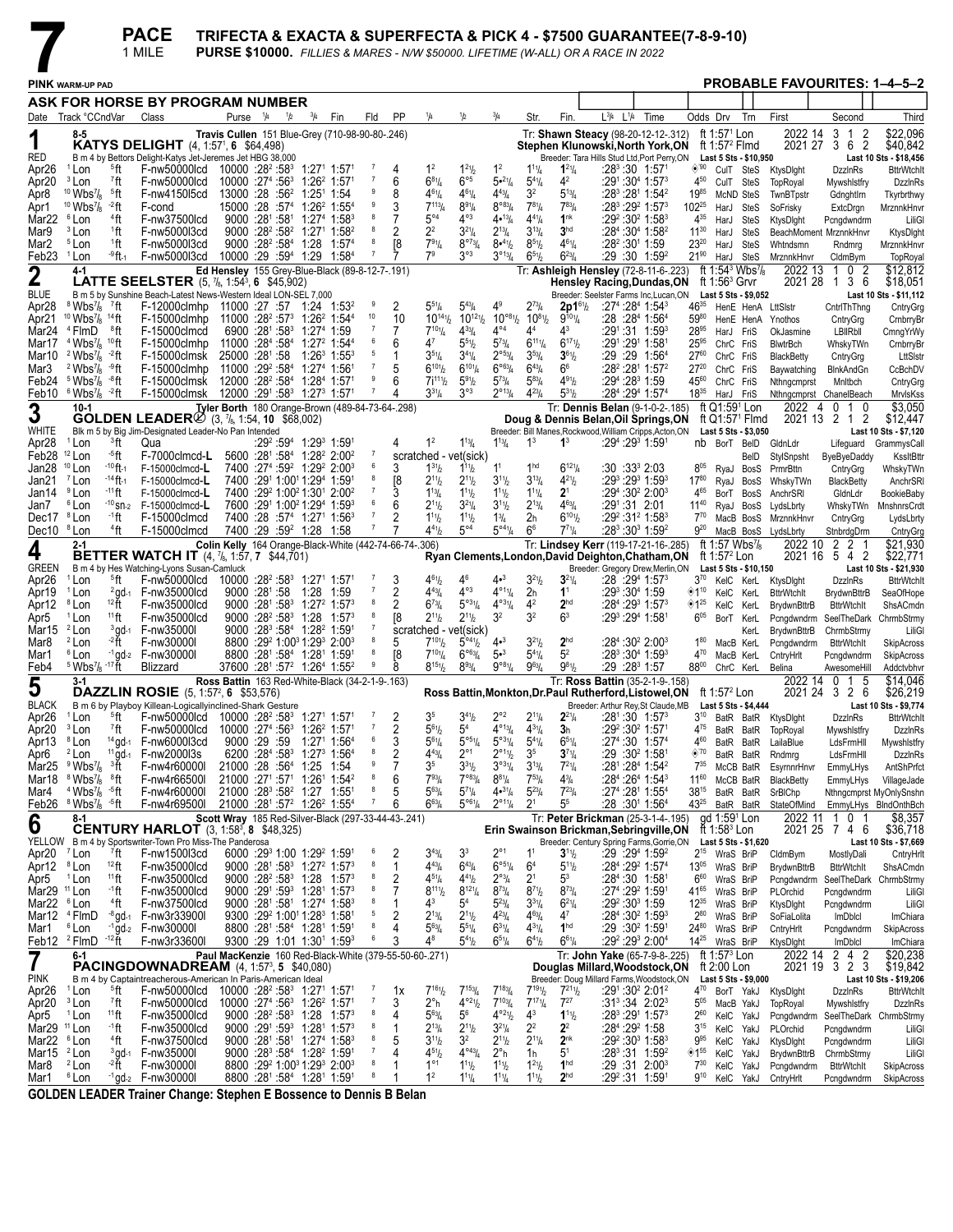|                                |                                                                                                 |                                    | <b>PACE</b><br>1 MILE                                                                                                                                       |                                                                                                                     |                                     |             |                                                                                                                                             |                     |                                                        |                                                                               |                                                                  |                                                                      |                                                                              |                                            | TRIFECTA & EXACTA & SUPERFECTA & PICK 4 - \$7500 GUARANTEE(7-8-9-10)<br><b>PURSE \$10000.</b> FILLIES & MARES - N/W \$50000. LIFETIME (W-ALL) OR A RACE IN 2022 |      |                                   |                                         |                                                      |                                     |                |                              |                                                 |
|--------------------------------|-------------------------------------------------------------------------------------------------|------------------------------------|-------------------------------------------------------------------------------------------------------------------------------------------------------------|---------------------------------------------------------------------------------------------------------------------|-------------------------------------|-------------|---------------------------------------------------------------------------------------------------------------------------------------------|---------------------|--------------------------------------------------------|-------------------------------------------------------------------------------|------------------------------------------------------------------|----------------------------------------------------------------------|------------------------------------------------------------------------------|--------------------------------------------|-----------------------------------------------------------------------------------------------------------------------------------------------------------------|------|-----------------------------------|-----------------------------------------|------------------------------------------------------|-------------------------------------|----------------|------------------------------|-------------------------------------------------|
|                                | <b>PINK WARM-UP PAD</b>                                                                         |                                    |                                                                                                                                                             |                                                                                                                     |                                     |             |                                                                                                                                             |                     |                                                        |                                                                               |                                                                  |                                                                      |                                                                              |                                            |                                                                                                                                                                 |      |                                   |                                         |                                                      |                                     |                |                              | <b>PROBABLE FAVOURITES: 1-4-5-2</b>             |
|                                |                                                                                                 |                                    | ASK FOR HORSE BY PROGRAM NUMBER                                                                                                                             |                                                                                                                     |                                     |             |                                                                                                                                             |                     |                                                        |                                                                               |                                                                  |                                                                      |                                                                              |                                            |                                                                                                                                                                 |      |                                   |                                         |                                                      |                                     |                |                              |                                                 |
|                                | Date Track °CCndVar                                                                             |                                    | Class                                                                                                                                                       | Purse <sup>1</sup> /4                                                                                               | 1/2                                 | $^{3}/_{4}$ | Fin                                                                                                                                         | Fld                 | PP                                                     | ¼                                                                             | 1/2                                                              | $\frac{3}{4}$                                                        | Str.                                                                         | Fin.                                       | L3/4 L1/4                                                                                                                                                       | Time | Odds Drv                          |                                         | Trn                                                  | First                               |                | Second                       | Third                                           |
|                                | 8-5                                                                                             |                                    |                                                                                                                                                             | Travis Cullen 151 Blue-Grev (710-98-90-80-.246)                                                                     |                                     |             |                                                                                                                                             |                     |                                                        |                                                                               |                                                                  |                                                                      |                                                                              |                                            | Tr: Shawn Steacy (98-20-12-12-.312)                                                                                                                             |      |                                   | ft 1:57 <sup>1</sup> Lon                |                                                      | 2022 14                             | 3              | 1 2                          | \$22.096                                        |
| 1<br><b>RED</b>                |                                                                                                 |                                    | <b>KATYS DELIGHT</b> (4, 1:57 <sup>1</sup> , 6 \$64,498)                                                                                                    |                                                                                                                     |                                     |             |                                                                                                                                             |                     |                                                        |                                                                               |                                                                  |                                                                      |                                                                              |                                            | Stephen Klunowski, North York, ON                                                                                                                               |      |                                   | ft 1:57 $2$ Flmd                        |                                                      | 2021 27                             | 3              | 62                           | \$40,842                                        |
| Apr26                          | <sup>1</sup> Lon                                                                                | <sup>5</sup> ft                    | B m 4 by Bettors Delight-Katys Jet-Jeremes Jet HBG 38,000<br>F-nw50000lcd 10000 :28 <sup>2</sup> :58 <sup>3</sup> 1:27 <sup>1</sup> 1:57 <sup>1</sup>       |                                                                                                                     |                                     |             |                                                                                                                                             |                     |                                                        | 1 <sup>2</sup>                                                                | $1^{21}h$                                                        | 1 <sup>2</sup>                                                       | $1^{11}/4$                                                                   | $1^{21}/4$                                 | Breeder: Tara Hills Stud Ltd, Port Perry, ON<br>$:28^3:30$ 1:57 <sup>1</sup>                                                                                    |      | $\diamond$ '90                    |                                         | Last 5 Sts - \$10,950<br>CulT SteS                   | KtysDight                           |                | <b>DzzinRs</b>               | Last 10 Sts - \$18,456<br><b>BttrWtchlt</b>     |
| Apr <sub>20</sub>              | <sup>3</sup> Lon                                                                                | 7ft                                | F-nw50000lcd                                                                                                                                                | 10000 :27 <sup>4</sup> :56 <sup>3</sup> 1:26 <sup>2</sup> 1:57 <sup>1</sup>                                         |                                     |             |                                                                                                                                             |                     | 6                                                      | $6^{81}/4$                                                                    | $6^{\circ 5}$                                                    | 5.21/4                                                               | $5^{4}\%$                                                                    | 4 <sup>2</sup>                             | $:29^1:30^4$ 1:57 $^3$                                                                                                                                          |      | 4 <sup>50</sup>                   | CulT SteS                               |                                                      | TopRoyal                            |                | Mywshistfry                  | <b>DzzinRs</b>                                  |
| Apr <sub>8</sub><br>Apr1       | $10$ Wbs $\frac{7}{8}$<br>$10$ Wbs $\frac{7}{8}$                                                | §ft<br>-2 ft                       | F-nw4150l5cd<br>F-cond                                                                                                                                      | 13000 :28 :56 <sup>2</sup> 1:25 <sup>1</sup> 1:54<br>15000 :28 :57 <sup>4</sup> 1:26 <sup>2</sup> 1:55 <sup>4</sup> |                                     |             |                                                                                                                                             |                     | 8<br>3                                                 | $4^{61}$ /4<br>$7^{113}$ / <sub>4</sub>                                       | $4^{61}/4$<br>$8^{91}/4$                                         | $4^{43}$ / <sub>4</sub><br>$8^{\circ 8}$ <sup>1</sup> / <sub>4</sub> | 3 <sup>2</sup><br>$7^{81}/4$                                                 | $5^{13}/4$<br>$7^{83}$ / <sub>4</sub>      | :28 <sup>3</sup> :28 <sup>1</sup> 1:54 <sup>2</sup><br>$:28^3:29^2$ 1:57 $^3$                                                                                   |      | 1985<br>$102^{25}$                | HarJ                                    | McND SteS<br>SteS                                    | TwnBTpstr<br>SoFrisky               |                | Gdnghtlrn<br>ExtcDrgn        | Tkyrbrthwy<br>MrznnkHnvi                        |
| Mar22                          | <sup>6</sup> Lon                                                                                | <sup>4</sup> ft                    | F-nw37500lcd                                                                                                                                                |                                                                                                                     |                                     |             | $9000 : 28^1 : 58^1 : 1 : 27^4 : 1 : 58^3$                                                                                                  | 8                   |                                                        | $5^{\circ 4}$                                                                 | $4^{\circ 3}$                                                    | 4•13/4                                                               | $4^{41}/4$                                                                   | 1 <sup>nk</sup>                            | $:29^2:30^2$ 1:58 <sup>3</sup>                                                                                                                                  |      | $4^{35}$                          | HarJ                                    | SteS                                                 | KtysDight                           |                | Pcngdwndrm                   | LiliG                                           |
| Mar9<br>Mar <sub>2</sub>       | <sup>3</sup> Lon<br><sup>5</sup> Lon                                                            | <sup>1</sup> ft<br><sup>1</sup> ft | F-nw5000l3cd<br>F-nw5000l3cd                                                                                                                                |                                                                                                                     |                                     |             | 9000 :28 <sup>2</sup> :58 <sup>2</sup> 1:27 <sup>1</sup> 1:58 <sup>2</sup><br>9000 :28 <sup>2</sup> :58 <sup>4</sup> 1:28 1:57 <sup>4</sup> |                     | 2<br>[8                                                | $2^2$<br>$7^{91}/4$                                                           | $3^{21}/4$<br>$8^{\circ 73} / 4$                                 | $2^{13}/4$<br>$8•^{41}/2$                                            | $3^{13}/4$<br>$8^{51}/2$                                                     | 3 <sup>hd</sup><br>$4^{61}$ / <sub>4</sub> | $:284:3041:582$<br>:28 <sup>2</sup> :30 <sup>1</sup> 1:59                                                                                                       |      | $11^{30}$<br>$23^{20}$            | HarJ<br>HarJ                            | <b>SteS</b><br><b>SteS</b>                           | BeachMoment MrznnkHnvr<br>Whtndsmn  |                |                              | KtysDight                                       |
| Feb23 <sup>1</sup> Lon         |                                                                                                 | -9 ft-1                            | F-nw5000l3cd                                                                                                                                                | 10000 :29 :594 1:29 1:584                                                                                           |                                     |             |                                                                                                                                             | 7                   |                                                        | 7 <sup>9</sup>                                                                | $3^{\circ 3}$                                                    | $3^{\circ 13}/4$                                                     | $6^{51}/2$                                                                   | $6^{23}/4$                                 | $:29:30$ 1:59 <sup>2</sup>                                                                                                                                      |      | $21^{90}$                         | HarJ SteS                               |                                                      | MrznnkHnvr                          |                | Rndmrg<br>CldmBym            | MrznnkHnvi<br>TopRoyal                          |
| $\boldsymbol{2}$               | $4 - 1$                                                                                         |                                    |                                                                                                                                                             | Ed Hensley 155 Grey-Blue-Black (89-8-12-7-191)                                                                      |                                     |             |                                                                                                                                             |                     |                                                        |                                                                               |                                                                  |                                                                      |                                                                              |                                            | Tr: Ashleigh Hensley (72-8-11-6-.223)                                                                                                                           |      |                                   |                                         | ft 1:54 <sup>3</sup> Wbs <sup>7</sup> / <sub>8</sub> | 2022 13                             |                | 2<br>0                       | \$12,812                                        |
| <b>BLUE</b>                    |                                                                                                 |                                    | <b>LATTE SEELSTER</b> $(5, 7_8, 1:54^3, 6, $45,902)$<br>B m 5 by Sunshine Beach-Latest News-Western Ideal LON-SEL 7,000                                     |                                                                                                                     |                                     |             |                                                                                                                                             |                     |                                                        |                                                                               |                                                                  |                                                                      |                                                                              |                                            | <b>Hensley Racing, Dundas, ON</b><br>Breeder: Seelster Farms Inc, Lucan, ON                                                                                     |      |                                   | ft 1:56 $3$ Grvr                        | Last 5 Sts - \$9,052                                 | 2021 28                             | $\overline{1}$ | 3 6                          | \$18,051<br>Last 10 Sts - \$11,112              |
| Apr <sub>28</sub>              | <sup>8</sup> Wbs <sup>7</sup> / <sub>8</sub> <sup>7</sup> ft                                    |                                    | F-12000clmhp 11000 :27 :57 1:24 1:53 <sup>2</sup>                                                                                                           |                                                                                                                     |                                     |             |                                                                                                                                             |                     |                                                        | $5^{51}/4$                                                                    | $5^{43}$ /4                                                      | 49                                                                   | $2^{73}$ /4                                                                  | $2p1^{61}$ /2                              | $:27^4:28^4$ 1:54 <sup>3</sup>                                                                                                                                  |      | $46^{35}$                         |                                         |                                                      | HenE HenA LttSlstr                  |                | CntrlThThng                  | CntryGrg                                        |
| Apr <sub>21</sub><br>Mar24     | $10 \text{ Wbs}$ <sup>7</sup> / <sub>8</sub><br><sup>4</sup> FlmD                               | $14$ ft<br>®ft                     | F-15000clmhp<br>F-15000clmcd                                                                                                                                | $11000 : 28^2 : 57^3$ 1:26 <sup>2</sup> 1:54 <sup>4</sup><br>6900 :281 :583 1:274 1:59                              |                                     |             |                                                                                                                                             | 10                  | 10<br>7                                                | $10^{14}$ <sup>1</sup> / <sub>2</sub><br>$7^{10}$ <sup>1</sup> / <sub>4</sub> | $10^{12}$ <sup>1</sup> / <sub>2</sub><br>$4^{33}$ / <sub>4</sub> | $10^{\circ 8}$ <sup>1</sup> / <sub>2</sub><br>$4^{\circ 4}$          | $10^{81}/2$<br>4 <sup>4</sup>                                                | $9^{101}/4$<br>43                          | :28 :284 1:564<br>$:29^1:31$ 1:59 <sup>3</sup>                                                                                                                  |      | 5980<br>$28^{95}$                 | HarJ FriS                               |                                                      | HenE HenA Ynothos<br>OkJasmine      |                | CntryGrg<br><b>LBIRbII</b>   | CrnbrryBr<br>CmngYrWy                           |
| Mar17                          | $4$ Wbs $\frac{7}{8}$                                                                           | 10 <sub>ft</sub>                   | F-15000clmhp                                                                                                                                                | 11000 :284 :584 1:27 <sup>2</sup> 1:544                                                                             |                                     |             |                                                                                                                                             |                     | 6                                                      | 47                                                                            | $5^{51}h$                                                        | $5^{73}$ /4                                                          | $6^{111}/4$                                                                  | $6^{171}$                                  | :291 :291 1:581                                                                                                                                                 |      | $25^{95}$                         | ChrC FriS                               |                                                      | <b>BlwtrBch</b>                     |                | WhskyTWn                     | CrnbrryBr                                       |
| Mar10<br>Mar3                  | $2$ Wbs $\frac{7}{8}$<br><sup>2</sup> Wbs <sup>7</sup> / <sub>8</sub> $-9$ ft                   | -2 ft                              | F-15000clmsk<br>F-15000clmhp                                                                                                                                | 25000 :281 :58<br>11000 :29 <sup>2</sup> :58 <sup>4</sup> 1:27 <sup>4</sup> 1:561                                   |                                     |             | $1:26^3$ 1:55 $^3$                                                                                                                          | 5                   | 1<br>5                                                 | $3^{51}/4$<br>$6^{101}/2$                                                     | $3^{41}/4$<br>$6^{10}$ <sup>1</sup> / <sub>4</sub>               | $2^{\circ 53} / 4$<br>$6^{\circ 63}/4$                               | $3^{53}$ /4<br>$6^{43}/4$                                                    | $3^{61}/2$<br>66                           | :29 :29 1:56 <sup>4</sup><br>$:28^2:28^1$ 1:57 <sup>2</sup>                                                                                                     |      | $27^{60}$<br>$27^{20}$            | ChrC FriS                               |                                                      | BlackBetty                          |                | CntryGrg                     | LttSIstr<br>CcBchDV                             |
| Feb24                          | <sup>5</sup> Wbs <sup>7</sup> /s                                                                | ⊸8ft                               | F-15000clmsk 12000 :28 <sup>2</sup> :58 <sup>4</sup> 1:28 <sup>4</sup> 1:57 <sup>1</sup>                                                                    |                                                                                                                     |                                     |             |                                                                                                                                             | 9                   | 6                                                      | $7i^{111}$                                                                    | $5^{91}h$                                                        | $5^{73}$ /4                                                          | $5^{83}$ /4                                                                  | $4^{91}h$                                  | $:29^4:28^3$ 1:59                                                                                                                                               |      | 4560                              | ChrC FriS<br>ChrC FriS                  |                                                      | Baywatching<br>Nthngcmprst          |                | BlnkAndGn<br>Mnitbch         | CntryGrg                                        |
|                                | Feb10 $6$ Wbs <sup>7</sup> / <sub>8</sub> $-2$ ft                                               |                                    | F-15000clmsk                                                                                                                                                | 12000 :291 :58 <sup>3</sup> 1:27 <sup>3</sup> 1:571                                                                 |                                     |             |                                                                                                                                             | 7                   | 4                                                      | $3^{31}/4$                                                                    | $3^{\circ 3}$                                                    | $2^{\circ_{13}}\frac{1}{4}$                                          | $4^{23}$ /4                                                                  | $5^{31}h$                                  | :284 :294 1:574                                                                                                                                                 |      | 1835                              | HarJ FriS                               |                                                      | Nthngcmprst ChanelBeach             |                |                              | MrvlsKss                                        |
| 3                              | $10-1$                                                                                          |                                    | <b>GOLDEN LEADER</b> $\emptyset$ (3, 7 <sub>8</sub> , 1:54, 10 \$68,002)                                                                                    | Tyler Borth 180 Orange-Brown (489-84-73-64-.298)                                                                    |                                     |             |                                                                                                                                             |                     |                                                        |                                                                               |                                                                  |                                                                      |                                                                              |                                            | Tr: Dennis Belan (9-1-0-2-.185)<br>Doug & Dennis Belan, Oil Springs, ON                                                                                         |      |                                   | ft Q1:59 <sup>1</sup> Lon               | ft Q1:57 <sup>1</sup> Flmd                           | 2022 4                              | 2021 13 2 1 2  | 010                          | \$3,050<br>\$12,447                             |
| WHITE                          |                                                                                                 |                                    | Blk m 5 by Big Jim-Designated Leader-No Pan Intended                                                                                                        |                                                                                                                     |                                     |             |                                                                                                                                             |                     |                                                        |                                                                               |                                                                  |                                                                      |                                                                              |                                            | Breeder: Bill Manes, Rockwood, William Cripps, Acton, ON                                                                                                        |      |                                   |                                         | Last 5 Sts - \$3,050                                 |                                     |                |                              | Last 10 Sts - \$7,120                           |
| Apr <sub>28</sub><br>Feb28     | <sup>1</sup> Lon<br>$12$ Lon                                                                    | <sup>3</sup> ft<br>-5ft            | Qua<br>F-7000clmcd-L                                                                                                                                        |                                                                                                                     |                                     |             | :29 <sup>2</sup> :59 <sup>4</sup> 1:29 <sup>3</sup> 1:591<br>5600 :281 :584 1:28 <sup>2</sup> 2:00 <sup>2</sup>                             |                     |                                                        | 1 <sup>2</sup><br>scratched - vet(sick)                                       | $1^{13}$ / <sub>4</sub>                                          | $1^{13}$ / <sub>4</sub>                                              | 1 <sup>3</sup>                                                               | $1^3$                                      | :29 <del>*</del> :29* 1:59*                                                                                                                                     |      |                                   |                                         | nb BorT BeID<br>BelD                                 | GldnLdr<br>StylSnpsht               |                | Lifeguard                    | GrammysCall<br>KssltBttr                        |
| Jan28                          | $10$ Lon                                                                                        | - <sup>10</sup> ft-1               | $F-15000$ clmcd-L                                                                                                                                           |                                                                                                                     |                                     |             | 7400 :27 <sup>4</sup> :59 <sup>2</sup> 1:29 <sup>2</sup> 2:00 <sup>3</sup>                                                                  | 6                   | 3                                                      | $1^{31}$ / <sub>2</sub>                                                       | $1^{11}h$                                                        | 1 <sup>1</sup>                                                       | 1 <sup>hd</sup>                                                              | $6^{121}/4$                                | :30 :33 <sup>3</sup> 2:03                                                                                                                                       |      | $8^{05}$                          |                                         | RyaJ BosS                                            | PrmrBttn                            | ByeByeDaddy    | CntryGrg                     | WhskyTWn                                        |
| Jan21                          | <sup>7</sup> Lon                                                                                | - <sup>14</sup> ft-1               | F-15000clmcd-L                                                                                                                                              |                                                                                                                     |                                     |             | 7400 :291 1:001 1:294 1:591                                                                                                                 | 8                   | [8                                                     | $2^{11}/2$                                                                    | $2^{11}h$                                                        | $3^{11}/2$                                                           | $3^{13}/4$                                                                   | $4^{21}/2$                                 | $:29^3:29^3$ 1:59 $^3$                                                                                                                                          |      | $17^{80}$                         |                                         | RyaJ BosS                                            | WhskyTWn                            |                | <b>BlackBetty</b>            | AnchrSRI                                        |
| Jan14<br>Jan7                  | <sup>9</sup> Lon<br><sup>6</sup> Lon                                                            | -11 ft                             | $F-15000$ clmcd-L<br>$-10$ sn-2 F-15000clmcd-L                                                                                                              |                                                                                                                     |                                     |             | 7400 :29 1:00 21:30 2:00 2<br>7600 :291 1:00 <sup>2</sup> 1:29 <sup>4</sup> 1:59 <sup>3</sup>                                               |                     | 6                                                      | $1^{13}$ /4<br>$2^{11}h$                                                      | $1^{11}h$<br>$3^{21}/4$                                          | $1^{11}$ / <sub>2</sub><br>$3^{11}/2$                                | $1^{11}/4$<br>$2^{13}/4$                                                     | $2^1$<br>$4^{63}$ /4                       | $:29^4:30^2$ 2:00 <sup>3</sup><br>$:29^1:31$ 2:01                                                                                                               |      | 465<br>$11^{40}$                  |                                         | BorT BosS<br>RyaJ BosS                               | AnchrSRI<br>LydsLbrty               |                | GldnLdr<br>WhskyTWn          | <b>BookieBaby</b><br>MnshnrsCrdt                |
| Dec17 <sup>8</sup> Lon         |                                                                                                 | ∙1ft                               | F-15000clmcd                                                                                                                                                |                                                                                                                     |                                     |             | 7400 :28 :57 <sup>4</sup> 1:27 <sup>1</sup> 1:56 <sup>3</sup>                                                                               |                     | 2                                                      | $1^{11}h$                                                                     | $1^{11}h$                                                        | $1\frac{3}{4}$                                                       | 2 <sub>h</sub>                                                               | $6^{101}/2$                                | $:29^2:31^2$ 1:58 <sup>3</sup>                                                                                                                                  |      | $7^{70}$                          |                                         | MacB BosS                                            | MrznnkHnvr                          |                | CntryGrg                     | LydsLbrty                                       |
| Dec10 <sup>8</sup> Lon         | $2 - 1$                                                                                         | <sup>4</sup> ft                    | F-15000clmcd                                                                                                                                                |                                                                                                                     | 7400 :29 :59 <sup>2</sup> 1:28 1:58 |             |                                                                                                                                             |                     | Colin Kelly 164 Orange-Black-White (442-74-66-74-.306) | 441/2                                                                         | $5^{\circ 4}$                                                    | $5^{\circ 4}$ <sup>1</sup> / <sub>4</sub>                            | 6 <sup>6</sup>                                                               | $7^{71}/4$                                 | $:28^3:30^3$ 1:59 <sup>2</sup><br>Tr: Lindsey Kerr (119-17-21-16-.285)                                                                                          |      | $9^{20}$                          | ft 1:57 Wbs <sup>7</sup> /s             | MacB BosS                                            | LydsLbrty<br>2022 10                | 2              | StnbrdgDrm<br>2 1            | CntryGrg<br>\$21,930                            |
| 4                              |                                                                                                 |                                    | <b>BETTER WATCH IT</b> (4, 7 <sub>8</sub> , 1:57, 7 \$44,701)                                                                                               |                                                                                                                     |                                     |             |                                                                                                                                             |                     |                                                        |                                                                               |                                                                  |                                                                      |                                                                              |                                            | Ryan Clements, London, David Deighton, Chatham, ON                                                                                                              |      |                                   | ft 1:57 $2$ Lon                         |                                                      |                                     | 2021 16 5 4 2  |                              | \$22,771                                        |
| <b>GREEN</b><br>Apr26          | <sup>1</sup> Lon                                                                                | <sup>5</sup> ft                    | B m 4 by Hes Watching-Lyons Susan-Camluck<br>F-nw50000lcd                                                                                                   | 10000 :28 <sup>2</sup> :58 <sup>3</sup> 1:27 <sup>1</sup> 1:57 <sup>1</sup>                                         |                                     |             |                                                                                                                                             |                     | 3                                                      | $4^{61}/2$                                                                    | 46                                                               | 4•3                                                                  | $3^{21}/2$                                                                   | $3^{21}/4$                                 | Breeder: Gregory Drew, Merlin, ON<br>:28 :294 1:573                                                                                                             |      | $3^{70}$                          |                                         | Last 5 Sts - \$10,150<br>KelC KerL                   |                                     |                | <b>DzzinRs</b>               | Last 10 Sts - \$21,930<br><b>BttrWtchlt</b>     |
| Apr19                          | <sup>1</sup> Lon                                                                                |                                    | $2$ qd-1 $-$ F-nw35000lcd                                                                                                                                   | $9000 \cdot 28^{\circ} \cdot 58$                                                                                    |                                     |             | 1:28 1:59                                                                                                                                   |                     | 2                                                      | $4^{43}/4$                                                                    | $4^{\circ 3}$                                                    | $4^{\circ_{11}}/4$                                                   | 2 <sub>h</sub>                                                               | $1^1$                                      | :293 :304 1:59                                                                                                                                                  |      |                                   | $*110$ KelC KerL                        |                                                      | KtysDight<br><b>BttrWtchIt</b>      |                | <b>BrydwnBttrB</b>           | SeaOfHope                                       |
| Apr12                          | <sup>8</sup> Lon                                                                                | $12$ ft                            | F-nw35000lcd                                                                                                                                                |                                                                                                                     |                                     |             | $9000 : 28^1 : 58^3$ 1:27 <sup>2</sup> 1:57 <sup>3</sup>                                                                                    |                     |                                                        | $6^{73}$ /4                                                                   | $5^{\circ 31}/4$                                                 | $4^{\circ 31}/4$                                                     | 4 <sup>2</sup>                                                               | 2 <sup>hd</sup>                            | $:284:2931:573$                                                                                                                                                 |      | ◈1 $^{25}$                        |                                         | KelC KerL                                            | <b>BrydwnBttrB</b>                  |                | <b>BttrWtchIt</b>            | ShsACmdn                                        |
| Apr5<br>Mar15                  | <sup>1</sup> Lon<br><sup>2</sup> Lon                                                            | $11$ ft<br>$3$ gd-1                | F-nw35000lcd<br>F-nw35000l                                                                                                                                  |                                                                                                                     |                                     |             | 9000 :28 <sup>2</sup> :58 <sup>3</sup> 1:28 1:57 <sup>3</sup><br>$9000 : 28^3 : 58^4 : 1:28^2 : 1:59^1$                                     |                     | [8                                                     | $2^{11}h$<br>scratched - vet(sick)                                            | $2^{11}h$                                                        | 3 <sup>2</sup>                                                       | 3 <sup>2</sup>                                                               | 6 <sup>3</sup>                             | :293 :294 1:581                                                                                                                                                 |      | $6^{05}$                          |                                         | BorT KerL<br>KerL                                    | Pcngdwndrm<br>BrydwnBttrB           |                | ChrmbStrmy                   | SeelTheDark ChrmbStrmy<br>LiliG                 |
| Mar <sub>8</sub>               | <sup>2</sup> Lon                                                                                | $-2$ ft                            | F-nw30000l                                                                                                                                                  |                                                                                                                     |                                     |             | 8800 :29 1:00 1:29 2:00 3                                                                                                                   |                     | 5                                                      | $7^{101}$                                                                     | $5^{\circ 4}$ <sup>1</sup> / <sub>2</sub>                        | 4•3                                                                  | $3^{2^{1}}$                                                                  | 2 <sup>hd</sup>                            | :284 :30 <sup>2</sup> 2:00 <sup>3</sup>                                                                                                                         |      | $1^{80}$                          |                                         | MacB KerL                                            | Pcngdwndrm                          |                | <b>BttrWtchIt</b>            | SkipAcross                                      |
| Mar1<br>Feb4                   | <sup>6</sup> Lon<br>$5$ Wbs <sup>7</sup> / <sub>8</sub> -17 ft                                  |                                    | $-1$ ad- $2$ F-nw300001<br>Blizzard                                                                                                                         | 37600 :281 :57 <sup>2</sup> 1:26 <sup>4</sup> 1:55 <sup>2</sup>                                                     |                                     |             | 8800 :281 :584 1:281 1:591                                                                                                                  | 8<br>9              | [8<br>8                                                | $7^{10}$ <sup>1</sup> / <sub>4</sub><br>$8^{15}$ <sup>1</sup> / <sub>2</sub>  | $6^{\circ 63} / 4$<br>$8^{93}/4$                                 | 5• <sup>3</sup><br>$9^{\circ 8}$ <sup>1</sup> / <sub>4</sub>         | $5^{4}$ <sup>1</sup> / <sub>4</sub><br>$9^{63}$ /4                           | 5 <sup>2</sup><br>$9^{81}$                 | $:28^3:30^4$ 1:59 <sup>3</sup><br>:29 :28 <sup>3</sup> 1:57                                                                                                     |      | 470<br>8800                       |                                         | MacB KerL<br>ChrC KerL                               | CntryHrlt<br>Belina                 |                | Pcngdwndrm<br>AwesomeHill    | SkipAcross<br>Addctvbhvi                        |
| $\overline{5}$                 | $3-1$                                                                                           |                                    |                                                                                                                                                             | Ross Battin 163 Red-White-Black (34-2-1-9-.163)                                                                     |                                     |             |                                                                                                                                             |                     |                                                        |                                                                               |                                                                  |                                                                      |                                                                              |                                            | Tr: Ross Battin (35-2-1-9-.158)                                                                                                                                 |      |                                   |                                         |                                                      | 2022 14                             | 0              | 5<br>1                       | \$14,046                                        |
| <b>BLACK</b>                   |                                                                                                 |                                    | <b>DAZZLIN ROSIE</b> $(5, 1:57^2, 6, $53,576)$                                                                                                              |                                                                                                                     |                                     |             |                                                                                                                                             |                     |                                                        |                                                                               |                                                                  |                                                                      |                                                                              |                                            | Ross Battin, Monkton, Dr. Paul Rutherford, Listowel, ON                                                                                                         |      |                                   | ft 1:57 $2$ Lon                         |                                                      | 2021 24                             |                | 326                          | \$26,219<br>Last 10 Sts - \$9,774               |
| Apr26                          | $1$ Lon                                                                                         |                                    | B m 6 by Playboy Killean-Logicallyinclined-Shark Gesture<br>$5$ ft F-nw50000lcd 10000 :28 <sup>2</sup> :58 <sup>3</sup> 1:27 <sup>1</sup> 1:57 <sup>1</sup> |                                                                                                                     |                                     |             |                                                                                                                                             |                     | $\overline{\phantom{0}}^2$                             | 3 <sup>5</sup>                                                                | $3^{41}h$                                                        | $2^{\circ}2$                                                         | $2^{11}/4$                                                                   | $2^{21}/4$                                 | Breeder: Arthur Rey, St Claude, MB<br>$:28^1:30$ 1:57 <sup>3</sup>                                                                                              |      |                                   |                                         | Last 5 Sts - \$4,444                                 | 3 <sup>10</sup> BatR BatR KtysDlght |                | <b>DzzinRs</b>               | <b>BttrWtchlt</b>                               |
| Apr20                          | <sup>3</sup> Lon                                                                                | $77$ ft                            | F-nw50000lcd                                                                                                                                                | 10000 :274 :56 <sup>3</sup> 1:26 <sup>2</sup> 1:571                                                                 |                                     |             |                                                                                                                                             | $\overline{7}$<br>6 | 2                                                      | $5^{61}$                                                                      | 5 <sup>4</sup>                                                   | $4^{\circ_{13}}\frac{1}{4}$                                          | $4^{31}/4$                                                                   | 3 <sub>h</sub>                             | :29 <sup>2</sup> :30 <sup>2</sup> 1:571                                                                                                                         |      | $4^{75}$                          |                                         |                                                      | BatR BatR TopRoyal                  |                | Mywshistfry                  | DzzinRs                                         |
| Apr13<br>Apr6                  | <sup>8</sup> Lon<br><sup>2</sup> Lon                                                            | $14$ gd-1<br>$11$ gd-1             | F-nw6000l3cd<br>F-nw2000l3s                                                                                                                                 | 9000:29:59                                                                                                          |                                     |             | 1:271 1:564<br>6200 :284 :583 1:273 1:564                                                                                                   | 8                   | 3<br>2                                                 | $5^{61}/4$<br>$4^{43}$ /4                                                     | $5^{951}/4$<br>$2^{\circ}1$                                      | $5^{\circ 3}$ <sup>1</sup> / <sub>4</sub><br>$2^{\circ 11}/2$        | $5^{4}$ <sup>1</sup> / <sub>4</sub><br>3 <sup>5</sup>                        | $6^{51}/4$<br>$3^{71}/4$                   | $:27^4:30$ 1:57 <sup>4</sup><br>:29 :30 <sup>2</sup> 1:58 <sup>1</sup>                                                                                          |      | 4 <sup>60</sup><br>$\diamond$ '70 |                                         | BatR BatR<br>BatR BatR                               | LailaBlue<br>Rndmrg                 |                | LdsFrmHll<br>LdsFrmHll       | Mywshlstfry<br>DzzInRs                          |
|                                | Mar25 $9$ Wbs <sup>7</sup> / <sub>8</sub> $3\text{H}$                                           |                                    | F-nw4r60000I                                                                                                                                                | 21000 :28 :564 1:25 1:54                                                                                            |                                     |             |                                                                                                                                             |                     | 7                                                      | 3 <sup>5</sup>                                                                | $3^{31}h$                                                        | $3^{031}/4$                                                          | $3^{13}/4$                                                                   | $7^{21}/4$                                 | :281:284 1:542                                                                                                                                                  |      | $7^{35}$                          |                                         | McCB BatR                                            | EsyrnnrHnvr                         |                | EmmyLHys                     | AntShPrfct                                      |
|                                | Mar18 $8$ Wbs <sup>7</sup> / <sub>8</sub> $8$ ft<br>$4$ Wbs <sup>7</sup> / <sub>8</sub> $-5$ ft |                                    | F-nw4r66500I<br>F-nw4r600001                                                                                                                                | 21000 :271 :571 1:261 1:542<br>21000 :28 <sup>3</sup> :58 <sup>2</sup> 1:27 1:55 <sup>1</sup>                       |                                     |             |                                                                                                                                             | 8<br>8              | 6<br>5                                                 | $7^{93}/4$<br>$5^{63}$ /4                                                     | $7^{\circ 83} / 4$<br>$5^{7}$ <sup>1</sup> / <sub>4</sub>        | $8^{81}/4$<br>4•31/4                                                 | $7^{53}$ / <sub>4</sub><br>$5^{23}$ /4                                       | $4^{3}/_{4}$<br>$7^{23}$ /4                | $:284:2641:543$<br>:274 :281 1:554                                                                                                                              |      | $11^{60}$<br>$38^{15}$            |                                         | McCB BatR                                            | BlackBetty                          |                | EmmyLHys                     | VillageJade                                     |
| Mar4                           | Feb26 8Wbs7/8 -5ft                                                                              |                                    | F-nw4r69500I                                                                                                                                                | 21000 :281 :572 1:262 1:554                                                                                         |                                     |             |                                                                                                                                             | $\overline{7}$      | 6                                                      | $6^{63}$ /4                                                                   | $5^{\circ 6}$ <sup>1</sup> / <sub>4</sub>                        | $2^{\circ_{11}}\frac{1}{4}$                                          | 2 <sup>1</sup>                                                               | 5 <sup>5</sup>                             | $:28:30^{1}$ 1:56 <sup>4</sup>                                                                                                                                  |      |                                   |                                         | BatR BatR<br>43 <sup>25</sup> BatR BatR              | SrBIChp<br>StateOfMind              |                |                              | Nthngcmprst MyOnlySnshn<br>EmmyLHys BIndOnthBch |
| 6                              | 8-1                                                                                             |                                    |                                                                                                                                                             |                                                                                                                     |                                     |             |                                                                                                                                             |                     | Scott Wray 185 Red-Silver-Black (297-33-44-43-.241)    |                                                                               |                                                                  |                                                                      |                                                                              |                                            | Tr: Peter Brickman (25-3-1-4-.195)                                                                                                                              |      |                                   | gd 1:59 <sup>1</sup> Lon                |                                                      |                                     | 2022 11 1 0 1  |                              | \$8,357                                         |
|                                |                                                                                                 |                                    | <b>CENTURY HARLOT</b> (3, 1:58 <sup>3</sup> , 8 \$48,325)<br>YELLOW B m 4 by Sportswriter-Town Pro Miss-The Panderosa                                       |                                                                                                                     |                                     |             |                                                                                                                                             |                     |                                                        |                                                                               |                                                                  |                                                                      |                                                                              |                                            | Erin Swainson Brickman, Sebringville, ON<br>Breeder: Century Spring Farms, Gorrie, ON                                                                           |      |                                   | ft 1:58 $3$ Lon                         | Last 5 Sts - \$1,620                                 |                                     | 2021 25 7 4 6  |                              | \$36,718<br>Last 10 Sts - \$7,669               |
| Apr20 $7$ Lon                  |                                                                                                 | 7ft                                | F-nw1500l3cd                                                                                                                                                |                                                                                                                     |                                     |             | 6000 :29 1:00 1:29 1:59                                                                                                                     |                     | 2                                                      | $3^{43}$ /4                                                                   | 3 <sup>3</sup>                                                   | $2^{\circ}1$                                                         | 1 <sup>1</sup>                                                               | 3 <sup>11</sup> / <sub>2</sub>             | :29 :29 1:59 2                                                                                                                                                  |      |                                   | 2 <sup>15</sup> WraS BriP               |                                                      | CldmBym                             |                | MostlyDali                   | CntryHrlt                                       |
| Apr12 <sup>8</sup> Lon<br>Apr5 | <sup>1</sup> Lon                                                                                | $12$ ft<br>$11$ ft                 | F-nw35000lcd<br>F-nw35000lcd                                                                                                                                |                                                                                                                     |                                     |             | $9000 : 28^1 : 58^3$ 1:27 <sup>2</sup> 1:57 <sup>3</sup><br>$9000 : 28^2 : 58^3$ 1:28 1:57 <sup>3</sup>                                     | 8<br>8              | -1<br>2                                                | $4^{43}$ /4<br>$4^{51}/4$                                                     | $6^{43}$ /4<br>$4^{41}h$                                         | $6^{\circ 51}/4$<br>$2^{\circ_{3}}/4$                                | 6 <sup>4</sup><br>2 <sup>1</sup>                                             | $5^{11}h$<br>$5^3$                         | :284 :292 1:574<br>:284:30 1:581                                                                                                                                |      | $6^{60}$                          | 13 <sup>05</sup> WraS BriP<br>WraS BriP |                                                      | <b>BrydwnBttrB</b><br>Pcngdwndrm    |                | <b>BttrWtchIt</b>            | ShsACmdn<br>SeelTheDark ChrmbStrmy              |
| Mar29 <sup>11</sup> Lon        |                                                                                                 | -1 ft                              | F-nw35000lcd                                                                                                                                                |                                                                                                                     |                                     |             | 9000 :291 :593 1:281 1:573                                                                                                                  | 8                   | 7                                                      | $8^{11}$ <sup>1</sup> / <sub>2</sub>                                          | $8^{12}\%$                                                       | $8^{73}/4$                                                           | $8^{7}$ <sup>1</sup> / <sub>2</sub>                                          | $8^{73}/4$                                 | $:27^4:29^2$ 1:59 <sup>1</sup>                                                                                                                                  |      |                                   | 41 <sup>65</sup> WraS BriP              |                                                      | PLOrchid                            |                | Pcngdwndrm                   | LiliG                                           |
| Mar22 <sup>6</sup> Lon         |                                                                                                 | <sup>4</sup> ft                    | F-nw37500lcd                                                                                                                                                |                                                                                                                     |                                     |             | 9000 :281 :581 1:274 1:583                                                                                                                  | 8                   | -1                                                     | 43                                                                            | 5 <sup>4</sup>                                                   | $5^{23}$ /4                                                          | $3^{31}/4$                                                                   | $6^{21}/4$                                 | :292:303 1:59                                                                                                                                                   |      |                                   | 12 <sup>35</sup> WraS BriP              |                                                      | KtysDight                           |                | Pcngdwndrm                   | LiliG                                           |
| Mar1 <sup>6</sup> Lon          | Mar12 <sup>4</sup> FlmD                                                                         |                                    | $-8$ gd-1 F-nw3r33900l<br>$-1$ gd- $2$ F-nw300001                                                                                                           |                                                                                                                     |                                     |             | 9300 :29 <sup>2</sup> 1:00 <sup>1</sup> 1:28 <sup>3</sup> 1:58 <sup>1</sup><br>8800 :281 :584 1:281 1:591                                   | 5<br>8              | 2<br>4                                                 | $2^{13}/4$<br>$5^{63}$ /4                                                     | $2^{11}h$<br>$5^{51}/4$                                          | $4^{23}l_4$<br>$6^{31}/4$                                            | $4^{63}$ /4<br>$4^{31}/4$                                                    | $4^7$<br>1 <sup>hd</sup>                   | :284 :30 <sup>2</sup> 1:593<br>$:29:30^2$ 1:59 <sup>1</sup>                                                                                                     |      | $2^{80}$                          | WraS BriP<br>24 <sup>80</sup> WraS BriP |                                                      | SoFiaLolita<br>CntryHrlt            |                | <b>ImDblcl</b><br>Pcngdwndrm | ImChiara<br>SkipAcross                          |
|                                | Feb12 $^2$ FlmD $^{-12}$ ft                                                                     |                                    | F-nw3r33600I                                                                                                                                                |                                                                                                                     |                                     |             | 9300 :29 1:01 1:30 <sup>1</sup> 1:59 <sup>3</sup>                                                                                           | - 6                 | 3                                                      | 48                                                                            | $5^{41}h$                                                        | $6^{51}/4$                                                           | $6^{41}/2$                                                                   | $6^{61}/4$                                 | :29 <sup>2</sup> :29 <sup>3</sup> 2:00 <sup>4</sup>                                                                                                             |      |                                   | 14 <sup>25</sup> WraS BriP              |                                                      | KtysDight                           |                | <b>ImDblcl</b>               | ImChiara                                        |
| $\overline{\mathbf{7}}$        | 6-1                                                                                             |                                    | <b>PACINGDOWNADREAM</b> (4, 1:57 <sup>3</sup> , 5 \$40,080)                                                                                                 |                                                                                                                     |                                     |             |                                                                                                                                             |                     | Paul MacKenzie 160 Red-Black-White (379-55-50-60-.271) |                                                                               |                                                                  |                                                                      |                                                                              |                                            | Tr: John Yake (65-7-9-8-.225)<br>Douglas Millard, Woodstock, ON                                                                                                 |      |                                   | ft 1:57 $3$ Lon<br>ft 2:00 Lon          |                                                      | 2022 14                             | 2021 19 3 2 3  | 2 4 2                        | \$20,238<br>\$19,842                            |
| <b>PINK</b>                    |                                                                                                 |                                    | B m 4 by Captaintreacherous-American In Paris-American Ideal                                                                                                |                                                                                                                     |                                     |             |                                                                                                                                             |                     |                                                        |                                                                               |                                                                  |                                                                      |                                                                              |                                            | Breeder: Doug Millard Farms, Woodstock, ON                                                                                                                      |      |                                   |                                         | Last 5 Sts - \$9,000                                 |                                     |                |                              | Last 10 Sts - \$19,206                          |
| Apr26                          | <sup>1</sup> Lon                                                                                | §ft                                | F-nw50000lcd 10000 :28 <sup>2</sup> :58 <sup>3</sup> 1:27 <sup>1</sup> 1:57 <sup>1</sup>                                                                    |                                                                                                                     |                                     |             |                                                                                                                                             | $\mathcal{I}$       | 1х<br>3                                                | $7^{16}$ <sup>1</sup> / <sub>2</sub><br>$2^{\circ}$ h                         | $7^{153}/_4$<br>$4^{o_{21}}/2$                                   | $7^{183}/4$<br>$7^{103}$ / <sub>4</sub>                              | $7^{19}$ <sup>1</sup> / <sub>2</sub><br>$7^{17}$ <sup>1</sup> / <sub>4</sub> | $7^{211}h$<br>$7^{27}$                     | $:29^1:30^2$ 2:01 <sup>2</sup>                                                                                                                                  |      | 4 <sup>70</sup><br>$5^{05}$       |                                         | BorT YakJ                                            | KtysDight                           |                | <b>DzzinRs</b>               | <b>BttrWtchlt</b>                               |
| Apr20<br>Apr5                  | <sup>3</sup> Lon<br><sup>1</sup> Lon                                                            | $7$ ft<br>$11$ ft                  | F-nw50000lcd<br>F-nw35000lcd                                                                                                                                | $10000:274:5631:2621:571$                                                                                           |                                     |             | $9000 : 28^2 : 58^3$ 1:28 1:57 <sup>3</sup>                                                                                                 | 8                   | 4                                                      | $5^{63}$ /4                                                                   | 56                                                               | $4^{o_{21}}/2$                                                       | $4^3$                                                                        | $1^{11}$ / <sub>2</sub>                    | :31 <sup>3</sup> :34 2:02 <sup>3</sup><br>:283 :291 1:573                                                                                                       |      | $2^{60}$                          | MacB YakJ<br>KelC YakJ                  |                                                      | TopRoyal<br>Pcngdwndrm              |                | Mywshistfry                  | <b>DzzinRs</b><br>SeelTheDark ChrmbStrmy        |
| Mar29 <sup>11</sup> Lon        |                                                                                                 | -1 ft                              | F-nw35000lcd                                                                                                                                                |                                                                                                                     |                                     |             | 9000 :291 :593 1:281 1:573                                                                                                                  | 8                   | 1                                                      | $2^{13}/4$                                                                    | $2^{11}h$                                                        | $3^{21}/4$                                                           | 2 <sup>2</sup>                                                               | 2 <sup>2</sup>                             | :284 :292 1:58                                                                                                                                                  |      | $3^{15}$                          | KelC YakJ                               |                                                      | PLOrchid                            |                | Pcngdwndrm                   | LiliG                                           |
| Mar <sub>22</sub><br>Mar15     | <sup>6</sup> Lon<br><sup>2</sup> Lon                                                            | <sup>4</sup> ft                    | F-nw37500lcd<br>$3$ gd-1 F-nw35000l                                                                                                                         |                                                                                                                     |                                     |             | $9000 : 28^1 : 58^1 : 1 : 27^4 : 1 : 58^3$<br>9000 :28 <sup>3</sup> :58 <sup>4</sup> 1:28 <sup>2</sup> 1:59 <sup>1</sup>                    | 8                   | 5<br>4                                                 | $3^{11}h$<br>$4^{51}$ / <sub>2</sub>                                          | 32<br>$4^{\circ_{43}}/4$                                         | $2^{11}/2$<br>$2^{\circ}$ h                                          | $2^{11}/4$<br>1h                                                             | 2 <sup>nk</sup><br>$5^1$                   | $:29^2:30^3$ 1:58 <sup>3</sup><br>$:28^3:31$ 1:59 <sup>2</sup>                                                                                                  |      | $9^{95}$<br>$*155$                | KelC YakJ<br>KelC YakJ                  |                                                      | KtysDight<br>BrydwnBttrB            |                | Pcngdwndrm<br>ChrmbStrmy     | LiliG<br>LiliG                                  |
| Mar8                           | <sup>2</sup> Lon                                                                                | -2 ft                              | F-nw30000l                                                                                                                                                  |                                                                                                                     |                                     |             | 8800 :29 <sup>2</sup> 1:00 <sup>3</sup> 1:29 <sup>3</sup> 2:00 <sup>3</sup>                                                                 | 8                   | 1                                                      | $1^{\circ 1}$                                                                 | $1^{11}h$                                                        | $1^{11}$                                                             | $1^{21}/2$                                                                   | 1 <sup>hd</sup>                            | :29 :31 2:003                                                                                                                                                   |      | $7^{30}$                          | KelC YakJ                               |                                                      | Pcngdwndrm                          |                | BttrWtchlt                   | SkipAcross                                      |
| Mar1                           | <sup>6</sup> Lon                                                                                |                                    | $1$ gd-2 F-nw30000l                                                                                                                                         |                                                                                                                     |                                     |             | 8800 :281 :584 1:281 1:591                                                                                                                  | 8                   |                                                        | 1 <sup>2</sup>                                                                | $1^{11}$ / <sub>4</sub>                                          | $1^{11}$ / <sub>4</sub>                                              | $1^{11}$                                                                     | 2 <sup>hd</sup>                            | :29 <sup>2</sup> :31 1:591                                                                                                                                      |      |                                   |                                         | 9 <sup>10</sup> KelC YakJ                            | CntryHrlt                           |                | Pcngdwndrm                   | SkipAcross                                      |

**GOLDEN LEADER Trainer Change: Stephen E Bossence to Dennis B Belan**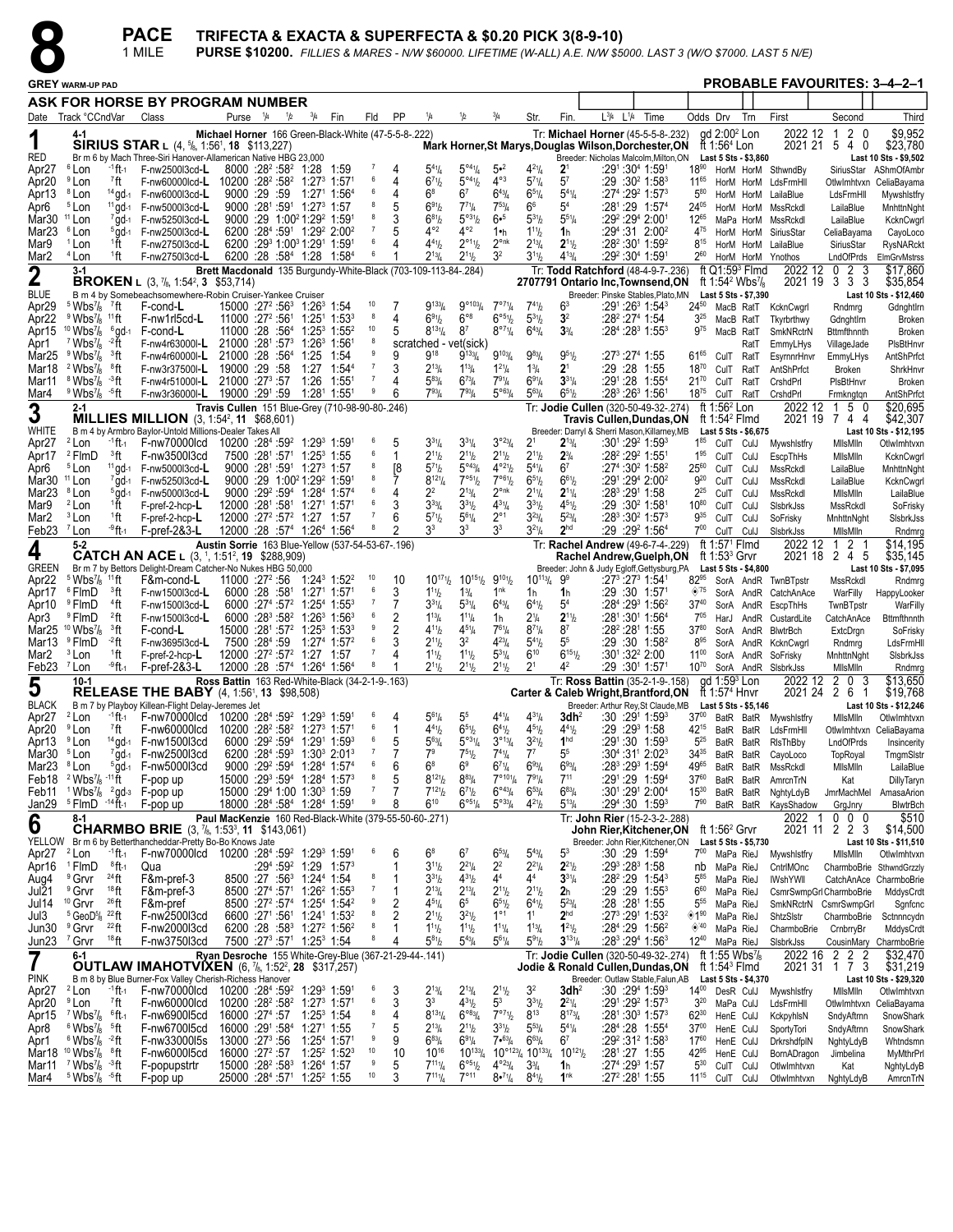

| $\bullet$                                    |                                                                                                       |                                    | <b>PACE</b><br>1 MILE                                                                                                                                                                   |                                                                                                                     |     |               |                                                                                                       |                     |                  |                                                                              |                                                        |                                                             |                                                                                   |                                   | TRIFECTA & EXACTA & SUPERFECTA & \$0.20 PICK 3(8-9-10)        |           |                                                                                             |                              |                                                      |                        | <b>PURSE \$10200.</b> FILLIES & MARES - N/W \$60000. LIFETIME (W-ALL) A.E. N/W \$5000. LAST 3 (W/O \$7000. LAST 5 N/E) |                                       |                                                |
|----------------------------------------------|-------------------------------------------------------------------------------------------------------|------------------------------------|-----------------------------------------------------------------------------------------------------------------------------------------------------------------------------------------|---------------------------------------------------------------------------------------------------------------------|-----|---------------|-------------------------------------------------------------------------------------------------------|---------------------|------------------|------------------------------------------------------------------------------|--------------------------------------------------------|-------------------------------------------------------------|-----------------------------------------------------------------------------------|-----------------------------------|---------------------------------------------------------------|-----------|---------------------------------------------------------------------------------------------|------------------------------|------------------------------------------------------|------------------------|------------------------------------------------------------------------------------------------------------------------|---------------------------------------|------------------------------------------------|
|                                              | <b>GREY WARM-UP PAD</b>                                                                               |                                    |                                                                                                                                                                                         |                                                                                                                     |     |               |                                                                                                       |                     |                  |                                                                              |                                                        |                                                             |                                                                                   |                                   |                                                               |           |                                                                                             |                              |                                                      |                        |                                                                                                                        |                                       | <b>PROBABLE FAVOURITES: 3-4-2-1</b>            |
|                                              |                                                                                                       |                                    | ASK FOR HORSE BY PROGRAM NUMBER                                                                                                                                                         |                                                                                                                     |     |               |                                                                                                       |                     |                  |                                                                              |                                                        |                                                             |                                                                                   |                                   |                                                               |           |                                                                                             |                              |                                                      |                        |                                                                                                                        |                                       |                                                |
|                                              | Date Track °CCndVar                                                                                   |                                    | Class                                                                                                                                                                                   | Purse <sup>1</sup> /4                                                                                               | 1/2 | $^{3}/_{4}$   | Fin                                                                                                   | Fld                 | PP               | 1/4                                                                          | 1/2                                                    | $^{3}/_{4}$                                                 | Str.                                                                              | Fin.                              | $L^{3/4}$                                                     | $L^{1/4}$ | Time                                                                                        |                              | Odds Drv                                             | Trn                    | First                                                                                                                  | Second                                | Third                                          |
| 1                                            | 4-1                                                                                                   |                                    | <b>SIRIUS STAR</b> L $(4, \frac{5}{6}, 1:56^1, 18, \frac{1}{3}, 1:3,227)$                                                                                                               | Michael Horner 166 Green-Black-White (47-5-5-8-222)                                                                 |     |               |                                                                                                       |                     |                  |                                                                              |                                                        |                                                             |                                                                                   |                                   |                                                               |           | Tr: Michael Horner (45-5-5-8-.232)<br>Mark Horner, St Marys, Douglas Wilson, Dorchester, ON |                              | gd 2:00 <sup>2</sup> Lon<br>ft 1:56 $4$ Lon          |                        | 2022 12                                                                                                                | 2 <sub>0</sub><br>-1<br>2021 21 5 4 0 | \$9.952<br>\$23,780                            |
| <b>RED</b><br>Apr <sub>27</sub>              | <sup>6</sup> Lon                                                                                      | $-1$ ft-1                          | Br m 6 by Mach Three-Siri Hanover-Allamerican Native HBG 23,000<br>F-nw2500l3cd-L                                                                                                       | 8000 :28 <sup>2</sup> :58 <sup>2</sup> 1:28 1:59                                                                    |     |               |                                                                                                       | -7                  | 4                | $5^{41}$ /4                                                                  | $5^{\circ 4}$ <sup>1</sup> / <sub>4</sub>              | 5•2                                                         | $4^{21}/4$                                                                        | 2 <sup>1</sup>                    |                                                               |           | Breeder: Nicholas Malcolm, Milton, ON<br>:291:304 1:591                                     | $18^{90}$                    | Last 5 Sts - \$3,860                                 |                        | HorM HorM SthwndBy                                                                                                     |                                       | Last 10 Sts - \$9,502<br>SiriusStar AShmOfAmbr |
| Apr20                                        | <sup>9</sup> Lon                                                                                      | 7ft                                | F-nw60000lcd-L 10200 :28 <sup>2</sup> :58 <sup>2</sup> 1:27 <sup>3</sup> 1:57 <sup>1</sup>                                                                                              |                                                                                                                     |     |               |                                                                                                       | 6<br>6              | 4                | $6^{71}h$                                                                    | $5^{\circ 4}$ <sup>1</sup> / <sub>2</sub>              | $4^{\circ 3}$                                               | $5^{7}$ <sup>1</sup> / <sub>4</sub>                                               | $5^7$                             |                                                               |           | :29 ∶30² 1:58ª                                                                              | $11^{65}$                    |                                                      |                        | HorM HorM LdsFrmHll                                                                                                    | OtlwImhtvxn                           | CeliaBayama                                    |
| Apr13<br>Apr6                                | <sup>8</sup> Lon<br><sup>5</sup> Lon                                                                  | $14$ ad-1<br>$11$ gd-1             | F-nw6000l3cd-L<br>F-nw5000l3cd-L                                                                                                                                                        | 9000 :29 :59<br>9000 :281 :591 1:273 1:57                                                                           |     |               | 1:271 1:564                                                                                           | 8                   | 4<br>5           | $6^8$<br>$6^{91}$                                                            | 6 <sup>7</sup><br>$7^{71}$ /4                          | $6^{43}$ / <sub>4</sub><br>$7^{53}$ / <sub>4</sub>          | $6^{51}/4$<br>66                                                                  | $5^{41}/4$<br>$5^4$               |                                                               |           | $:27^4:29^2$ 1:57 <sup>3</sup><br>:281:29 1:574                                             | $5^{80}$<br>$24^{05}$        |                                                      |                        | HorM HorM LailaBlue<br>HorM HorM MssRckdl                                                                              | LdsFrmHll<br>LailaBlue                | Mywshistfry<br>MnhttnNght                      |
| Mar30 <sup>11</sup> Lon<br>Mar <sub>23</sub> | <sup>6</sup> Lon                                                                                      | $7$ gd-1<br>$5$ ad-1               | F-nw5250l3cd-L<br>F-nw2500l3cd-L                                                                                                                                                        |                                                                                                                     |     |               | $9000 : 29 \cdot 1:00^21 :29^2 1:59^1$<br>6200 :284 :591 1:292 2:002                                  | 8<br>7              | 3                | $6^{81}$<br>$4^{\circ 2}$                                                    | $5^{931}/2$<br>$4^{\circ 2}$                           | $6 - 5$<br>1•h                                              | $5^{31}/2$<br>$1^{11}$ / <sub>2</sub>                                             | $5^{51}/4$<br>1 <sub>h</sub>      |                                                               |           | :29° :294 2:001<br>$:29^4:31$ 2:00 <sup>2</sup>                                             | $12^{65}$<br>4 <sup>75</sup> |                                                      | HorM HorM              | MaPa HorM MssRckdl<br>SiriusStar                                                                                       | LailaBlue<br>CeliaBayama              | KcknCwgrl                                      |
| Mar9                                         | <sup>1</sup> Lon                                                                                      | 1ft                                | F-nw2750l3cd-L                                                                                                                                                                          |                                                                                                                     |     |               | $6200$ : $29^3$ 1:00 <sup>3</sup> 1:29 <sup>1</sup> 1:59 <sup>1</sup>                                 | 6                   | 4                | $4^{41}$                                                                     | $2^{\circ_{11}}\frac{1}{2}$                            | $2^{\circ n k}$                                             | $2^{13}/4$                                                                        | $2^{11}/2$                        |                                                               |           | $:28^2:30^1$ 1:59 <sup>2</sup>                                                              | $8^{15}$                     |                                                      |                        | HorM HorM LailaBlue                                                                                                    | SiriusStar                            | CayoLoco<br><b>RysNARckt</b>                   |
| Mar <sub>2</sub>                             | <sup>4</sup> Lon<br>$3-1$                                                                             | 1ft                                | F-nw2750l3cd-L                                                                                                                                                                          |                                                                                                                     |     |               | $6200:28:584$ 1:28 1:58 <sup>4</sup>                                                                  | 6                   |                  | $2^{13}/4$<br>Brett Macdonald 135 Burgundy-White-Black (703-109-113-84-.284) | $2^{11}h$                                              | 3 <sup>2</sup>                                              | $3^{11}/2$                                                                        | $4^{13}/4$                        |                                                               |           | :29º :30ª 1:59ª<br>Tr: Todd Ratchford (48-4-9-7-.236)                                       | $2^{60}$                     | ft $Q1:593$ Fimd                                     |                        | HorM HorM Ynothos<br>2022 12                                                                                           | LndOfPrds<br>3<br>$\mathbf{2}$<br>- 0 | ElmGrvMstrss<br>\$17,860                       |
| $\boldsymbol{2}$                             |                                                                                                       |                                    | <b>BROKEN</b> L $(3, 7_8, 1:54^2, 3 \; $53,714)$                                                                                                                                        |                                                                                                                     |     |               |                                                                                                       |                     |                  |                                                                              |                                                        |                                                             |                                                                                   |                                   |                                                               |           | 2707791 Ontario Inc, Townsend, ON                                                           |                              | ft 1:54 <sup>2</sup> Wbs <sup>7</sup> / <sub>8</sub> |                        | 2021 19                                                                                                                | 33<br>3                               | \$35,854                                       |
| <b>BLUE</b><br>Apr29                         | $5 \text{Wbs}$ <sup>7</sup> ft                                                                        |                                    | B m 4 by Somebeachsomewhere-Robin Cruiser-Yankee Cruiser<br>F-cond-L                                                                                                                    | 15000 :27 <sup>2</sup> :56 <sup>3</sup> 1:26 <sup>3</sup> 1:54                                                      |     |               |                                                                                                       | 10                  |                  | $9^{133}/4$                                                                  | $9^{\circ 103} / 4$                                    | $7^{071}/4$                                                 | 741/2                                                                             | 6 <sup>3</sup>                    |                                                               |           | Breeder: Pinske Stables, Plato, MN<br>:291 :26 <sup>3</sup> 1:54 <sup>3</sup>               | $24^{50}$                    | Last 5 Sts - \$7,390                                 | MacB RatT              | KcknCwgrl                                                                                                              | Rndmrg                                | Last 10 Sts - \$12,460<br>GdnghtIrn            |
| Apr <sub>22</sub><br>Apr15                   | $9$ Wbs <sup>7</sup> / <sub>8</sub> <sup>11</sup> ft<br>$10$ Wbs <sup>7</sup> / <sub>8</sub> $6$ gd-1 |                                    | F-nw1rl5cd-L<br>F-cond-L                                                                                                                                                                | $11000$ :27 <sup>2</sup> :56 <sup>1</sup> 1:25 <sup>1</sup> 1:53 <sup>3</sup><br>11000 :28 :564 1:253 1:552         |     |               |                                                                                                       | 8<br>10             | 4<br>5           | 691/2<br>$8^{13}\%$                                                          | $6^{\circ 8}$<br>87                                    | $6°^{51}/2$<br>$8^{\circ 7}$ <sup>1</sup> / <sub>4</sub>    | $5^{31}$<br>$6^{43}/4$                                                            | 3 <sup>2</sup><br>$3\frac{3}{4}$  |                                                               |           | :28º :27ª 1:54<br>:28 <sup>4</sup> :28 <sup>3</sup> 1:55 <sup>3</sup>                       | $3^{25}$<br>975              | MacB RatT<br>MacB RatT                               |                        | Tkyrbrthwy<br>SmkNRctrN                                                                                                | GdnghtIrn<br>Bttmfthnnth              | <b>Broken</b><br><b>Broken</b>                 |
| Apr1                                         | $7$ Wbs $\frac{7}{8}$                                                                                 | - <sup>2</sup> ft                  | F-nw4r63000I-L 21000 :281 :573 1:263 1:561                                                                                                                                              |                                                                                                                     |     |               |                                                                                                       |                     |                  |                                                                              | scratched - vet(sick)                                  |                                                             |                                                                                   |                                   |                                                               |           |                                                                                             |                              |                                                      | RatT                   | EmmyLHys                                                                                                               | VillageJade                           | PIsBtHnvr                                      |
| Mar <sub>25</sub><br>Mar18                   | $9$ Wbs <sup>7</sup> / <sub>8</sub><br>$2$ Wbs <sup>7</sup> / <sub>8</sub>                            | <sup>3</sup> ft<br>®ft             | F-nw4r60000l-L<br>F-nw3r37500l-L                                                                                                                                                        | 21000 :28 :564 1:25<br>19000 :29 :58                                                                                |     |               | 1:54<br>1:27 1:544                                                                                    | -7                  | 9<br>3           | $9^{18}$<br>$2^{13}/4$                                                       | $9^{133}/4$<br>$1^{13}$ / <sub>4</sub>                 | $9^{103}/4$<br>$1^{21}/4$                                   | $9^{83}$ /4<br>$1\frac{3}{4}$                                                     | $9^{51}/2$<br>$2^1$               |                                                               |           | :273 :274 1:55<br>:29 :28 1:55                                                              | $61^{65}$<br>$18^{70}$       | CulT RatT<br>CulT RatT                               |                        | EsyrnnrHnvr<br>AntShPrfct                                                                                              | EmmyLHys<br>Broken                    | AntShPrfct<br>ShrkHnvr                         |
| Mar11                                        | $8$ Wbs $\frac{7}{8}$                                                                                 | ⊸3ft                               | F-nw4r51000l-L 21000 :27 <sup>3</sup> :57                                                                                                                                               |                                                                                                                     |     | 1:26          | 1:551                                                                                                 |                     |                  | $5^{83}$ /4                                                                  | $6^{73}$ /4                                            | $7^{91}/4$                                                  | $6^{91}/4$                                                                        | $3^{31}/4$                        |                                                               |           | :291:28 1:554                                                                               | $21^{70}$                    | CulT                                                 | RatT                   | CrshdPrl                                                                                                               | PIsBtHnvr                             | <b>Broken</b>                                  |
| Mar4                                         | $9$ Wbs <sup>7</sup> / <sub>8</sub> $-5$ ft<br>$2 - 1$                                                |                                    | F-nw3r36000l-L                                                                                                                                                                          | 19000 :291 :59 1:281 1:551<br>Travis Cullen 151 Blue-Grey (710-98-90-80-.246)                                       |     |               |                                                                                                       |                     | 6                | $7^{93}$ /4                                                                  | $7^{93}$ /4                                            | $5^{\circ 63}/4$                                            | $5^{63}$ /4                                                                       | $6^{51}/2$                        |                                                               |           | :28 <sup>3</sup> :26 <sup>3</sup> 1:56 <sup>1</sup><br>Tr: Jodie Cullen (320-50-49-32-.274) | $18^{75}$                    | CulT RatT<br>ft 1:56 <sup>2</sup> Lon                |                        | CrshdPrl                                                                                                               | Frmkngtqn<br>2022 12 1 5 0            | AntShPrfct<br>\$20,695                         |
| 3<br>WHITE                                   |                                                                                                       |                                    | <b>MILLIES MILLION</b> (3, 1:54 <sup>2</sup> , 11 \$68,601)<br>B m 4 by Armbro Baylor-Untold Millions-Dealer Takes All                                                                  |                                                                                                                     |     |               |                                                                                                       |                     |                  |                                                                              |                                                        |                                                             |                                                                                   |                                   |                                                               |           | <b>Travis Cullen, Dundas, ON</b><br>Breeder: Darryl & Sherri Mason, Killarney, MB           |                              | ft 1:54 $2$ Flmd<br>Last 5 Sts - \$6,675             |                        |                                                                                                                        | 2021 19 7 4 4                         | \$42,307<br>Last 10 Sts - \$12,195             |
| Apr <sub>27</sub>                            | <sup>2</sup> Lon                                                                                      | -1 ft-1                            | F-nw70000lcd 10200 :284 :592 1:293 1:591                                                                                                                                                |                                                                                                                     |     |               |                                                                                                       | - 6                 | 5                | $3^{31}/4$                                                                   | $3^{31}/4$                                             | $3^{\circ 23} / 4$                                          | 2 <sup>1</sup>                                                                    | $2^{13}/4$                        |                                                               |           | :301:292 1:593                                                                              | $1^{85}$                     | CulT CulJ                                            |                        | Mywshistfry                                                                                                            | MilsMiln                              | OtlwImhtvxn                                    |
| Apr17<br>Apr6                                | <sup>2</sup> FlmD<br><sup>5</sup> Lon                                                                 | <sup>3</sup> ft<br>$11$ gd-1       | F-nw3500l3cd<br>F-nw5000l3cd-L                                                                                                                                                          | 7500 :281 :571 1:253 1:55<br>9000 :281 :591 1:273 1:57                                                              |     |               |                                                                                                       | 6<br>8              | -1<br>[8         | $2^{11}h$<br>$5^{7}$ <sup>1</sup> b                                          | $2^{11}h$<br>$5^{\circ 43} / 4$                        | $2^{11}/2$<br>$4^{\circ 2\psi}$                             | $2^{11}/2$<br>$5^{4}$ <sup>1</sup> / <sub>4</sub>                                 | $2^{3}/4$<br>6 <sup>7</sup>       |                                                               |           | :28 <sup>2</sup> :29 <sup>2</sup> 1:551<br>:274 :30 <sup>2</sup> 1:58 <sup>2</sup>          | $1^{95}$<br>$25^{60}$        | CulT CulJ<br>CulT CulJ                               |                        | EscpThHs<br>MssRckdl                                                                                                   | MilsMiln<br>LailaBlue                 | KcknCwgrl                                      |
| Mar30 <sup>11</sup> Lon                      |                                                                                                       | $7$ gd-1                           | F-nw5250l3cd-L                                                                                                                                                                          | 9000 :29 1:00 <sup>2</sup> 1:29 <sup>2</sup> 1:59 <sup>1</sup>                                                      |     |               |                                                                                                       | 8                   | 7                | $8^{12}$ <sup>1</sup> / <sub>4</sub>                                         | 7°51/2                                                 | 7°61/2                                                      | $6^{51}/2$                                                                        | $6^{61}/2$                        |                                                               |           | :291:294 2:002                                                                              | $9^{20}$                     | CulT CulJ                                            |                        | MssRckdl                                                                                                               | LailaBlue                             | MnhttnNght<br>KcknCwgrl                        |
| Mar <sub>23</sub><br>Mar9                    | <sup>8</sup> Lon<br><sup>2</sup> Lon                                                                  | $5$ ad-1<br>₫Ťt                    | F-nw5000l3cd-L<br>F-pref-2-hcp-L                                                                                                                                                        | $12000$ : $28^1$ : $58^1$ 1: $27^1$ 1: $57^1$                                                                       |     |               | 9000 :29 <sup>2</sup> :59 <sup>4</sup> 1:28 <sup>4</sup> 1:57 <sup>4</sup>                            | 6                   | 4<br>3           | 22<br>$3^{33}$ /4                                                            | $2^{13}/4$<br>$3^{31}h$                                | $2^{\circ n k}$<br>$4^{31}/4$                               | $2^{11}/4$<br>$3^{31}/2$                                                          | $2^{11}/4$<br>$4^{51}/2$          |                                                               |           | :283 :291 1:58<br>:29 :30 <sup>2</sup> 1:581                                                | $2^{25}$<br>1080             | CulT CulJ<br>CulT CulJ                               |                        | MssRckdl<br>SisbrkJss                                                                                                  | MilsMiln<br>MssRckdl                  | LailaBlue<br>SoFrisky                          |
| Mar2                                         | <sup>3</sup> Lon                                                                                      | 1ft                                | F-pref-2-hcp-L                                                                                                                                                                          | $12000 : 27^2 : 57^2$ 1:27 1:57                                                                                     |     |               |                                                                                                       |                     | 6                | $5^{71}h$                                                                    | $5^{61}/4$                                             | $2^{\circ}1$                                                | $3^{23}/4$                                                                        | $5^{23}/4$                        |                                                               |           | :283 :30 <sup>2</sup> 1:573                                                                 | 935                          | CulT CulJ                                            |                        | SoFrisky                                                                                                               | MnhttnNght                            | SisbrkJss                                      |
| Feb23 <sup>7</sup> Lon                       | $5 - 2$                                                                                               | -9ft-1                             | $F$ -pref-2&3-L                                                                                                                                                                         | 12000 :28 :57 <sup>4</sup> 1:26 <sup>4</sup> 1:56 <sup>4</sup><br>Austin Sorrie 163 Blue-Yellow (537-54-53-67-.196) |     |               |                                                                                                       |                     |                  | 33                                                                           | 33                                                     | 3 <sup>3</sup>                                              | $3^{2^{1}}/4$                                                                     | 2 <sup>hd</sup>                   |                                                               |           | :29 :29 <sup>2</sup> 1:56 <sup>4</sup><br>Tr: Rachel Andrew (49-6-7-4-.229)                 | $7^{00}$                     | CulT CulJ<br>ft 1:57 <sup>1</sup> Flmd               |                        | SisbrkJss<br>2022 12                                                                                                   | MilsMiln<br>2 <sub>1</sub><br>-1      | Rndmrg<br>\$14,195                             |
| 4                                            |                                                                                                       |                                    | <b>CATCH AN ACE</b> L (3, <sup>1</sup> , 1:51 <sup>2</sup> , <b>19</b> \$288,909)                                                                                                       |                                                                                                                     |     |               |                                                                                                       |                     |                  |                                                                              |                                                        |                                                             |                                                                                   |                                   |                                                               |           | Rachel Andrew, Guelph, ON                                                                   |                              | ft 1:53 $3$ Grvr                                     |                        |                                                                                                                        | 2021 18 2 4 5                         | \$35,145                                       |
| <b>GREEN</b><br>Apr <sub>22</sub>            | $5 \text{ Wbs}$ <sup>7</sup> / <sub>8</sub>                                                           | $11$ ft                            | Br m 7 by Bettors Delight-Dream Catcher-No Nukes HBG 50,000<br>F&m-cond-L                                                                                                               | $11000:27^2:56$                                                                                                     |     |               | 1:24 <sup>3</sup> 1:52 <sup>2</sup>                                                                   | 10                  | 10               | $10^{17}$ <sup>1</sup> / <sub>2</sub>                                        | $10^{15}$ <sup>1</sup> / <sub>2</sub>                  | $9^{101}$                                                   | $10^{113}/4$                                                                      | 99                                |                                                               |           | Breeder: John & Judy Egloff, Gettysburg, PA<br>:27 <sup>3</sup> :27 <sup>3</sup> 1:541      | $82^{95}$                    | Last 5 Sts - \$4,800                                 |                        | SorA AndR TwnBTpstr                                                                                                    | MssRckdl                              | Last 10 Sts - \$7,095<br>Rndmrg                |
| Apr17                                        | <sup>6</sup> FlmD<br>® FlmD                                                                           | <sup>3</sup> ft<br><sup>4</sup> ft | F-nw1500l3cd-L                                                                                                                                                                          |                                                                                                                     |     |               | $6000:28:5811:2711:571$<br>6000 :27 <sup>4</sup> :57 <sup>2</sup> 1:25 <sup>4</sup> 1:55 <sup>3</sup> | 6<br>$\overline{7}$ | 3                | $1^{11}h$<br>$3^{31}/4$                                                      | $1^{3}/_{4}$<br>$5^{31}/4$                             | 1 <sup>nk</sup><br>$6^{43}/4$                               | 1h                                                                                | 1h<br>5 <sup>4</sup>              |                                                               |           | :29 :30 1:571<br>$:284:2931:562$                                                            | $\otimes$ 75<br>$37^{40}$    |                                                      |                        | SorA AndR CatchAnAce                                                                                                   | WarFilly                              | HappyLooker                                    |
| Apr10<br>Apr3                                | <sup>9</sup> FlmD                                                                                     | $22$ ft                            | F-nw1500l3cd-L<br>F-nw1500l3cd-L                                                                                                                                                        |                                                                                                                     |     |               | 6000 :28 <sup>3</sup> :58 <sup>2</sup> 1:26 <sup>3</sup> 1:56 <sup>3</sup>                            | 6                   | 2                | $1^{13}/4$                                                                   | $1^{11}/4$                                             | 1h                                                          | $6^{41}/2$<br>2 <sup>1</sup> / <sub>4</sub>                                       | $2^{11}/2$                        |                                                               |           | :281:301 1:564                                                                              | $7^{05}$                     |                                                      |                        | SorA AndR EscpThHs<br>HarJ AndR CustardLite                                                                            | TwnBTpstr<br>CatchAnAce               | WarFilly<br>Bttmfthnnth                        |
|                                              | Mar25 $10$ Wbs $\frac{7}{8}$<br><sup>9</sup> FlmD                                                     | <sup>3</sup> ft<br>-2 ft           | F-cond-L<br>F-nw3695l3cd-L                                                                                                                                                              | 15000 :281 :57 <sup>2</sup> 1:25 <sup>3</sup> 1:53 <sup>3</sup><br>7500 :284 :59 1:274 1:572                        |     |               |                                                                                                       | 9<br>6              | 2                | $4^{11}h$<br>$2^{11}h$                                                       | $4^{51}/4$<br>3 <sup>2</sup>                           | $7^{61}/4$<br>$4^{23}$ /4                                   | $8^{7}$ <sup>1</sup> / <sub>4</sub><br>$5^{41}$                                   | $8^7$<br>5 <sup>5</sup>           |                                                               |           | :28º :28ª 1:55<br>$:29:30$ 1:58 <sup>2</sup>                                                | $37^{80}$<br>$8^{95}$        |                                                      |                        | SorA AndR BlwtrBch                                                                                                     | ExtcDrgn                              | SoFrisky                                       |
| Mar13<br>Mar2                                | <sup>3</sup> Lon                                                                                      | <sup>1</sup> ft                    | F-pref-2-hcp-L                                                                                                                                                                          | 12000 :27 <sup>2</sup> :57 <sup>2</sup> 1:27 1:57                                                                   |     |               |                                                                                                       | $\overline{7}$      | 4                | $1^{11}h$                                                                    | $1^{11}h$                                              | $5^{31}/4$                                                  | $6^{10}$                                                                          | $6^{151}$                         |                                                               |           | $:30^1:32^2$ 2:00                                                                           | $11^{00}$                    |                                                      |                        | SorA AndR KcknCwgrl<br>SorA AndR SoFrisky                                                                              | Rndmrg<br>MnhttnNght                  | LdsFrmHll<br>SisbrkJss                         |
| Feb23 <sup>7</sup> Lon                       | $10-1$                                                                                                | -9 ft-1                            | $F$ -pref-2&3-L                                                                                                                                                                         | 12000 :28 :57 <sup>4</sup> 1:26 <sup>4</sup> 1:56 <sup>4</sup><br>Ross Battin 163 Red-White-Black (34-2-1-9-.163)   |     |               |                                                                                                       | 8                   |                  | $2^{11}h$                                                                    | $2^{11}h$                                              | $2^{11}/2$                                                  | 2 <sup>1</sup>                                                                    | Δ2                                |                                                               |           | :29 :301 1:571<br>Tr: Ross Battin (35-2-1-9-.158)                                           | $10^{70}$                    | $qd$ 1:59 $3$ Lon                                    |                        | SorA AndR SIsbrkJss<br>2022 12                                                                                         | MilsMiln<br>$\mathbf 0$<br>-3<br>2    | Rndmrg<br>\$13,650                             |
| 5                                            |                                                                                                       |                                    | <b>RELEASE THE BABY</b> $(4, 1:56^1, 13, 11)$ \$98,508)                                                                                                                                 |                                                                                                                     |     |               |                                                                                                       |                     |                  |                                                                              |                                                        |                                                             |                                                                                   |                                   |                                                               |           | Carter & Caleb Wright, Brantford, ON                                                        |                              | ft 1:57 <sup>4</sup> Hnvr                            |                        | 2021 24                                                                                                                | 2<br>6                                | \$19,768                                       |
| <b>BLACK</b>                                 |                                                                                                       |                                    | B m 7 by Playboy Killean-Flight Delay-Jeremes Jet<br>Apr27 <sup>2</sup> Lon 1ft <sub>1</sub> F-nw70000lcd 10200 :28 <sup>4</sup> :59 <sup>2</sup> 1:29 <sup>3</sup> 1:59 <sup>1 6</sup> |                                                                                                                     |     |               |                                                                                                       |                     | $\sim$ 4         | $5^{61}$ /4                                                                  | 5 <sup>5</sup>                                         | $4^{41}$ / <sub>4</sub>                                     | $4^{31}$ /                                                                        |                                   | <b>3dh<sup>2</sup></b> :30 :29 <sup>1</sup> 1:59 <sup>3</sup> |           | Breeder: Arthur Rey, St Claude, MB                                                          |                              | Last 5 Sts - \$5,146                                 |                        | 3700 BatR BatR Mywshlstfry                                                                                             | MilsMiln                              | Last 10 Sts - \$12,246<br>OtlwImhtvxn          |
| Apr20                                        | <sup>9</sup> Lon                                                                                      | 7 <sub>ft</sub>                    | F-nw60000lcd                                                                                                                                                                            | 10200 :28 <sup>2</sup> :58 <sup>2</sup> 1:27 <sup>3</sup> 1:57 <sup>1</sup>                                         |     |               |                                                                                                       | -6<br>6             | 1                | $4^{41}h$                                                                    | $6^{51}h$                                              | $6^{41}/2$                                                  | $4^{5}$ <sup>1</sup> / <sub>2</sub>                                               | $4^{41}/2$                        |                                                               |           | :29 :29 1:58                                                                                | 42 <sup>15</sup>             |                                                      |                        | BatR BatR LdsFrmHll                                                                                                    |                                       | Otlwlmhtvxn CeliaBayama                        |
| Apr13<br>Mar30                               | <sup>9</sup> Lon<br><sup>5</sup> Lon                                                                  | $14$ gd-1<br>$7$ gd-1              | F-nw1500l3cd<br>F-nw2500l3cd                                                                                                                                                            |                                                                                                                     |     |               | $6000 :29^{2} :59^{4}$ 1:29 <sup>1</sup> 1:59 <sup>3</sup><br>6200 :284 :593 1:303 2:013              | $\overline{7}$      | 5                | $5^{63}$ /4<br>7 <sup>9</sup>                                                | $5^{\circ 3}$ <sup>1</sup> / <sub>4</sub><br>$7^{51}h$ | $3^{013}/4$<br>$7^{41}/4$                                   | $3^{21}/2$<br>$7^7$                                                               | 1 <sup>hd</sup><br>5 <sup>5</sup> |                                                               |           | :291:30 1:593<br>:304:311 2:023                                                             | $5^{25}$<br>$34^{35}$        |                                                      | BatR BatR<br>BatR BatR | RIsThBby<br>CayoLoco                                                                                                   | LndOfPrds<br>TopRoyal                 | Insincerity<br>TmgmSlstr                       |
| Mar23 <sup>8</sup> Lon                       |                                                                                                       |                                    | 5gd-1 F-nw5000l3cd                                                                                                                                                                      | 15000 :293 :594 1:284 1:573                                                                                         |     |               | 9000 :29 <sup>2</sup> :59 <sup>4</sup> 1:28 <sup>4</sup> 1:57 <sup>4</sup>                            | 6<br>8              | 6<br>5           | $6^8$<br>$8^{12}$ <sup>1</sup> / <sub>2</sub>                                | 6 <sup>9</sup><br>$8^{83}/4$                           | $6^{7}$ <sup>1</sup> / <sub>4</sub><br>$7^{\circ 10_{1}}/4$ | $6^{93}/4$<br>$7^{9}$ <sup>1</sup> / <sub>4</sub>                                 | $6^{93}/4$<br>$7^{11}$            |                                                               |           | :283 :293 1:594                                                                             | 4965                         |                                                      | BatR BatR              | MssRckdl                                                                                                               | MilsMiln                              | LailaBlue                                      |
| Feb11                                        | Feb18 $2$ Wbs <sup>7</sup> / <sub>8</sub> $-11$ ft<br>$1$ Wbs $\frac{7}{8}$                           |                                    | F-pop up<br>$^{2}$ gd- $3$ F-pop up                                                                                                                                                     | 15000 :294 1:00 1:303 1:59                                                                                          |     |               |                                                                                                       |                     |                  | $7^{121}$                                                                    | $6^{71}h$                                              | $6^{\circ 43} / 4$                                          | $6^{53}/4$                                                                        | $6^{83}/4$                        |                                                               |           | :291:29 1:594<br>:301:291 2:004                                                             | $37^{60}$<br>$15^{30}$       |                                                      | BatR BatR<br>BatR BatR | AmrcnTrN<br>NghtyLdyB                                                                                                  | Kat<br>JmrMachMel                     | DillyTaryn<br>AmasaArion                       |
|                                              | Jan29 <sup>5</sup> FlmD<br>8-1                                                                        | $-14$ $\bar{f}$ $1-1$              | F-pop up                                                                                                                                                                                | 18000 :284 :584 1:284 1:591                                                                                         |     |               |                                                                                                       | 9                   | 8                | $6^{10}$<br>Paul MacKenzie 160 Red-Black-White (379-55-50-60-.271)           | $6^{\circ 5}$ <sup>1</sup> / <sub>4</sub>              | $5^{\circ 33}/4$                                            | $4^{21}/2$                                                                        | $5^{13}/4$                        |                                                               |           | $:29^4:30$ 1:59 <sup>3</sup><br>Tr: John Rier (15-2-3-2-.288)                               | $7^{90}$                     |                                                      | BatR BatR              | KaysShadow<br>2022 1                                                                                                   | GrgJnry<br>$0\quad0\quad0$            | <b>BlwtrBch</b><br>\$510                       |
| 6                                            |                                                                                                       |                                    | <b>CHARMBO BRIE</b> (3, 7 <sub>8</sub> , 1:53 <sup>3</sup> , 11 \$143,061)                                                                                                              |                                                                                                                     |     |               |                                                                                                       |                     |                  |                                                                              |                                                        |                                                             |                                                                                   |                                   |                                                               |           | John Rier, Kitchener, ON                                                                    |                              | ft 1:56 $2$ Grvr                                     |                        | 2021 11                                                                                                                | 2 2 3                                 | \$14,500                                       |
| Apr <sub>27</sub>                            | <sup>2</sup> Lon                                                                                      | -1 ft-1                            | YELLOW Br m 6 by Betterthancheddar-Pretty Bo-Bo Knows Jate<br>F-nw70000lcd                                                                                                              | 10200 :284 :592 1:293 1:591                                                                                         |     |               |                                                                                                       |                     | 6                | $6^8$                                                                        | 6 <sup>7</sup>                                         | $6^{53}/4$                                                  | $5^{43}$ /4                                                                       | 5 <sup>3</sup>                    |                                                               |           | Breeder: John Rier, Kitchener, ON<br>:30 :29 1:59 <sup>4</sup>                              | 700                          | Last 5 Sts - \$5,730<br>MaPa RieJ                    |                        | Mywshistfry                                                                                                            | MilsMiln                              | Last 10 Sts - \$11,510<br>OtlwImhtvxn          |
| Apr16                                        | <sup>1</sup> FlmD                                                                                     | <sup>8</sup> ft-1                  | Qua                                                                                                                                                                                     |                                                                                                                     |     |               | :29 <sup>4</sup> :59 <sup>2</sup> 1:29 1:57 <sup>3</sup>                                              | 8                   |                  | $3^{11}h$                                                                    | $2^{21}/4$                                             | 2 <sup>2</sup>                                              | $2^{21}/4$                                                                        | $2^{21}/2$                        |                                                               |           | :293 :283 1:58                                                                              | nb                           | MaPa RieJ                                            |                        | CntrlMOnc                                                                                                              |                                       | CharmboBrie SthwndGrzzly                       |
| Aug4<br>Jul21                                | <sup>9</sup> Grvr<br><sup>9</sup> Grvr                                                                | $^{24}$ ft<br>$18$ ft              | F&m-pref-3<br>F&m-pref-3                                                                                                                                                                | 8500 :27 :56 <sup>3</sup> 1:24 <sup>4</sup> 1:54                                                                    |     |               | 8500 :27 <sup>4</sup> :57 <sup>1</sup> 1:26 <sup>2</sup> 1:55 <sup>3</sup>                            | -7                  | 1<br>$\mathbf 1$ | $3^{31}\!/_{\!\!\mathbb{Z}}$<br>$2^{13}/4$                                   | $4^{31}h$<br>$2^{13}/4$                                | 4 <sup>4</sup><br>$2^{11}/2$                                | 44<br>$2^{11}/2$                                                                  | $3^{31}/4$<br>2 <sub>h</sub>      |                                                               |           | $:28^2:29$ 1:54 <sup>3</sup><br>:29 :29 1:55 <sup>3</sup>                                   | $5^{85}$<br>$6^{60}$         | MaPa RieJ<br>MaPa RieJ                               |                        | IWshYWII                                                                                                               | CsmrSwmpGrl CharmboBrie               | CatchAnAce CharmboBrie<br>MddysCrdt            |
| Jul14                                        | $10$ Grvr                                                                                             | $^{26}$ ft                         | F&m-pref                                                                                                                                                                                |                                                                                                                     |     |               | 8500 : 27 <sup>2</sup> : 57 <sup>4</sup> 1: 25 <sup>4</sup> 1: 54 <sup>2</sup>                        | 8                   | 2                | $4^{51}/4$                                                                   | 65                                                     | $6^{51}/2$                                                  | $6^{41}/2$                                                                        | $5^{23}/4$                        |                                                               |           | :28 :281 1:55                                                                               | $5^{55}$                     | MaPa RieJ                                            |                        |                                                                                                                        | SmkNRctrN CsmrSwmpGrl                 | Sgnfcnc                                        |
| Jul3                                         | $5 GeoD\frac{5}{8}$ $22 ft$<br>Jun30 <sup>9</sup> Grvr                                                | $^{22}$ ft                         | F-nw2500l3cd<br>F-nw2000l3cd                                                                                                                                                            |                                                                                                                     |     |               | 6600 :271 :561 1:241 1:532<br>$6200$ :28 :58 <sup>3</sup> 1:27 <sup>2</sup> 1:56 <sup>2</sup>         | 8                   | 2<br>1           | $2^{11}h$<br>$1^{11}h$                                                       | $3^{21}h$<br>$1^{11}h$                                 | $1^{\circ 1}$<br>$1^{11}$ / <sub>4</sub>                    | 1 <sup>1</sup><br>$1^{13}/4$                                                      | 2 <sup>hd</sup><br>$1^{21}/2$     |                                                               |           | :273 :291 1:532<br>:284:29 1:562                                                            | ◈1%<br>$\diamond$ 40         | MaPa RieJ<br>MaPa RieJ                               |                        | ShtzSlstr<br>CharmboBrie                                                                                               | CrnbrryBr                             | CharmboBrie Sctnnncydn<br>MddysCrdt            |
| Jun23                                        | <sup>7</sup> Grvr                                                                                     | $18$ ft                            | F-nw3750l3cd                                                                                                                                                                            | 7500 :273 :571 1:253 1:54                                                                                           |     |               |                                                                                                       |                     | 4                | $5^{81}$ b                                                                   | $5^{43}$ /4                                            | $5^{61}/4$                                                  | $5^{91}/2$                                                                        | $3^{131}/4$                       |                                                               |           | :283 :294 1:563                                                                             | $12^{40}$                    | MaPa RieJ                                            |                        | SisbrkJss                                                                                                              |                                       | CousinMary CharmboBrie                         |
| $\overline{7}$                               | 6-1                                                                                                   |                                    | <b>OUTLAW IMAHOTVIXEN</b> (6, 7k, 1:52 <sup>2</sup> , 28 \$317,257)                                                                                                                     | Ryan Desroche 155 White-Grey-Blue (367-21-29-44-.141)                                                               |     |               |                                                                                                       |                     |                  |                                                                              |                                                        |                                                             |                                                                                   |                                   |                                                               |           | Tr: Jodie Cullen (320-50-49-32-.274)<br>Jodie & Ronald Cullen, Dundas, ON                   |                              | ft 1:55 Wbs <sup>7</sup> /s<br>ft 1:54 $3$ Flmd      |                        | 2022 16                                                                                                                | 222<br>2021 31 1 7 3                  | \$32,470<br>\$31,219                           |
| <b>PINK</b><br>Apr <sub>27</sub>             | <sup>2</sup> Lon                                                                                      | $-1$ ft $-1$                       | B m 8 by Blue Burner-Fox Valley Cherish-Richess Hanover<br>F-nw70000lcd 10200 :284 :59 <sup>2</sup> 1:29 <sup>3</sup> 1:591                                                             |                                                                                                                     |     |               |                                                                                                       |                     | 3                | $2^{13}/4$                                                                   | $2^{13}/4$                                             | $2^{11}/2$                                                  | 3 <sup>2</sup>                                                                    | $3dh^2$                           |                                                               |           | Breeder: Outlaw Stable, Falun, AB<br>:30:29 <sup>4</sup> 1:59 <sup>3</sup>                  | $14^{00}$                    | Last 5 Sts - \$4,370                                 | DesR CulJ              | Mywshistfry                                                                                                            | MilsMiln                              | Last 10 Sts - \$29,320<br>OtlwImhtvxn          |
| Apr <sub>20</sub>                            | <sup>9</sup> Lon                                                                                      | $7$ ft                             | F-nw60000lcd                                                                                                                                                                            | 10200 :28 <sup>2</sup> :58 <sup>2</sup> 1:27 <sup>3</sup> 1:57 <sup>1</sup>                                         |     |               |                                                                                                       | 6                   | 3                | 33                                                                           | $4^{31}h$                                              | $5^3$                                                       | $3^{31}/2$                                                                        | $2^{21}/4$                        |                                                               |           | :291:292 1:573                                                                              | $3^{20}$                     | MaPa CulJ                                            |                        | LdsFrmHll                                                                                                              | OtlwImhtvxn                           | CeliaBayama                                    |
| Apr15<br>Apr8                                | $7$ Wbs <sup>7</sup> / <sub>8</sub> <sup>6</sup> ft-1<br>$6$ Wbs <sup>7</sup> / <sub>8</sub> $5$ ft   |                                    | F-nw6900l5cd<br>F-nw6700l5cd                                                                                                                                                            | 16000 :274 :57<br>16000 :291 :584                                                                                   |     | $1:25^3$ 1:54 | $1:27^{\circ}$ 1:55                                                                                   | $\overline{7}$      | 4<br>5           | $8^{131}/4$<br>$2^{13}/4$                                                    | $6^{\circ 83}/4$<br>$2^{11}h$                          | 7°71/2<br>$3^{31}/2$                                        | $8^{13}$<br>$5^{53}$ /4                                                           | $8^{173}/4$<br>$5^{41}/4$         |                                                               |           | :281:303 1:573<br>:284 :28 1:554                                                            | $62^{30}$<br>$37^{00}$       | HenE CulJ<br>HenE CulJ                               |                        | KckpyhlsN<br>SportyTori                                                                                                | SndyAftrnn<br>SndyAftrnn              | SnowShark<br>SnowShark                         |
| Apr1                                         | $6$ Wbs <sup>7</sup> / <sub>8</sub> $-2$ ft                                                           |                                    | F-nw33000l5s                                                                                                                                                                            | 13000 :27 <sup>3</sup> :56                                                                                          |     |               | $1:25^4$ 1:57 <sup>1</sup>                                                                            | 9                   | 9                | $6^{83}$ /4                                                                  | $69^{1}/4$                                             | $7 \cdot 63/4$                                              | $6^{63}/4$                                                                        | $6^7$                             |                                                               |           | :29 <sup>2</sup> :31 <sup>2</sup> 1:58 <sup>3</sup>                                         | $17^{60}$                    | HenE CulJ                                            |                        | DrkrshdfplN                                                                                                            | NghtyLdyB                             | Whtndsmn                                       |
| Mar18<br>Mar11                               | $10 \text{ Wbs}$ <sup>8</sup> ft<br>$7$ Wbs $\frac{7}{8}$ $-3$ ft                                     |                                    | F-nw6000l5cd<br>F-popupstrtr                                                                                                                                                            | 16000 :27 <sup>2</sup> :57<br>15000 :28 <sup>2</sup> :58 <sup>3</sup> 1:26 <sup>4</sup> 1:57                        |     |               | $1:25^2$ 1:52 <sup>3</sup>                                                                            | 10<br>9             | 10<br>5          | 10 <sup>16</sup><br>$7^{111}/4$                                              | $10^{133}$ /4<br>$6^{\circ 51}/2$                      | $4^{\circ 23} / 4$                                          | $10^{\circ}$ <sup>123</sup> / <sub>4</sub> $10^{133}$ / <sub>4</sub><br>$3^{3}/4$ | $10^{121}$<br>1 <sub>h</sub>      |                                                               |           | :281:27 1:55<br>:274 :293 1:57                                                              | $42^{95}$<br>$5^{30}$        | HenE CulJ<br>CulT CulJ                               |                        | BornADragon<br>OtlwImhtvxn                                                                                             | Jimbelina<br>Kat                      | MyMthrPrl<br>NghtyLdyB                         |
| Mar4                                         | $5 \text{ Wbs}$ <sup>5</sup> ft                                                                       |                                    | F-pop up                                                                                                                                                                                | 25000 :28 <sup>4</sup> :57 <sup>1</sup> 1:25 <sup>2</sup> 1:55                                                      |     |               |                                                                                                       | 10                  | 3                | $7^{111}/4$                                                                  | $7^{\circ}$ 11                                         | $8\cdot^{7}\frac{1}{4}$                                     | $8^{41}/2$                                                                        | 1 <sup>nk</sup>                   |                                                               |           | :27º :28ª 1:55                                                                              | $11^{15}$                    | CulT CulJ                                            |                        | OtlwImhtvxn                                                                                                            | NghtyLdyB                             | AmrcnTrN                                       |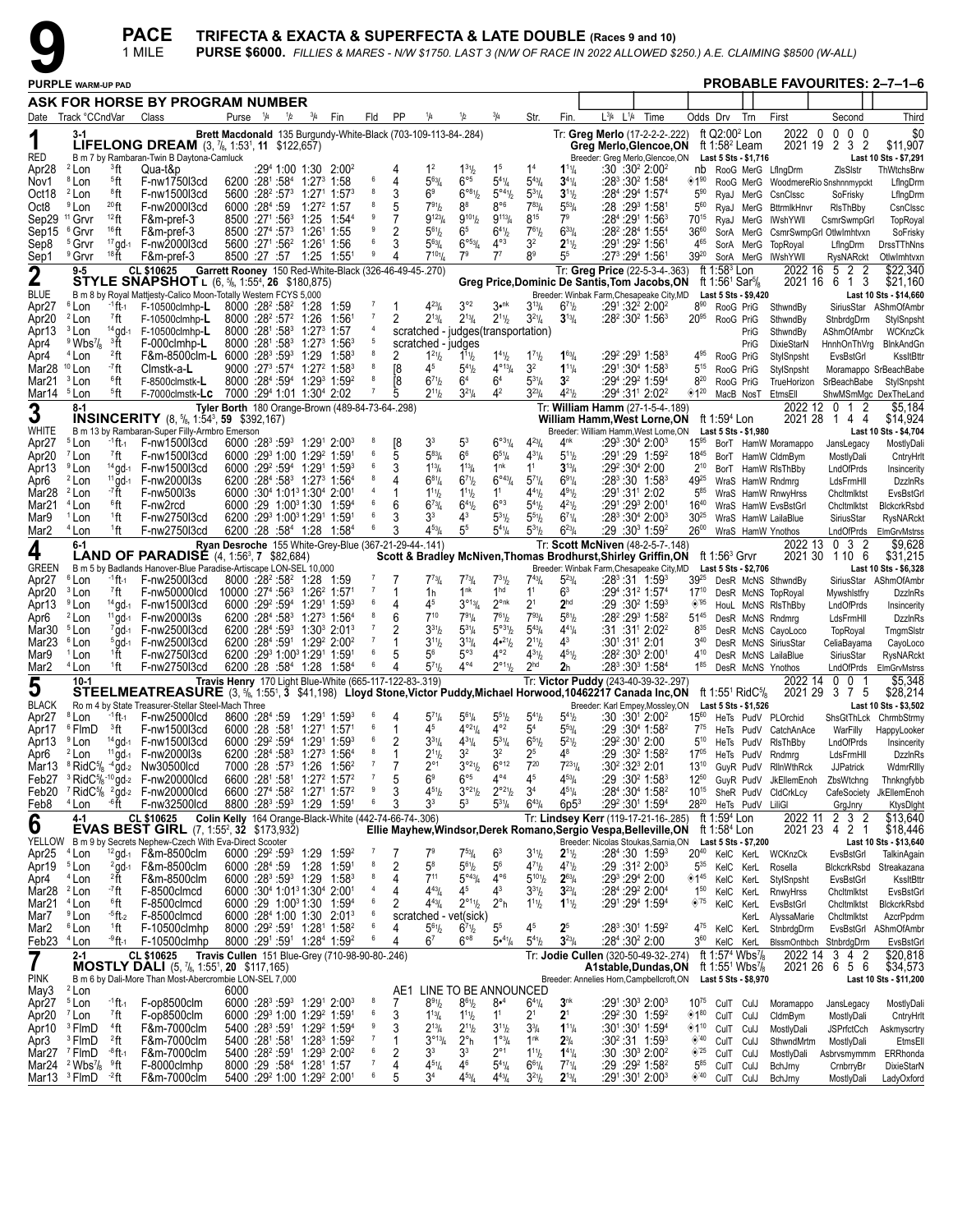

|                                                  |                                                             |                                      | <b>PACE</b><br>1 MILE                                                                                                                          |                                                 |                                                                                                                                  |     |               |                                    |                      |                                                         |                                                                |                                                              |                                                                                  |                                                       |                                       | TRIFECTA & EXACTA & SUPERFECTA & LATE DOUBLE (Races 9 and 10) |                                                                                                           |                                 |                                                        |                                                                              | <b>PURSE \$6000.</b> FILLIES & MARES - N/W \$1750. LAST 3 (N/W OF RACE IN 2022 ALLOWED \$250.) A.E. CLAIMING \$8500 (W-ALL) |                                        |                                                 |
|--------------------------------------------------|-------------------------------------------------------------|--------------------------------------|------------------------------------------------------------------------------------------------------------------------------------------------|-------------------------------------------------|----------------------------------------------------------------------------------------------------------------------------------|-----|---------------|------------------------------------|----------------------|---------------------------------------------------------|----------------------------------------------------------------|--------------------------------------------------------------|----------------------------------------------------------------------------------|-------------------------------------------------------|---------------------------------------|---------------------------------------------------------------|-----------------------------------------------------------------------------------------------------------|---------------------------------|--------------------------------------------------------|------------------------------------------------------------------------------|-----------------------------------------------------------------------------------------------------------------------------|----------------------------------------|-------------------------------------------------|
|                                                  | <b>PURPLE WARM-UP PAD</b>                                   |                                      |                                                                                                                                                |                                                 |                                                                                                                                  |     |               |                                    |                      |                                                         |                                                                |                                                              |                                                                                  |                                                       |                                       |                                                               |                                                                                                           |                                 |                                                        |                                                                              |                                                                                                                             | <b>PROBABLE FAVOURITES: 2-7-1-6</b>    |                                                 |
|                                                  |                                                             |                                      | ASK FOR HORSE BY PROGRAM NUMBER                                                                                                                |                                                 |                                                                                                                                  |     |               |                                    |                      |                                                         |                                                                |                                                              |                                                                                  |                                                       |                                       |                                                               |                                                                                                           |                                 |                                                        |                                                                              |                                                                                                                             |                                        |                                                 |
|                                                  | Date Track °CCndVar                                         |                                      | Class                                                                                                                                          |                                                 | Purse <sup>1</sup> /4                                                                                                            | 1/2 | $^{3}/_{4}$   | Fin                                | Fld                  | PP                                                      | 1/4                                                            | 1/2                                                          | $^{3}/_{4}$                                                                      | Str.                                                  | Fin                                   | L <sup>3</sup> /4 L <sup>1</sup> /4 Time                      |                                                                                                           | Odds Drv                        | ft $Q2:002$ Lon                                        | Trn                                                                          | First<br>2022 0                                                                                                             | Second<br>$0\quad 0\quad 0$            | Third<br>\$0                                    |
| 1                                                |                                                             |                                      | <b>LIFELONG DREAM</b> $(3, 7), 1:53^1, 11, $122,657)$                                                                                          |                                                 |                                                                                                                                  |     |               |                                    |                      |                                                         | Brett Macdonald 135 Burgundy-White-Black (703-109-113-84-.284) |                                                              |                                                                                  |                                                       |                                       |                                                               | Tr: Greg Merlo (17-2-2-2-.222)<br>Greg Merlo, Glencoe, ON                                                 |                                 | ft 1:58 $2$ Leam                                       |                                                                              | 2021 19                                                                                                                     | 2 3<br>$\overline{2}$                  | \$11,907                                        |
| RED<br>Apr <sub>28</sub>                         | $2$ Lon                                                     | <sup>3</sup> ft                      | B m 7 by Rambaran-Twin B Daytona-Camluck<br>Qua-t&p                                                                                            |                                                 |                                                                                                                                  |     |               | $:294$ 1:00 1:30 2:00 <sup>2</sup> |                      |                                                         | 1 <sup>2</sup>                                                 | $1^{31}h$                                                    | 1 <sup>5</sup>                                                                   | 1 <sup>4</sup>                                        | $1^{11}/4$                            |                                                               | Breeder: Greg Merlo, Glencoe, ON<br>:30:30 <sup>2</sup> 2:00 <sup>2</sup>                                 |                                 |                                                        | Last 5 Sts - \$1,716                                                         | nb RooG MerG LfingDrm                                                                                                       | ZIsSIstr                               | Last 10 Sts - \$7,291<br>ThWtchsBrw             |
| Nov1                                             | <sup>8</sup> Lon<br><sup>2</sup> Lon                        | <sup>5</sup> ft<br>®ft               | F-nw1750l3cd<br>F-nw1500l3cd                                                                                                                   |                                                 | 6200 :281 :584 1:273 1:58<br>$5600 : 28^2 : 57^3$ 1:27 <sup>1</sup> 1:57 <sup>3</sup>                                            |     |               |                                    | 6<br>8               | 4<br>3                                                  | $5^{63}$ /4<br>69                                              | $6^{\circ 5}$<br>$6^{\circ 81}/2$                            | $5^{4}$ <sup>1</sup> / <sub>4</sub><br>$5^{\circ 4}$ <sup>1</sup> / <sub>2</sub> | $5^{43}$ /4<br>$5^{31}/4$                             | $3^{41}/4$<br>$3^{11}/2$              |                                                               | :28 <sup>3</sup> :30 <sup>2</sup> 1:58 <sup>4</sup><br>:284 :294 1:574                                    | $*1^{90}$<br>$5^{90}$           |                                                        |                                                                              |                                                                                                                             | RooG MerG WoodmereRio Snshnnmypckt     | LfIngDrm                                        |
| Oct18<br>Oct <sub>8</sub>                        | <sup>9</sup> Lon                                            | 20 <sub>ft</sub>                     | F-nw2000l3cd                                                                                                                                   |                                                 | 6000 :284 :59                                                                                                                    |     | $1:27^2$ 1:57 |                                    |                      | 5                                                       | 791 <sub>b</sub>                                               | $8^8$                                                        | $8^{\circ 6}$                                                                    | $7^{83}$ /                                            | $5^{53}/4$                            |                                                               | :28 :29 <sup>3</sup> 1:58 <sup>1</sup>                                                                    | $5^{60}$                        |                                                        | RyaJ MerG<br>RyaJ MerG                                                       | CsnClssc<br><b>BttrmlkHnvr</b>                                                                                              | SoFrisky<br>RIsThBby                   | LfIngDrm<br>CsnClssc                            |
| Sep15                                            | Sep29 <sup>11</sup> Grvr<br><sup>6</sup> Grvr               | $12$ ft<br>$16$ ft                   | F&m-pref-3<br>F&m-pref-3                                                                                                                       |                                                 | 8500 :271 :56 <sup>3</sup> 1:25<br>8500 : 27 <sup>4</sup> : 57 <sup>3</sup> 1: 26 <sup>1</sup> 1: 55                             |     |               | 1:54 <sup>4</sup>                  | -9                   | 7<br>2                                                  | $9^{123} / 4$<br>$5^{61}$ / <sub>2</sub>                       | $9^{10}$ <sup>1</sup> / <sub>2</sub><br>6 <sup>5</sup>       | $9^{113}/4$<br>$6^{41}$                                                          | 815<br>$7^{61}$                                       | 7 <sup>9</sup><br>$6^{33}/4$          |                                                               | :284 :291 1:563<br>:28 <sup>2</sup> :28 <sup>4</sup> 1:55 <sup>4</sup>                                    | 70 <sup>15</sup><br>$36^{60}$   |                                                        | RyaJ MerG<br>SorA MerG                                                       | IWshYWll                                                                                                                    | CsmrSwmpGrl                            | TopRoyal                                        |
| Sep8                                             | <sup>5</sup> Grvr                                           |                                      | 17 gd-1 F-nw2000l3cd                                                                                                                           |                                                 | 5600 :271 :56 <sup>2</sup> 1:261 1:56                                                                                            |     |               |                                    |                      |                                                         | $5^{63}$ /4                                                    | $6^{\circ 53}/4$                                             | $4^{\circ}3$                                                                     | 3 <sup>2</sup>                                        | $2^{11}/2$                            |                                                               | :291:292 1:561                                                                                            | 465                             |                                                        | SorA MerG                                                                    | TopRoyal                                                                                                                    | CsmrSwmpGrl OtlwImhtvxn<br>LfIngDrm    | SoFrisky<br>DrssTThNns                          |
| Sep1                                             | <sup>9</sup> Grvr<br>$9 - 5$                                | $18$ ft                              | F&m-pref-3<br><b>CL \$10625</b>                                                                                                                |                                                 | 8500 :27 :57 1:25 1:551                                                                                                          |     |               |                                    | 9                    | Garrett Rooney 150 Red-White-Black (326-46-49-45-.270)  | $7^{10}$ <sup>1</sup> / <sub>4</sub>                           | 7 <sup>9</sup>                                               | $7^7$                                                                            | 89                                                    | 5 <sup>5</sup>                        |                                                               | :273 :294 1:561<br>Tr: Greg Price (22-5-3-4-.363)                                                         | 3920                            | ft 1:58 $3$ Lon                                        |                                                                              | SorA MerG IWshYWII<br>2022 16                                                                                               | RysNARckt<br>2<br>$\overline{2}$<br>5  | OtlwImhtvxn<br>\$22,340                         |
| $\mathbf 2$                                      |                                                             |                                      | <b>STYLE SNAPSHOT</b> L (6, <sup>5</sup> <sub>8</sub> , 1:55 <sup>4</sup> , <b>26</b> \$180,875)                                               |                                                 |                                                                                                                                  |     |               |                                    |                      |                                                         |                                                                |                                                              |                                                                                  |                                                       |                                       |                                                               | Greg Price, Dominic De Santis, Tom Jacobs, ON                                                             |                                 | ft 1:56 <sup>1</sup> Sar <sup>5</sup> / <sub>8</sub>   |                                                                              | 2021 16                                                                                                                     | 61<br>3                                | \$21,160                                        |
| <b>BLUE</b><br>Apr <sub>27</sub>                 | <sup>6</sup> Lon                                            | -1 ft-1                              | B m 8 by Royal Mattjesty-Calico Moon-Totally Western FCYS 5,000<br>$F-10500$ clmhp-L                                                           |                                                 | $8000 : 28^2 : 58^2 : 1:28$                                                                                                      |     |               | 1:59                               |                      |                                                         | $4^{23}$ /4                                                    | $3^{\circ 2}$                                                | $3^{\bullet n k}$                                                                | $3^{13}/4$                                            | $6^{71}$                              |                                                               | Breeder: Winbak Farm, Chesapeake City, MD<br>:291:322 2:002                                               | $8^{90}$                        | RooG PriG                                              | Last 5 Sts - \$9,420                                                         | SthwndBy                                                                                                                    |                                        | Last 10 Sts - \$14,660<br>SiriusStar AShmOfAmbr |
| Apr20                                            | $2$ Lon                                                     | <sup>7</sup> ft                      | $F-10500$ clmhp-L                                                                                                                              |                                                 | $8000 : 28^2 : 57^2$ 1:26                                                                                                        |     |               | 1:561                              | $\overline{7}$<br>4  | 2                                                       | $2^{13}/4$                                                     | $2^{13}/4$                                                   | $2^{11}/2$                                                                       | $3^{21}/4$                                            | $3^{13}/4$                            |                                                               | :28 <sup>2</sup> :30 <sup>2</sup> 1:56 <sup>3</sup>                                                       | $20^{95}$                       | RooG PriG                                              |                                                                              | SthwndBy                                                                                                                    | StnbrdgDrm                             | StylSnpsht                                      |
| Apr13<br>Apr4                                    | <sup>3</sup> Lon<br>$9$ Wbs <sup>7</sup> / <sub>8</sub>     | $14$ gd-1<br><sup>3</sup> ft         | F-10500clmhp-L<br>F-000clmhp-L                                                                                                                 |                                                 | 8000 :281 :583 1:273 1:57<br>8000 :281 :583 1:273 1:563                                                                          |     |               |                                    | 5                    |                                                         | scratched - judges                                             | scratched - judges (transportation)                          |                                                                                  |                                                       |                                       |                                                               |                                                                                                           |                                 |                                                        | PriG<br>PriG                                                                 | SthwndBy<br>DixieStarN                                                                                                      | AShmOfAmbr                             | WCKnzCk<br>HnnhOnThVrg BlnkAndGn                |
| Apr4<br>Mar28 <sup>10</sup> Lon                  | <sup>4</sup> Lon                                            | 2 <sub>ft</sub><br>- <sup>7</sup> ft | F&m-8500clm-L 6000 :283 :593 1:29<br>Clmstk-a-L                                                                                                |                                                 | $9000:27^3:57^4$ 1:27 <sup>2</sup> 1:58 <sup>3</sup>                                                                             |     |               | $1:58^3$                           | 8                    | 2<br>[8                                                 | $1^{21}h$<br>4 <sup>5</sup>                                    | $1^{11}h$<br>$5^{41}h$                                       | $1^{41}$ / <sub>2</sub><br>$4^{\circ_{13}}/4$                                    | $1^{7}$ <sup>1</sup> / <sub>2</sub><br>32             | $1^{63}$ / <sub>4</sub><br>$1^{11}/4$ |                                                               | :29 <sup>2</sup> :29 <sup>3</sup> 1:58 <sup>3</sup><br>$:29^1:30^4$ 1:58 $^3$                             | 495<br>$5^{15}$                 | RooG PriG<br>RooG PriG                                 |                                                                              | StylSnpsht<br>StylSnpsht                                                                                                    | EvsBstGrl                              | KssltBttr<br>Moramappo SrBeachBabe              |
| Mar21                                            | <sup>3</sup> Lon                                            | 6ft                                  | F-8500clmstk-L                                                                                                                                 |                                                 | 8000 :284 :594 1:293 1:592                                                                                                       |     |               |                                    | 8                    | [8                                                      | $6^{71}$                                                       | 6 <sup>4</sup>                                               | 6 <sup>4</sup>                                                                   | $5^{31}/4$                                            | 3 <sup>2</sup>                        |                                                               | :29 <sup>4</sup> :29 <sup>2</sup> 1:59 <sup>4</sup>                                                       | $8^{20}$                        | RooG PriG                                              |                                                                              | TrueHorizon                                                                                                                 | SrBeachBabe                            | StylSnpsht                                      |
| Mar14 <sup>5</sup> Lon                           | 8-1                                                         | <sup>5</sup> ft                      | F-7000clmstk-LC                                                                                                                                |                                                 | 7000 :294 1:01 1:304 2:02                                                                                                        |     |               |                                    |                      | 5                                                       | $2^{11}h$                                                      | $3^{21}/4$                                                   | 4 <sup>2</sup>                                                                   | $3^{23}$ /4                                           | $4^{21}/2$                            |                                                               | :294 :311 2:022<br>Tr: William Hamm (27-1-5-4-.189)                                                       | ◈120                            |                                                        | MacB NosT                                                                    | EtmsEll                                                                                                                     | 2022 12 0 1<br>2                       | ShwMSmMgc DexTheLand<br>\$5,184                 |
| 3                                                |                                                             |                                      | <b>INSINCERITY</b> $(8, 5/8, 1:54^3, 59, 3:92, 167)$                                                                                           |                                                 |                                                                                                                                  |     |               |                                    |                      | Tyler Borth 180 Orange-Brown (489-84-73-64-.298)        |                                                                |                                                              |                                                                                  |                                                       |                                       |                                                               | William Hamm, West Lorne, ON                                                                              |                                 | ft 1:59 <sup>4</sup> Lon                               |                                                                              | 2021 28                                                                                                                     | 144                                    | \$14,924                                        |
| WHITE<br>Apr <sub>27</sub>                       | <sup>5</sup> Lon                                            | $-1$ ft-1                            | B m 13 by Rambaran-Super Filly-Armbro Emerson<br>F-nw1500l3cd                                                                                  |                                                 | $6000:28^3:59^3$ 1:29 <sup>1</sup> 2:00 <sup>3</sup>                                                                             |     |               |                                    | 8                    | [8                                                      | 3 <sup>3</sup>                                                 | 5 <sup>3</sup>                                               | 6°31/4                                                                           | $4^{23}$ /4                                           | 4 <sup>nk</sup>                       |                                                               | Breeder: William Hamm, West Lorne, ON<br>:29 <sup>3</sup> :30 <sup>4</sup> 2:00 <sup>3</sup>              | $15^{95}$                       |                                                        | Last 5 Sts - \$1,980                                                         | BorT HamW Moramappo                                                                                                         | JansLegacy                             | Last 10 Sts - \$4,704<br>MostlyDali             |
| Apr <sub>20</sub>                                | <sup>7</sup> Lon                                            | <sup>7</sup> ft                      | F-nw1500l3cd                                                                                                                                   |                                                 | 6000 :293 1:00 1:29 <sup>2</sup> 1:591                                                                                           |     |               |                                    | 6                    | 5                                                       | $5^{83}$ /4                                                    | 6 <sup>6</sup>                                               | $6^{51}/4$                                                                       | $4^{31}/4$                                            | $5^{11}$ / <sub>2</sub>               |                                                               | :291:29 1:592                                                                                             | $18^{45}$                       |                                                        |                                                                              | BorT HamW CldmBym                                                                                                           | MostlyDali                             | CntryHrlt                                       |
| Apr13<br>Apr6                                    | <sup>9</sup> Lon<br><sup>2</sup> Lon                        |                                      | 14 gd-1 F-nw1500l3cd<br><sup>11</sup> gd-1 F-nw2000l3s                                                                                         |                                                 | $6000 :29^2 :59^4$ 1:29 <sup>1</sup> 1:59 <sup>3</sup><br>$6200$ : $28^4$ : $58^3$ 1: $27^3$ 1: $56^4$                           |     |               |                                    | 6<br>8               | 3                                                       | $1^{13}$ / <sub>4</sub><br>$6^{81}/4$                          | $1^{13}/4$<br>$6^{7}$ <sup>1</sup> / <sub>2</sub>            | 1 <sup>nk</sup><br>$6^{\circ43}/4$                                               | 1 <sup>1</sup><br>$5^{7}$ <sup>1</sup> / <sub>4</sub> | $3^{13}/4$<br>$69^{1}/4$              |                                                               | :29 <sup>2</sup> :30 <sup>4</sup> 2:00<br>:28 <sup>3</sup> :30 1:58 <sup>3</sup>                          | $2^{10}$<br>4925                |                                                        |                                                                              | BorT HamW RIsThBby<br>WraS HamW Rndmrg                                                                                      | LndOfPrds<br>LdsFrmHll                 | Insincerity<br><b>DzzinRs</b>                   |
| Mar28                                            | <sup>2</sup> Lon                                            | - <sup>7</sup> ft                    | F-nw500l3s                                                                                                                                     |                                                 | 6000 :30 <sup>4</sup> 1:01 <sup>3</sup> 1:30 <sup>4</sup> 2:00 <sup>1</sup>                                                      |     |               |                                    | $\overline{4}$       |                                                         | $1^{11}h$                                                      | $1^{11}h$                                                    | 1 <sup>1</sup>                                                                   | $4^{41}$ / <sub>2</sub>                               | $4^{91}h$                             |                                                               | :291:311 2:02                                                                                             | $5^{85}$                        |                                                        |                                                                              | WraS HamW RnwyHrss                                                                                                          | Chcltmlktst                            | EvsBstGrl                                       |
| Mar21<br>Mar9                                    | <sup>4</sup> Lon<br><sup>1</sup> Lon                        | $^6$ ft<br><sup>1</sup> ft           | F-nw2rcd<br>F-nw2750l3cd                                                                                                                       |                                                 | 6000 :29 1:00 <sup>3</sup> 1:30 1:59 <sup>4</sup><br>6200 :293 1:003 1:291 1:591                                                 |     |               |                                    | 6<br>6               | 6                                                       | $6^{73}/4$<br>3 <sup>3</sup>                                   | $6^{4}$ <sup>1</sup> b<br>43                                 | $6^{\circ}3$<br>$5^{31}/2$                                                       | $5^{4}$ <sup>1</sup> / <sub>2</sub><br>$5^{51}$       | $4^{21}/2$<br>$6^{71}/4$              |                                                               | :291:293 2:001<br>:28 <sup>3</sup> :30 <sup>4</sup> 2:00 <sup>3</sup>                                     | $16^{40}$<br>$30^{25}$          |                                                        |                                                                              | WraS HamW EvsBstGrl<br>WraS HamW LailaBlue                                                                                  | Chcltmlktst<br>SiriusStar              | BlckcrkRsbd<br>RysNARckt                        |
| Mar <sub>2</sub>                                 | <sup>4</sup> Lon                                            | 1ft                                  | F-nw2750l3cd                                                                                                                                   |                                                 | 6200 :28 :584 1:28 1:584                                                                                                         |     |               |                                    |                      |                                                         | $4^{53}$ /4                                                    | 55                                                           | $5^{41}/4$                                                                       | $5^{31}$ / <sub>2</sub>                               | $6^{23}/4$                            |                                                               | :29 :30 <sup>3</sup> 1:59 <sup>2</sup>                                                                    | $26^{00}$                       |                                                        |                                                                              | WraS HamW Ynothos                                                                                                           | LndOfPrds                              | ElmGrvMstrss                                    |
| 4                                                | 6-1                                                         |                                      | <b>LAND OF PARADISÉ</b> (4, 1:56 <sup>3</sup> , 7 \$82,684)                                                                                    |                                                 |                                                                                                                                  |     |               |                                    |                      | Ryan Desroche 155 White-Grey-Blue (367-21-29-44-.141)   |                                                                |                                                              |                                                                                  |                                                       |                                       |                                                               | Tr: Scott McNiven (48-2-5-7-.148)<br>Scott & Bradley McNiven, Thomas Brodhurst, Shirley Griffin, ON       |                                 | ft 1:56 $3$ Grvr                                       |                                                                              | 2022 13                                                                                                                     | 0 <sup>3</sup><br>-2<br>2021 30 1 10 6 | $\overline{$9,628}$<br>\$31,215                 |
| <b>GREEN</b><br>Apr <sub>27</sub>                | <sup>6</sup> Lon                                            | <sup>-1</sup> ft-1                   | B m 5 by Badlands Hanover-Blue Paradise-Artiscape LON-SEL 10,000<br>F-nw2500l3cd                                                               |                                                 | 8000 :28 <sup>2</sup> :58 <sup>2</sup> 1:28 1:59                                                                                 |     |               |                                    |                      |                                                         | $7^{73}$ /4                                                    | $7^{73}$ /4                                                  | $7^{31}/2$                                                                       | $7^{43}$ / <sub>4</sub>                               | $5^{23}$ /4                           |                                                               | Breeder: Winbak Farm, Chesapeake City, MD<br>$:28^3:31$ 1:59 $^3$                                         | $39^{25}$                       |                                                        | Last 5 Sts - \$2,706                                                         | DesR McNS SthwndBy                                                                                                          |                                        | Last 10 Sts - \$6,328<br>SiriusStar AShmOfAmbr  |
| Apr20                                            | <sup>3</sup> Lon                                            | 7ft                                  | F-nw50000lcd                                                                                                                                   |                                                 | $10000:274:5631:2621:571$                                                                                                        |     |               |                                    | $\overline{7}$       |                                                         | 1h                                                             | 1 <sup>nk</sup>                                              | 1 <sup>hd</sup>                                                                  | 1 <sup>1</sup>                                        | 63                                    |                                                               | :29 <sup>4</sup> :31 <sup>2</sup> 1:57 <sup>4</sup>                                                       | $17^{10}$                       |                                                        |                                                                              | DesR McNS TopRoyal                                                                                                          | Mywshistfry                            | DzzinRs                                         |
| Apr13<br>Apr6                                    | <sup>9</sup> Lon<br><sup>2</sup> Lon                        |                                      | $14$ gd- $1$ F-nw150013cd<br><sup>11</sup> gd-1 F-nw2000l3s                                                                                    |                                                 | 6000 :29 <sup>2</sup> :59 <sup>4</sup> 1:29 <sup>1</sup> 1:59 <sup>3</sup><br>$6200 : 284: 583 1:273 1:564$                      |     |               |                                    | 6<br>8               | 4<br>6                                                  | 4 <sup>5</sup><br>$7^{10}$                                     | 3°13/4<br>$7^{91}/4$                                         | $2^{\circ n k}$<br>$7^{61}/2$                                                    | 2 <sup>1</sup><br>$7^{93}$ / <sub>4</sub>             | 2 <sup>hd</sup><br>$5^{81}/2$         |                                                               | $:29:30^2$ 1:59 <sup>3</sup><br>:28 <sup>2</sup> :29 <sup>3</sup> 1:58 <sup>2</sup>                       | $\circledcirc$ '95<br>$51^{45}$ |                                                        |                                                                              | HouL McNS RIsThBby<br>DesR McNS Rndmrg                                                                                      | LndOfPrds<br>LdsFrmHll                 | Insincerity<br><b>DzzinRs</b>                   |
| Mar30 <sup>5</sup> Lon                           |                                                             |                                      | $7$ gd- $1$ F-nw2500l3cd                                                                                                                       |                                                 | 6200 :284 :593 1:303 2:013                                                                                                       |     |               |                                    | $\overline{7}$       | 2                                                       | $3^{31}h$                                                      | $5^{31}/4$                                                   | $5^{\circ 31}/2$                                                                 | $5^{43}$ /4                                           | $4^{41}/4$                            |                                                               | :31:31 <sup>1</sup> 2:02 <sup>2</sup>                                                                     | $8^{35}$                        |                                                        |                                                                              | DesR McNS CayoLoco                                                                                                          | TopRoyal                               | TmgmSlstr                                       |
| Mar <sub>23</sub><br>Mar9                        | <sup>6</sup> Lon<br><sup>1</sup> Lon                        | ↑ft                                  | $5$ gd- $1$ F-nw2500l3cd<br>F-nw2750l3cd                                                                                                       |                                                 | 6200 :284 :591 1:29 <sup>2</sup> 2:00 <sup>2</sup><br>6200 :293 1:003 1:291 1:591                                                |     |               |                                    | $\overline{7}$<br>6  | 5                                                       | $3^{11}h$<br>$5^6$                                             | $3^{13}/4$<br>$5^{\circ}3$                                   | $4•^{21}b$<br>$4^{\circ 2}$                                                      | $2^{11}/2$<br>$4^{31}/2$                              | 43<br>$4^{51}/2$                      | :301:311 2:01                                                 | :28 <sup>2</sup> :30 <sup>3</sup> 2:001                                                                   | $3^{40}$<br>410                 |                                                        |                                                                              | DesR McNS SiriusStar<br>DesR McNS LailaBlue                                                                                 | CeliaBayama<br>SiriusStar              | CayoLoco<br>RysNARckt                           |
| Mar <sub>2</sub>                                 | <sup>4</sup> Lon                                            | 1ft                                  | F-nw2750l3cd                                                                                                                                   |                                                 | 6200 :28 :584 1:28 1:584                                                                                                         |     |               |                                    | 6                    |                                                         | $5^{71}h$                                                      | $4^{\circ 4}$                                                | $2^{\circ_{11}}\frac{1}{2}$                                                      | 2 <sup>hd</sup>                                       | 2 <sub>h</sub>                        |                                                               | :28 <sup>3</sup> :30 <sup>3</sup> 1:58 <sup>4</sup>                                                       | $1^{85}$                        |                                                        |                                                                              | DesR McNS Ynothos                                                                                                           |                                        | LndOfPrds ElmGrvMstrss                          |
| 5                                                | $10-1$                                                      |                                      | STEELMEATREASURE (3, %, 1:551, 3 \$41,198) Lloyd Stone, Victor Puddy, Michael Horwood, 10462217 Canada Inc, ON                                 |                                                 |                                                                                                                                  |     |               |                                    |                      | Travis Henry 170 Light Blue-White (665-117-122-83-.319) |                                                                |                                                              |                                                                                  |                                                       |                                       |                                                               | Tr: Victor Puddy (243-40-39-32-.297)                                                                      |                                 |                                                        | ft 1:55 <sup>1</sup> RidC <sup>5</sup> / <sub>8</sub>                        | 2022 14<br>2021 29                                                                                                          | 0 <sub>0</sub><br>3 7 5                | \$5,348<br>\$28,214                             |
| <b>BLACK</b><br>Apr27                            | <sup>8</sup> Lon                                            |                                      | Ro m 4 by State Treasurer-Stellar Steel-Mach Three<br>$-1$ ft 1 F-nw25000lcd 8600 :28 <sup>4</sup> :59 1:29 <sup>1</sup> 1:59 <sup>3 6</sup> 4 |                                                 |                                                                                                                                  |     |               |                                    |                      |                                                         | $5^{71}$ /4                                                    | $5^{61}$ /4                                                  | $5^{51}$                                                                         | $5^{41}$ / <sub>2</sub>                               | $5^{41} / 2$                          |                                                               | Breeder: Karl Empey, Mossley, ON Last 5 Sts - \$1,526<br>$\cdot 30 \cdot 30^1$ 2 $\cdot 00^2$             |                                 |                                                        |                                                                              | 1560 HeTs PudV PLOrchid                                                                                                     |                                        | Last 10 Sts - \$3,502<br>ShsGtThLck ChrmbStrmy  |
|                                                  | Apr17 <sup>6</sup> FlmD                                     | <sup>3</sup> ft                      | F-nw1500l3cd                                                                                                                                   |                                                 | 6000 :28 :58 <sup>1</sup> 1:27 <sup>1</sup> 1:57 <sup>1</sup>                                                                    |     |               |                                    | 6                    |                                                         | 4 <sup>5</sup>                                                 | $4^{921} / 4$                                                | $4^{\circ 2}$                                                                    | 5 <sup>4</sup>                                        | $5^{53}/4$                            |                                                               | :29 :30 <sup>4</sup> 1:58 <sup>2</sup>                                                                    | $7^{75}$                        |                                                        |                                                                              | HeTs PudV CatchAnAce                                                                                                        | WarFilly                               | HappyLooker                                     |
| Apr13<br>Apr6                                    | <sup>9</sup> Lon<br><sup>2</sup> Lon                        |                                      | $14$ gd-1 F-nw1500l3cd<br><sup>11</sup> gd-1 F-nw2000l3s                                                                                       |                                                 | 6000 :29 <sup>2</sup> :59 <sup>4</sup> 1:29 <sup>1</sup> 1:59 <sup>3</sup><br>6200 :284 :583 1:273 1:564                         |     |               |                                    | 6<br>8               | 2<br>1                                                  | $3^{31}/4$<br>$2^{11}h$                                        | $4^{31}/4$<br>3 <sup>2</sup>                                 | $5^{31}/4$<br>32                                                                 | $6^{51}/2$<br>25                                      | $5^{21}/2$<br>48                      |                                                               | :29 <sup>2</sup> :30 <sup>1</sup> 2:00<br>:29 :30 <sup>2</sup> 1:58 <sup>2</sup>                          | $5^{10}$<br>$17^{05}$           |                                                        |                                                                              | HeTs PudV RIsThBby<br>HeTs PudV Rndmrg                                                                                      | LndOfPrds<br>LdsFrmHll                 | Insincerity<br><b>DzzinRs</b>                   |
|                                                  |                                                             |                                      | Mar13 $8$ RidC $\frac{5}{8}$ $4$ gd-2 Nw30500lcd                                                                                               |                                                 | 7000 :28 :573                                                                                                                    |     |               | $1:26$ $1:56^2$                    | $\overline{7}$       | 7                                                       | $2^{\circ 1}$                                                  | $3°^{21}/2$                                                  | $6^{\circ}12$                                                                    | $7^{20}$                                              | $7^{231}$ /4                          |                                                               | :30 $2:323$ 2:01                                                                                          | $13^{10}$                       |                                                        |                                                                              | GuyR PudV RllnWthRck                                                                                                        | <b>JJPatrick</b>                       | WdmrRllly                                       |
| Feb20                                            |                                                             |                                      | Feb27 $3$ RidC $\frac{5}{6}$ -10 gd-2 F-nw20000lcd<br>$\frac{7}{1}$ RidC $\frac{5}{8}$ $\frac{2}{9}$ d-2 F-nw20000lcd                          |                                                 | 6600 :281 :581 1:27 <sup>2</sup> 1:57 <sup>2</sup><br>6600 :274 :58 <sup>2</sup> 1:27 <sup>1</sup> 1:57 <sup>2</sup>             |     |               |                                    | $\overline{7}$<br>9  | 5<br>3                                                  | 6 <sup>9</sup><br>$4^{51}h$                                    | $6^{\circ 5}$<br>$3^{921}/2$                                 | $4^{\circ 4}$<br>$2^{\circ 2\frac{1}{2}}$                                        | 45<br>3 <sup>4</sup>                                  | $4^{53} / _4$<br>$4^{51}/4$           |                                                               | $:29:30^2$ 1:58 <sup>3</sup><br>:284 :304 1:582                                                           | $12^{50}$<br>$10^{15}$          |                                                        |                                                                              | GuyR PudV JkEllemEnoh<br>SheR PudV CldCrkLcy                                                                                | ZbsWtchng<br>CafeSociety               | Thnkngfybb<br>JkEllemEnoh                       |
| Feb8                                             | <sup>4</sup> Lon                                            | -6ft                                 | F-nw32500lcd                                                                                                                                   |                                                 | 8800 :283 :593 1:29 1:591                                                                                                        |     |               |                                    | 6                    | 3                                                       | 3 <sup>3</sup>                                                 | 5 <sup>3</sup>                                               | $5^{31}/4$                                                                       | $6^{43}$ /4                                           | $6p5^3$                               |                                                               | :29 <sup>2</sup> :30 <sup>1</sup> 1:59 <sup>4</sup>                                                       | $28^{20}$                       |                                                        | HeTs PudV LiliGI                                                             |                                                                                                                             | GrgJnry                                | KtysDight                                       |
| 6                                                | 4-1                                                         |                                      | CL \$10625<br><b>EVAS BEST GIRL</b> $(7, 1:55^2, 32 \quad $173,932)$                                                                           |                                                 |                                                                                                                                  |     |               |                                    |                      | Colin Kelly 164 Orange-Black-White (442-74-66-74-.306)  |                                                                |                                                              |                                                                                  |                                                       |                                       |                                                               | Tr: Lindsey Kerr (119-17-21-16-.285)<br>Ellie Mayhew, Windsor, Derek Romano, Sergio Vespa, Belleville, ON |                                 | ft 1:59 <sup>4</sup> Lon<br>ft 1:58 <sup>4</sup> Lon   |                                                                              | 2022 11                                                                                                                     | 232<br>2021 23 4 2 1                   | \$13.640<br>\$18,446                            |
|                                                  |                                                             |                                      | YELLOW B m 9 by Secrets Nephew-Czech With Eva-Direct Scooter                                                                                   |                                                 |                                                                                                                                  |     |               |                                    |                      |                                                         | 7 <sup>9</sup>                                                 | $7^{53} / 4$                                                 |                                                                                  |                                                       |                                       |                                                               | Breeder: Nicolas Stoukas, Sarnia, ON                                                                      |                                 |                                                        | Last 5 Sts - \$7,200                                                         |                                                                                                                             |                                        | Last 10 Sts - \$13,640                          |
| Apr <sub>25</sub><br>Apr19                       | <sup>4</sup> Lon<br><sup>5</sup> Lon                        |                                      | $12$ gd-1 F&m-8500clm<br>$^{2}$ gd-1 F&m-8500clm                                                                                               |                                                 | $6000:29^2:59^3$ 1:29 1:59 <sup>2</sup><br>6000 :284 :59                                                                         |     |               | 1:28 1:591                         | 8                    | 2                                                       | $5^8$                                                          | $5^{61}h$                                                    | 6 <sup>3</sup><br>$5^6$                                                          | $3^{11}/2$<br>$4^{7}$ <sup>1</sup> / <sub>2</sub>     | $2^{11}/2$<br>$4^{71}h$               |                                                               | $:28^4:30$ 1:59 <sup>3</sup><br>:29 :31 <sup>2</sup> 2:00 <sup>3</sup>                                    | $20^{40}$<br>$5^{35}$           | KeIC KerL                                              |                                                                              | KelC KerL WCKnzCk<br>Rosella                                                                                                | EvsBstGrl<br>BlckcrkRsbd               | TalkinAgain<br>Streakazana                      |
| Apr4                                             | <sup>4</sup> Lon                                            | $2\frac{X}{H}$                       | F&m-8500clm                                                                                                                                    |                                                 | 6000 :283 :593 1:29 1:583                                                                                                        |     |               |                                    | 8<br>$\overline{4}$  | 4<br>4                                                  | $7^{11}$<br>$4^{43}$ /4                                        | $5^{\circ 43} / 4$<br>4 <sup>5</sup>                         | $4^{\circ 6}$<br>4 <sup>3</sup>                                                  | $5^{101}h$                                            | $2^{63}/4$                            |                                                               | :293 :294 2:00                                                                                            |                                 | <sup>145</sup> KelC KerL                               |                                                                              | StylSnpsht                                                                                                                  | EvsBstGrl                              | KssltBttr                                       |
| Mar28 <sup>2</sup> Lon<br>Mar21 <sup>4</sup> Lon |                                                             | -7ft<br>6ft                          | F-8500clmcd<br>F-8500clmcd                                                                                                                     |                                                 | 6000 :30 <sup>4</sup> 1:01 <sup>3</sup> 1:30 <sup>4</sup> 2:00 <sup>1</sup><br>6000 :29 1:00 <sup>3</sup> 1:30 1:59 <sup>4</sup> |     |               |                                    | 6                    | 2                                                       | $4^{43}/4$                                                     | $2^{\circ 11}/2$                                             | $2^{\circ}$ h                                                                    | $3^{31/2}$<br>$1^{11}$ / <sub>2</sub>                 | $3^{23}/4$<br>$1^{11}h$               |                                                               | :284 :292 2:004<br>:291:294 1:594                                                                         | $1^{50}$<br>$\diamond$ '75      | KeIC KerL<br>KelC KerL                                 |                                                                              | RnwyHrss<br>EvsBstGrl                                                                                                       | Chcltmlktst<br>Chcltmlktst             | EvsBstGrl<br><b>BlckcrkRsbd</b>                 |
| Mar7<br>Mar <sub>2</sub>                         | <sup>9</sup> Lon<br><sup>6</sup> Lon                        | $-5$ ft 2<br>1ft                     | F-8500clmcd<br>F-10500clmhp                                                                                                                    |                                                 | 6000 :284 1:00 1:30 2:01 <sup>3</sup><br>8000 :29 <sup>2</sup> :59 <sup>1</sup> 1:28 <sup>1</sup> 1:58 <sup>2</sup>              |     |               |                                    | $6\overline{6}$<br>6 | 4                                                       | $5^{61}$                                                       | scratched - vet(sick)<br>$6^{7}$ <sup>1</sup> / <sub>2</sub> | 5 <sup>5</sup>                                                                   | 45                                                    | $2^5$                                 |                                                               | $:28^3:30^1$ 1:59 <sup>2</sup>                                                                            | 4 <sup>75</sup>                 |                                                        | KerL                                                                         | AlyssaMarie                                                                                                                 | Chcltmlktst                            | AzcrPpdrm                                       |
| Feb23 <sup>4</sup> Lon                           |                                                             |                                      | $9$ ft-1 F-10500clmhp                                                                                                                          |                                                 | 8000 :291 :591 1:284 1:592                                                                                                       |     |               |                                    | 6                    | 4                                                       | 6 <sup>7</sup>                                                 | $6^{\circ 8}$                                                | $5\cdot 4\frac{1}{4}$                                                            | $5^{41}$ / <sub>2</sub>                               | $3^{23}/4$                            |                                                               | :28 <sup>4</sup> :30 <sup>2</sup> 2:00                                                                    |                                 | KelC KerL<br>3 <sup>60</sup> KelC KerL                 |                                                                              | StnbrdgDrm                                                                                                                  | BlssmOnthbch StnbrdgDrm                | EvsBstGrl AShmOfAmbr<br>EvsBstGrl               |
| $\overline{\mathbf{7}}$                          | 2-1                                                         |                                      | <b>CL \$10625</b>                                                                                                                              | Travis Cullen 151 Blue-Grey (710-98-90-80-.246) |                                                                                                                                  |     |               |                                    |                      |                                                         |                                                                |                                                              |                                                                                  |                                                       |                                       |                                                               | Tr: Jodie Cullen (320-50-49-32-.274)                                                                      |                                 |                                                        | ft 1:57 <sup>4</sup> Wbs <sup>7</sup> / <sub>8</sub>                         | 2022 14                                                                                                                     | 3 4 2                                  | \$20,818                                        |
| <b>PINK</b>                                      |                                                             |                                      | <b>MOSTLY DALI</b> $(5, 7_8, 1:55^1, 20, 117, 165)$<br>B m 6 by Dali-More Than Most-Abercrombie LON-SEL 7,000                                  |                                                 |                                                                                                                                  |     |               |                                    |                      |                                                         |                                                                |                                                              |                                                                                  |                                                       |                                       |                                                               | A1stable, Dundas, ON<br>Breeder: Annelies Horn, Campbellcroft, ON                                         |                                 |                                                        | ft 1:55 <sup>1</sup> Wbs <sup>7</sup> / <sub>8</sub><br>Last 5 Sts - \$8,970 |                                                                                                                             | 2021 26 6 5 6                          | \$34,573<br>Last 10 Sts - \$11,200              |
| May3<br>Apr27                                    | <sup>2</sup> Lon<br><sup>5</sup> Lon                        | -1 ft-1                              | F-op8500clm                                                                                                                                    |                                                 | 6000<br>$6000 : 283 : 593 1 : 291 2 : 003$                                                                                       |     |               |                                    | $_{\rm 8}$           | AE1<br>7                                                | $8^{91}/2$                                                     | LINE TO BE ANNOUNCED<br>$8^{61}/2$                           | 8• <sup>4</sup>                                                                  | $6^{41}/4$                                            | 3 <sup>nk</sup>                       |                                                               | :291:303 2:003                                                                                            | $10^{75}$                       | CulT CulJ                                              |                                                                              | Moramappo                                                                                                                   | JansLegacy                             | MostlyDali                                      |
| Apr20                                            | <sup>7</sup> Lon                                            | <sup>7</sup> ft                      | F-op8500clm                                                                                                                                    |                                                 | 6000 :293 1:00 1:29 <sup>2</sup> 1:591                                                                                           |     |               |                                    | 6                    | 3                                                       | $1^{13}$ /4                                                    | $1^{11}h$                                                    | 1 <sup>1</sup>                                                                   | $2^1$                                                 | 2 <sup>1</sup>                        |                                                               | $:29^2:30$ 1:59 <sup>2</sup>                                                                              | ◈180                            | CulT CulJ                                              |                                                                              | CldmBym                                                                                                                     | MostlyDali                             | CntryHrlt                                       |
| Apr10<br>Apr3                                    | <sup>3</sup> FlmD<br><sup>3</sup> FlmD                      | $4$ ft<br>$2$ ft                     | F&m-7000clm<br>F&m-7000clm                                                                                                                     |                                                 | 5400 :28 <sup>3</sup> :59 <sup>1</sup> 1:29 <sup>2</sup> 1:59 <sup>4</sup><br>$5400 : 28^1 : 58^1 : 1 : 28^3 : 1 : 59^2$         |     |               |                                    | 9<br>$\overline{7}$  | 3<br>1                                                  | $2^{13}/4$<br>$3^{013}/4$                                      | $2^{11}h$<br>$2^{\circ}$ h                                   | $3^{11}/2$<br>$1^{\circ_{3}}/4$                                                  | $3^{3}/4$<br>1 <sup>nk</sup>                          | $1^{11}/4$<br>$2\frac{3}{4}$          |                                                               | :301:301 1:594<br>$:30^2:31$ 1:59 <sup>3</sup>                                                            | ◈40                             | →1 <sup>10</sup> CulT CulJ<br>CulT CulJ                |                                                                              | MostlyDali<br>SthwndMrtm                                                                                                    | <b>JSPrfctCch</b><br>MostlyDali        | Askmyscrtry<br>EtmsEll                          |
| Mar <sub>27</sub>                                | <sup>7</sup> FlmD                                           | <sup>-8</sup> ft-1                   | F&m-7000clm                                                                                                                                    |                                                 | 5400 :28 <sup>2</sup> :59 <sup>1</sup> 1:29 <sup>3</sup> 2:00 <sup>2</sup>                                                       |     |               |                                    | $6\overline{6}$      | $\overline{c}$                                          | 3 <sup>3</sup>                                                 | 3 <sup>3</sup>                                               | $2^{\circ}1$                                                                     | $1^{11}$ / <sub>2</sub>                               | $1^{41}/4$                            |                                                               | :30 :30 <sup>3</sup> 2:00 <sup>2</sup>                                                                    | $\diamond$ 25                   | CulT CulJ                                              |                                                                              | MostlyDali                                                                                                                  | Asbrvsmymmm                            | ERRhonda                                        |
|                                                  | Mar24 $2$ Wbs <sup>7</sup> / <sub>8</sub><br>Mar13 $3$ FlmD | ∘ft<br>$-2$ ft                       | F-8000clmhp<br>F&m-7000clm                                                                                                                     |                                                 | 8000 :29 :584 1:281 1:57<br>5400 :29 <sup>2</sup> 1:00 1:29 <sup>2</sup> 2:00 <sup>1</sup>                                       |     |               |                                    | $\overline{7}$<br>6  | 4<br>5                                                  | $4^{51}/4$<br>3 <sup>4</sup>                                   | 4 <sup>6</sup><br>$4^{53}$ /4                                | $5^{4}$ <sup>1</sup> / <sub>4</sub><br>$4^{43}/4$                                | $6^{61}/4$<br>$3^{21}/2$                              | $7^{71}/4$<br>$2^{13}/4$              |                                                               | :29 :29 <sup>2</sup> 1:58 <sup>2</sup><br>$:29^1:30^1$ 2:00 $^3$                                          | $5^{85}$                        | CulT CulJ<br>$\hat{\diamond}$ <sup>'40</sup> CulT CulJ |                                                                              | BchJrny<br><b>BchJrny</b>                                                                                                   | CrnbrryBr<br>MostlyDali                | DixieStarN<br>LadyOxford                        |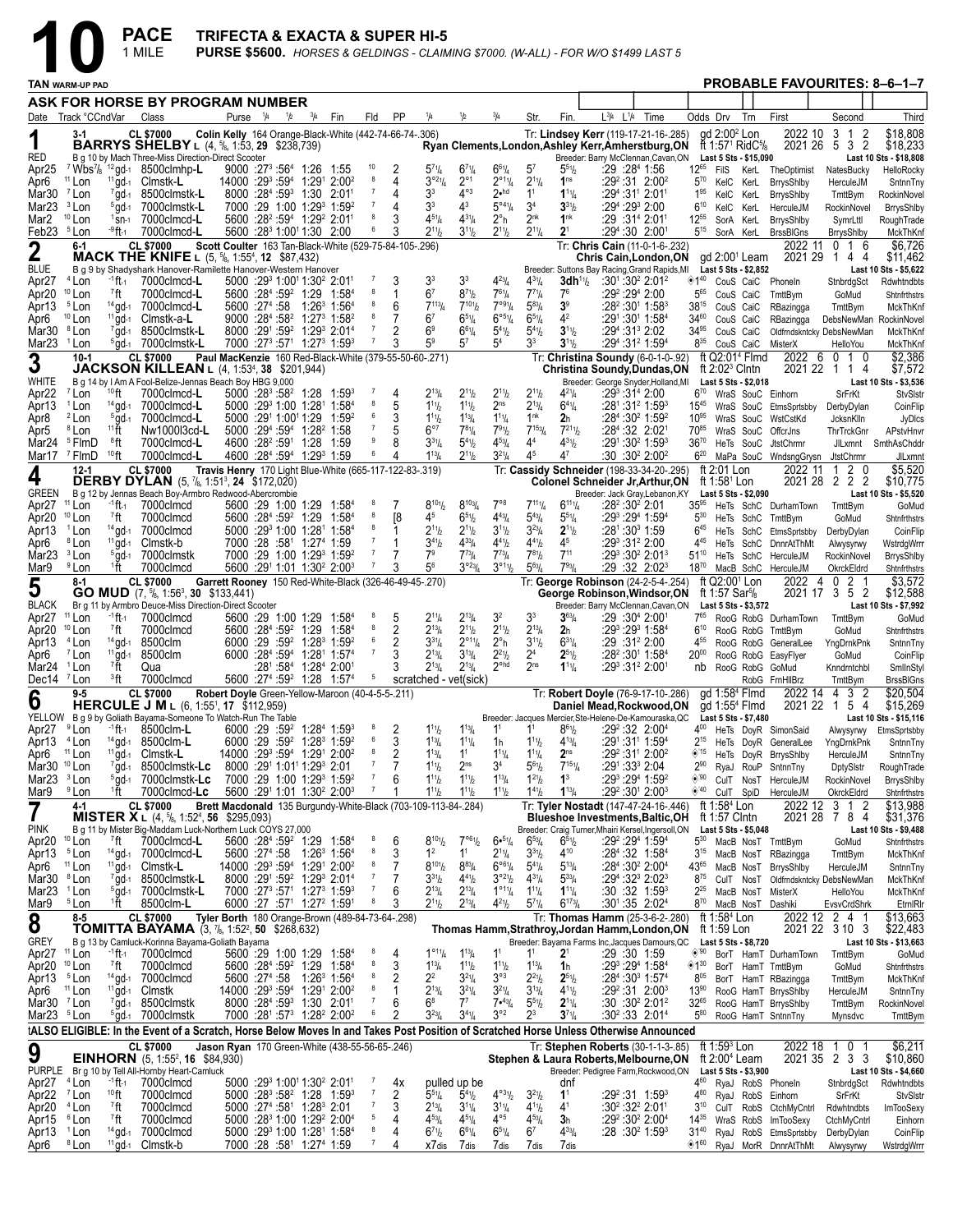|                                                   |                                       |                          | <b>PACE</b><br>1 MILE                                                                                                                 |                                                  |                         |     |                                                                                                                                   |                   |                                  | TRIFECTA & EXACTA & SUPER HI-5                          |                                                                |                                                       |                                                                                  |                                                   |                                                    | <b>PURSE \$5600.</b> HORSES & GELDINGS - CLAIMING \$7000. (W-ALL) - FOR W/O \$1499 LAST 5 |                                                                                                   |                        |                                                                      |                                                       |                                                              |                             |                                     |
|---------------------------------------------------|---------------------------------------|--------------------------|---------------------------------------------------------------------------------------------------------------------------------------|--------------------------------------------------|-------------------------|-----|-----------------------------------------------------------------------------------------------------------------------------------|-------------------|----------------------------------|---------------------------------------------------------|----------------------------------------------------------------|-------------------------------------------------------|----------------------------------------------------------------------------------|---------------------------------------------------|----------------------------------------------------|-------------------------------------------------------------------------------------------|---------------------------------------------------------------------------------------------------|------------------------|----------------------------------------------------------------------|-------------------------------------------------------|--------------------------------------------------------------|-----------------------------|-------------------------------------|
|                                                   | TAN warm-up pad                       |                          |                                                                                                                                       |                                                  |                         |     |                                                                                                                                   |                   |                                  |                                                         |                                                                |                                                       |                                                                                  |                                                   |                                                    |                                                                                           |                                                                                                   |                        |                                                                      |                                                       |                                                              |                             | <b>PROBABLE FAVOURITES: 8-6-1-7</b> |
|                                                   |                                       |                          | ASK FOR HORSE BY PROGRAM NUMBER                                                                                                       |                                                  |                         |     |                                                                                                                                   |                   |                                  |                                                         |                                                                |                                                       |                                                                                  |                                                   |                                                    |                                                                                           |                                                                                                   |                        |                                                                      |                                                       |                                                              |                             |                                     |
|                                                   | Date Track °CCndVar                   |                          | Class                                                                                                                                 |                                                  | Purse $\frac{1}{4}$     | 1/2 | $^{3}/_{4}$                                                                                                                       | Fin               | Fld                              | <b>PP</b>                                               | 1/4                                                            | 1/2                                                   |                                                                                  | Str.                                              | Fin.                                               | $L^{3}/4$ $L^{1}/4$                                                                       | Time                                                                                              | Odds Drv               |                                                                      | Trn                                                   | First                                                        | Second                      | Third                               |
| 1                                                 | 3-1                                   |                          | <b>CL \$7000</b><br><b>BARRYS SHELBY</b> L $(4, \frac{5}{6}, 1:53, 29 \frac{238}{739})$                                               |                                                  |                         |     |                                                                                                                                   |                   |                                  | Colin Kelly 164 Orange-Black-White (442-74-66-74-.306)  |                                                                |                                                       |                                                                                  |                                                   |                                                    |                                                                                           | Tr: Lindsey Kerr (119-17-21-16-.285)                                                              |                        | gd 2:00 <sup>2</sup> Lon                                             | ft 1:57 <sup>1</sup> RidC <sup>5</sup> / <sub>8</sub> | 2022 10                                                      | 3 1<br>-2<br>2021 26 5 3 2  | \$18,808<br>\$18,233                |
| RED                                               |                                       |                          | B q 10 by Mach Three-Miss Direction-Direct Scooter                                                                                    |                                                  |                         |     |                                                                                                                                   |                   |                                  |                                                         |                                                                |                                                       |                                                                                  |                                                   |                                                    |                                                                                           | Ryan Clements,London,Ashley Kerr,Amherstburg,ON<br>Breeder: Barry McClennan, Cavan, ON            |                        |                                                                      | Last 5 Sts - \$15,090                                 |                                                              |                             | Last 10 Sts - \$18,808              |
| Apr <sub>25</sub><br>Apr6                         | <sup>11</sup> Lon                     |                          | <sup>7</sup> Wbs <sup>7</sup> / <sub>8</sub> <sup>12</sup> gd-1 8500 clmhp-L<br><sup>11</sup> gd-1 Clmstk-L                           |                                                  |                         |     | $9000:27^{3}:56^{4}$ 1:26 1:55<br>14000 :29 <sup>3</sup> :59 <sup>4</sup> 1:29 <sup>1</sup> 2:00 <sup>2</sup>                     |                   | 10<br>8                          | 2<br>4                                                  | $5^{7}$ <sup>1</sup> / <sub>4</sub><br>$3^{921}/4$             | $6^{71}/4$<br>$2^{\circ}1$                            | $6^{61}/4$<br>$2^{\circ 1}$ <sup>1</sup> / <sub>4</sub>                          | 5 <sup>7</sup><br>$2^{11}/4$                      | $5^{51}$ / <sub>2</sub><br>1 <sup>ns</sup>         | :29 :284 1:56<br>$:29^2:31$ 2:00 <sup>2</sup>                                             |                                                                                                   | $12^{65}$<br>$5^{70}$  | FilS<br>KelC KerL                                                    |                                                       | KerL TheOptimist<br>BrrysShlby                               | NatesBucky<br>HerculeJM     | HelloRocky<br>SntnnTny              |
| Mar30                                             | <sup>7</sup> Lon                      | $7$ gd-1                 | 8500clmstk-L                                                                                                                          |                                                  |                         |     | 8000 :284 :593 1:30 2:01                                                                                                          |                   | 7                                | 4                                                       | 33                                                             | $4^{\circ 3}$                                         | $2$ .hd                                                                          | 1 <sup>1</sup>                                    | $1^{11}/4$                                         | :294 :311 2:011                                                                           |                                                                                                   | $1^{95}$               | KelC KerL                                                            |                                                       | <b>BrrysShlby</b>                                            | TmttBym                     | RockinNovel                         |
| Mar <sub>23</sub><br>Mar2                         | <sup>3</sup> Lon<br>$10$ Lon          | $5$ gd-1<br>$1$ Sn-1     | 7000clmstk-L<br>7000clmcd-L                                                                                                           |                                                  |                         |     | 7000 :29 1:00 1:29 1:59 2<br>5600 :28 <sup>2</sup> :59 <sup>4</sup> 1:29 <sup>2</sup> 2:01 <sup>1</sup>                           |                   | $\overline{7}$<br>8              | 4                                                       | 33<br>$4^{51}/4$                                               | $4^3$<br>$4^{31}/4$                                   | $5^{\circ 4}$ <sup>1</sup> / <sub>4</sub><br>$2^{\circ}$ h                       | 3 <sup>4</sup><br>2 <sup>nk</sup>                 | $3^{31}$<br>1 <sup>nk</sup>                        | :294 :293 2:00<br>:29 :31ª 2:01ª                                                          |                                                                                                   | $6^{10}$<br>$12^{55}$  | KelC KerL<br>SorA KerL                                               |                                                       | HerculeJM<br>BrrysShlby                                      | RockinNovel<br>SymrLttl     | BrrysShlby<br>RoughTrade            |
| Feb <sub>23</sub>                                 | <sup>5</sup> Lon                      | <sup>-9</sup> ft-1       | 7000clmcd-L                                                                                                                           |                                                  |                         |     | 5600 :28 <sup>3</sup> 1:00 <sup>1</sup> 1:30 2:00                                                                                 |                   | 6                                |                                                         | $2^{11}h$                                                      | $3^{11}h$                                             | $2^{11}/2$                                                                       | $2^{11}/4$                                        | $2^{1}$                                            | $:29^4:30$ 2:00 <sup>1</sup>                                                              |                                                                                                   | $5^{15}$               |                                                                      | SorA KerL                                             | <b>BrssBIGns</b>                                             | <b>BrrysShlby</b>           | MckThKnf                            |
| $\mathbf 2$                                       | 6-1                                   |                          | <b>CL \$7000</b><br><b>MACK THE KNIFE</b> L (5, <sup>5</sup> 8, 1:55 <sup>4</sup> , 12 \$87,432)                                      |                                                  |                         |     |                                                                                                                                   |                   |                                  | Scott Coulter 163 Tan-Black-White (529-75-84-105-.296)  |                                                                |                                                       |                                                                                  |                                                   |                                                    |                                                                                           | Tr: Chris Cain (11-0-1-6-.232)<br>Chris Cain, London, ON                                          |                        |                                                                      | $gd$ 2:00 <sup>1</sup> Leam                           | 2022 11<br>2021 29                                           | 0 <sub>1</sub><br>-6<br>144 | \$6,726<br>\$11,462                 |
| <b>BLUE</b>                                       |                                       |                          | B g 9 by Shadyshark Hanover-Ramilette Hanover-Western Hanover                                                                         |                                                  |                         |     |                                                                                                                                   |                   |                                  |                                                         |                                                                |                                                       |                                                                                  |                                                   |                                                    |                                                                                           | Breeder: Suttons Bay Racing, Grand Rapids, MI                                                     |                        |                                                                      | Last 5 Sts - \$2,852                                  |                                                              |                             | Last 10 Sts - \$5,622               |
| Apr <sub>27</sub><br>Apr <sub>20</sub>            | $4$ Lon<br>$10$ Lon                   | -1 ft -1<br>7ft          | 7000clmcd-L<br>7000clmcd-L                                                                                                            |                                                  |                         |     | 5000 :29 <sup>3</sup> 1:00 <sup>1</sup> 1:30 <sup>2</sup> 2:01 <sup>1</sup><br>5600 :284 :59 <sup>2</sup> 1:29 1:584              |                   | $\overline{7}$<br>8              | 1                                                       | 3 <sup>3</sup><br>6 <sup>7</sup>                               | 3 <sup>3</sup><br>$8^{7}$ <sup>1</sup> / <sub>2</sub> | $4^{23}$ /4<br>$7^{61}/4$                                                        | $4^{31}/4$<br>$7^{7}$ <sup>1</sup> / <sub>4</sub> | 3dh <sup>1</sup><br>7 <sup>6</sup>                 | :301:302 2:012<br>:29º :29ª 2:00                                                          |                                                                                                   | ◈1 $40$<br>565         | CouS CaiC<br>CouS CaiC                                               |                                                       | Phoneln<br>TmttBym                                           | StnbrdgSct<br>GoMud         | Rdwhtndbts<br>Shtnfrthstrs          |
| Apr13                                             | <sup>5</sup> Lon                      |                          | 14 gd-1 7000 clmcd-L                                                                                                                  |                                                  | 5600 :274 :58           |     | 1:26 $^3$ 1:56 $^4$                                                                                                               |                   |                                  | 6                                                       | $7^{113}/4$                                                    | $7^{101}$                                             | $7^{991}$ /4                                                                     | $5^{83}$ /4                                       | 3 <sup>9</sup>                                     | $:28^2:30^1$ 1:58 $^3$                                                                    |                                                                                                   | $38^{15}$              | CouS CaiC                                                            |                                                       | RBazingga                                                    | TmttBym                     | MckThKnf                            |
| Apr6<br>Mar30 <sup>8</sup> Lon                    | $10$ Lon                              | $^{11}$ gd-1             | Clmstk-a-L<br>$7$ gd-1 8500clmstk-L                                                                                                   |                                                  |                         |     | 9000 :284 :58 <sup>2</sup> 1:27 <sup>3</sup> 1:58 <sup>2</sup><br>8000 :291 :59 <sup>2</sup> 1:29 <sup>3</sup> 2:01 <sup>4</sup>  |                   | 8<br>-7                          | 7<br>2                                                  | 6 <sup>7</sup><br>6 <sup>9</sup>                               | $6^{51}/4$<br>$6^{61}/4$                              | $6^{\circ 5}$ <sup>1</sup> / <sub>4</sub><br>$5^{4}$ <sup>1</sup> / <sub>2</sub> | $6^{51}/4$<br>$5^{4}$ <sup>1</sup> / <sub>2</sub> | 4 <sup>2</sup><br>$3^{11}/2$                       | :291:301 1:584<br>$:29^4:31^3$ 2:02                                                       |                                                                                                   | 3460<br>34%            | CouS CaiC<br>CouS CaiC                                               |                                                       | RBazingga                                                    | Oldfrndskntcky DebsNewMan   | DebsNewMan RockinNovel<br>MckThKnf  |
| Mar <sub>23</sub>                                 | <sup>1</sup> Lon                      |                          | $5$ gd-1 7000clmstk-L                                                                                                                 |                                                  |                         |     | 7000 :27 <sup>3</sup> :57 <sup>1</sup> 1:27 <sup>3</sup> 1:59 <sup>3</sup>                                                        |                   |                                  |                                                         | 59                                                             | 57                                                    | 5 <sup>4</sup>                                                                   | 33                                                | $3^{11}/2$                                         | :294 :31 <sup>2</sup> 1:594                                                               |                                                                                                   | $8^{35}$               | CouS CaiC                                                            |                                                       | MisterX                                                      | HelloYou                    | MckThKnf                            |
| 3                                                 | $10-1$                                |                          | <b>CL \$7000</b><br><b>JACKSON KILLEAN</b> L $(4, 1:53^4, 38, 201,944)$                                                               |                                                  |                         |     |                                                                                                                                   |                   |                                  | Paul MacKenzie 160 Red-Black-White (379-55-50-60-.271)  |                                                                |                                                       |                                                                                  |                                                   |                                                    |                                                                                           | Tr: Christina Soundy (6-0-1-0-.92)<br>Christina Soundy, Dundas, ON                                |                        | ft $2:02^3$ Clntn                                                    | ft Q2:01 <sup>4</sup> Flmd                            | 2021 22                                                      | 2022 6 0 1 0<br>1 1 4       | \$2,386<br>\$7,572                  |
| WHITE                                             |                                       |                          | B g 14 by I Am A Fool-Belize-Jennas Beach Boy HBG 9,000                                                                               |                                                  |                         |     |                                                                                                                                   |                   | $\overline{7}$                   |                                                         |                                                                |                                                       |                                                                                  |                                                   |                                                    |                                                                                           | Breeder: George Snyder, Holland, MI                                                               |                        |                                                                      | Last 5 Sts - \$2,018                                  |                                                              |                             | Last 10 Sts - \$3,536               |
| Apr <sub>22</sub><br>Apr13                        | <sup>7</sup> Lon<br><sup>1</sup> Lon  | $10$ ft                  | 7000clmcd-L<br>$14$ gd-1 7000clmcd-L                                                                                                  |                                                  |                         |     | $5000$ :28 <sup>3</sup> :58 <sup>2</sup> 1:28 1:59 <sup>3</sup><br>5000 :29 <sup>3</sup> 1:00 1:28 <sup>1</sup> 1:58 <sup>4</sup> |                   | 8                                | 4<br>5                                                  | $2^{13}/4$<br>$1^{11}h$                                        | $2^{11}h$<br>$1^{11}h$                                | $2^{11}/2$<br>2 <sub>ns</sub>                                                    | $2^{11}/2$<br>$2^{13}$ / <sub>4</sub>             | $4^{21}/4$<br>$6^{41}/4$                           | $:29^3:31^4$ 2:00<br>:281:31 <sup>2</sup> 1:59 <sup>3</sup>                               |                                                                                                   | $6^{70}$               |                                                                      |                                                       | WraS SouC Einhorn<br>15 <sup>45</sup> WraS SouC EtmsSprtsbby | SrFrKt<br>DerbyDylan        | StvSlstr<br>CoinFlip                |
| Apr8                                              | <sup>2</sup> Lon                      | $5$ gd-1                 | 7000clmcd-L                                                                                                                           |                                                  | 5000 :291 1:001 1:29    |     |                                                                                                                                   | 1:59 <sup>2</sup> | 6<br>$\overline{7}$              |                                                         | $1^{11}h$                                                      | $1^{13}$ /4                                           | $1^{11}/4$                                                                       | 1 <sup>nk</sup>                                   | 2 <sub>h</sub>                                     | :284:3021:592                                                                             |                                                                                                   | $10^{95}$              |                                                                      |                                                       | WraS SouC WstCstKd                                           | JcksnKlln                   | JyDIcs                              |
| Apr5<br>Mar24 $5$ FlmD                            | <sup>8</sup> Lon                      | 11 ft<br>®ft             | Nw1000l3cd-L<br>7000clmcd-L                                                                                                           |                                                  |                         |     | 5000 :294 :594 1:28 <sup>2</sup> 1:58<br>4600 :28 <sup>2</sup> :59 <sup>1</sup> 1:28 1:59                                         |                   | 9                                | 5                                                       | $6^{\circ}$<br>$3^{31}/4$                                      | $7^{81}/4$<br>$5^{4}$ <sup>1</sup> / <sub>2</sub>     | $7^{91}/2$<br>$4^{53}$ / <sub>4</sub>                                            | $7^{153}$<br>44                                   | $7^{21}$ <sup>1</sup><br>$4^{31}/2$                | $:28^4:32$ 2:021<br>:291:30 <sup>2</sup> 1:593                                            |                                                                                                   | 7085<br>$36^{70}$      |                                                                      | WraS SouC<br>HeTs SouC                                | OffcrJns<br><b>JtstChrmr</b>                                 | ThrTrckGnr                  | APstvHnvr<br>JILxmnt SmthAsChddr    |
| Mar17                                             | <sup>7</sup> FlmD                     | $10$ ft                  | 7000clmcd-L                                                                                                                           |                                                  |                         |     | 4600 :284 :594 1:293 1:59                                                                                                         |                   | 6                                |                                                         | $1^{13}/4$                                                     | $2^{11}h$                                             | $3^{21}/4$                                                                       | 45                                                | 47                                                 | :30:30 <sup>2</sup> 2:00 <sup>2</sup>                                                     |                                                                                                   | $6^{20}$               |                                                                      |                                                       | MaPa SouC WndsngGrysn JtstChrmr                              |                             | JILxmnt                             |
| 4                                                 | $12 - 1$                              |                          | <b>CL \$7000</b><br><b>DERBY DYLAN</b> (5, 7/8, 1:51 <sup>3</sup> , 24 \$172,020)                                                     |                                                  |                         |     |                                                                                                                                   |                   |                                  | Travis Henry 170 Light Blue-White (665-117-122-83-.319) |                                                                |                                                       |                                                                                  |                                                   |                                                    |                                                                                           | Tr: Cassidy Schneider (198-33-34-20-.295)<br>Colonel Schneider Jr, Arthur, ON                     |                        | ft 2:01 Lon<br>ft 1:58 <sup>1</sup> Lon                              |                                                       | 2022 11                                                      | 1 2 0<br>2021 28 2 2 2      | \$5,520<br>\$10,775                 |
| <b>GREEN</b>                                      |                                       |                          | B g 12 by Jennas Beach Boy-Armbro Redwood-Abercrombie                                                                                 |                                                  |                         |     |                                                                                                                                   |                   | 8                                |                                                         |                                                                |                                                       |                                                                                  |                                                   |                                                    |                                                                                           | Breeder: Jack Gray, Lebanon, KY                                                                   |                        |                                                                      | Last 5 Sts - \$2,090                                  |                                                              |                             | Last 10 Sts - \$5,520               |
| Apr <sub>27</sub><br>Apr <sub>20</sub>            | $11$ Lon<br>$10$ Lon                  | $-1$ ft $-1$<br>7ft      | 7000clmcd<br>7000clmcd                                                                                                                |                                                  | $5600 : 284 : 592 1:29$ |     | 5600 :29 1:00 1:29 1:58 <sup>4</sup>                                                                                              | 1:584             | 8                                | 7<br><sup>8</sup>                                       | $8^{10}$ <sup>1</sup> / <sub>2</sub><br>45                     | $8^{103}/4$<br>$65\frac{1}{2}$                        | $7^{\circ}8$<br>$4^{43}$ / <sub>4</sub>                                          | $7^{111}/4$<br>$5^{43}$ / <sub>4</sub>            | $6^{11}$ <sup>1</sup> / <sub>4</sub><br>$5^{51}/4$ | :28 <sup>2</sup> :30 <sup>2</sup> 2:01<br>:293 :294 1:594                                 |                                                                                                   | $35^{95}$<br>$5^{30}$  |                                                                      |                                                       | HeTs SchC DurhamTown<br>HeTs SchC TmttBym                    | TmttBym<br>GoMud            | GoMud<br>Shtnfrthstrs               |
| Apr13                                             | <sup>1</sup> Lon                      | $14$ gd-1                | 7000clmcd                                                                                                                             |                                                  |                         |     | 5000 :293 1:00 1:281 1:584                                                                                                        |                   | 8                                |                                                         | $2^{11}h$                                                      | $2^{11}h$                                             | $3^{11}/2$                                                                       | $3^{23}/4$                                        | $2^{11}b$                                          | :281:303 1:59                                                                             |                                                                                                   | $6^{45}$               |                                                                      |                                                       | HeTs SchC EtmsSprtsbby                                       | DerbyDylan                  | CoinFlip                            |
| Apr6<br>Mar23 <sup>3</sup> Lon                    | <sup>8</sup> Lon                      | $^{11}$ gd-1             | Clmstk-b<br>5qd-1 7000clmstk                                                                                                          |                                                  |                         |     | 7000 :28 :58 <sup>1</sup> 1:27 <sup>4</sup> 1:59<br>7000 :29 1:00 1:29 <sup>3</sup> 1:59 <sup>2</sup>                             |                   | $\overline{7}$<br>$\overline{7}$ | 1<br>7                                                  | $3^{41}$<br>7 <sup>9</sup>                                     | $4^{33}$ / <sub>4</sub><br>$7^{73}$ /4                | $4^{41}$ / <sub>2</sub><br>$7^{73}$ / <sub>4</sub>                               | $4^{41}$<br>$7^{81}$ / <sub>2</sub>               | 4 <sup>5</sup><br>$7^{11}$                         | :293:312 2:00<br>$:29^3:30^2$ 2:01 $^3$                                                   |                                                                                                   | $4^{45}$<br>$51^{10}$  |                                                                      |                                                       | HeTs SchC DnnrAtThMt<br>HeTs SchC HerculeJM                  | Alwysyrwy<br>RockinNovel    | WstrdgWrrr<br><b>BrrysShlby</b>     |
| Mar9                                              | <sup>9</sup> Lon                      | 1ft ⊺                    | 7000clmcd                                                                                                                             |                                                  |                         |     | 5600 :291 1:01 1:30 <sup>2</sup> 2:00 <sup>3</sup>                                                                                |                   | $\overline{7}$                   | 3                                                       | 56                                                             | $3^{\circ 23}$ /4                                     | $3^{\circ 11}/2$                                                                 | $5^{63}$ /4                                       | $7^{93}$ / <sub>4</sub>                            | :29:32:2:02 <sup>3</sup>                                                                  |                                                                                                   | $18^{70}$              |                                                                      |                                                       | MacB SchC HerculeJM                                          | OkrckEldrd                  | Shtnfrthstrs                        |
| 5                                                 | 8-1                                   |                          | <b>CL \$7000</b><br><b>GO MUD</b> $(7, 5/8, 1:56^3, 30, $133,441)$                                                                    |                                                  |                         |     |                                                                                                                                   |                   |                                  | Garrett Rooney 150 Red-White-Black (326-46-49-45-.270)  |                                                                |                                                       |                                                                                  |                                                   |                                                    |                                                                                           | Tr: George Robinson (24-2-5-4-.254)<br>George Robinson, Windsor, ON                               |                        | ft Q2:00 <sup>1</sup> Lon<br>ft 1:57 Sar <sup>5</sup> / <sub>8</sub> |                                                       | 2022<br>-4                                                   | 0 2 1<br>2021 17 3 5 2      | \$3,572<br>\$12,588                 |
| <b>BLACK</b>                                      |                                       |                          | Br g 11 by Armbro Deuce-Miss Direction-Direct Scooter                                                                                 |                                                  |                         |     |                                                                                                                                   |                   |                                  |                                                         |                                                                |                                                       |                                                                                  |                                                   |                                                    |                                                                                           | Breeder: Barry McClennan, Cavan, ON                                                               |                        |                                                                      | Last 5 Sts - \$3,572                                  |                                                              |                             | Last 10 Sts - \$7,992               |
| Apr <sub>27</sub><br>Apr <sub>20</sub>            | $11$ Lon<br>$10$ Lon                  | $-1$ ft $-1$<br>7ft      | 7000clmcd<br>7000clmcd                                                                                                                |                                                  | $5600 : 284 : 592 1:29$ |     | 5600 :29 1:00 1:29 1:58 <sup>4</sup>                                                                                              | 1:584             | 8<br>8                           | 5<br>2                                                  | $2^{11}/4$<br>$2^{13}/4$                                       | $2^{13}/4$<br>$2^{11}h$                               | 3 <sup>2</sup><br>$2^{11}/2$                                                     | 3 <sup>3</sup><br>$2^{13}/4$                      | $3^{63}/4$<br>2 <sub>h</sub>                       | $:29:30^{4}$ 2:00 <sup>1</sup><br>:293 :293 1:584                                         |                                                                                                   | 765<br>$6^{10}$        |                                                                      |                                                       | RooG RobG DurhamTown<br>RooG RobG TmttBym                    | TmttBym<br>GoMud            | GoMud<br>Shtnfrthstrs               |
| Apr13                                             | <sup>4</sup> Lon                      | $14$ gd-1                | 8500clm                                                                                                                               |                                                  |                         |     | 6000 :29 :59 <sup>2</sup> 1:28 <sup>3</sup> 1:59 <sup>2</sup>                                                                     |                   | 6                                | 2                                                       | $3^{31}/4$                                                     | $2^{\circ 11}/4$                                      | $2^{\circ}$ h                                                                    | $3^{11}/2$                                        | $6^{31}/4$                                         | $:29:31^22:00$                                                                            |                                                                                                   | 455                    |                                                                      |                                                       | RooG RobG GeneralLee                                         | YngDrnkPnk                  | SntnnTny                            |
| Apr6<br>Mar24 <sup>1</sup> Lon                    | <sup>7</sup> Lon                      | $11\,\text{gd-1}$<br>7ft | 8500clm<br>Qua                                                                                                                        |                                                  |                         |     | 6000 :284 :594 1:281 1:574<br>$:28^{\circ}$ :58 <sup>4</sup> 1:28 <sup>4</sup> 2:00 <sup>1</sup>                                  |                   | $\overline{7}$                   | 3<br>3                                                  | $2^{13}/4$<br>$2^{13}/4$                                       | $3^{13}/4$<br>$2^{13}$ /4                             | $2^{21}/2$<br>$2^{\circ}$ hd                                                     | 2 <sup>4</sup><br>2 <sup>ns</sup>                 | $2^{51}/2$<br>$1^{11}/4$                           | $:28^2:30^1$ 1:58 <sup>4</sup><br>:293 :312 2:001                                         |                                                                                                   | $20^{00}$              |                                                                      |                                                       | RooG RobG EasyFlyer<br>nb RooG RobG GoMud                    | GoMud<br>Knndrntchbl        | CoinFlip                            |
| Dec14 <sup>7</sup> Lon                            |                                       | <sup>3</sup> ft          | 7000clmcd                                                                                                                             |                                                  |                         |     | 5600 :27 <sup>4</sup> :59 <sup>2</sup> 1:28 1:57 <sup>4</sup>                                                                     |                   | $\overline{5}$                   |                                                         |                                                                | scratched - vet(sick)                                 |                                                                                  |                                                   |                                                    |                                                                                           |                                                                                                   |                        |                                                                      |                                                       | RobG FrnHllBrz                                               | TmttBym                     | SmlInStyl<br><b>BrssBIGns</b>       |
| 6                                                 | 9-5                                   |                          | <b>CL \$7000</b><br><b>HERCULE J M</b> L $(6, 1:55^1, 17 \; $112,959)$                                                                | Robert Doyle Green-Yellow-Maroon (40-4-5-5-.211) |                         |     |                                                                                                                                   |                   |                                  |                                                         |                                                                |                                                       |                                                                                  |                                                   |                                                    |                                                                                           | Tr: Robert Doyle (76-9-17-10-.286)<br>Daniel Mead, Rockwood, ON gd 1:554 Flmd                     |                        |                                                                      | ad 1:58 <sup>4</sup> Flmd                             | 2022 14                                                      | 4 3 2<br>2021 22 1 5 4      | \$20,504<br>\$15,269                |
|                                                   |                                       |                          | YELLOW B g 9 by Goliath Bayama-Someone To Watch-Run The Table                                                                         |                                                  |                         |     |                                                                                                                                   |                   |                                  |                                                         |                                                                |                                                       |                                                                                  |                                                   |                                                    |                                                                                           | Breeder: Jacques Mercier, Ste-Helene-De-Kamouraska, QC Last 5 Sts - \$7,480                       |                        |                                                                      |                                                       |                                                              |                             | Last 10 Sts - \$15,116              |
| Apr27 <sup>9</sup> Lon<br>Apr13 <sup>4</sup> Lon  |                                       | $-1$ ft $-1$             | 8500clm-L<br>14 gd-1 8500clm-L                                                                                                        |                                                  |                         |     | 6000 :29 :59 <sup>2</sup> 1:28 <sup>4</sup> 1:59 <sup>3</sup><br>6000 :29 :59 <sup>2</sup> 1:28 <sup>3</sup> 1:59 <sup>2</sup>    |                   | 8<br>6                           | 2<br>3                                                  | $1^{11}h$<br>$1^{13}$ / <sub>4</sub>                           | $1^{13}$ / <sub>4</sub><br>$1^{11}$ / <sub>4</sub>    | 1 <sup>1</sup><br>1h                                                             | 1 <sup>1</sup><br>$1^{11}$                        | $8^{61}/2$<br>$4^{13}/4$                           | :29 <sup>2</sup> :32 2:00 <sup>4</sup><br>:291:311 1:594                                  |                                                                                                   | $4^{00}$<br>$2^{15}$   |                                                                      |                                                       | HeTs DoyR SimonSaid<br>HeTs DoyR GeneralLee                  | Alwysyrwy<br>YngDrnkPnk     | EtmsSprtsbby<br>SntnnTny            |
| Apr6                                              | <sup>11</sup> Lon                     |                          | <sup>11</sup> gd-1 Clmstk-L                                                                                                           |                                                  |                         |     | 14000 :293 :594 1:291 2:002                                                                                                       |                   | 8                                | 2                                                       | $1^{13}$ /4                                                    | 1 <sup>1</sup>                                        | $1^{11}/4$                                                                       | $1^{11}/4$                                        | 2 <sub>ns</sub>                                    | :29 <sup>2</sup> :31 <sup>1</sup> 2:00 <sup>2</sup>                                       |                                                                                                   | $*15$                  |                                                                      |                                                       | HeTs DoyR BrrysShlby                                         | HerculeJM                   | SntnnTny                            |
| Mar30 <sup>10</sup> Lon<br>Mar23 $3$ Lon          |                                       |                          | $7$ gd- $1$ 8500clmstk-Lc<br>$5$ gd- $1$ 7000clmstk-Lc                                                                                |                                                  |                         |     | 8000 :29 <sup>1</sup> 1:01 <sup>1</sup> 1:29 <sup>3</sup> 2:01<br>7000 :29 1:00 1:29 1:59 2                                       |                   | $\overline{7}$<br>$\overline{7}$ | 7<br>6                                                  | $1^{11}h$<br>$1^{11}h$                                         | 2 <sub>ns</sub><br>$1^{11}h$                          | 34<br>$1^{13}/4$                                                                 | $5^{61}$<br>$1^{21}/2$                            | $7^{151}$ / <sub>4</sub><br>$1^3$                  | :291:333 2:04<br>:293 :294 1:592                                                          |                                                                                                   | $2^{90}$<br>◈'90       |                                                                      |                                                       | RyaJ RouP SntnnTny                                           | DptySlstr<br>RockinNovel    | RoughTrade<br>BrrysShlby            |
| Mar9                                              | <sup>9</sup> Lon                      | 1ft ⊺                    | 7000clmcd-Lc                                                                                                                          |                                                  |                         |     | 5600 :291 1:01 1:30 <sup>2</sup> 2:00 <sup>3</sup>                                                                                |                   |                                  |                                                         | $1^{11}h$                                                      | $1^{11}h$                                             | $1^{11}$ / <sub>2</sub>                                                          | $1^{41}/2$                                        | $1^{13}/4$                                         | :29 <sup>2</sup> :30 <sup>1</sup> 2:00 <sup>3</sup>                                       |                                                                                                   | ◈40                    | CulT SpiD                                                            |                                                       | CulT NosT HerculeJM<br>HerculeJM                             | OkrckEldrd                  | Shtnfrthstrs                        |
| $\overline{\mathbf{7}}$                           | 4-1                                   |                          | <b>CL \$7000</b><br><b>MISTER X</b> L $(4, \frac{5}{6}, 1.52^4, 56, \$295,093)$                                                       |                                                  |                         |     |                                                                                                                                   |                   |                                  |                                                         | Brett Macdonald 135 Burgundy-White-Black (703-109-113-84-.284) |                                                       |                                                                                  |                                                   |                                                    |                                                                                           | Tr: Tyler Nostadt (147-47-24-16-.446)<br><b>Blueshoe Investments, Baltic, OH</b>                  |                        | ft 1:58 <sup>4</sup> Lon<br>ft 1:57 Clntn                            |                                                       | 2022 12                                                      | 3 1 2<br>2021 28 7 8 4      | \$13,988<br>\$31,376                |
| <b>PINK</b>                                       |                                       |                          | B q 11 by Mister Big-Maddam Luck-Northern Luck COYS 27,000                                                                            |                                                  |                         |     |                                                                                                                                   |                   |                                  |                                                         |                                                                |                                                       |                                                                                  |                                                   |                                                    |                                                                                           | Breeder: Craig Turner, Mhairi Kersel, Ingersoll, ON                                               |                        |                                                                      | Last 5 Sts - \$5,048                                  |                                                              |                             | Last 10 Sts - \$9,488               |
| Apr20 <sup>10</sup> Lon                           |                                       | 7ft                      | 7000clmcd-L<br>$14$ gd-1 7000clmcd-L                                                                                                  |                                                  | 5600 :274 :58           |     | 5600 :284 :59 <sup>2</sup> 1:29 1:584<br>1:26 <sup>3</sup> 1:56 <sup>4</sup>                                                      |                   | 8                                | 6<br>3                                                  | $8^{10}$ <sup>1</sup> / <sub>2</sub><br>1 <sup>2</sup>         | 7°61/2<br>1 <sup>1</sup>                              | $6•^{51}/4$<br>$2^{11}/4$                                                        | $6^{53}/4$<br>$3^{3}$ <sup>1</sup> / <sub>2</sub> | $6^{51}/2$<br>410                                  | :29 <sup>2</sup> :29 <sup>4</sup> 1:59 <sup>4</sup><br>$:284:32$ 1:584                    |                                                                                                   | $5^{30}$<br>$3^{15}$   |                                                                      |                                                       | MacB NosT TmttBym                                            | GoMud                       | Shtnfrthstrs                        |
| Apr13<br>Apr6                                     | <sup>5</sup> Lon<br><sup>11</sup> Lon |                          | <sup>11</sup> gd-1 Clmstk-L                                                                                                           |                                                  |                         |     | 14000 :293 :594 1:291 2:00 <sup>2</sup>                                                                                           |                   | 8                                | 7                                                       | $8^{101}/2$                                                    | $8^{83} / 4$                                          | $6^{\circ 61}/4$                                                                 | $5^{41}/4$                                        | $5^{13}/4$                                         | :284 :302 2:004                                                                           |                                                                                                   | 4365                   | MacB NosT                                                            |                                                       | MacB NosT RBazingga<br><b>BrrysShlby</b>                     | TmttBym<br>HerculeJM        | MckThKnf<br>SntnnTny                |
| Mar30 8 Lon                                       |                                       |                          | $7$ gd-1 8500clmstk-L                                                                                                                 |                                                  |                         |     | 8000 :291 :592 1:293 2:014                                                                                                        |                   | $\overline{7}$<br>$\overline{7}$ | 7                                                       | $3^{31}h$                                                      | $4^{41}h$                                             | 3°21/2                                                                           | $4^{31}/4$                                        | $5^{33}/4$                                         | :294 :323 2:023                                                                           |                                                                                                   |                        | 875 CulT NosT                                                        |                                                       |                                                              | Oldfrndskntcky DebsNewMan   | MckThKnf                            |
| Mar23 $1$ Lon<br>Mar9                             | <sup>5</sup> Lon                      | 1ft ⊺                    | $5$ ad- $1$ 7000 clmstk-L<br>8500clm-L                                                                                                |                                                  |                         |     | 7000 :273 :571 1:273 1:593<br>6000 :27 :57 <sup>1</sup> 1:27 <sup>2</sup> 1:59 <sup>1</sup>                                       |                   | 8                                | 6<br>3                                                  | $2^{13}/4$<br>$2^{11}h$                                        | $2^{13}/4$<br>$2^{13}$ /4                             | $1^{\circ 1}$ <sup>1</sup> / <sub>4</sub><br>$4^{21}$ / <sub>2</sub>             | $1^{11}/4$<br>$5^{7}$ <sup>1</sup> / <sub>4</sub> | $1^{11}/4$<br>$6^{173}/4$                          | $:30:32 \quad 1:59^3$<br>:30 <sup>1</sup> :35 2:02 <sup>4</sup>                           |                                                                                                   | $2^{25}$<br>$8^{70}$   | MacB NosT                                                            |                                                       | MisterX<br>MacB NosT Dashiki                                 | HelloYou<br>EvsvCrdShrk     | MckThKnf<br>EtrnIRIr                |
| 8                                                 | 8-5                                   |                          | <b>CL \$7000</b>                                                                                                                      |                                                  |                         |     |                                                                                                                                   |                   |                                  | Tyler Borth 180 Orange-Brown (489-84-73-64-.298)        |                                                                |                                                       |                                                                                  |                                                   |                                                    |                                                                                           | Tr: Thomas Hamm (25-3-6-2-.280)                                                                   |                        | ft 1:58 <sup>4</sup> Lon                                             |                                                       |                                                              | 2022 12 2 4 1               | \$13,663                            |
| GREY                                              |                                       |                          | <b>TOMITTA BAYAMA</b> (3, 7/8, 1:52 <sup>2</sup> , 50 \$268,632)<br>B g 13 by Camluck-Korinna Bayama-Goliath Bayama                   |                                                  |                         |     |                                                                                                                                   |                   |                                  |                                                         |                                                                |                                                       |                                                                                  |                                                   |                                                    |                                                                                           | Thomas Hamm, Strathroy, Jordan Hamm, London, ON<br>Breeder: Bayama Farms Inc, Jacques Damours, QC |                        | ft 1:59 Lon                                                          | Last 5 Sts - \$8,720                                  |                                                              | 2021 22 3 10 3              | \$22,483<br>Last 10 Sts - \$13,663  |
| Apr27 <sup>11</sup> Lon                           |                                       |                          | $-1$ ft-1 7000clmcd                                                                                                                   |                                                  |                         |     | 5600 :29 1:00 1:29 1:584                                                                                                          |                   | 8                                | 4<br>3                                                  | 1°11/4                                                         | $1^{13}$ / <sub>4</sub>                               | 1 <sup>1</sup>                                                                   | 1 <sup>1</sup>                                    |                                                    | :29 :30 1:59                                                                              |                                                                                                   | $\diamond$ '90         |                                                                      |                                                       | BorT HamT DurhamTown                                         | TmttBym                     | GoMud                               |
| Apr20 <sup>10</sup> Lon<br>Apr13 <sup>5</sup> Lon |                                       | <sup>7</sup> ft          | 7000clmcd<br>14 gd-1 7000 clmcd                                                                                                       |                                                  | 5600 :274 :58           |     | 5600 :284 :59 <sup>2</sup> 1:29 1:584<br>1:26 <sup>3</sup> 1:56 <sup>4</sup>                                                      |                   |                                  | 2                                                       | $1^{13}$ / <sub>4</sub><br>2 <sup>2</sup>                      | $1^{11}h$<br>$3^{21}/4$                               | $1^{11}$<br>$3^{\circ 3}$                                                        | $1^{13}/4$<br>$2^{21}$ / <sub>2</sub>             | 1h<br>$2^{51}/2$                                   | :293 :294 1:584<br>:284 :30 <sup>3</sup> 1:574                                            |                                                                                                   | $*1^{30}$<br>$8^{05}$  |                                                                      |                                                       | BorT HamT TmttBym<br>BorT HamT RBazingga                     | GoMud<br>TmttBym            | Shtnfrthstrs<br>MckThKnf            |
| Apr6 <sup>11</sup> Lon                            |                                       |                          | <sup>11</sup> gd-1 Clmstk                                                                                                             |                                                  |                         |     | 14000 :293 :594 1:291 2:002                                                                                                       |                   | 8                                | 1                                                       | $2^{13}/4$                                                     | $3^{21}/4$                                            | $3^{21}/4$                                                                       | $3^{13}/4$                                        | $4^{11}h$                                          | :29 <sup>2</sup> :31 2:00 <sup>3</sup>                                                    |                                                                                                   | $13^{90}$              |                                                                      |                                                       | RooG HamT BrrysShlby                                         | HerculeJM                   | SntnnTny                            |
| Mar30 $7$ Lon<br>Mar23 <sup>5</sup> Lon           |                                       |                          | $7$ gd- $1$ 8500 clmstk<br>$5$ gd- $1$ 7000clmstk                                                                                     |                                                  |                         |     | 8000 :284 :59 <sup>3</sup> 1:30 2:01 <sup>1</sup><br>7000 :281 :573 1:28 <sup>2</sup> 2:00 <sup>2</sup>                           |                   | 7<br>6                           | 6<br>2                                                  | $6^8$<br>$3^{23}$ /4                                           | $7^7$<br>$3^{41}/4$                                   | $7 \cdot 43/4$<br>$3^{\circ 2}$                                                  | $5^{51}$<br>$2^3$                                 | $2^{11}/4$<br>$3^{71}/4$                           | :30 :30 <sup>2</sup> 2:01 <sup>2</sup><br>$:30^2:33$ 2:01 <sup>4</sup>                    |                                                                                                   | 3265<br>$5^{80}$       |                                                                      |                                                       | RooG HamT BrrysShlby<br>RooG HamT SntnnTny                   | TmttBym<br>Mynsdvc          | RockinNovel<br>TmttBym              |
|                                                   |                                       |                          | tALSO ELIGIBLE: In the Event of a Scratch, Horse Below Moves In and Takes Post Position of Scratched Horse Unless Otherwise Announced |                                                  |                         |     |                                                                                                                                   |                   |                                  |                                                         |                                                                |                                                       |                                                                                  |                                                   |                                                    |                                                                                           |                                                                                                   |                        |                                                                      |                                                       |                                                              |                             |                                     |
| 9                                                 |                                       |                          | <b>CL \$7000</b><br><b>EINHORN</b> $(5, 1:55^2, 16, $84,930)$                                                                         | Jason Ryan 170 Green-White (438-55-56-65-.246)   |                         |     |                                                                                                                                   |                   |                                  |                                                         |                                                                |                                                       |                                                                                  |                                                   |                                                    |                                                                                           | Tr: Stephen Roberts (30-1-1-3-.85)<br>Stephen & Laura Roberts, Melbourne, ON                      |                        | ft 1:59 $3$ Lon                                                      |                                                       | 2022 18                                                      | 101<br>2021 35 2 3 3        | \$6,211<br>\$10,860                 |
|                                                   |                                       |                          | PURPLE Br g 10 by Tell All-Hornby Heart-Camluck                                                                                       |                                                  |                         |     |                                                                                                                                   |                   |                                  |                                                         |                                                                |                                                       |                                                                                  |                                                   |                                                    |                                                                                           | Breeder: Pedigree Farm, Rockwood, ON                                                              |                        | ft $2:004$ Leam                                                      | Last 5 Sts - \$3,900                                  |                                                              |                             | Last 10 Sts - \$4,660               |
| Apr27 <sup>4</sup> Lon                            |                                       | $-1$ ft-1<br>$10$ ft     | 7000clmcd                                                                                                                             |                                                  |                         |     | 5000 :29 1:00 1:30 2:01                                                                                                           |                   |                                  | 4х<br>2                                                 |                                                                | pulled up be                                          |                                                                                  |                                                   | dnf                                                | :29 <sup>2</sup> :31 1:59 <sup>3</sup>                                                    |                                                                                                   | 4 <sup>60</sup><br>480 |                                                                      |                                                       | RyaJ RobS Phoneln                                            | StnbrdgSct                  | Rdwhtndbts                          |
| Apr22 <sup>7</sup> Lon<br>Apr20                   | <sup>4</sup> Lon                      | <sup>7</sup> ft          | 7000clmcd<br>7000clmcd                                                                                                                |                                                  |                         |     | $5000$ :28 <sup>3</sup> :58 <sup>2</sup> 1:28 1:59 <sup>3</sup><br>5000 :274 :581 1:283 2:01                                      |                   |                                  | 3                                                       | $5^{51}\!/_4$<br>$2^{13}/4$                                    | $5^{41}h$<br>$3^{11}/4$                               | $4^{\circ 31}/2$<br>$3^{11}/4$                                                   | $3^{21}/2$<br>$4^{11}/2$                          | 1 <sup>1</sup><br>4 <sup>1</sup>                   | :30 <sup>2</sup> :32 <sup>2</sup> 2:01 <sup>1</sup>                                       |                                                                                                   | $3^{10}$               |                                                                      |                                                       | RyaJ RobS Einhorn<br>CulT RobS CtchMyCntrl                   | SrFrKt<br>Rdwhtndbts        | <b>StvSIstr</b><br><b>ImTooSexy</b> |
| Apr15 <sup>6</sup> Lon<br>Apr13 <sup>1</sup> Lon  |                                       | <sup>7</sup> ft          | 7000clmcd                                                                                                                             |                                                  |                         |     | 5000 :28 <sup>3</sup> 1:00 1:29 <sup>2</sup> 2:00 <sup>4</sup><br>5000 :293 1:00 1:281 1:584                                      |                   | 5<br>8                           | 4<br>4                                                  | $4^{53}$ /4                                                    | $4^{51}/4$<br>$6^{61}/4$                              | $4^{\circ 5}$<br>$6^{51}/4$                                                      | $4^{53}$ /4<br>6 <sup>7</sup>                     | 3 <sub>h</sub><br>$4^{33}$ /4                      | $:29^2:30^2$ 2:00 <sup>4</sup><br>:28 :30 <sup>2</sup> 1:59 <sup>3</sup>                  |                                                                                                   | $14^{35}$<br>$31^{40}$ |                                                                      |                                                       | WraS RobS ImTooSexy                                          | CtchMyCntrl                 | Einhorn                             |
| Apr6                                              | <sup>8</sup> Lon                      | $14$ gd-1                | 7000clmcd<br><sup>11</sup> gd-1 Clmstk-b                                                                                              |                                                  |                         |     | 7000 :28 :58 <sup>1</sup> 1:27 <sup>4</sup> 1:59                                                                                  |                   |                                  | 4                                                       | $6^{71}h$<br>X7dis                                             | 7dis                                                  | 7 dis                                                                            | 7 dis                                             | 7 dis                                              |                                                                                           |                                                                                                   | ◈160                   |                                                                      |                                                       | RyaJ RobS EtmsSprtsbby<br>RyaJ MorR DnnrAtThMt               | DerbyDylan<br>Alwysyrwy     | CoinFlip<br>WstrdgWrrr              |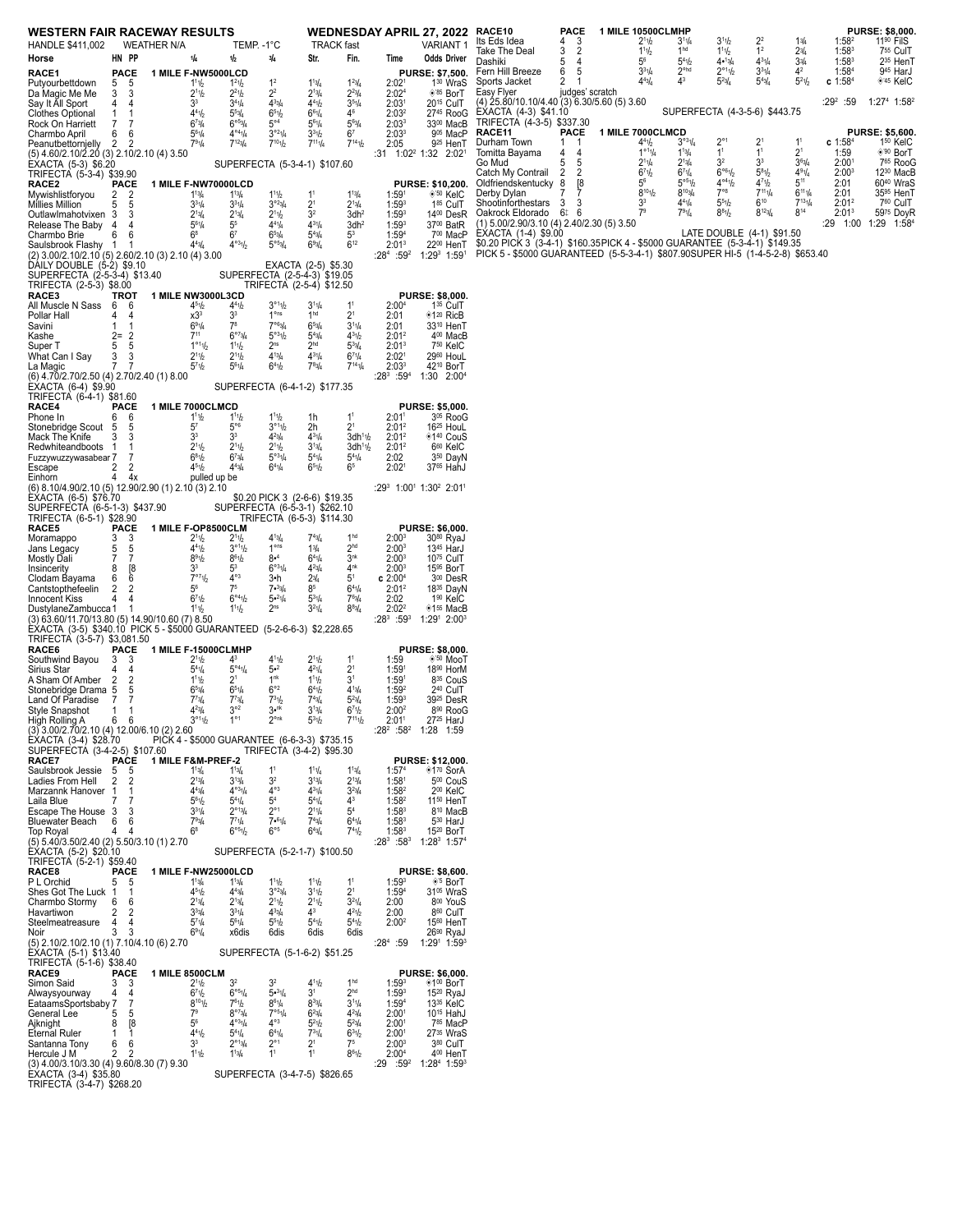| <b>WESTERN FAIR RACEWAY RESULTS</b>                                                                                       |                                  |                    |                                                         |                                                                 |                                                            |                                                   |                                                                             |                                        | <b>WEDNESDAY APRIL 27, 2022</b>                               | RACE10                                                                                             | <b>PACE</b><br>3<br>4                  | 1 MILE 10500CLMHP<br>2 <sup>1</sup>                             | $3^{11}/4$                                              | 3 <sup>1</sup> h                                    | $2^2$                                             | 13/4                             | 1:58 <sup>2</sup>                      | <b>PURSE: \$8,000.</b><br>11 <sup>90</sup> FilS |
|---------------------------------------------------------------------------------------------------------------------------|----------------------------------|--------------------|---------------------------------------------------------|-----------------------------------------------------------------|------------------------------------------------------------|---------------------------------------------------|-----------------------------------------------------------------------------|----------------------------------------|---------------------------------------------------------------|----------------------------------------------------------------------------------------------------|----------------------------------------|-----------------------------------------------------------------|---------------------------------------------------------|-----------------------------------------------------|---------------------------------------------------|----------------------------------|----------------------------------------|-------------------------------------------------|
| HANDLE \$411,002                                                                                                          |                                  | <b>WEATHER N/A</b> |                                                         | TEMP. - 1°C                                                     |                                                            | <b>TRACK</b> fast                                 |                                                                             |                                        | <b>VARIANT1</b>                                               | Its Eds Idea<br>Take The Deal                                                                      | 3<br>$\overline{2}$                    | 111/2                                                           | 1 <sup>hd</sup>                                         | 111/2                                               | 1 <sup>2</sup>                                    | 23/4                             | 1:58 <sup>3</sup>                      | 755 CulT                                        |
| Horse<br>RACE1                                                                                                            | HN PP<br><b>PACE</b>             |                    | 1/4<br>1 MILE F-NW5000LCD                               | 1/2                                                             | 3/4                                                        | Str.                                              | Fin.                                                                        | Time                                   | <b>Odds Driver</b><br><b>PURSE: \$7.500.</b>                  | Dashiki<br>Fern Hill Breeze                                                                        | 5<br>4<br>6<br>5                       | $5^6$<br>$3^{31}/4$                                             | $5^{4}$ <sup>1</sup> / <sub>2</sub><br>2 <sup>ohd</sup> | 4•13/4<br>$2^{\circ 1}$ <sup>1</sup> / <sub>2</sub> | $4^{31}/4$<br>$3^{31}/4$                          | 344<br>4 <sup>2</sup>            | $1:58^{3}$<br>1:58 <sup>4</sup>        | 2 <sup>35</sup> HenT<br>945 HarJ                |
| Putyourbettdown                                                                                                           | 5<br>-5                          |                    | 111/2                                                   | $1^2$ <sup>1</sup> / <sub>2</sub>                               | 1 <sup>2</sup>                                             | $1^{13}/4$                                        | $1^{23/4}$                                                                  | 2:02 <sup>1</sup>                      | 1 <sup>30</sup> WraS                                          | Sports Jacket                                                                                      | $\overline{2}$<br>-1                   | $4^{43}$                                                        | 43                                                      | $5^{23}/4$                                          | $5^{43}/4$                                        | $5^{21}/2$                       | $c$ 1:58 <sup>4</sup>                  | <sup>+45</sup> KelC                             |
| Da Magic Me Me<br>Say It All Sport                                                                                        | 3 3<br>4<br>-4                   |                    | 2 <sup>1</sup> 1/2<br>3 <sup>3</sup>                    | $2^{21}h$<br>$3^{41}/4$                                         | 2 <sup>2</sup><br>$4^{33}/4$                               | $2^{13}/4$<br>$4^{41}h$                           | $2^{23}/4$<br>$3^{51}/4$                                                    | 2:02 <sup>4</sup><br>2:03 <sup>1</sup> | $*^{85}$ BorT<br>20 <sup>15</sup> CulT                        | Easy Flyer<br>(4) 25.80/10.10/4.40 (3) 6.30/5.60 (5) 3.60                                          | judges' scratch                        |                                                                 |                                                         |                                                     |                                                   |                                  | :29 <sup>2</sup> :59                   | $1:274$ 1:58 <sup>2</sup>                       |
| <b>Clothes Optional</b>                                                                                                   | $\mathbf{1}$                     |                    | 4 <sup>4</sup> 1/2                                      | $5^{53/4}$                                                      | 651b                                                       | $6^{61}/4$                                        | $4^6$                                                                       | 2:03 <sup>2</sup>                      | 2745 RooG                                                     | EXACTA (4-3) \$41.10                                                                               |                                        |                                                                 |                                                         | SUPERFECTA (4-3-5-6) \$443.75                       |                                                   |                                  |                                        |                                                 |
| Rock On Harriett<br>Charmbo April                                                                                         | 7<br>-7<br>6<br>-6               |                    | $6^{7}$ <sup>3</sup> / <sub>4</sub><br>$5^{61}/4$       | 6°5/4<br>$4^{04}1/4$                                            | $5^{\circ 4}$<br>$3^{o_2}\frac{1}{4}$                      | $5^{61}/4$<br>$3^{31}h$                           | $5^{6}$ <sup>3</sup> / <sub>4</sub><br>6 <sup>7</sup>                       | 2:03 <sup>3</sup><br>2:03 <sup>3</sup> | 3300 MacB<br>905 MacP                                         | TRIFECTA (4-3-5) \$337.30<br>RACE11                                                                | PACE                                   | 1 MILE 7000CLMCD                                                |                                                         |                                                     |                                                   |                                  |                                        | <b>PURSE: \$5,600.</b>                          |
| Peanutbettornjelly                                                                                                        | $\mathbf{2}$<br>-2               |                    | $7^{91}/4$                                              | $7^{12}$ <sup>3</sup> / <sub>4</sub>                            | $7^{10}1/2$                                                | $7^{11}1/4$                                       | $7^{14}$ <sup>1</sup> / <sub>2</sub>                                        | 2:05                                   | 9 <sup>25</sup> HenT                                          | Durham Town<br>Tomitta Bayama                                                                      | 1 1<br>$\overline{4}$<br>4             | 4 <sup>4</sup> 1/2<br>$1^{\circ 1}$ <sup>1</sup> / <sub>4</sub> | $3^{031}/4$<br>$1^{13}/4$                               | $2^{\circ}1$<br>1 <sup>1</sup>                      | 2 <sup>1</sup><br>1 <sup>1</sup>                  | 1 <sup>1</sup><br>2 <sup>1</sup> | $c$ 1:58 <sup>4</sup><br>1:59          | 1 <sup>50</sup> KelC<br>◈ <sup>'90</sup> BorT   |
| (5) 4.60/2.10/2.20 (3) 2.10/2.10 (4) 3.50<br>EXACTA (5-3) \$6.20                                                          |                                  |                    |                                                         |                                                                 | SUPERFECTA (5-3-4-1) \$107.60                              |                                                   |                                                                             |                                        | :31 1:02 <sup>2</sup> 1:32 2:02 <sup>1</sup>                  | Go Mud                                                                                             | 5<br>5                                 | $2^{11/4}$                                                      | $2^{13}/4$                                              | 3 <sup>2</sup>                                      | 3 <sup>3</sup>                                    | $3^{6}_{4}$                      | 2:00                                   | 7 <sup>65</sup> RooG                            |
| TRIFECTA (5-3-4) \$39.90                                                                                                  | <b>PACE</b>                      |                    |                                                         |                                                                 |                                                            |                                                   |                                                                             |                                        |                                                               | Catch My Contrail<br>Oldfriendskentucky 8                                                          | $\overline{2}$<br>$\overline{2}$<br>[8 | 6 <sup>7</sup> 1/2<br>$5^6$                                     | $6^{71}/4$<br>$5^{\circ 5}$ <sup>1</sup> / <sub>2</sub> | 6°61/2<br>$4^{\circ_4}$ 1/2                         | $5^{81}/2$<br>$4^{7}$ <sup>1</sup> / <sub>2</sub> | 491/4<br>$5^{11}$                | 2:00 <sup>3</sup><br>2:01              | 12 <sup>30</sup> MacB<br>60 <sup>40</sup> WraS  |
| RACE2<br>Mywishlistforyou                                                                                                 | 2 <sub>2</sub>                   |                    | 1 MILE F-NW70000LCD<br>$1^{13}/4$                       | $1^{13}/4$                                                      | 111/2                                                      | 1 <sup>1</sup>                                    | $1^{13}/4$                                                                  | 1:59 <sup>1</sup>                      | PURSE: \$10,200.<br>$*50$ KelC                                | Derby Dylan                                                                                        | 7<br>7                                 | $8^{10}1/2$                                                     | $8^{10}$ <sub>4</sub>                                   | $7^{\circ}8$                                        | $7^{11}1/4$                                       | $6^{11}1/4$                      | 2:01                                   | 35 <sup>95</sup> HenT                           |
| Millies Million                                                                                                           | 5 5<br>-3                        |                    | $3^{31}/4$                                              | $3^{31}/4$<br>$2^{13}/4$                                        | $3^{o_2}$ <sub>3/4</sub><br>2 <sup>1</sup> 1b              | 2 <sup>1</sup><br>3 <sup>2</sup>                  | $2^{13}/4$                                                                  | 1:59 <sup>3</sup><br>$1:59^{3}$        | 185 CulT<br>1400 DesR                                         | Shootinforthestars 3<br>Oakrock Eldorado 6‡ 6                                                      | 3                                      | 3 <sup>3</sup><br>7 <sup>9</sup>                                | $4^{41}/4$<br>$7^{91}/4$                                | 551/2<br>$8^{8}1/2$                                 | $6^{10}$<br>$8^{12}$ <sub>3</sub> / <sub>4</sub>  | $7^{131}/4$<br>$8^{14}$          | 2:01 <sup>2</sup><br>2:01 <sup>3</sup> | 760 CulT<br>5975 DoyR                           |
| OutlawImahotvixen 3<br>Release The Baby 4                                                                                 |                                  |                    | $2^{13}/4$<br>$5^{61}/4$                                | $5^5$                                                           | $4^{41}/4$                                                 | $4^{31}/4$                                        | 3dh <sup>2</sup><br>3dh <sup>2</sup>                                        | $1:59^{3}$                             | 3700 BatR                                                     | $(1)$ 5.00/2.90/3.10 (4) 2.40/2.30 (5) 3.50                                                        |                                        |                                                                 |                                                         |                                                     |                                                   |                                  |                                        | :29 1:00 1:29 1:58 <sup>4</sup>                 |
| Charmbo Brie                                                                                                              | 6<br>6<br>-1                     |                    | 6 <sup>8</sup><br>$4^{4}$ <sup>3</sup> / <sub>4</sub>   | 6 <sup>7</sup><br>$4^{03}1h$                                    | 653/4<br>$5^{\circ 5}$ <sup>3/4</sup>                      | $5^{4}$ <sup>3</sup> / <sub>4</sub><br>693/4      | 5 <sup>3</sup><br>$6^{12}$                                                  | 1:59 <sup>4</sup><br>2:01 <sup>3</sup> | 700 MacP<br>22 <sup>00</sup> HenT                             | EXACTA (1-4) \$9.00<br>\$0.20 PICK 3 (3-4-1) \$160.35 PICK 4 - \$5000 GUARANTEE (5-3-4-1) \$149.35 |                                        |                                                                 |                                                         | LATE DOUBLE (4-1) \$91.50                           |                                                   |                                  |                                        |                                                 |
| Saulsbrook Flashy 1<br>(2) 3.00/2.10/2.10 (5) 2.60/2.10 (3) 2.10 (4) 3.00                                                 |                                  |                    |                                                         |                                                                 |                                                            |                                                   |                                                                             | $:28^4:59^2$                           | $1:29^3$ 1:59 <sup>1</sup>                                    | PICK 5 - \$5000 GUARANTEED (5-5-3-4-1) \$807.90SUPER HI-5 (1-4-5-2-8) \$653.40                     |                                        |                                                                 |                                                         |                                                     |                                                   |                                  |                                        |                                                 |
| DÁILY DOUBLE (5-2) \$9.10                                                                                                 |                                  |                    |                                                         |                                                                 | EXACTA (2-5) \$5.30<br>SUPERFECTA (2-5-4-3) \$19.05        |                                                   |                                                                             |                                        |                                                               |                                                                                                    |                                        |                                                                 |                                                         |                                                     |                                                   |                                  |                                        |                                                 |
| SUPERFECTA (2-5-3-4) \$13.40<br>TRIFECTA (2-5-3) \$8.00                                                                   |                                  |                    |                                                         |                                                                 | TRIFECTA (2-5-4) \$12.50                                   |                                                   |                                                                             |                                        |                                                               |                                                                                                    |                                        |                                                                 |                                                         |                                                     |                                                   |                                  |                                        |                                                 |
| RACE3<br>All Muscle N Sass 6 6                                                                                            | TROT                             |                    | 1 MILE NW3000L3CD<br>4 <sup>5</sup> 1/2                 | $4^{41}h$                                                       | $3^{\circ 1}1/2$                                           | $3^{11}/4$                                        | 1 <sup>1</sup>                                                              | 2:00 <sup>4</sup>                      | <b>PURSE: \$8,000.</b><br>1 <sup>35</sup> CulT                |                                                                                                    |                                        |                                                                 |                                                         |                                                     |                                                   |                                  |                                        |                                                 |
| Pollar Hall                                                                                                               | 4 4                              |                    | x3 <sup>3</sup>                                         | 3 <sup>3</sup>                                                  | $1o$ ns                                                    | 1 <sup>hd</sup>                                   | 2 <sup>1</sup>                                                              | 2:01                                   | ◈1 <sup>20</sup> RicB                                         |                                                                                                    |                                        |                                                                 |                                                         |                                                     |                                                   |                                  |                                        |                                                 |
| Savini<br>Kashe                                                                                                           | -1<br>$2 = 2$                    |                    | $6^{91}/4$<br>$7^{11}$                                  | $7^8$<br>6°73/4                                                 | 7°63/4<br>$5^{\circ 3}$ <sup>1</sup> / <sub>2</sub>        | $6^{53}/4$<br>$5^{4}$ <sup>3</sup> / <sub>4</sub> | $3^{11}/4$<br>$4^{31/2}$                                                    | 2:01<br>$2:01^2$                       | 33 <sup>10</sup> HenT<br>4 <sup>00</sup> MacB                 |                                                                                                    |                                        |                                                                 |                                                         |                                                     |                                                   |                                  |                                        |                                                 |
| Super T                                                                                                                   | 5<br>5                           |                    | $1^{\circ 1}1/2$                                        | $1^{11}h$                                                       | 2 <sup>ns</sup>                                            | 2 <sup>hd</sup>                                   | $5^{33}/4$                                                                  | 2:01 <sup>3</sup>                      | 750 KelC                                                      |                                                                                                    |                                        |                                                                 |                                                         |                                                     |                                                   |                                  |                                        |                                                 |
| What Can I Say<br>La Magic                                                                                                | 3<br>3<br>$7^{\circ}$<br>-7      |                    | 2 <sup>1</sup> 1/2<br>5 <sup>7</sup> 1/2                | $2^{11}h$<br>$5^{61}/4$                                         | $4^{13}/4$<br>$6^{4}$ <sup>1</sup> / <sub>2</sub>          | $4^{31}/4$<br>$7^{8}3/4$                          | $6^{7}$ <sup>1</sup> / <sub>4</sub><br>$7^{14}$ <sup>1</sup> / <sub>4</sub> | 2:02 <sup>1</sup><br>2:03 <sup>3</sup> | 2960 HouL<br>42 <sup>10</sup> BorT                            |                                                                                                    |                                        |                                                                 |                                                         |                                                     |                                                   |                                  |                                        |                                                 |
| (6) 4.70/2.70/2.50 (4) 2.70/2.40 (1) 8.00                                                                                 |                                  |                    |                                                         |                                                                 |                                                            |                                                   |                                                                             | $:28^3:59^4$                           | 1:30 2:004                                                    |                                                                                                    |                                        |                                                                 |                                                         |                                                     |                                                   |                                  |                                        |                                                 |
| EXACTA (6-4) \$9.90<br>TRIFECTA (6-4-1) \$81.60                                                                           |                                  |                    |                                                         |                                                                 | SUPERFECTA (6-4-1-2) \$177.35                              |                                                   |                                                                             |                                        |                                                               |                                                                                                    |                                        |                                                                 |                                                         |                                                     |                                                   |                                  |                                        |                                                 |
| RACE4                                                                                                                     | <b>PACE</b>                      |                    | 1 MILE 7000CLMCD                                        |                                                                 |                                                            |                                                   |                                                                             |                                        | <b>PURSE: \$5,000.</b>                                        |                                                                                                    |                                        |                                                                 |                                                         |                                                     |                                                   |                                  |                                        |                                                 |
| Phone In<br>Stonebridge Scout 5                                                                                           | 6 6<br>-5                        |                    | $1^{11}h$<br>5 <sup>7</sup>                             | 11h<br>$5^{\circ 6}$                                            | 111b<br>3°11/2                                             | 1h<br>2h                                          | 1 <sup>1</sup><br>2 <sup>1</sup>                                            | 2:01 <sup>1</sup><br>$2:01^2$          | 3 <sup>05</sup> RooG<br>16 <sup>25</sup> HouL                 |                                                                                                    |                                        |                                                                 |                                                         |                                                     |                                                   |                                  |                                        |                                                 |
| Mack The Knife                                                                                                            | 3 3                              |                    | 3 <sup>3</sup>                                          | 3 <sup>3</sup>                                                  | $4^{23}/4$                                                 | $4^{31}/4$                                        | 3dh <sup>1</sup> h                                                          | 2:01 <sup>2</sup>                      | ◈1 <sup>40</sup> CouS                                         |                                                                                                    |                                        |                                                                 |                                                         |                                                     |                                                   |                                  |                                        |                                                 |
| Redwhiteandboots 1<br>Fuzzywuzzywasabear 7                                                                                | -1<br>7                          |                    | 2 <sup>1</sup><br>$6^{81}/2$                            | 2 <sup>1</sup> 1/2<br>$6^{7}$ <sup>3</sup> / <sub>4</sub>       | $2^{11}h$<br>$5^{\circ 3}$ <sup>1</sup> / <sub>4</sub>     | $3^{13}/4$<br>$5^{41}/4$                          | 3dh <sup>1</sup> 1/2<br>$5^{41}/4$                                          | 2:01 <sup>2</sup><br>2:02              | 6 <sup>60</sup> KelC<br>3 <sup>50</sup> DayN                  |                                                                                                    |                                        |                                                                 |                                                         |                                                     |                                                   |                                  |                                        |                                                 |
| Escape                                                                                                                    | $\mathbf{2}$<br>2                |                    | $4^{51}h$                                               | $4^{43}/4$                                                      | $6^{41}/4$                                                 | $6^{51}h$                                         | 6 <sup>5</sup>                                                              | 2:02 <sup>1</sup>                      | 3765 HahJ                                                     |                                                                                                    |                                        |                                                                 |                                                         |                                                     |                                                   |                                  |                                        |                                                 |
| Einhorn<br>(6) 8.10/4.90/2.10 (5) 12.90/2.90 (1) 2.10 (3) 2.10                                                            | 44x                              |                    | pulled up be                                            |                                                                 |                                                            |                                                   |                                                                             |                                        | $:29^3$ 1:00 <sup>1</sup> 1:30 <sup>2</sup> 2:01 <sup>1</sup> |                                                                                                    |                                        |                                                                 |                                                         |                                                     |                                                   |                                  |                                        |                                                 |
| EXACTA (6-5) \$76.70                                                                                                      |                                  |                    |                                                         |                                                                 | \$0.20 PICK 3 (2-6-6) \$19.35                              |                                                   |                                                                             |                                        |                                                               |                                                                                                    |                                        |                                                                 |                                                         |                                                     |                                                   |                                  |                                        |                                                 |
| SUPERFECTÁ (6-5-1-3) \$437.90<br>TRIFECTA (6-5-1) \$28.90                                                                 |                                  |                    |                                                         |                                                                 | SUPERFECTA (6-5-3-1) \$262.10<br>TRIFECTA (6-5-3) \$114.30 |                                                   |                                                                             |                                        |                                                               |                                                                                                    |                                        |                                                                 |                                                         |                                                     |                                                   |                                  |                                        |                                                 |
| RACE5                                                                                                                     | PACE                             |                    | 1 MILE F-OP8500CLM                                      |                                                                 |                                                            |                                                   |                                                                             |                                        | <b>PURSE: \$6,000.</b>                                        |                                                                                                    |                                        |                                                                 |                                                         |                                                     |                                                   |                                  |                                        |                                                 |
| Moramappo<br>Jans Legacy                                                                                                  | 3<br>3<br>5<br>- 5               |                    | 2 <sup>1</sup> 1/2<br>$4^4$ <sup>1</sup> / <sub>2</sub> | 2 <sup>1</sup> 1/2<br>$3^{\circ 1}$ <sup>1</sup> / <sub>2</sub> | $4^{13}/4$<br>1 <sup>ons</sup>                             | 13/4                                              | 1 <sup>hd</sup><br>2 <sup>hd</sup>                                          | 2:00 <sup>3</sup><br>2:00 <sup>3</sup> | 30 <sup>80</sup> RyaJ<br>13 <sup>45</sup> HarJ                |                                                                                                    |                                        |                                                                 |                                                         |                                                     |                                                   |                                  |                                        |                                                 |
| Mostly Dali                                                                                                               | $\overline{7}$<br>-7             |                    | $8^{9}1/2$<br>3 <sup>3</sup>                            | $8^{61}h$<br>$5^3$                                              | 8• <sup>4</sup><br>$6^{o3}1/4$                             | $6^{41}/4$<br>$4^{23}/4$                          | 3 <sup>nk</sup><br>$4^{nk}$                                                 | 2:00 <sup>3</sup>                      | 1075 CulT                                                     |                                                                                                    |                                        |                                                                 |                                                         |                                                     |                                                   |                                  |                                        |                                                 |
| Insincerity<br>Clodam Bayama                                                                                              | 8<br>[8<br>6<br>6                |                    | 7°71/2                                                  | $4^{\circ_3}$                                                   | 3•h                                                        | $2^{3/4}$                                         | 5 <sup>1</sup>                                                              | $2:00^{3}$<br>c 2:00 <sup>4</sup>      | 15 <sup>95</sup> BorT<br>3 <sup>00</sup> DesR                 |                                                                                                    |                                        |                                                                 |                                                         |                                                     |                                                   |                                  |                                        |                                                 |
| Cantstopthefeelin<br>Innocent Kiss                                                                                        | $\overline{2}$<br>2<br>4<br>4    |                    | $5^6$<br>671/2                                          | 7 <sup>5</sup><br>6°41/2                                        | 7.33/4<br>$5 - 21/4$                                       | 85<br>$5^{31}/4$                                  | $6^{41}/4$<br>$7^{6}3/4$                                                    | 2:01 <sup>2</sup><br>2:02              | 18 <sup>35</sup> DayN<br>1 <sup>90</sup> KelC                 |                                                                                                    |                                        |                                                                 |                                                         |                                                     |                                                   |                                  |                                        |                                                 |
| DustylaneZambucca 1                                                                                                       | -1                               |                    | $1^{11}/2$                                              | $1^{11}h$                                                       | 2 <sup>ns</sup>                                            | $3^{21}/4$                                        | $8^{8}$ <sup>3</sup> / <sub>4</sub>                                         | 2:02 <sup>2</sup>                      | $*155$ MacB                                                   |                                                                                                    |                                        |                                                                 |                                                         |                                                     |                                                   |                                  |                                        |                                                 |
| (3) 63.60/11.70/13.80 (5) 14.90/10.60 (7) 8.50<br>ÈXACTA (3-5) \$340.10 PICK 5 - \$5000 GUARANTEED (5-2-6-6-3) \$2,228.65 |                                  |                    |                                                         |                                                                 |                                                            |                                                   |                                                                             | $:28^3:59^3$                           | $1:291$ 2:00 <sup>3</sup>                                     |                                                                                                    |                                        |                                                                 |                                                         |                                                     |                                                   |                                  |                                        |                                                 |
| TRIFECTA (3-5-7) \$3,081.50                                                                                               |                                  |                    |                                                         |                                                                 |                                                            |                                                   |                                                                             |                                        |                                                               |                                                                                                    |                                        |                                                                 |                                                         |                                                     |                                                   |                                  |                                        |                                                 |
| RACE6<br>Southwind Bayou                                                                                                  | PACE<br>-3<br>3                  |                    | 1 MILE F-15000CLMHP<br>2 <sup>1</sup>                   | 43                                                              | $4^{11}h$                                                  | 2 <sup>1</sup> 1/2                                | 1 <sup>1</sup>                                                              | 1:59                                   | <b>PURSE: \$8,000.</b><br>$*50$ MooT                          |                                                                                                    |                                        |                                                                 |                                                         |                                                     |                                                   |                                  |                                        |                                                 |
| Sirius Star                                                                                                               | 4                                |                    | $5^{4}$ <sup>1</sup> / <sub>4</sub>                     | $5^{\circ 4}$ <sup>1</sup> / <sub>4</sub>                       | $5•^{2}$                                                   | $4^{21}/4$                                        | 2 <sup>1</sup>                                                              | 1:59 <sup>1</sup>                      | 18 <sup>90</sup> HorM                                         |                                                                                                    |                                        |                                                                 |                                                         |                                                     |                                                   |                                  |                                        |                                                 |
| A Sham Of Amber 2<br>Stonebridge Drama 5                                                                                  | $\overline{2}$<br>5              |                    | $1^{11}h$<br>$65\frac{3}{4}$                            | 2 <sup>1</sup><br>$6^{51}/4$                                    | 1 <sup>nk</sup><br>$6^{\circ 2}$                           | $1^{11}h$<br>$6^{41}h$                            | 3 <sup>1</sup><br>$4^{13}/4$                                                | 1:59 <sup>1</sup><br>1:59 <sup>2</sup> | 8 <sup>35</sup> CouS<br>2 <sup>40</sup> CulT                  |                                                                                                    |                                        |                                                                 |                                                         |                                                     |                                                   |                                  |                                        |                                                 |
| Land Of Paradise                                                                                                          | 7<br>7                           |                    | $7^{7}3/4$                                              | $7^{73}/4$                                                      | $7^{31}b$                                                  | $7^{4}3/4$                                        | $5^{23}/4$                                                                  | $1:59^{3}$                             | 39 <sup>25</sup> DesR                                         |                                                                                                    |                                        |                                                                 |                                                         |                                                     |                                                   |                                  |                                        |                                                 |
| Style Snapshot<br>High Rolling A                                                                                          | 1<br>-1<br>66                    |                    | $4^{23}/4$<br>$3^{\circ 1}$ <sup>1</sup> / <sub>2</sub> | $3^{\circ 2}$<br>$1^{\circ 1}$                                  | $3^{\bullet n k}$<br>$2^{\circ n k}$                       | $3^{13}/4$<br>$5^{31}h$                           | $6^{7}$ <sup>1</sup> / <sub>2</sub><br>$7^{11}1/2$                          | 2:00 <sup>2</sup><br>2:01 <sup>1</sup> | 8 <sup>90</sup> RooG<br>27 <sup>25</sup> HarJ                 |                                                                                                    |                                        |                                                                 |                                                         |                                                     |                                                   |                                  |                                        |                                                 |
| (3) 3.00/2.70/2.10 (4) 12.00/6.10 (2) 2.60                                                                                |                                  |                    |                                                         |                                                                 |                                                            |                                                   |                                                                             |                                        | $:28^2$ $:58^2$ 1:28 1:59                                     |                                                                                                    |                                        |                                                                 |                                                         |                                                     |                                                   |                                  |                                        |                                                 |
| EXACTA (3-4) \$28.70<br>SUPERFECTÁ (3-4-2-5) \$107.60                                                                     |                                  |                    | PICK 4 - \$5000 GUARANTEE (6-6-3-3) \$735.15            |                                                                 | TRIFECTA (3-4-2) \$95.30                                   |                                                   |                                                                             |                                        |                                                               |                                                                                                    |                                        |                                                                 |                                                         |                                                     |                                                   |                                  |                                        |                                                 |
| RACE7<br>Saulsbrook Jessie                                                                                                | PACE<br>-5<br>5                  |                    | <b>1 MILE F&amp;M PREF-2</b><br>$1^{13}/4$              | $1^{13}/4$                                                      | $1^1$                                                      | $1^{11}/4$                                        | $1^{13}/4$                                                                  | 1:57 <sup>4</sup>                      | PURSE: \$12,000.<br>◈1 <sup>70</sup> SorA                     |                                                                                                    |                                        |                                                                 |                                                         |                                                     |                                                   |                                  |                                        |                                                 |
| Ladies From Hell                                                                                                          | $\overline{2}$<br>$\overline{2}$ |                    | $2^{13}/4$                                              | $3^{13}/4$                                                      | 3 <sup>2</sup>                                             | $3^{13}/4$                                        | $2^{13}/4$                                                                  | 1:58 <sup>1</sup>                      | 500 CouS                                                      |                                                                                                    |                                        |                                                                 |                                                         |                                                     |                                                   |                                  |                                        |                                                 |
| Marzannk Hanover 1<br>Laila Blue                                                                                          | $\mathbf 1$                      |                    | $4^{4}_{%}$<br>$5^{6}$ <sup>1</sup> / <sub>2</sub>      | $4^{\circ 3}1/4$<br>$5^{41}/4$                                  | $4^{\circ 3}$<br>5 <sup>4</sup>                            | $4^{31}/4$<br>$5^{41}/4$                          | $3^{23}/4$<br>4 <sup>3</sup>                                                | 1:58 <sup>2</sup><br>1:58 <sup>2</sup> | 200 KelC<br>11 <sup>50</sup> HenT                             |                                                                                                    |                                        |                                                                 |                                                         |                                                     |                                                   |                                  |                                        |                                                 |
| Escape The House 3                                                                                                        | 3                                |                    | $3^{31}/4$                                              | $2^{\circ 1}$ <sub>3/4</sub>                                    | $2^{\circ}1$                                               | $2^{11}/4$                                        | 5 <sup>4</sup>                                                              | $1:58^{3}$                             | 8 <sup>10</sup> MacB                                          |                                                                                                    |                                        |                                                                 |                                                         |                                                     |                                                   |                                  |                                        |                                                 |
| Bluewater Beach<br>Top Royal                                                                                              | 6<br>-6<br>4                     |                    | $7^{9}$ <sup>3</sup> / <sub>4</sub><br>6 <sup>8</sup>   | $7^{7}1/4$<br>6°51/2                                            | 7.61/4<br>$6^{\circ 5}$                                    | $7^{4}3/4$<br>$6^{43}/4$                          | $6^{41}/4$<br>$7^{41}h$                                                     | $1:58^{3}$<br>$1:58^{3}$               | 530 HarJ<br>1520 BorT                                         |                                                                                                    |                                        |                                                                 |                                                         |                                                     |                                                   |                                  |                                        |                                                 |
| (5) 5.40/3.50/2.40 (2) 5.50/3.10 (1) 2.70                                                                                 |                                  |                    |                                                         |                                                                 |                                                            |                                                   |                                                                             |                                        | $:28^3$ :58 <sup>3</sup> 1:28 <sup>3</sup> 1:57 <sup>4</sup>  |                                                                                                    |                                        |                                                                 |                                                         |                                                     |                                                   |                                  |                                        |                                                 |
| EXACTA (5-2) \$20.10<br>TRIFECTA (5-2-1) \$59.40                                                                          |                                  |                    |                                                         |                                                                 | SUPERFECTA (5-2-1-7) \$100.50                              |                                                   |                                                                             |                                        |                                                               |                                                                                                    |                                        |                                                                 |                                                         |                                                     |                                                   |                                  |                                        |                                                 |
| RACE8<br>P L Orchid                                                                                                       | <b>PACE</b><br>5<br>- 5          |                    | 1 MILE F-NW25000LCD<br>$1^{13}/4$                       | $1^{13}/4$                                                      | 111/2                                                      | $1^{11}/2$                                        | 1 <sup>1</sup>                                                              | $1:59^{3}$                             | <b>PURSE: \$8,600.</b><br>◈ <sup>'5</sup> BorT                |                                                                                                    |                                        |                                                                 |                                                         |                                                     |                                                   |                                  |                                        |                                                 |
| Shes Got The Luck 1                                                                                                       |                                  |                    | 451/2                                                   | $4^{43}/4$                                                      | $3^{o_23/4}$                                               | 3 <sup>11</sup> h                                 | 2 <sup>1</sup>                                                              | 1:59 <sup>4</sup>                      | 31 <sup>05</sup> WraS                                         |                                                                                                    |                                        |                                                                 |                                                         |                                                     |                                                   |                                  |                                        |                                                 |
| Charmbo Stormy<br>Havartiwon                                                                                              | 6<br>-6<br>2                     |                    | $2^{13}/4$<br>$3^{3}_{4}$                               | $2^{13}/4$<br>$3^{31}/4$                                        | $2^{11}h$<br>$4^{3}3/4$                                    | 2 <sup>1</sup> 1/2<br>$4^3$                       | $3^{21}/4$<br>$4^{21}b$                                                     | 2:00<br>2:00                           | 800 YouS<br>8 <sup>60</sup> CulT                              |                                                                                                    |                                        |                                                                 |                                                         |                                                     |                                                   |                                  |                                        |                                                 |
| Steelmeatreasure                                                                                                          | 4<br>Δ                           |                    | $5^{71}/4$                                              | $5^{61}/4$                                                      | $5^{51}h$                                                  | $5^{41}h$                                         | $5^{41}h$                                                                   | 2:00 <sup>2</sup>                      | 1560 HenT                                                     |                                                                                                    |                                        |                                                                 |                                                         |                                                     |                                                   |                                  |                                        |                                                 |
| Noir<br>(5) 2.10/2.10/2.10 (1) 7.10/4.10 (6) 2.70                                                                         | -3<br>3                          |                    | $6^{91}/4$                                              | x6dis                                                           | 6dis                                                       | 6dis                                              | 6dis                                                                        | $:28^4:59$                             | 26 <sup>90</sup> RyaJ<br>$1:291$ 1:59 <sup>3</sup>            |                                                                                                    |                                        |                                                                 |                                                         |                                                     |                                                   |                                  |                                        |                                                 |
| EXACTA (5-1) \$13.40                                                                                                      |                                  |                    |                                                         |                                                                 | SUPERFECTA (5-1-6-2) \$51.25                               |                                                   |                                                                             |                                        |                                                               |                                                                                                    |                                        |                                                                 |                                                         |                                                     |                                                   |                                  |                                        |                                                 |
| TRIFECTA (5-1-6) \$38.40<br><b>RACE9</b>                                                                                  | <b>PACE</b>                      |                    | 1 MILE 8500CLM                                          |                                                                 |                                                            |                                                   |                                                                             |                                        | <b>PURSE: \$6,000.</b>                                        |                                                                                                    |                                        |                                                                 |                                                         |                                                     |                                                   |                                  |                                        |                                                 |
| Simon Said                                                                                                                | 3 <sup>3</sup>                   |                    | $2^{11}h$                                               | 3 <sup>2</sup><br>$6^{\circ 5_{1/4}}$                           | 3 <sup>2</sup><br>5•31/4                                   | $4^{11}h$<br>3 <sup>1</sup>                       | 1 <sup>hd</sup><br>2 <sup>hd</sup>                                          | $1:59^{3}$                             | $*100$ BorT                                                   |                                                                                                    |                                        |                                                                 |                                                         |                                                     |                                                   |                                  |                                        |                                                 |
| Alwaysyourway<br>EataamsSportsbaby 7                                                                                      | -4<br>-7                         |                    | 671/2<br>$8^{10}1/2$                                    | $7^{61}/2$                                                      | $8^{6}1/4$                                                 | $8^{3}$ <sup>3</sup> / <sub>4</sub>               | $3^{11}/4$                                                                  | $1:59^{3}$<br>1:59 <sup>4</sup>        | 1520 RyaJ<br>13 <sup>35</sup> KelC                            |                                                                                                    |                                        |                                                                 |                                                         |                                                     |                                                   |                                  |                                        |                                                 |
| General Lee                                                                                                               | 5<br>5<br>[8]<br>8               |                    | 7 <sup>9</sup><br>5 <sup>6</sup>                        | $8^{\circ 73/4}$<br>$4^{03}1/4$                                 | $7^{\circ 51}/4$<br>$4^{\circ 3}$                          | $6^{23}/4$<br>$5^{21}h$                           | $4^{23}/4$<br>$5^{23}/4$                                                    | 2:00 <sup>1</sup><br>2:00 <sup>1</sup> | 10 <sup>15</sup> HahJ<br>785 MacP                             |                                                                                                    |                                        |                                                                 |                                                         |                                                     |                                                   |                                  |                                        |                                                 |
| Ajknight<br><b>Eternal Ruler</b>                                                                                          | 1                                |                    | $4^{4}$ 1/ <sub>2</sub>                                 | $5^{41}/4$                                                      | $6^{41}/4$                                                 | $7^{31}/4$                                        | $6^{31}/2$                                                                  | 2:00 <sup>1</sup>                      | 27 <sup>35</sup> WraS                                         |                                                                                                    |                                        |                                                                 |                                                         |                                                     |                                                   |                                  |                                        |                                                 |
| Santanna Tony<br>Hercule J M                                                                                              | 6<br>6<br>2 2                    |                    | 3 <sup>3</sup><br>$1^{11}h$                             | $2^{\circ 13/4}$<br>$1^{13}/4$                                  | $2^{\circ}1$<br>1 <sup>1</sup>                             | 2 <sup>1</sup><br>1 <sup>1</sup>                  | 7 <sup>5</sup><br>$8^{61}/2$                                                | $2:00^{3}$<br>2:00 <sup>4</sup>        | 380 CulT<br>400 HenT                                          |                                                                                                    |                                        |                                                                 |                                                         |                                                     |                                                   |                                  |                                        |                                                 |
| (3) 4.00/3.10/3.30 (4) 9.60/8.30 (7) 9.30                                                                                 |                                  |                    |                                                         |                                                                 |                                                            |                                                   |                                                                             |                                        | :29 :59 <sup>2</sup> 1:28 <sup>4</sup> 1:59 <sup>3</sup>      |                                                                                                    |                                        |                                                                 |                                                         |                                                     |                                                   |                                  |                                        |                                                 |
| EXACTA (3-4) \$35.80<br>TRIFECTA (3-4-7) \$268.20                                                                         |                                  |                    |                                                         |                                                                 | SUPERFECTA (3-4-7-5) \$826.65                              |                                                   |                                                                             |                                        |                                                               |                                                                                                    |                                        |                                                                 |                                                         |                                                     |                                                   |                                  |                                        |                                                 |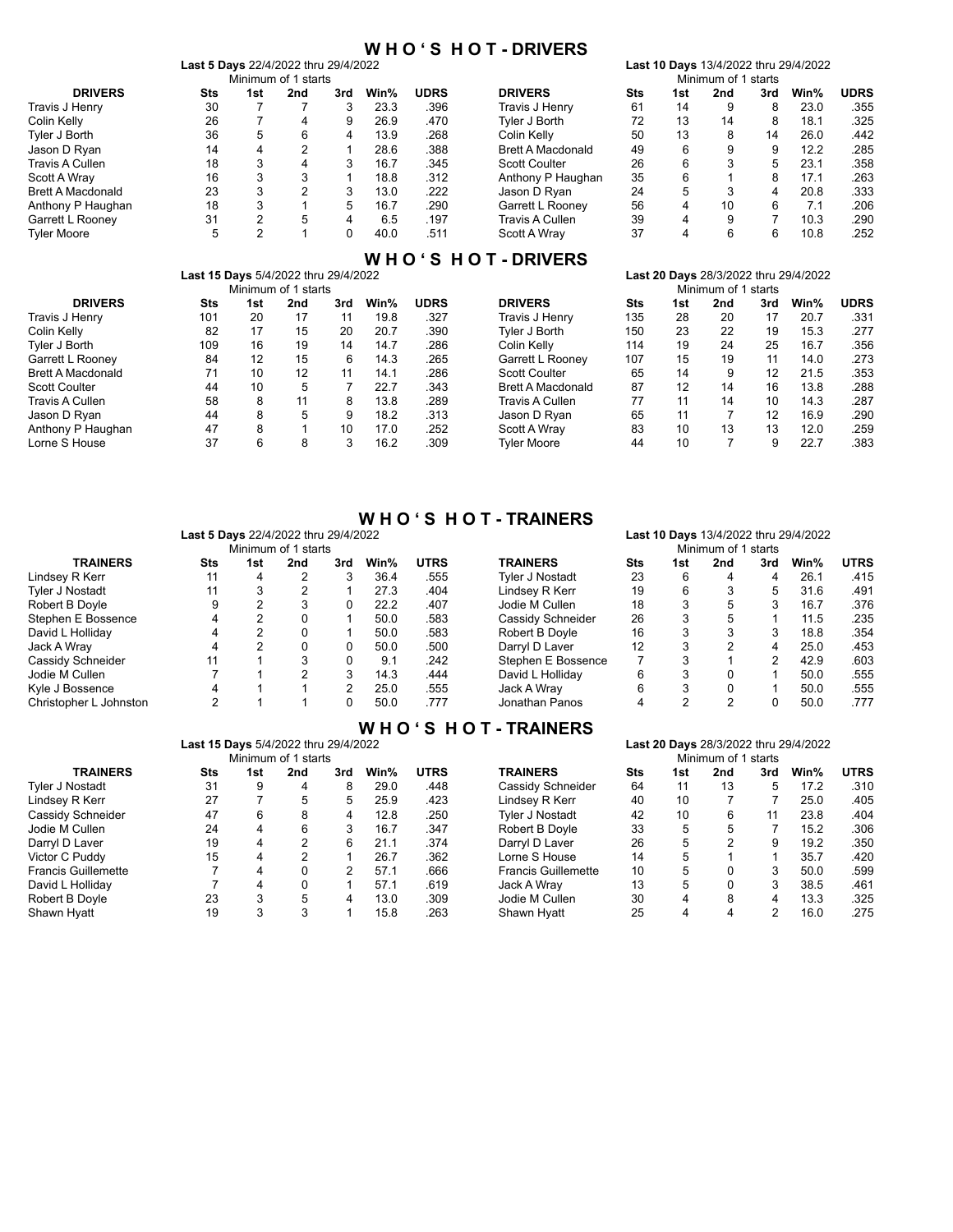# **W H O ' S H O T - DRIVERS**<br>Last 5 Days 22/4/2022 thru 29/4/2022

|                          | Last 5 Days 22/4/2022 thru 29/4/2022 |     |                     |     |      |             |                          |     |     |                     |     | Last 10 Days 13/4/2022 thru 29/4/2022 |             |
|--------------------------|--------------------------------------|-----|---------------------|-----|------|-------------|--------------------------|-----|-----|---------------------|-----|---------------------------------------|-------------|
|                          |                                      |     | Minimum of 1 starts |     |      |             |                          |     |     | Minimum of 1 starts |     |                                       |             |
| <b>DRIVERS</b>           | Sts                                  | 1st | 2nd                 | 3rd | Win% | <b>UDRS</b> | <b>DRIVERS</b>           | Sts | 1st | 2nd                 | 3rd | Win%                                  | <b>UDRS</b> |
| Travis J Henry           | 30                                   |     |                     |     | 23.3 | .396        | Travis J Henry           | 61  | 14  | 9                   |     | 23.0                                  | .355        |
| Colin Kelly              | 26                                   |     | 4                   |     | 26.9 | .470        | Tyler J Borth            | 72  | 13  | 14                  | 8   | 18.1                                  | .325        |
| Tyler J Borth            | 36                                   | 5   | 6                   | 4   | 13.9 | .268        | Colin Kelly              | 50  | 13  | 8                   | 14  | 26.0                                  | .442        |
| Jason D Ryan             | 14                                   | 4   | C                   |     | 28.6 | .388        | <b>Brett A Macdonald</b> | 49  | 6   | 9                   | 9   | 12.2                                  | .285        |
| Travis A Cullen          | 18                                   | 3   | 4                   |     | 16.7 | .345        | <b>Scott Coulter</b>     | 26  | 6   |                     | 5   | 23.1                                  | .358        |
| Scott A Wrav             | 16                                   | 3   |                     |     | 18.8 | .312        | Anthony P Haughan        | 35  | 6   |                     | 8   | 17.1                                  | .263        |
| <b>Brett A Macdonald</b> | 23                                   | 3   | ◠                   |     | 13.0 | .222        | Jason D Rvan             | 24  | 5   |                     | 4   | 20.8                                  | .333        |
| Anthony P Haughan        | 18                                   | 3   |                     | 5   | 16.7 | .290        | Garrett L Rooney         | 56  | 4   | 10                  | 6   | 7.1                                   | .206        |
| Garrett L Rooney         | 31                                   | 2   | 5                   | 4   | 6.5  | .197        | Travis A Cullen          | 39  | 4   | 9                   |     | 10.3                                  | .290        |
| <b>Tyler Moore</b>       | 5                                    | ົ   |                     |     | 40.0 | .511        | Scott A Wrav             | 37  | 4   | 6                   | հ   | 10.8                                  | .252        |

# **W H O ' S H O T - DRIVERS**

|                          | Last 15 Days 5/4/2022 thru 29/4/2022 |     |                     |     | Last 20 Days 28/3/2022 thru 29/4/2022 |                     |                          |     |     |     |                   |      |             |
|--------------------------|--------------------------------------|-----|---------------------|-----|---------------------------------------|---------------------|--------------------------|-----|-----|-----|-------------------|------|-------------|
|                          |                                      |     | Minimum of 1 starts |     |                                       | Minimum of 1 starts |                          |     |     |     |                   |      |             |
| <b>DRIVERS</b>           | Sts                                  | 1st | 2nd                 | 3rd | Win%                                  | <b>UDRS</b>         | <b>DRIVERS</b>           | Sts | 1st | 2nd | 3rd               | Win% | <b>UDRS</b> |
| Travis J Henry           | 101                                  | 20  | 17                  | 11  | 19.8                                  | .327                | Travis J Henry           | 135 | 28  | 20  | 17                | 20.7 | .331        |
| Colin Kelly              | 82                                   | 17  | 15                  | 20  | 20.7                                  | .390                | Tvler J Borth            | 150 | 23  | 22  | 19                | 15.3 | .277        |
| Tvler J Borth            | 109                                  | 16  | 19                  | 14  | 14.7                                  | .286                | Colin Kellv              | 114 | 19  | 24  | 25                | 16.7 | .356        |
| Garrett L Rooney         | 84                                   | 12  | 15                  | 6   | 14.3                                  | .265                | Garrett L Roonev         | 107 | 15  | 19  | 11                | 14.0 | .273        |
| <b>Brett A Macdonald</b> | 71                                   | 10  | 12                  | 11  | 14.1                                  | .286                | <b>Scott Coulter</b>     | 65  | 14  | 9   | $12 \overline{ }$ | 21.5 | .353        |
| <b>Scott Coulter</b>     | 44                                   | 10  | 5                   |     | 22.7                                  | .343                | <b>Brett A Macdonald</b> | 87  | 12  | 14  | 16                | 13.8 | .288        |
| Travis A Cullen          | 58                                   | 8   | 11                  | 8   | 13.8                                  | .289                | Travis A Cullen          | 77  | 11  | 14  | 10                | 14.3 | .287        |
| Jason D Ryan             | 44                                   | 8   | 5                   | 9   | 18.2                                  | .313                | Jason D Ryan             | 65  | 11  |     | 12                | 16.9 | .290        |
| Anthony P Haughan        | 47                                   | 8   |                     | 10  | 17.0                                  | .252                | Scott A Wrav             | 83  | 10  | 13  | 13                | 12.0 | .259        |
| Lorne S House            | 37                                   | 6   | 8                   | 3   | 16.2                                  | .309                | <b>Tvler Moore</b>       | 44  | 10  |     |                   | 22.7 | .383        |

## **W H O ' S H O T - TRAINERS**

|                        |     | <b>Last 5 Days</b> 22/4/2022 thru 29/4/2022 |     |     | Last 10 Days 13/4/2022 thru 29/4/2022<br>Minimum of 1 starts |             |                    |     |     |     |     |      |             |
|------------------------|-----|---------------------------------------------|-----|-----|--------------------------------------------------------------|-------------|--------------------|-----|-----|-----|-----|------|-------------|
|                        |     | Minimum of 1 starts                         |     |     |                                                              |             |                    |     |     |     |     |      |             |
| <b>TRAINERS</b>        | Sts | 1st                                         | 2nd | 3rd | Win%                                                         | <b>UTRS</b> | <b>TRAINERS</b>    | Sts | 1st | 2nd | 3rd | Win% | <b>UTRS</b> |
| Lindsey R Kerr         | 11  | 4                                           | 2   | 3   | 36.4                                                         | .555        | Tvler J Nostadt    | 23  | 6   | 4   | 4   | 26.1 | .415        |
| <b>Tyler J Nostadt</b> | 11  | 3                                           |     |     | 27.3                                                         | .404        | Lindsev R Kerr     | 19  | 6   |     |     | 31.6 | .491        |
| Robert B Doyle         | 9   | 2                                           | 3   |     | 22.2                                                         | .407        | Jodie M Cullen     | 18  | 3   | 5   |     | 16.7 | .376        |
| Stephen E Bossence     | 4   | 2                                           |     |     | 50.0                                                         | .583        | Cassidy Schneider  | 26  | 3   | 5   |     | 11.5 | .235        |
| David L Holliday       | 4   | 2                                           |     |     | 50.0                                                         | .583        | Robert B Dovle     | 16  | 3   |     |     | 18.8 | .354        |
| Jack A Wray            | 4   | 2                                           | 0   |     | 50.0                                                         | .500        | Darryl D Laver     | 12  | 3   | 2   | 4   | 25.0 | .453        |
| Cassidy Schneider      | 11  |                                             | 3   |     | 9.1                                                          | .242        | Stephen E Bossence |     | 3   |     | 2   | 42.9 | .603        |
| Jodie M Cullen         |     |                                             | 2   | 3   | 14.3                                                         | .444        | David L Holliday   | 6   | 3   |     |     | 50.0 | .555        |
| Kyle J Bossence        | 4   |                                             |     | 2   | 25.0                                                         | .555        | Jack A Wrav        | 6   | 3   |     |     | 50.0 | .555        |
| Christopher L Johnston | 2   |                                             |     |     | 50.0                                                         | .777        | Jonathan Panos     | 4   | 2   | 2   |     | 50.0 | .777        |

## **W H O ' S H O T - TRAINERS**

|            |     |     |                                       |                     |                                      | .                          |            |     |     |     |      |             |
|------------|-----|-----|---------------------------------------|---------------------|--------------------------------------|----------------------------|------------|-----|-----|-----|------|-------------|
|            |     |     | Last 20 Days 28/3/2022 thru 29/4/2022 |                     |                                      |                            |            |     |     |     |      |             |
|            |     |     |                                       |                     |                                      | Minimum of 1 starts        |            |     |     |     |      |             |
| <b>Sts</b> | 1st | 2nd | 3rd                                   | Win%                | <b>UTRS</b>                          | <b>TRAINERS</b>            | <b>Sts</b> | 1st | 2nd | 3rd | Win% | <b>UTRS</b> |
| 31         | 9   | 4   | 8                                     | 29.0                | .448                                 | Cassidy Schneider          | 64         | 11  | 13  | 5.  | 17.2 | .310        |
| 27         |     | 5   | 5                                     | 25.9                | .423                                 | Lindsev R Kerr             | 40         | 10  |     |     | 25.0 | .405        |
| 47         | 6   | 8   | 4                                     | 12.8                | .250                                 | Tvler J Nostadt            | 42         | 10  | 6   |     | 23.8 | .404        |
| 24         | 4   | 6   | 3                                     | 16.7                | .347                                 | Robert B Doyle             | 33         | 5   | 5   |     | 15.2 | .306        |
| 19         | 4   | 2   | 6                                     | 21.1                | .374                                 | Darryl D Laver             | 26         | 5   | 2   |     | 19.2 | .350        |
| 15         | 4   | C   |                                       | 26.7                | .362                                 | Lorne S House              | 14         | 5   |     |     | 35.7 | .420        |
|            | 4   |     |                                       | 57.1                | .666                                 | <b>Francis Guillemette</b> | 10         | 5   |     |     | 50.0 | .599        |
|            | 4   |     |                                       | 57.1                | .619                                 | Jack A Wrav                | 13         | 5   |     |     | 38.5 | .461        |
| 23         | 3   | 5   | 4                                     | 13.0                | .309                                 | Jodie M Cullen             | 30         | 4   | 8   | 4   | 13.3 | .325        |
| 19         | 3   | 3   |                                       | 15.8                | .263                                 | Shawn Hyatt                | 25         | 4   | 4   | 2   | 16.0 | .275        |
|            |     |     |                                       | Minimum of 1 starts | Last 15 Days 5/4/2022 thru 29/4/2022 |                            |            |     |     |     |      |             |